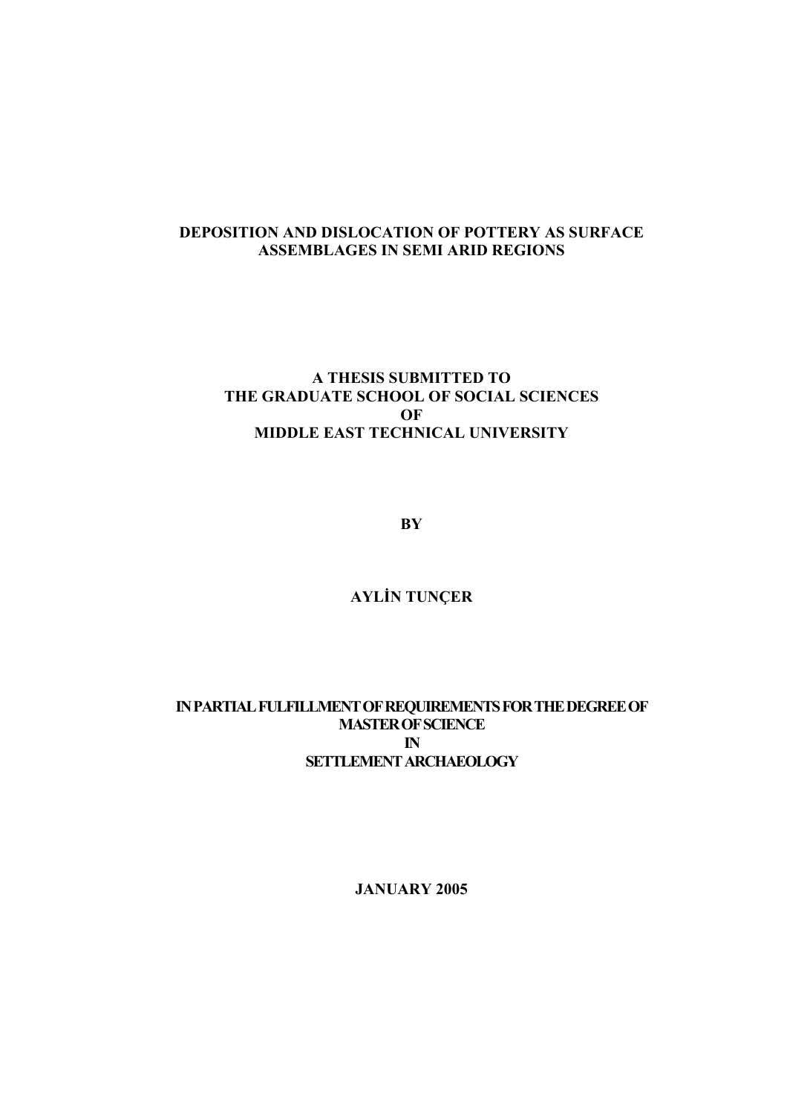## **DEPOSITION AND DISLOCATION OF POTTERY AS SURFACE ASSEMBLAGES IN SEMI ARID REGIONS**

## **A THESIS SUBMITTED TO THE GRADUATE SCHOOL OF SOCIAL SCIENCES OF MIDDLE EAST TECHNICAL UNIVERSITY**

**BY** 

# **AYLİN TUNÇER**

## **IN PARTIAL FULFILLMENT OF REQUIREMENTS FOR THE DEGREE OF MASTER OF SCIENCE IN SETTLEMENT ARCHAEOLOGY**

**JANUARY 2005**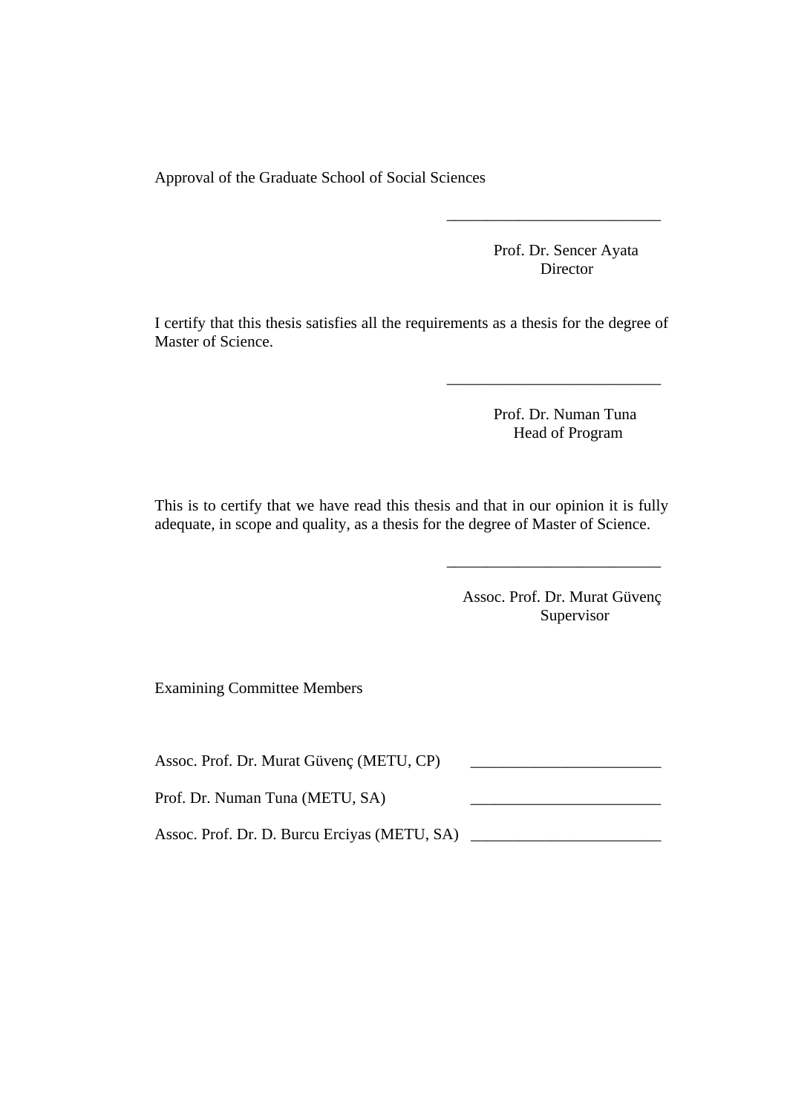Approval of the Graduate School of Social Sciences

Prof. Dr. Sencer Ayata **Director** 

I certify that this thesis satisfies all the requirements as a thesis for the degree of Master of Science.

 $\overline{\phantom{a}}$  , and the contract of the contract of the contract of the contract of the contract of the contract of the contract of the contract of the contract of the contract of the contract of the contract of the contrac

 $\overline{\phantom{a}}$  , which is a set of the set of the set of the set of the set of the set of the set of the set of the set of the set of the set of the set of the set of the set of the set of the set of the set of the set of th

 Prof. Dr. Numan Tuna Head of Program

This is to certify that we have read this thesis and that in our opinion it is fully adequate, in scope and quality, as a thesis for the degree of Master of Science.

 $\overline{\phantom{a}}$  , which is a set of the set of the set of the set of the set of the set of the set of the set of the set of the set of the set of the set of the set of the set of the set of the set of the set of the set of th

 Assoc. Prof. Dr. Murat Güvenç Supervisor

Examining Committee Members

Assoc. Prof. Dr. Murat Güvenç (METU, CP)

Prof. Dr. Numan Tuna (METU, SA)

Assoc. Prof. Dr. D. Burcu Erciyas (METU, SA) \_\_\_\_\_\_\_\_\_\_\_\_\_\_\_\_\_\_\_\_\_\_\_\_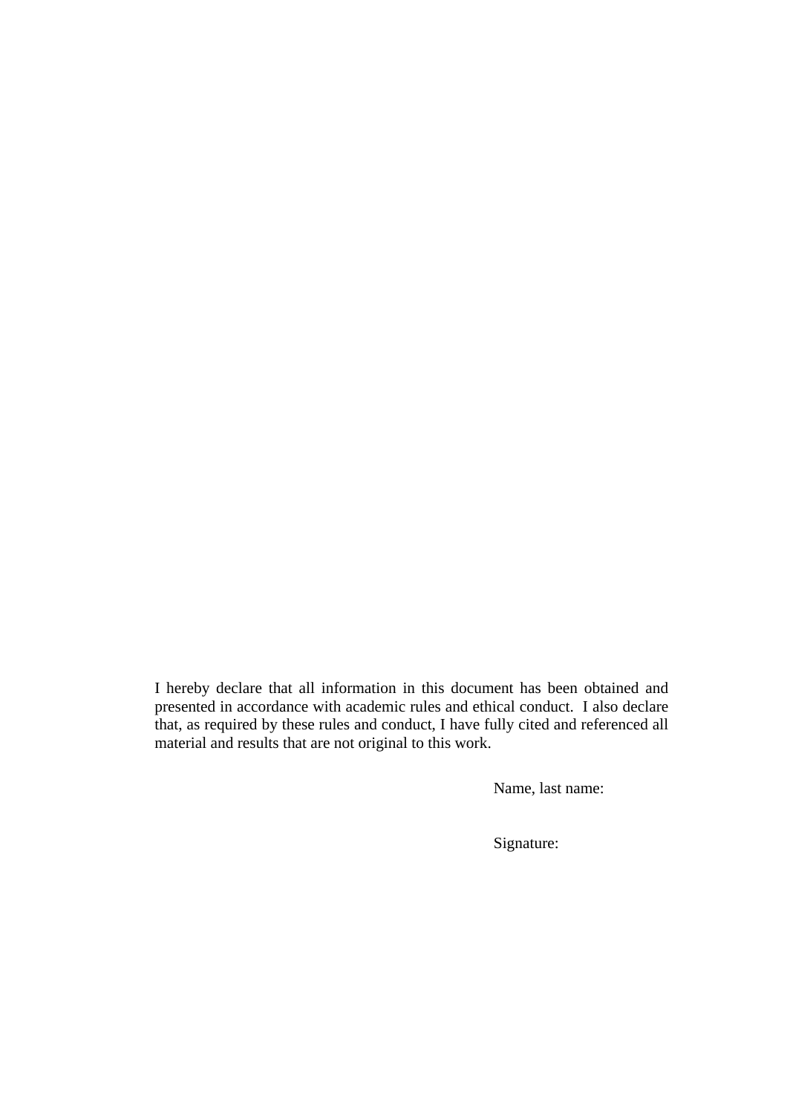I hereby declare that all information in this document has been obtained and presented in accordance with academic rules and ethical conduct. I also declare that, as required by these rules and conduct, I have fully cited and referenced all material and results that are not original to this work.

Name, last name:

Signature: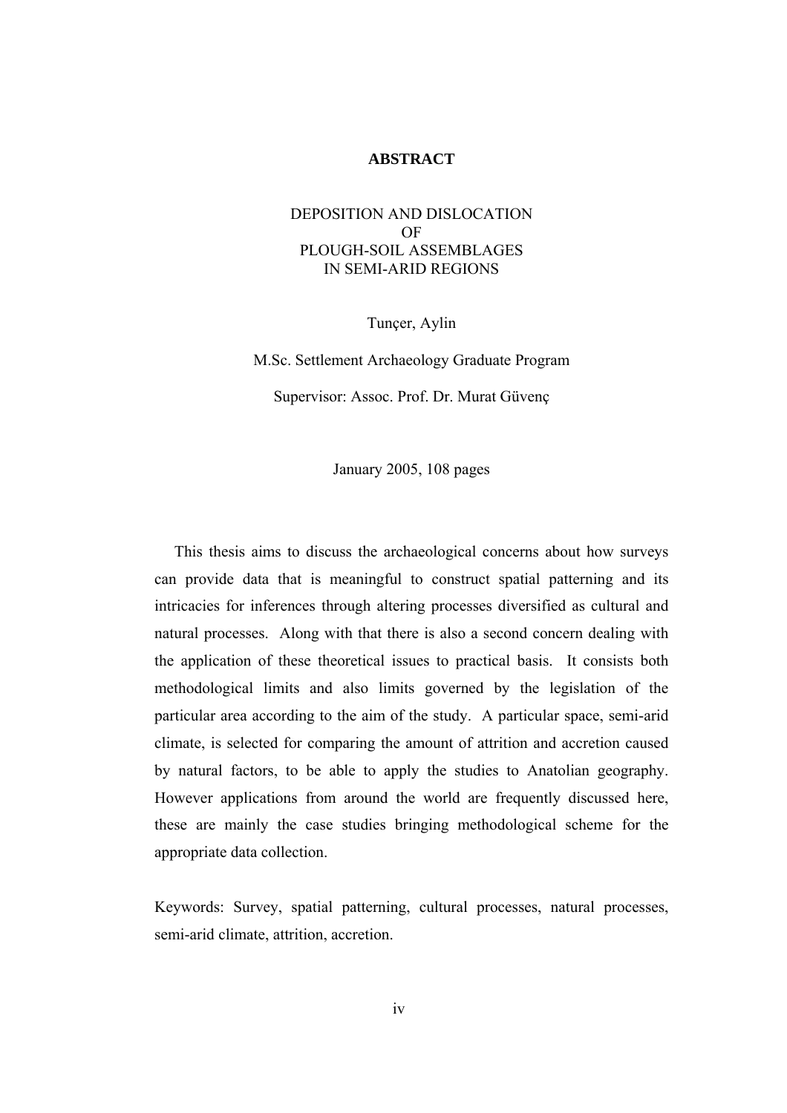#### **ABSTRACT**

### DEPOSITION AND DISLOCATION OF PLOUGH-SOIL ASSEMBLAGES IN SEMI-ARID REGIONS

Tunçer, Aylin

M.Sc. Settlement Archaeology Graduate Program Supervisor: Assoc. Prof. Dr. Murat Güvenç

January 2005, 108 pages

 This thesis aims to discuss the archaeological concerns about how surveys can provide data that is meaningful to construct spatial patterning and its intricacies for inferences through altering processes diversified as cultural and natural processes. Along with that there is also a second concern dealing with the application of these theoretical issues to practical basis. It consists both methodological limits and also limits governed by the legislation of the particular area according to the aim of the study. A particular space, semi-arid climate, is selected for comparing the amount of attrition and accretion caused by natural factors, to be able to apply the studies to Anatolian geography. However applications from around the world are frequently discussed here, these are mainly the case studies bringing methodological scheme for the appropriate data collection.

Keywords: Survey, spatial patterning, cultural processes, natural processes, semi-arid climate, attrition, accretion.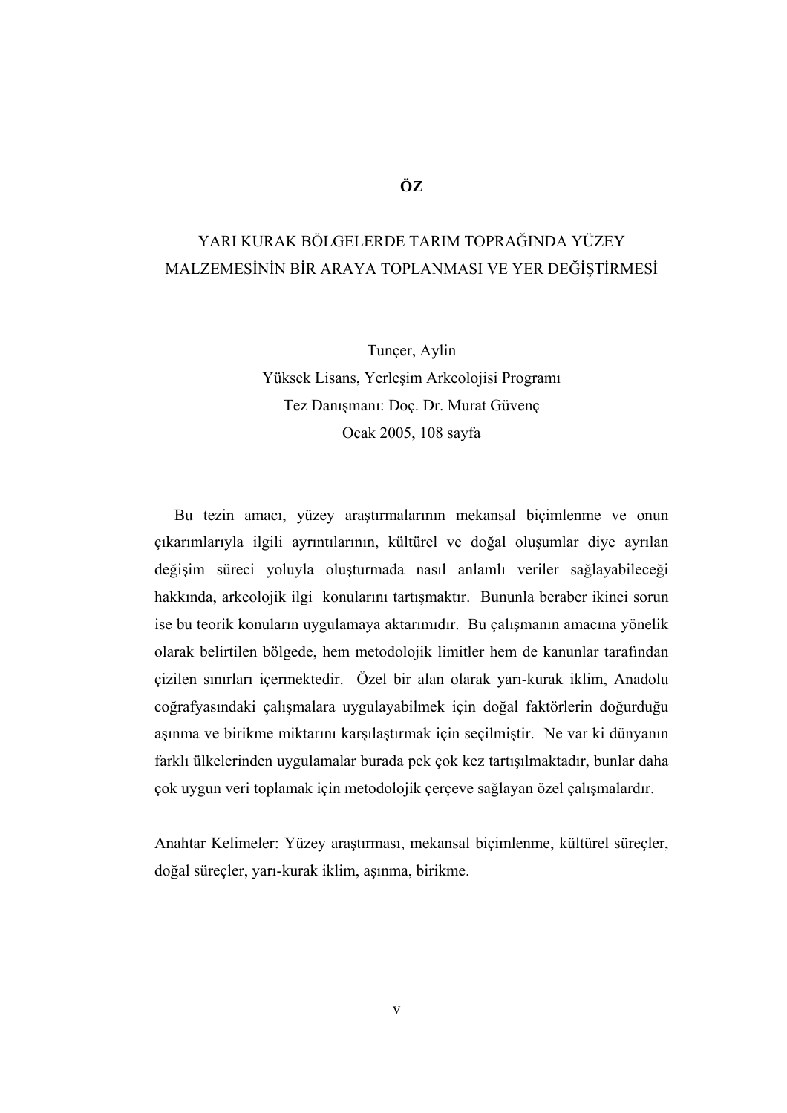## **ÖZ**

# YARI KURAK BÖLGELERDE TARIM TOPRAĞINDA YÜZEY MALZEMESİNİN BİR ARAYA TOPLANMASI VE YER DEĞİŞTİRMESİ

Tunçer, Aylin

Yüksek Lisans, Yerleşim Arkeolojisi Programı Tez Danışmanı: Doç. Dr. Murat Güvenç Ocak 2005, 108 sayfa

 Bu tezin amacı, yüzey araştırmalarının mekansal biçimlenme ve onun çıkarımlarıyla ilgili ayrıntılarının, kültürel ve doğal oluşumlar diye ayrılan değişim süreci yoluyla oluşturmada nasıl anlamlı veriler sağlayabileceği hakkında, arkeolojik ilgi konularını tartışmaktır. Bununla beraber ikinci sorun ise bu teorik konuların uygulamaya aktarımıdır. Bu çalışmanın amacına yönelik olarak belirtilen bölgede, hem metodolojik limitler hem de kanunlar tarafından çizilen sınırları içermektedir. Özel bir alan olarak yarı-kurak iklim, Anadolu coğrafyasındaki çalışmalara uygulayabilmek için doğal faktörlerin doğurduğu aşınma ve birikme miktarını karşılaştırmak için seçilmiştir. Ne var ki dünyanın farklı ülkelerinden uygulamalar burada pek çok kez tartışılmaktadır, bunlar daha çok uygun veri toplamak için metodolojik çerçeve sağlayan özel çalışmalardır.

Anahtar Kelimeler: Yüzey araştırması, mekansal biçimlenme, kültürel süreçler, doğal süreçler, yarı-kurak iklim, aşınma, birikme.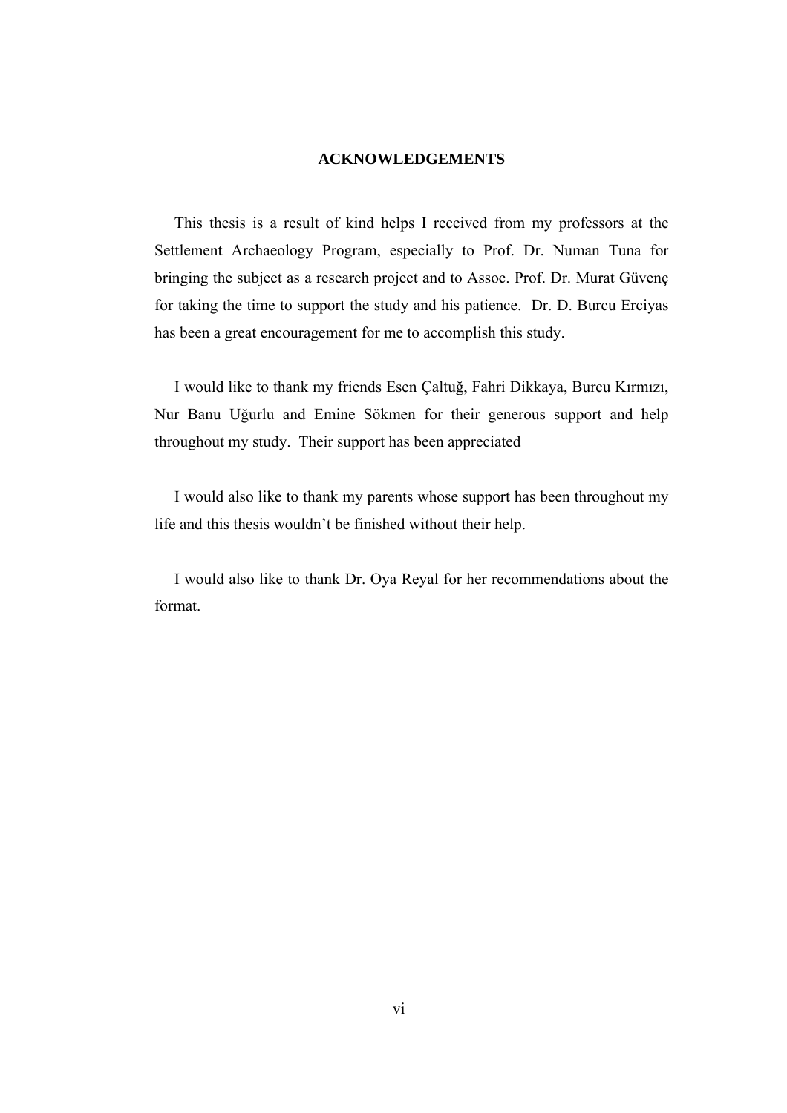#### **ACKNOWLEDGEMENTS**

 This thesis is a result of kind helps I received from my professors at the Settlement Archaeology Program, especially to Prof. Dr. Numan Tuna for bringing the subject as a research project and to Assoc. Prof. Dr. Murat Güvenç for taking the time to support the study and his patience. Dr. D. Burcu Erciyas has been a great encouragement for me to accomplish this study.

 I would like to thank my friends Esen Çaltuğ, Fahri Dikkaya, Burcu Kırmızı, Nur Banu Uğurlu and Emine Sökmen for their generous support and help throughout my study. Their support has been appreciated

 I would also like to thank my parents whose support has been throughout my life and this thesis wouldn't be finished without their help.

 I would also like to thank Dr. Oya Reyal for her recommendations about the format.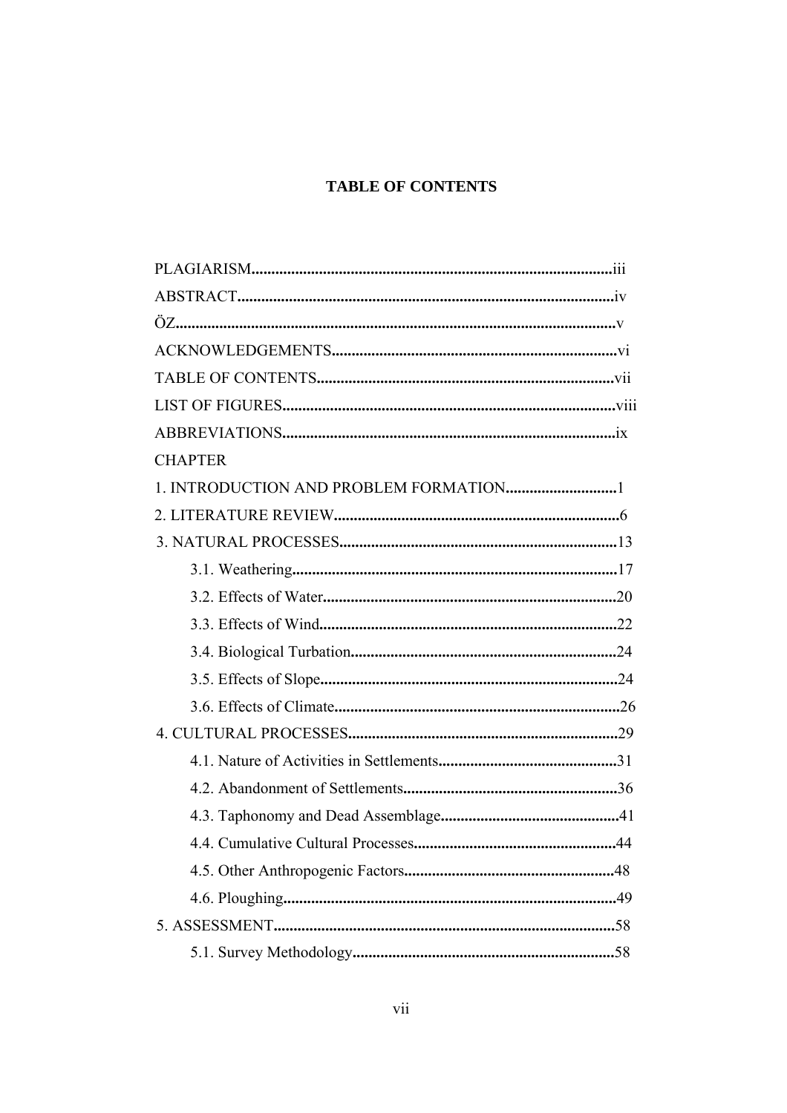## **TABLE OF CONTENTS**

| <b>CHAPTER</b> |
|----------------|
|                |
|                |
|                |
|                |
|                |
|                |
|                |
|                |
|                |
|                |
|                |
|                |
|                |
|                |
|                |
|                |
|                |
|                |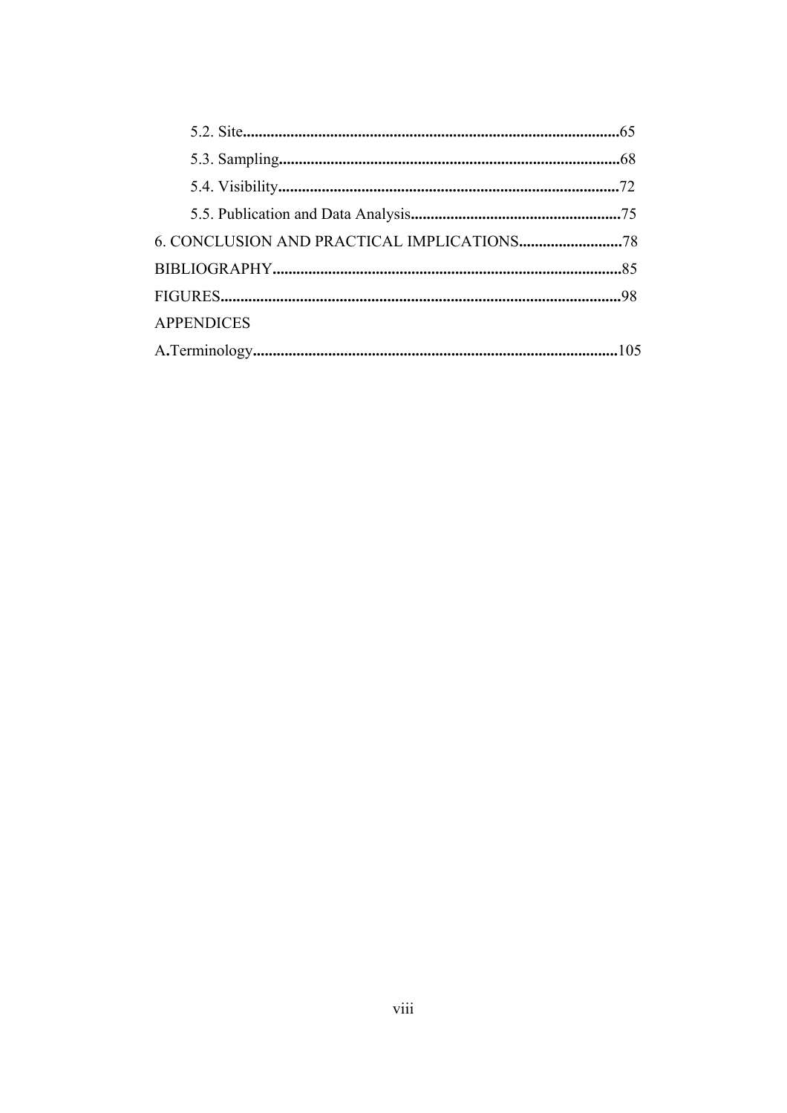| <b>APPENDICES</b> |  |
|-------------------|--|
|                   |  |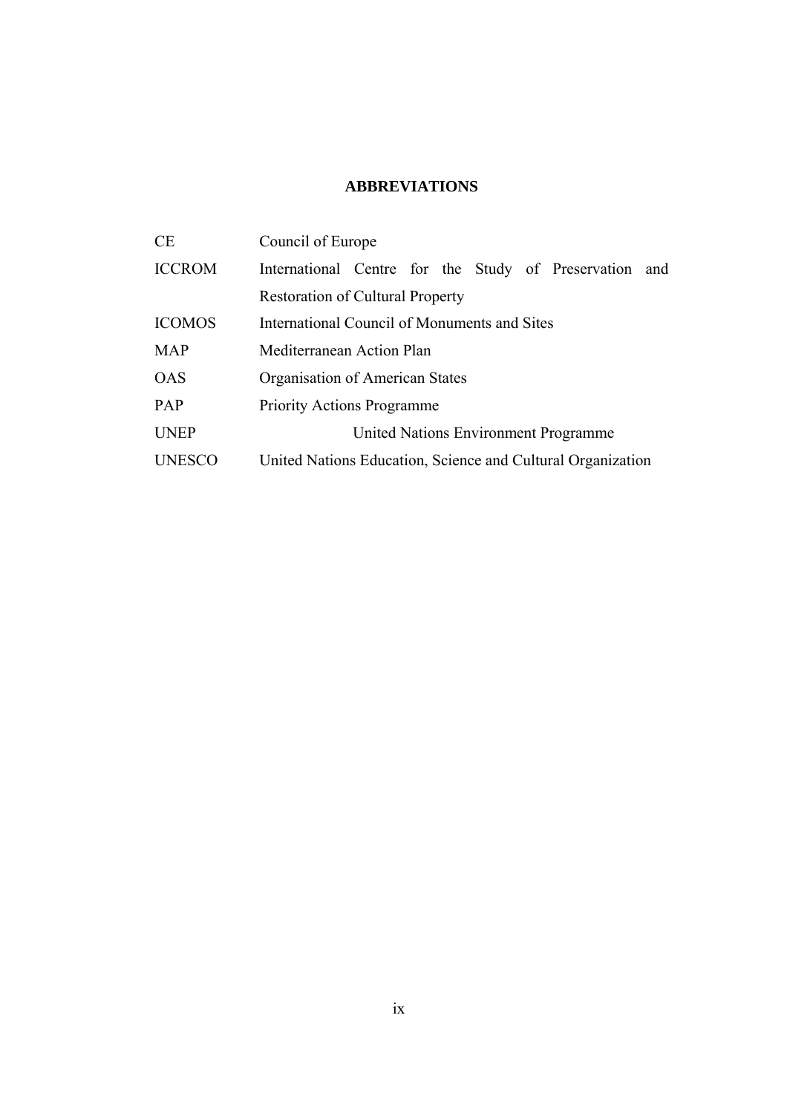## **ABBREVIATIONS**

| <b>CE</b>     | Council of Europe                                           |
|---------------|-------------------------------------------------------------|
| <b>ICCROM</b> | International Centre for the Study of Preservation and      |
|               | <b>Restoration of Cultural Property</b>                     |
| <b>ICOMOS</b> | International Council of Monuments and Sites                |
| <b>MAP</b>    | Mediterranean Action Plan                                   |
| <b>OAS</b>    | Organisation of American States                             |
| <b>PAP</b>    | <b>Priority Actions Programme</b>                           |
| <b>UNEP</b>   | United Nations Environment Programme                        |
| <b>UNESCO</b> | United Nations Education, Science and Cultural Organization |
|               |                                                             |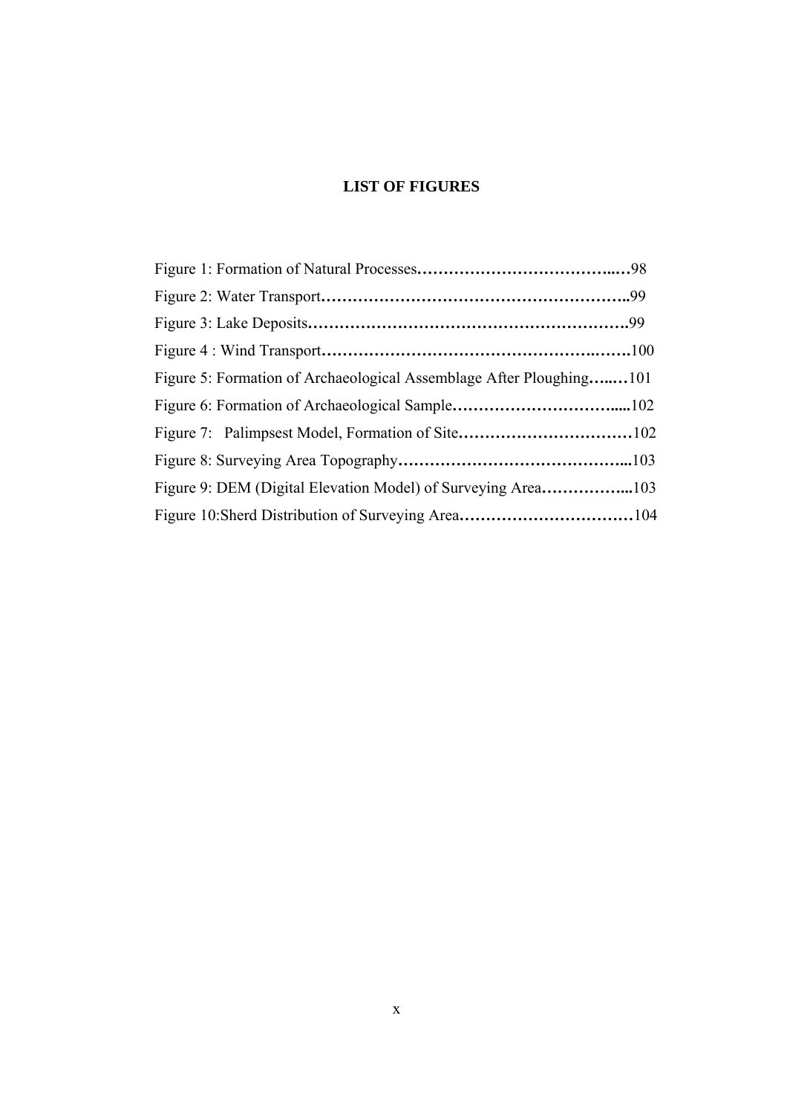## **LIST OF FIGURES**

| Figure 5: Formation of Archaeological Assemblage After Ploughing101 |  |
|---------------------------------------------------------------------|--|
|                                                                     |  |
|                                                                     |  |
|                                                                     |  |
|                                                                     |  |
|                                                                     |  |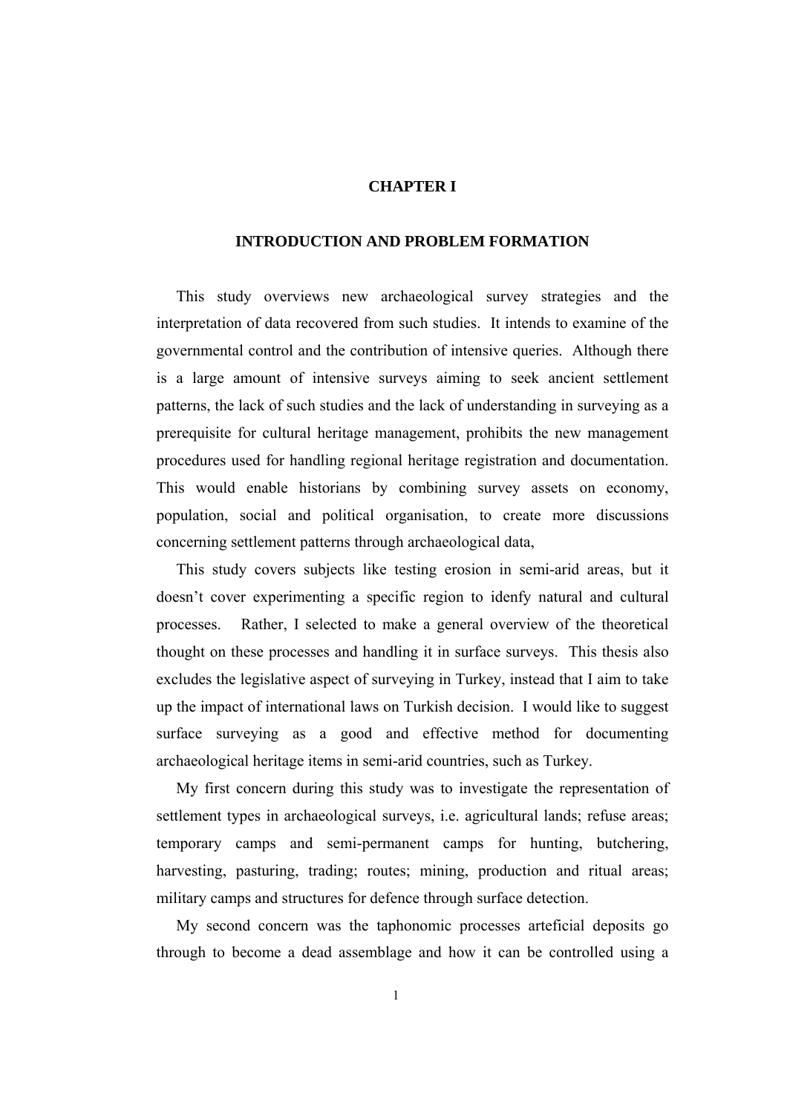### **CHAPTER I**

#### **INTRODUCTION AND PROBLEM FORMATION**

 This study overviews new archaeological survey strategies and the interpretation of data recovered from such studies. It intends to examine of the governmental control and the contribution of intensive queries. Although there is a large amount of intensive surveys aiming to seek ancient settlement patterns, the lack of such studies and the lack of understanding in surveying as a prerequisite for cultural heritage management, prohibits the new management procedures used for handling regional heritage registration and documentation. This would enable historians by combining survey assets on economy, population, social and political organisation, to create more discussions concerning settlement patterns through archaeological data,

 This study covers subjects like testing erosion in semi-arid areas, but it doesn't cover experimenting a specific region to idenfy natural and cultural processes. Rather, I selected to make a general overview of the theoretical thought on these processes and handling it in surface surveys. This thesis also excludes the legislative aspect of surveying in Turkey, instead that I aim to take up the impact of international laws on Turkish decision. I would like to suggest surface surveying as a good and effective method for documenting archaeological heritage items in semi-arid countries, such as Turkey.

 My first concern during this study was to investigate the representation of settlement types in archaeological surveys, i.e. agricultural lands; refuse areas; temporary camps and semi-permanent camps for hunting, butchering, harvesting, pasturing, trading; routes; mining, production and ritual areas; military camps and structures for defence through surface detection.

 My second concern was the taphonomic processes arteficial deposits go through to become a dead assemblage and how it can be controlled using a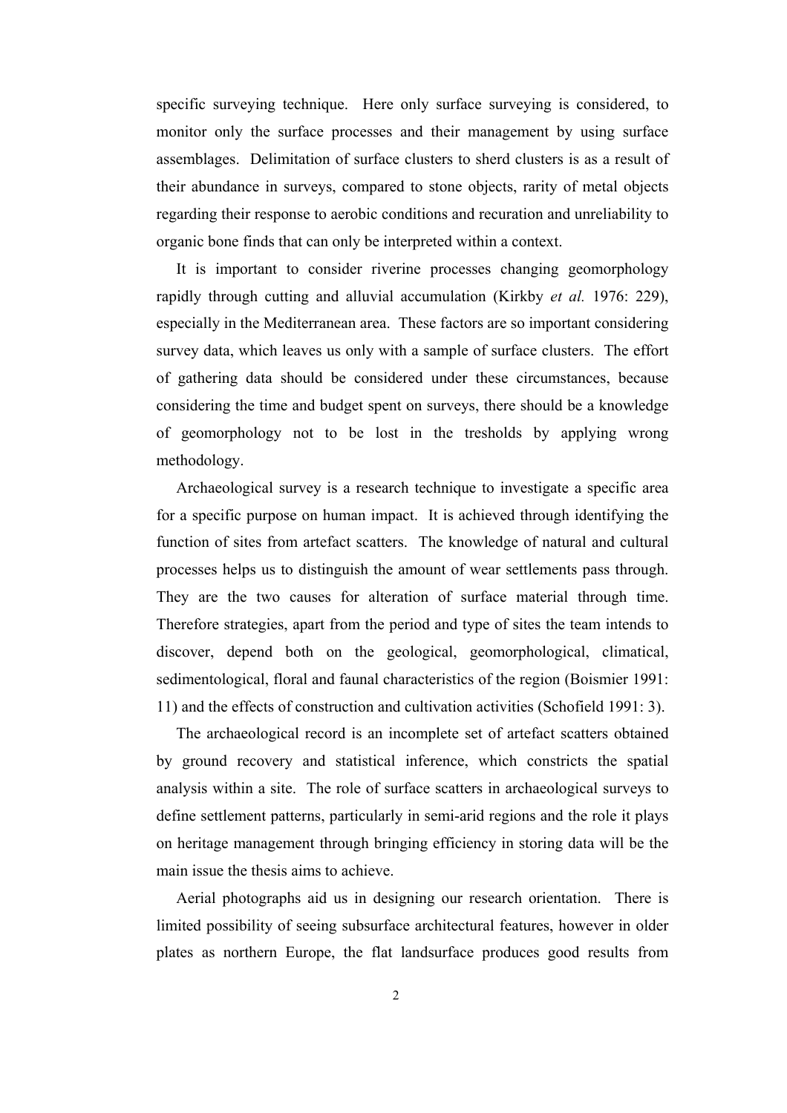specific surveying technique. Here only surface surveying is considered, to monitor only the surface processes and their management by using surface assemblages. Delimitation of surface clusters to sherd clusters is as a result of their abundance in surveys, compared to stone objects, rarity of metal objects regarding their response to aerobic conditions and recuration and unreliability to organic bone finds that can only be interpreted within a context.

 It is important to consider riverine processes changing geomorphology rapidly through cutting and alluvial accumulation (Kirkby *et al.* 1976: 229), especially in the Mediterranean area. These factors are so important considering survey data, which leaves us only with a sample of surface clusters. The effort of gathering data should be considered under these circumstances, because considering the time and budget spent on surveys, there should be a knowledge of geomorphology not to be lost in the tresholds by applying wrong methodology.

Archaeological survey is a research technique to investigate a specific area for a specific purpose on human impact. It is achieved through identifying the function of sites from artefact scatters. The knowledge of natural and cultural processes helps us to distinguish the amount of wear settlements pass through. They are the two causes for alteration of surface material through time. Therefore strategies, apart from the period and type of sites the team intends to discover, depend both on the geological, geomorphological, climatical, sedimentological, floral and faunal characteristics of the region (Boismier 1991: 11) and the effects of construction and cultivation activities (Schofield 1991: 3).

 The archaeological record is an incomplete set of artefact scatters obtained by ground recovery and statistical inference, which constricts the spatial analysis within a site. The role of surface scatters in archaeological surveys to define settlement patterns, particularly in semi-arid regions and the role it plays on heritage management through bringing efficiency in storing data will be the main issue the thesis aims to achieve.

 Aerial photographs aid us in designing our research orientation. There is limited possibility of seeing subsurface architectural features, however in older plates as northern Europe, the flat landsurface produces good results from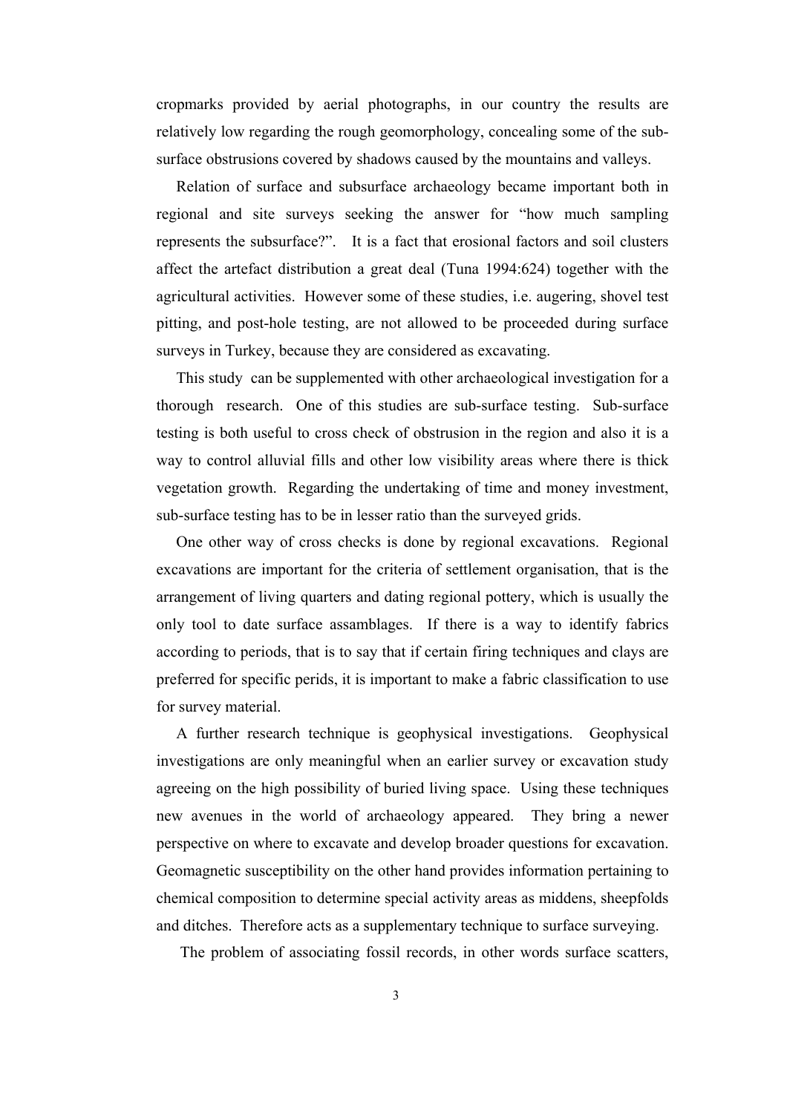cropmarks provided by aerial photographs, in our country the results are relatively low regarding the rough geomorphology, concealing some of the subsurface obstrusions covered by shadows caused by the mountains and valleys.

 Relation of surface and subsurface archaeology became important both in regional and site surveys seeking the answer for "how much sampling represents the subsurface?". It is a fact that erosional factors and soil clusters affect the artefact distribution a great deal (Tuna 1994:624) together with the agricultural activities. However some of these studies, i.e. augering, shovel test pitting, and post-hole testing, are not allowed to be proceeded during surface surveys in Turkey, because they are considered as excavating.

 This study can be supplemented with other archaeological investigation for a thorough research. One of this studies are sub-surface testing. Sub-surface testing is both useful to cross check of obstrusion in the region and also it is a way to control alluvial fills and other low visibility areas where there is thick vegetation growth. Regarding the undertaking of time and money investment, sub-surface testing has to be in lesser ratio than the surveyed grids.

 One other way of cross checks is done by regional excavations. Regional excavations are important for the criteria of settlement organisation, that is the arrangement of living quarters and dating regional pottery, which is usually the only tool to date surface assamblages. If there is a way to identify fabrics according to periods, that is to say that if certain firing techniques and clays are preferred for specific perids, it is important to make a fabric classification to use for survey material.

 A further research technique is geophysical investigations. Geophysical investigations are only meaningful when an earlier survey or excavation study agreeing on the high possibility of buried living space. Using these techniques new avenues in the world of archaeology appeared. They bring a newer perspective on where to excavate and develop broader questions for excavation. Geomagnetic susceptibility on the other hand provides information pertaining to chemical composition to determine special activity areas as middens, sheepfolds and ditches. Therefore acts as a supplementary technique to surface surveying.

The problem of associating fossil records, in other words surface scatters,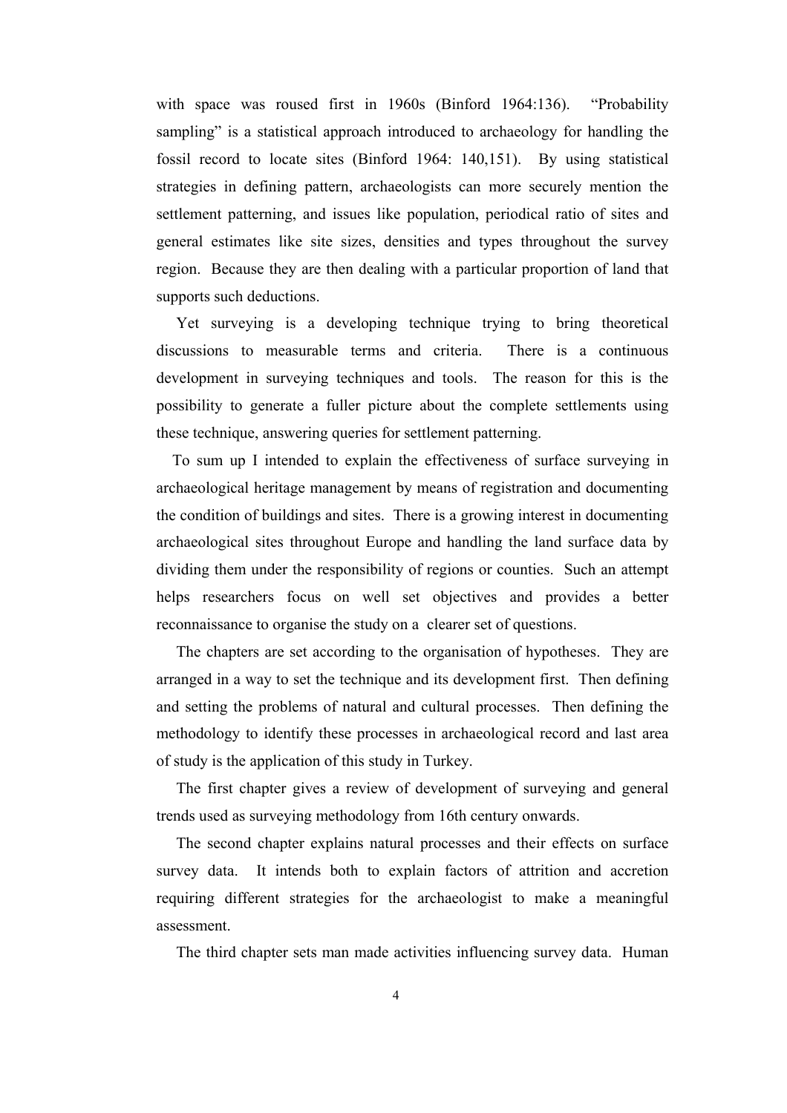with space was roused first in 1960s (Binford 1964:136). "Probability sampling" is a statistical approach introduced to archaeology for handling the fossil record to locate sites (Binford 1964: 140,151). By using statistical strategies in defining pattern, archaeologists can more securely mention the settlement patterning, and issues like population, periodical ratio of sites and general estimates like site sizes, densities and types throughout the survey region. Because they are then dealing with a particular proportion of land that supports such deductions.

 Yet surveying is a developing technique trying to bring theoretical discussions to measurable terms and criteria. There is a continuous development in surveying techniques and tools. The reason for this is the possibility to generate a fuller picture about the complete settlements using these technique, answering queries for settlement patterning.

 To sum up I intended to explain the effectiveness of surface surveying in archaeological heritage management by means of registration and documenting the condition of buildings and sites. There is a growing interest in documenting archaeological sites throughout Europe and handling the land surface data by dividing them under the responsibility of regions or counties. Such an attempt helps researchers focus on well set objectives and provides a better reconnaissance to organise the study on a clearer set of questions.

 The chapters are set according to the organisation of hypotheses. They are arranged in a way to set the technique and its development first. Then defining and setting the problems of natural and cultural processes. Then defining the methodology to identify these processes in archaeological record and last area of study is the application of this study in Turkey.

 The first chapter gives a review of development of surveying and general trends used as surveying methodology from 16th century onwards.

 The second chapter explains natural processes and their effects on surface survey data. It intends both to explain factors of attrition and accretion requiring different strategies for the archaeologist to make a meaningful assessment.

The third chapter sets man made activities influencing survey data. Human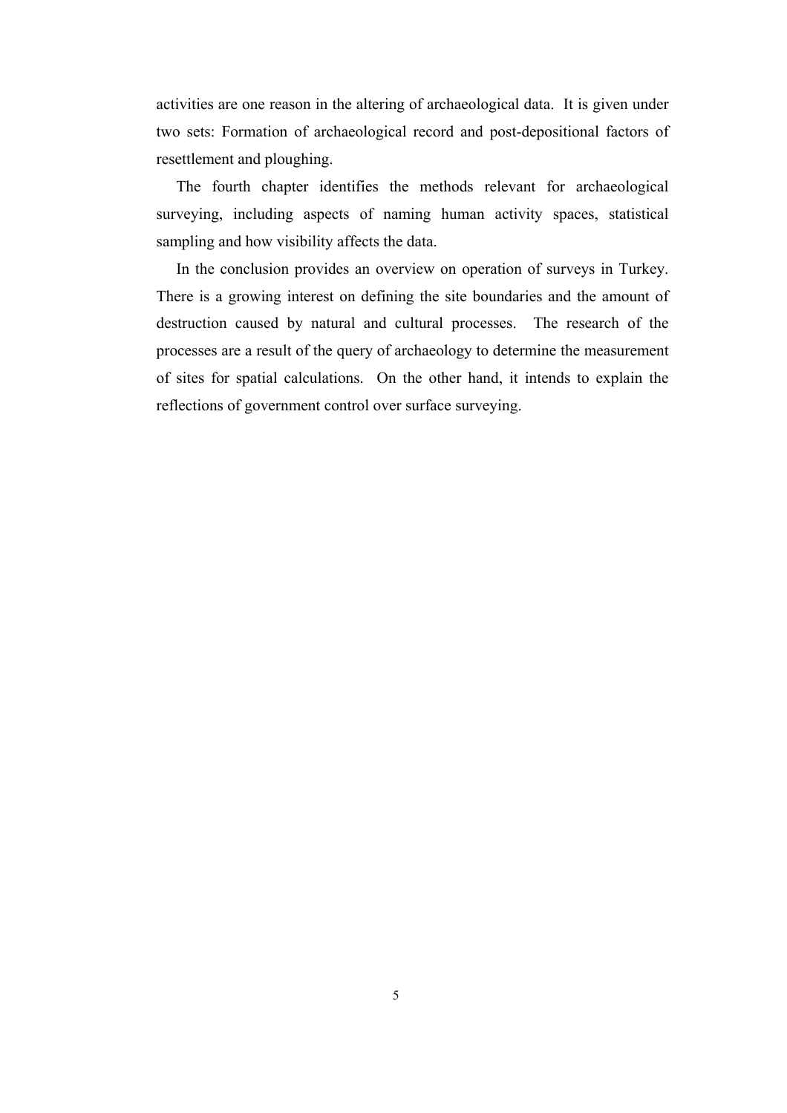activities are one reason in the altering of archaeological data. It is given under two sets: Formation of archaeological record and post-depositional factors of resettlement and ploughing.

 The fourth chapter identifies the methods relevant for archaeological surveying, including aspects of naming human activity spaces, statistical sampling and how visibility affects the data.

 In the conclusion provides an overview on operation of surveys in Turkey. There is a growing interest on defining the site boundaries and the amount of destruction caused by natural and cultural processes. The research of the processes are a result of the query of archaeology to determine the measurement of sites for spatial calculations. On the other hand, it intends to explain the reflections of government control over surface surveying.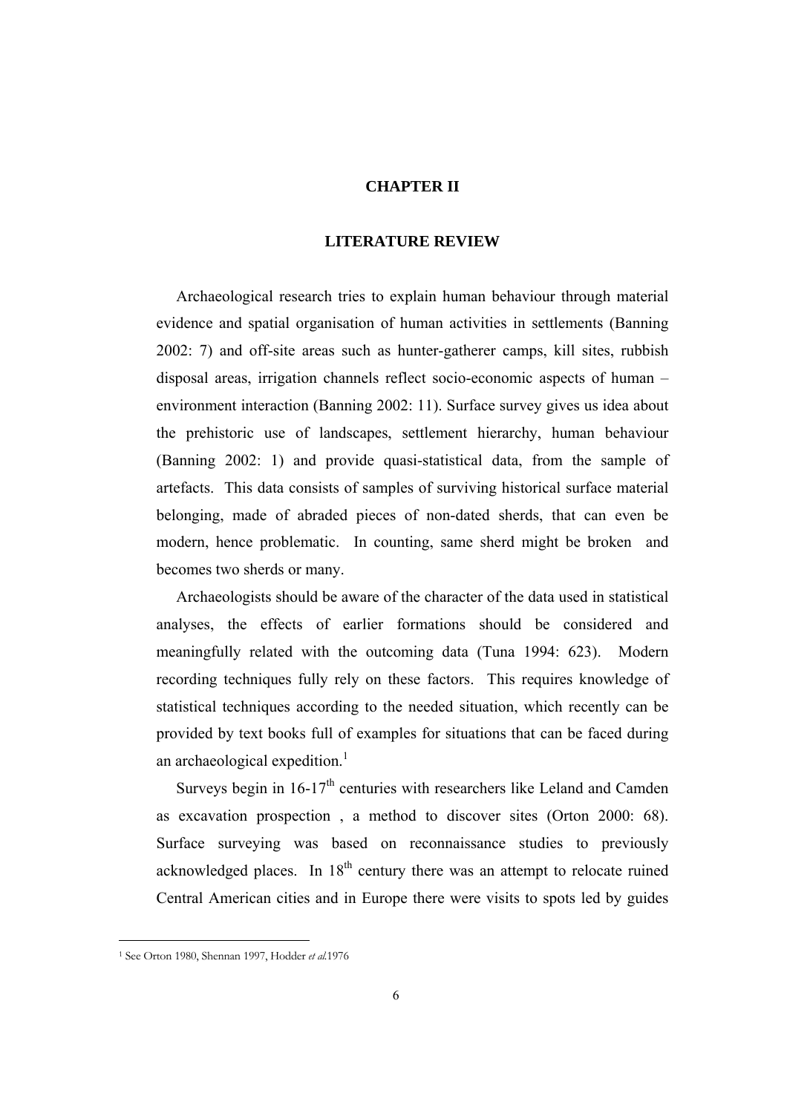### **CHAPTER II**

#### **LITERATURE REVIEW**

Archaeological research tries to explain human behaviour through material evidence and spatial organisation of human activities in settlements (Banning 2002: 7) and off-site areas such as hunter-gatherer camps, kill sites, rubbish disposal areas, irrigation channels reflect socio-economic aspects of human – environment interaction (Banning 2002: 11). Surface survey gives us idea about the prehistoric use of landscapes, settlement hierarchy, human behaviour (Banning 2002: 1) and provide quasi-statistical data, from the sample of artefacts. This data consists of samples of surviving historical surface material belonging, made of abraded pieces of non-dated sherds, that can even be modern, hence problematic. In counting, same sherd might be broken and becomes two sherds or many.

 Archaeologists should be aware of the character of the data used in statistical analyses, the effects of earlier formations should be considered and meaningfully related with the outcoming data (Tuna 1994: 623). Modern recording techniques fully rely on these factors. This requires knowledge of statistical techniques according to the needed situation, which recently can be provided by text books full of examples for situations that can be faced during an archaeological expedition. $<sup>1</sup>$ </sup>

Surveys begin in  $16-17<sup>th</sup>$  centuries with researchers like Leland and Camden as excavation prospection , a method to discover sites (Orton 2000: 68). Surface surveying was based on reconnaissance studies to previously acknowledged places. In  $18<sup>th</sup>$  century there was an attempt to relocate ruined Central American cities and in Europe there were visits to spots led by guides

 $\overline{a}$ 

<sup>1</sup> See Orton 1980, Shennan 1997, Hodder *et al.*1976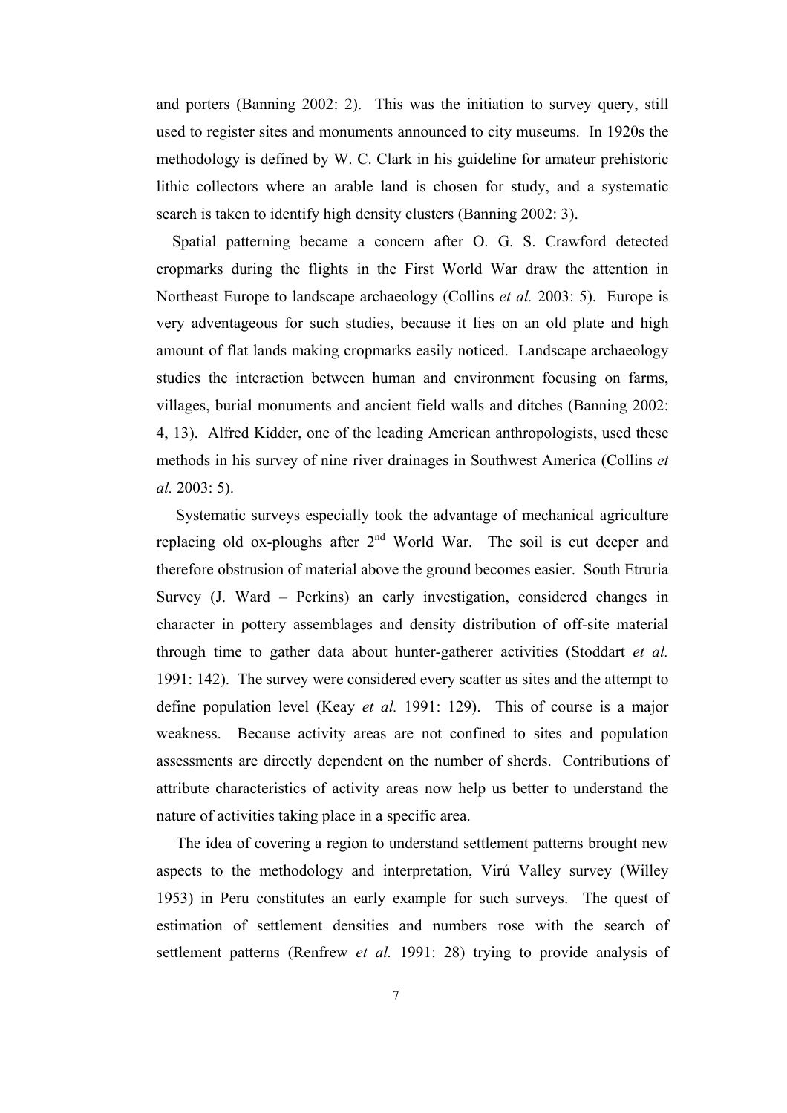and porters (Banning 2002: 2). This was the initiation to survey query, still used to register sites and monuments announced to city museums. In 1920s the methodology is defined by W. C. Clark in his guideline for amateur prehistoric lithic collectors where an arable land is chosen for study, and a systematic search is taken to identify high density clusters (Banning 2002: 3).

 Spatial patterning became a concern after O. G. S. Crawford detected cropmarks during the flights in the First World War draw the attention in Northeast Europe to landscape archaeology (Collins *et al.* 2003: 5). Europe is very adventageous for such studies, because it lies on an old plate and high amount of flat lands making cropmarks easily noticed. Landscape archaeology studies the interaction between human and environment focusing on farms, villages, burial monuments and ancient field walls and ditches (Banning 2002: 4, 13). Alfred Kidder, one of the leading American anthropologists, used these methods in his survey of nine river drainages in Southwest America (Collins *et al.* 2003: 5).

 Systematic surveys especially took the advantage of mechanical agriculture replacing old ox-ploughs after 2<sup>nd</sup> World War. The soil is cut deeper and therefore obstrusion of material above the ground becomes easier. South Etruria Survey (J. Ward – Perkins) an early investigation, considered changes in character in pottery assemblages and density distribution of off-site material through time to gather data about hunter-gatherer activities (Stoddart *et al.* 1991: 142). The survey were considered every scatter as sites and the attempt to define population level (Keay *et al.* 1991: 129). This of course is a major weakness. Because activity areas are not confined to sites and population assessments are directly dependent on the number of sherds. Contributions of attribute characteristics of activity areas now help us better to understand the nature of activities taking place in a specific area.

 The idea of covering a region to understand settlement patterns brought new aspects to the methodology and interpretation, Virú Valley survey (Willey 1953) in Peru constitutes an early example for such surveys. The quest of estimation of settlement densities and numbers rose with the search of settlement patterns (Renfrew *et al.* 1991: 28) trying to provide analysis of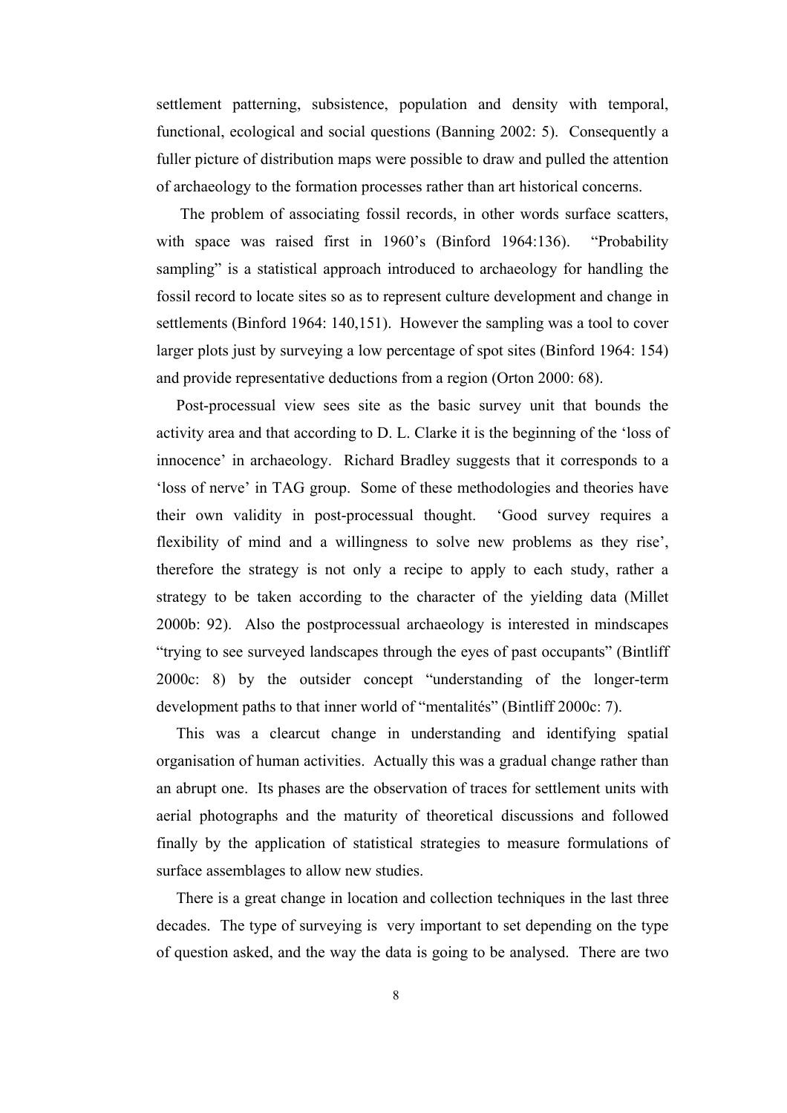settlement patterning, subsistence, population and density with temporal, functional, ecological and social questions (Banning 2002: 5). Consequently a fuller picture of distribution maps were possible to draw and pulled the attention of archaeology to the formation processes rather than art historical concerns.

 The problem of associating fossil records, in other words surface scatters, with space was raised first in 1960's (Binford 1964:136). "Probability sampling" is a statistical approach introduced to archaeology for handling the fossil record to locate sites so as to represent culture development and change in settlements (Binford 1964: 140,151). However the sampling was a tool to cover larger plots just by surveying a low percentage of spot sites (Binford 1964: 154) and provide representative deductions from a region (Orton 2000: 68).

 Post-processual view sees site as the basic survey unit that bounds the activity area and that according to D. L. Clarke it is the beginning of the 'loss of innocence' in archaeology. Richard Bradley suggests that it corresponds to a 'loss of nerve' in TAG group. Some of these methodologies and theories have their own validity in post-processual thought. 'Good survey requires a flexibility of mind and a willingness to solve new problems as they rise', therefore the strategy is not only a recipe to apply to each study, rather a strategy to be taken according to the character of the yielding data (Millet 2000b: 92). Also the postprocessual archaeology is interested in mindscapes "trying to see surveyed landscapes through the eyes of past occupants" (Bintliff 2000c: 8) by the outsider concept "understanding of the longer-term development paths to that inner world of "mentalités" (Bintliff 2000c: 7).

 This was a clearcut change in understanding and identifying spatial organisation of human activities. Actually this was a gradual change rather than an abrupt one. Its phases are the observation of traces for settlement units with aerial photographs and the maturity of theoretical discussions and followed finally by the application of statistical strategies to measure formulations of surface assemblages to allow new studies.

 There is a great change in location and collection techniques in the last three decades. The type of surveying is very important to set depending on the type of question asked, and the way the data is going to be analysed. There are two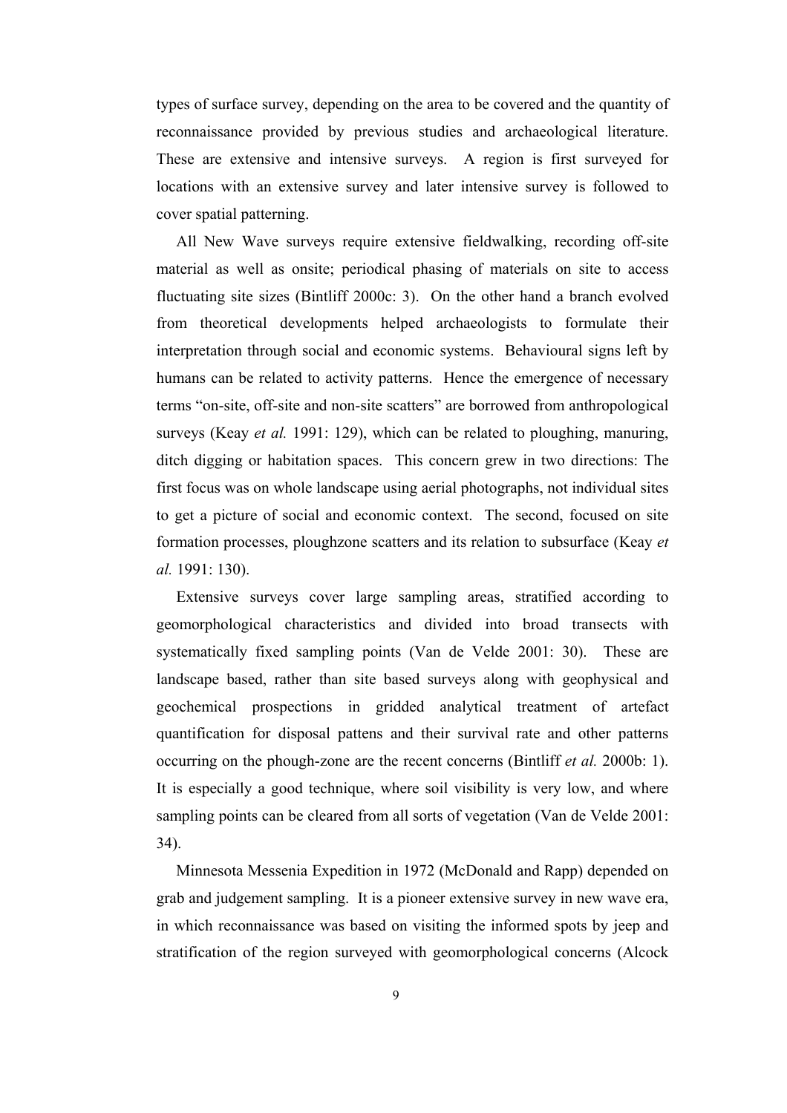types of surface survey, depending on the area to be covered and the quantity of reconnaissance provided by previous studies and archaeological literature. These are extensive and intensive surveys. A region is first surveyed for locations with an extensive survey and later intensive survey is followed to cover spatial patterning.

 All New Wave surveys require extensive fieldwalking, recording off-site material as well as onsite; periodical phasing of materials on site to access fluctuating site sizes (Bintliff 2000c: 3). On the other hand a branch evolved from theoretical developments helped archaeologists to formulate their interpretation through social and economic systems. Behavioural signs left by humans can be related to activity patterns. Hence the emergence of necessary terms "on-site, off-site and non-site scatters" are borrowed from anthropological surveys (Keay *et al.* 1991: 129), which can be related to ploughing, manuring, ditch digging or habitation spaces. This concern grew in two directions: The first focus was on whole landscape using aerial photographs, not individual sites to get a picture of social and economic context. The second, focused on site formation processes, ploughzone scatters and its relation to subsurface (Keay *et al.* 1991: 130).

 Extensive surveys cover large sampling areas, stratified according to geomorphological characteristics and divided into broad transects with systematically fixed sampling points (Van de Velde 2001: 30). These are landscape based, rather than site based surveys along with geophysical and geochemical prospections in gridded analytical treatment of artefact quantification for disposal pattens and their survival rate and other patterns occurring on the phough-zone are the recent concerns (Bintliff *et al.* 2000b: 1). It is especially a good technique, where soil visibility is very low, and where sampling points can be cleared from all sorts of vegetation (Van de Velde 2001: 34).

 Minnesota Messenia Expedition in 1972 (McDonald and Rapp) depended on grab and judgement sampling. It is a pioneer extensive survey in new wave era, in which reconnaissance was based on visiting the informed spots by jeep and stratification of the region surveyed with geomorphological concerns (Alcock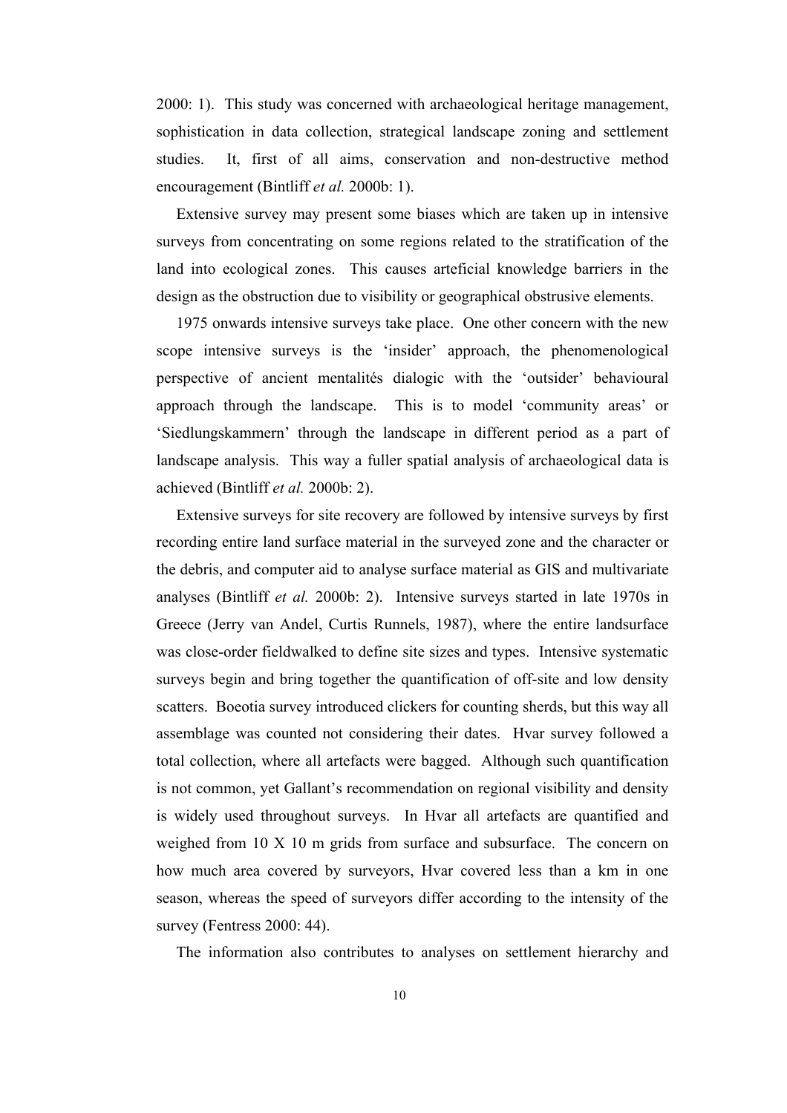2000: 1). This study was concerned with archaeological heritage management, sophistication in data collection, strategical landscape zoning and settlement studies. It, first of all aims, conservation and non-destructive method encouragement (Bintliff *et al.* 2000b: 1).

 Extensive survey may present some biases which are taken up in intensive surveys from concentrating on some regions related to the stratification of the land into ecological zones. This causes arteficial knowledge barriers in the design as the obstruction due to visibility or geographical obstrusive elements.

 1975 onwards intensive surveys take place. One other concern with the new scope intensive surveys is the 'insider' approach, the phenomenological perspective of ancient mentalités dialogic with the 'outsider' behavioural approach through the landscape. This is to model 'community areas' or 'Siedlungskammern' through the landscape in different period as a part of landscape analysis. This way a fuller spatial analysis of archaeological data is achieved (Bintliff *et al.* 2000b: 2).

 Extensive surveys for site recovery are followed by intensive surveys by first recording entire land surface material in the surveyed zone and the character or the debris, and computer aid to analyse surface material as GIS and multivariate analyses (Bintliff *et al.* 2000b: 2). Intensive surveys started in late 1970s in Greece (Jerry van Andel, Curtis Runnels, 1987), where the entire landsurface was close-order fieldwalked to define site sizes and types. Intensive systematic surveys begin and bring together the quantification of off-site and low density scatters. Boeotia survey introduced clickers for counting sherds, but this way all assemblage was counted not considering their dates. Hvar survey followed a total collection, where all artefacts were bagged. Although such quantification is not common, yet Gallant's recommendation on regional visibility and density is widely used throughout surveys. In Hvar all artefacts are quantified and weighed from 10 X 10 m grids from surface and subsurface. The concern on how much area covered by surveyors, Hvar covered less than a km in one season, whereas the speed of surveyors differ according to the intensity of the survey (Fentress 2000: 44).

The information also contributes to analyses on settlement hierarchy and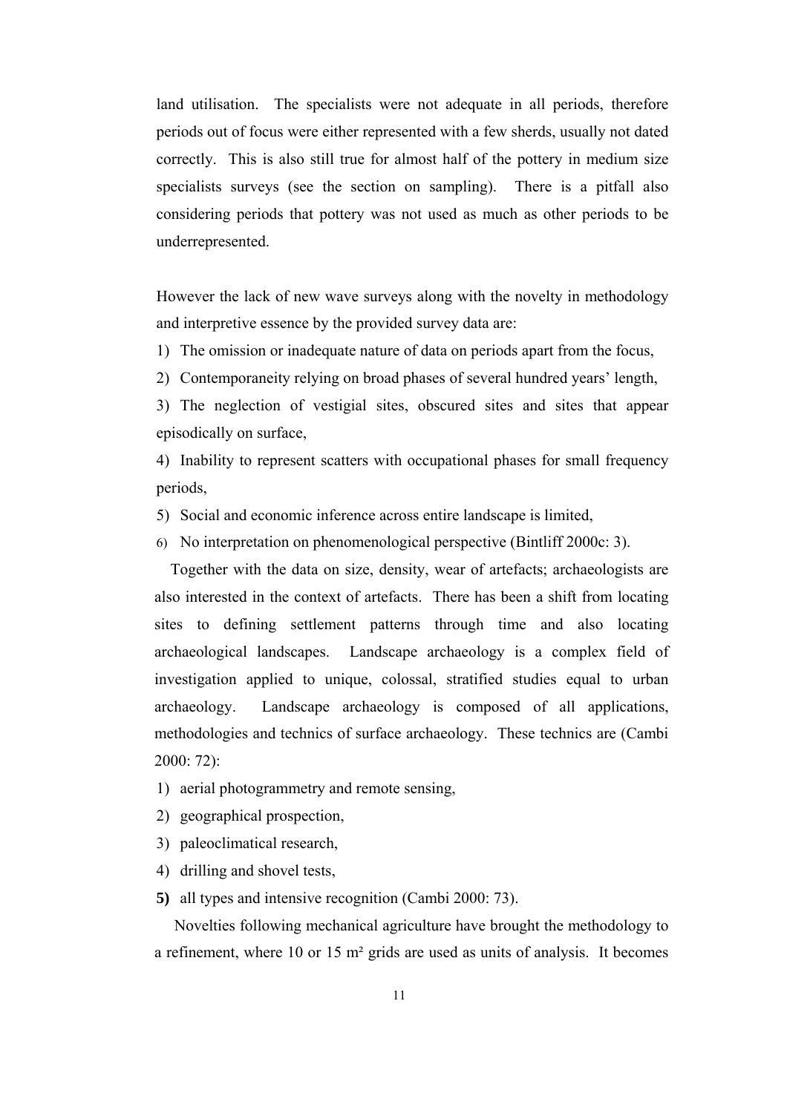land utilisation. The specialists were not adequate in all periods, therefore periods out of focus were either represented with a few sherds, usually not dated correctly. This is also still true for almost half of the pottery in medium size specialists surveys (see the section on sampling). There is a pitfall also considering periods that pottery was not used as much as other periods to be underrepresented.

However the lack of new wave surveys along with the novelty in methodology and interpretive essence by the provided survey data are:

- 1) The omission or inadequate nature of data on periods apart from the focus,
- 2) Contemporaneity relying on broad phases of several hundred years' length,

3) The neglection of vestigial sites, obscured sites and sites that appear episodically on surface,

4) Inability to represent scatters with occupational phases for small frequency periods,

- 5) Social and economic inference across entire landscape is limited,
- 6) No interpretation on phenomenological perspective (Bintliff 2000c: 3).

 Together with the data on size, density, wear of artefacts; archaeologists are also interested in the context of artefacts. There has been a shift from locating sites to defining settlement patterns through time and also locating archaeological landscapes. Landscape archaeology is a complex field of investigation applied to unique, colossal, stratified studies equal to urban archaeology. Landscape archaeology is composed of all applications, methodologies and technics of surface archaeology.These technics are (Cambi  $2000 \cdot 72$ 

- 1) aerial photogrammetry and remote sensing,
- 2) geographical prospection,
- 3) paleoclimatical research,
- 4) drilling and shovel tests,
- **5)** all types and intensive recognition (Cambi 2000: 73).

 Novelties following mechanical agriculture have brought the methodology to a refinement, where 10 or 15 m² grids are used as units of analysis. It becomes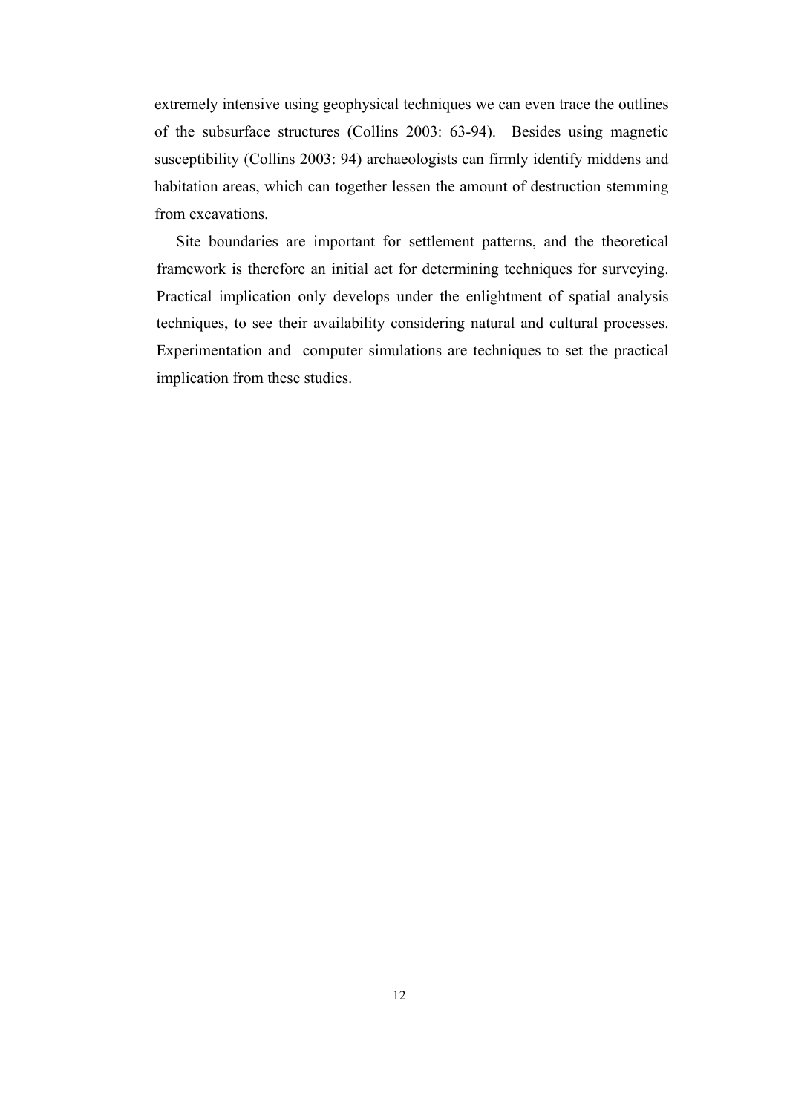extremely intensive using geophysical techniques we can even trace the outlines of the subsurface structures (Collins 2003: 63-94). Besides using magnetic susceptibility (Collins 2003: 94) archaeologists can firmly identify middens and habitation areas, which can together lessen the amount of destruction stemming from excavations.

Site boundaries are important for settlement patterns, and the theoretical framework is therefore an initial act for determining techniques for surveying. Practical implication only develops under the enlightment of spatial analysis techniques, to see their availability considering natural and cultural processes. Experimentation and computer simulations are techniques to set the practical implication from these studies.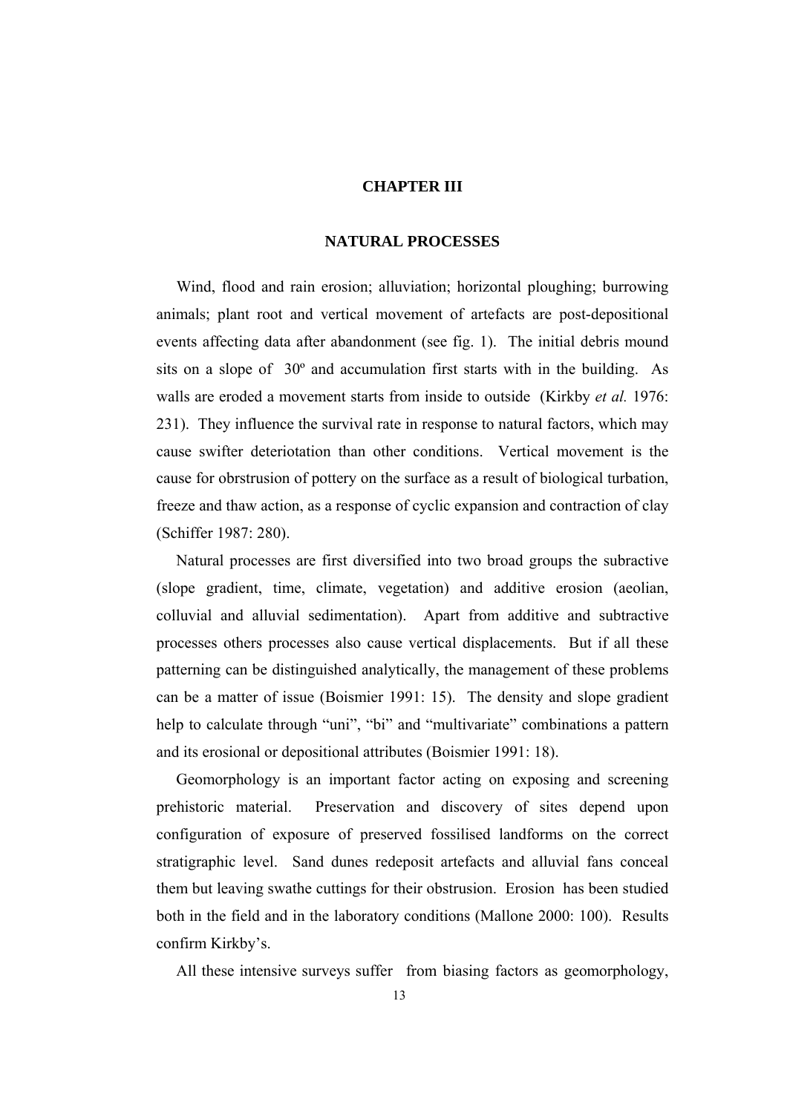### **CHAPTER III**

#### **NATURAL PROCESSES**

 Wind, flood and rain erosion; alluviation; horizontal ploughing; burrowing animals; plant root and vertical movement of artefacts are post-depositional events affecting data after abandonment (see fig. 1). The initial debris mound sits on a slope of 30º and accumulation first starts with in the building. As walls are eroded a movement starts from inside to outside (Kirkby *et al.* 1976: 231). They influence the survival rate in response to natural factors, which may cause swifter deteriotation than other conditions. Vertical movement is the cause for obrstrusion of pottery on the surface as a result of biological turbation, freeze and thaw action, as a response of cyclic expansion and contraction of clay (Schiffer 1987: 280).

 Natural processes are first diversified into two broad groups the subractive (slope gradient, time, climate, vegetation) and additive erosion (aeolian, colluvial and alluvial sedimentation). Apart from additive and subtractive processes others processes also cause vertical displacements. But if all these patterning can be distinguished analytically, the management of these problems can be a matter of issue (Boismier 1991: 15). The density and slope gradient help to calculate through "uni", "bi" and "multivariate" combinations a pattern and its erosional or depositional attributes (Boismier 1991: 18).

 Geomorphology is an important factor acting on exposing and screening prehistoric material. Preservation and discovery of sites depend upon configuration of exposure of preserved fossilised landforms on the correct stratigraphic level. Sand dunes redeposit artefacts and alluvial fans conceal them but leaving swathe cuttings for their obstrusion. Erosion has been studied both in the field and in the laboratory conditions (Mallone 2000: 100). Results confirm Kirkby's.

All these intensive surveys suffer from biasing factors as geomorphology,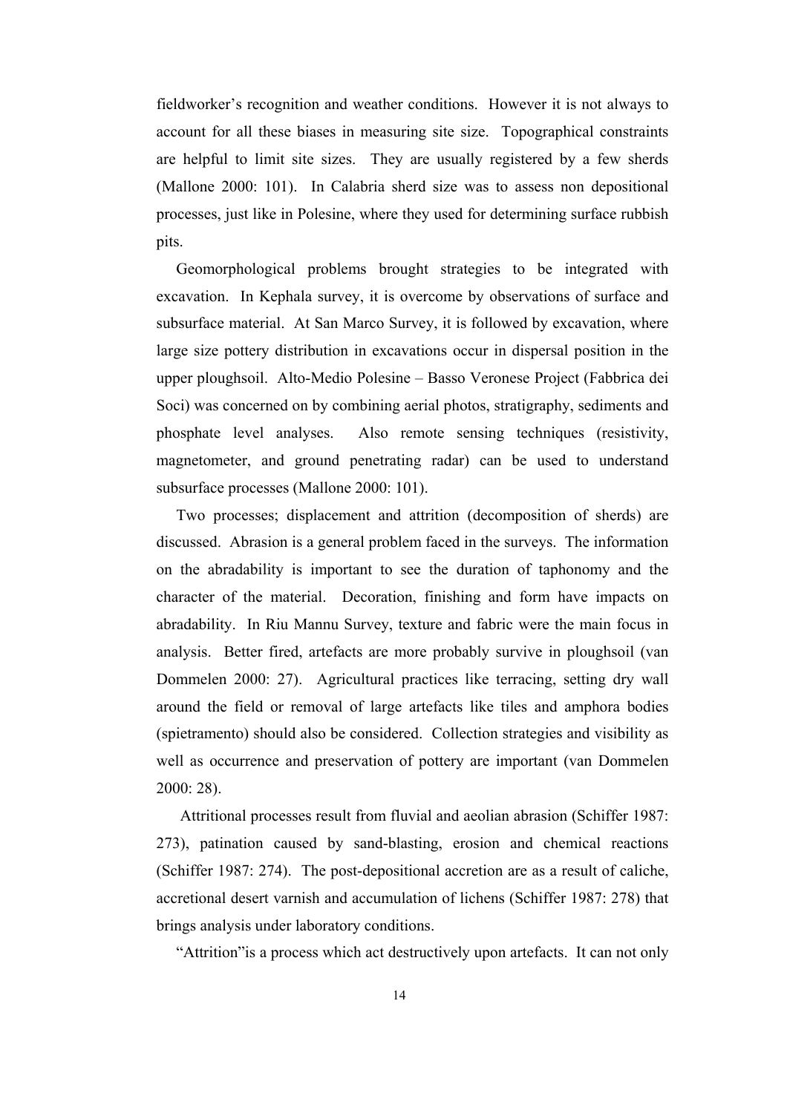fieldworker's recognition and weather conditions. However it is not always to account for all these biases in measuring site size. Topographical constraints are helpful to limit site sizes. They are usually registered by a few sherds (Mallone 2000: 101). In Calabria sherd size was to assess non depositional processes, just like in Polesine, where they used for determining surface rubbish pits.

 Geomorphological problems brought strategies to be integrated with excavation. In Kephala survey, it is overcome by observations of surface and subsurface material. At San Marco Survey, it is followed by excavation, where large size pottery distribution in excavations occur in dispersal position in the upper ploughsoil. Alto-Medio Polesine – Basso Veronese Project (Fabbrica dei Soci) was concerned on by combining aerial photos, stratigraphy, sediments and phosphate level analyses. Also remote sensing techniques (resistivity, magnetometer, and ground penetrating radar) can be used to understand subsurface processes (Mallone 2000: 101).

 Two processes; displacement and attrition (decomposition of sherds) are discussed. Abrasion is a general problem faced in the surveys. The information on the abradability is important to see the duration of taphonomy and the character of the material. Decoration, finishing and form have impacts on abradability. In Riu Mannu Survey, texture and fabric were the main focus in analysis. Better fired, artefacts are more probably survive in ploughsoil (van Dommelen 2000: 27). Agricultural practices like terracing, setting dry wall around the field or removal of large artefacts like tiles and amphora bodies (spietramento) should also be considered. Collection strategies and visibility as well as occurrence and preservation of pottery are important (van Dommelen 2000: 28).

 Attritional processes result from fluvial and aeolian abrasion (Schiffer 1987: 273), patination caused by sand-blasting, erosion and chemical reactions (Schiffer 1987: 274). The post-depositional accretion are as a result of caliche, accretional desert varnish and accumulation of lichens (Schiffer 1987: 278) that brings analysis under laboratory conditions.

"Attrition"is a process which act destructively upon artefacts. It can not only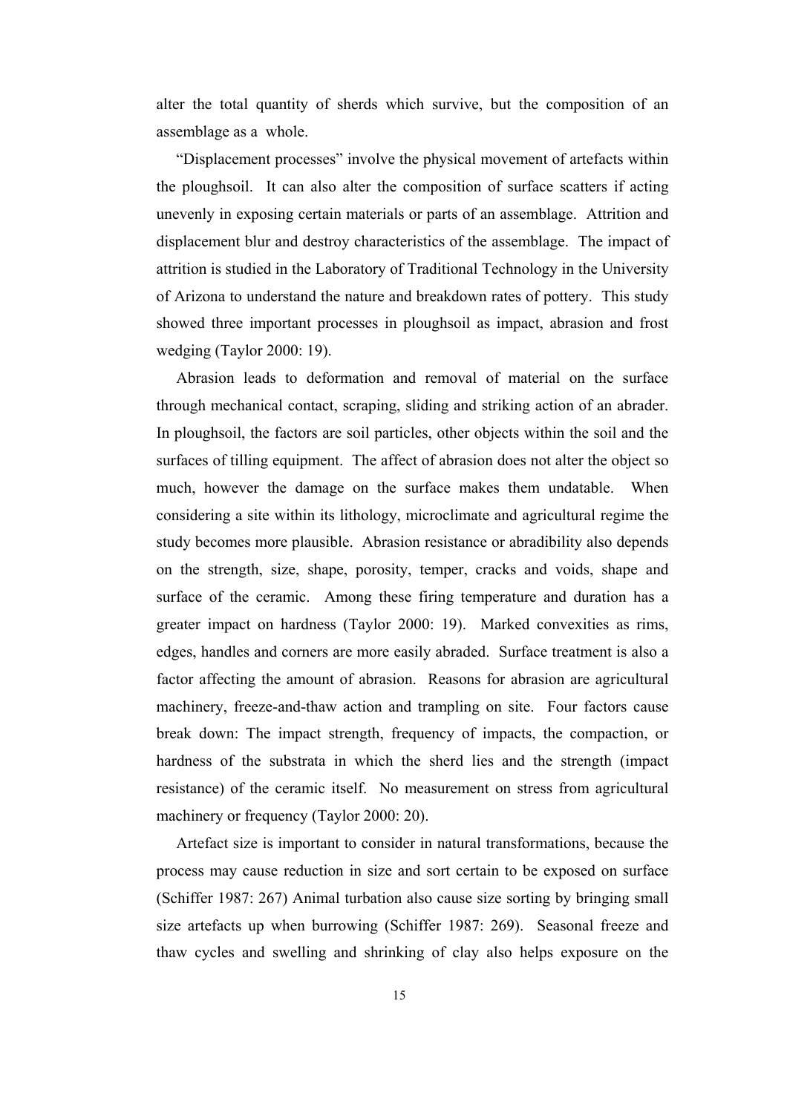alter the total quantity of sherds which survive, but the composition of an assemblage as a whole.

 "Displacement processes" involve the physical movement of artefacts within the ploughsoil. It can also alter the composition of surface scatters if acting unevenly in exposing certain materials or parts of an assemblage. Attrition and displacement blur and destroy characteristics of the assemblage. The impact of attrition is studied in the Laboratory of Traditional Technology in the University of Arizona to understand the nature and breakdown rates of pottery. This study showed three important processes in ploughsoil as impact, abrasion and frost wedging (Taylor 2000: 19).

 Abrasion leads to deformation and removal of material on the surface through mechanical contact, scraping, sliding and striking action of an abrader. In ploughsoil, the factors are soil particles, other objects within the soil and the surfaces of tilling equipment. The affect of abrasion does not alter the object so much, however the damage on the surface makes them undatable. When considering a site within its lithology, microclimate and agricultural regime the study becomes more plausible. Abrasion resistance or abradibility also depends on the strength, size, shape, porosity, temper, cracks and voids, shape and surface of the ceramic. Among these firing temperature and duration has a greater impact on hardness (Taylor 2000: 19). Marked convexities as rims, edges, handles and corners are more easily abraded. Surface treatment is also a factor affecting the amount of abrasion. Reasons for abrasion are agricultural machinery, freeze-and-thaw action and trampling on site. Four factors cause break down: The impact strength, frequency of impacts, the compaction, or hardness of the substrata in which the sherd lies and the strength (impact resistance) of the ceramic itself. No measurement on stress from agricultural machinery or frequency (Taylor 2000: 20).

 Artefact size is important to consider in natural transformations, because the process may cause reduction in size and sort certain to be exposed on surface (Schiffer 1987: 267) Animal turbation also cause size sorting by bringing small size artefacts up when burrowing (Schiffer 1987: 269). Seasonal freeze and thaw cycles and swelling and shrinking of clay also helps exposure on the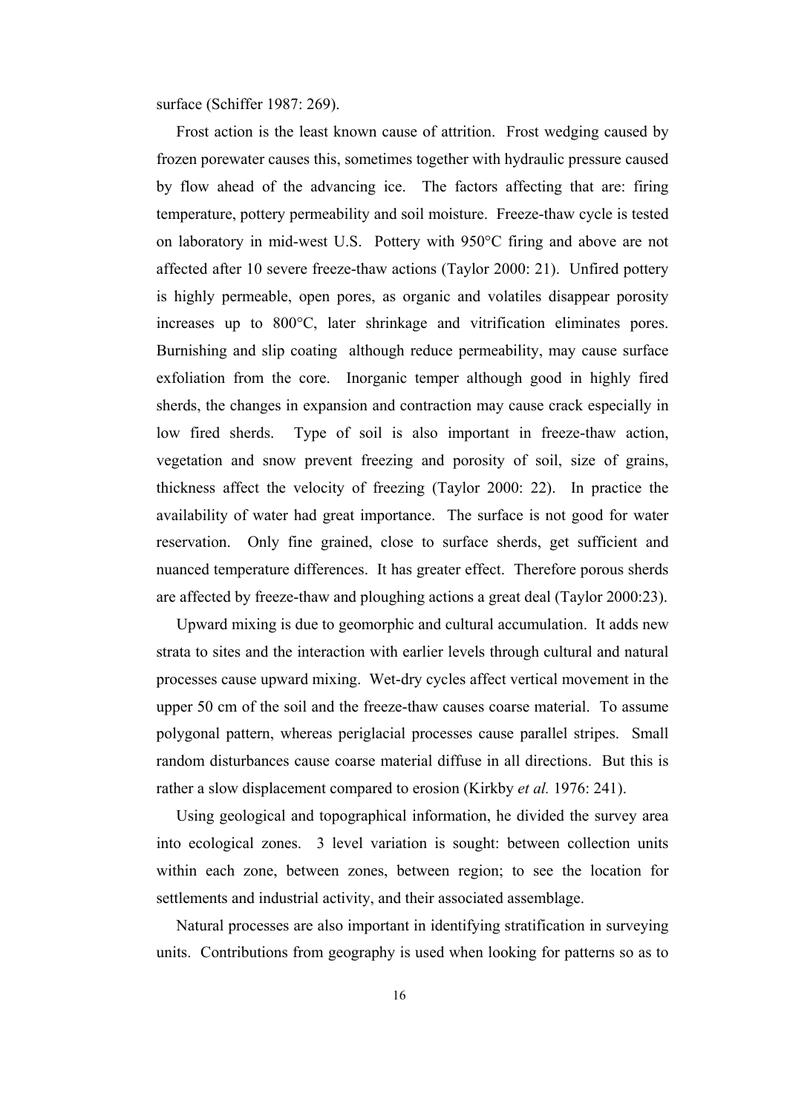surface (Schiffer 1987: 269).

 Frost action is the least known cause of attrition. Frost wedging caused by frozen porewater causes this, sometimes together with hydraulic pressure caused by flow ahead of the advancing ice. The factors affecting that are: firing temperature, pottery permeability and soil moisture. Freeze-thaw cycle is tested on laboratory in mid-west U.S. Pottery with 950°C firing and above are not affected after 10 severe freeze-thaw actions (Taylor 2000: 21). Unfired pottery is highly permeable, open pores, as organic and volatiles disappear porosity increases up to 800°C, later shrinkage and vitrification eliminates pores. Burnishing and slip coating although reduce permeability, may cause surface exfoliation from the core. Inorganic temper although good in highly fired sherds, the changes in expansion and contraction may cause crack especially in low fired sherds. Type of soil is also important in freeze-thaw action, vegetation and snow prevent freezing and porosity of soil, size of grains, thickness affect the velocity of freezing (Taylor 2000: 22). In practice the availability of water had great importance. The surface is not good for water reservation. Only fine grained, close to surface sherds, get sufficient and nuanced temperature differences. It has greater effect. Therefore porous sherds are affected by freeze-thaw and ploughing actions a great deal (Taylor 2000:23).

 Upward mixing is due to geomorphic and cultural accumulation. It adds new strata to sites and the interaction with earlier levels through cultural and natural processes cause upward mixing. Wet-dry cycles affect vertical movement in the upper 50 cm of the soil and the freeze-thaw causes coarse material. To assume polygonal pattern, whereas periglacial processes cause parallel stripes. Small random disturbances cause coarse material diffuse in all directions. But this is rather a slow displacement compared to erosion (Kirkby *et al.* 1976: 241).

 Using geological and topographical information, he divided the survey area into ecological zones. 3 level variation is sought: between collection units within each zone, between zones, between region; to see the location for settlements and industrial activity, and their associated assemblage.

 Natural processes are also important in identifying stratification in surveying units. Contributions from geography is used when looking for patterns so as to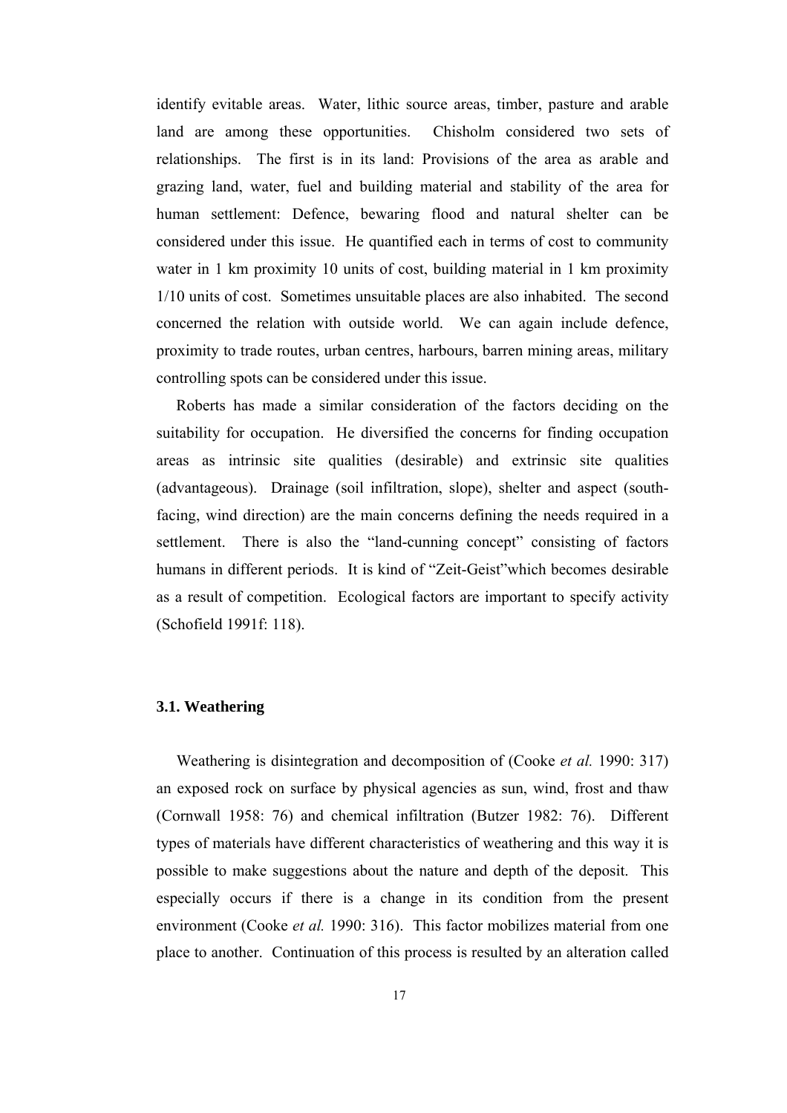identify evitable areas. Water, lithic source areas, timber, pasture and arable land are among these opportunities. Chisholm considered two sets of relationships. The first is in its land: Provisions of the area as arable and grazing land, water, fuel and building material and stability of the area for human settlement: Defence, bewaring flood and natural shelter can be considered under this issue. He quantified each in terms of cost to community water in 1 km proximity 10 units of cost, building material in 1 km proximity 1/10 units of cost. Sometimes unsuitable places are also inhabited. The second concerned the relation with outside world. We can again include defence, proximity to trade routes, urban centres, harbours, barren mining areas, military controlling spots can be considered under this issue.

Roberts has made a similar consideration of the factors deciding on the suitability for occupation. He diversified the concerns for finding occupation areas as intrinsic site qualities (desirable) and extrinsic site qualities (advantageous). Drainage (soil infiltration, slope), shelter and aspect (southfacing, wind direction) are the main concerns defining the needs required in a settlement. There is also the "land-cunning concept" consisting of factors humans in different periods. It is kind of "Zeit-Geist"which becomes desirable as a result of competition. Ecological factors are important to specify activity (Schofield 1991f: 118).

#### **3.1. Weathering**

 Weathering is disintegration and decomposition of (Cooke *et al.* 1990: 317) an exposed rock on surface by physical agencies as sun, wind, frost and thaw (Cornwall 1958: 76) and chemical infiltration (Butzer 1982: 76). Different types of materials have different characteristics of weathering and this way it is possible to make suggestions about the nature and depth of the deposit. This especially occurs if there is a change in its condition from the present environment (Cooke *et al.* 1990: 316). This factor mobilizes material from one place to another. Continuation of this process is resulted by an alteration called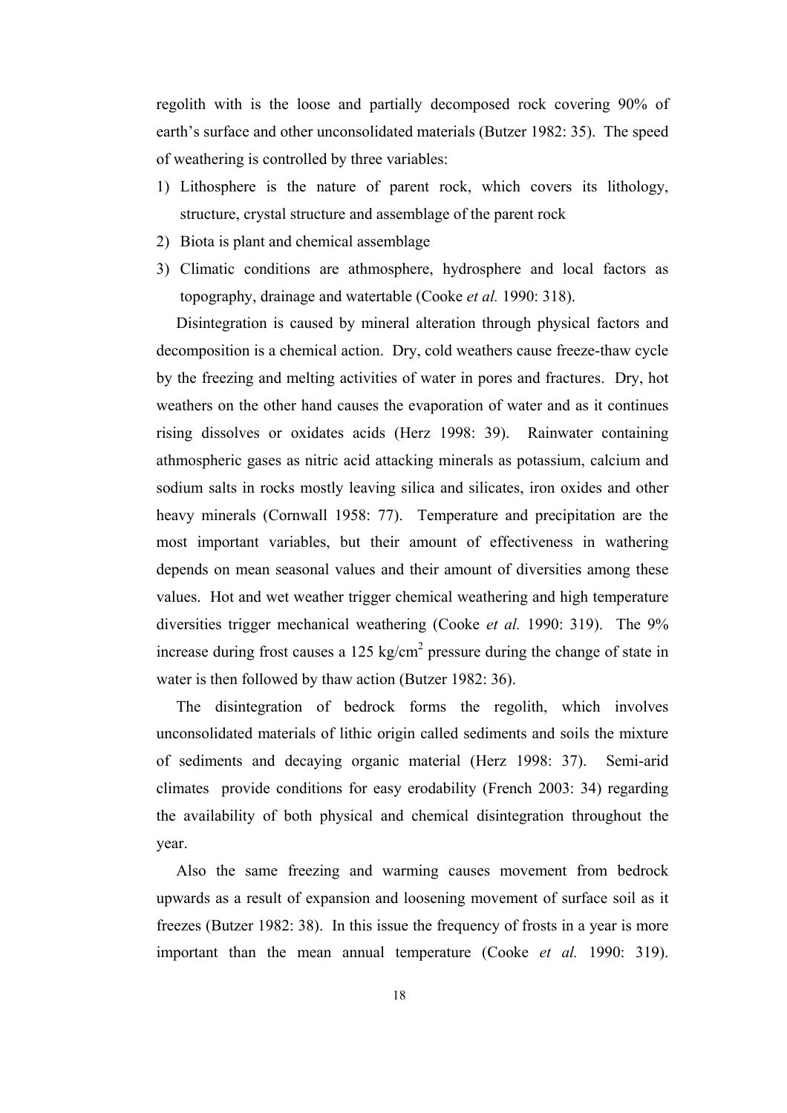regolith with is the loose and partially decomposed rock covering 90% of earth's surface and other unconsolidated materials (Butzer 1982: 35). The speed of weathering is controlled by three variables:

- 1) Lithosphere is the nature of parent rock, which covers its lithology, structure, crystal structure and assemblage of the parent rock
- 2) Biota is plant and chemical assemblage
- 3) Climatic conditions are athmosphere, hydrosphere and local factors as topography, drainage and watertable (Cooke *et al.* 1990: 318).

 Disintegration is caused by mineral alteration through physical factors and decomposition is a chemical action. Dry, cold weathers cause freeze-thaw cycle by the freezing and melting activities of water in pores and fractures. Dry, hot weathers on the other hand causes the evaporation of water and as it continues rising dissolves or oxidates acids (Herz 1998: 39). Rainwater containing athmospheric gases as nitric acid attacking minerals as potassium, calcium and sodium salts in rocks mostly leaving silica and silicates, iron oxides and other heavy minerals (Cornwall 1958: 77). Temperature and precipitation are the most important variables, but their amount of effectiveness in wathering depends on mean seasonal values and their amount of diversities among these values. Hot and wet weather trigger chemical weathering and high temperature diversities trigger mechanical weathering (Cooke *et al.* 1990: 319). The 9% increase during frost causes a 125 kg/cm<sup>2</sup> pressure during the change of state in water is then followed by thaw action (Butzer 1982: 36).

 The disintegration of bedrock forms the regolith, which involves unconsolidated materials of lithic origin called sediments and soils the mixture of sediments and decaying organic material (Herz 1998: 37). Semi-arid climates provide conditions for easy erodability (French 2003: 34) regarding the availability of both physical and chemical disintegration throughout the year.

 Also the same freezing and warming causes movement from bedrock upwards as a result of expansion and loosening movement of surface soil as it freezes (Butzer 1982: 38). In this issue the frequency of frosts in a year is more important than the mean annual temperature (Cooke *et al.* 1990: 319).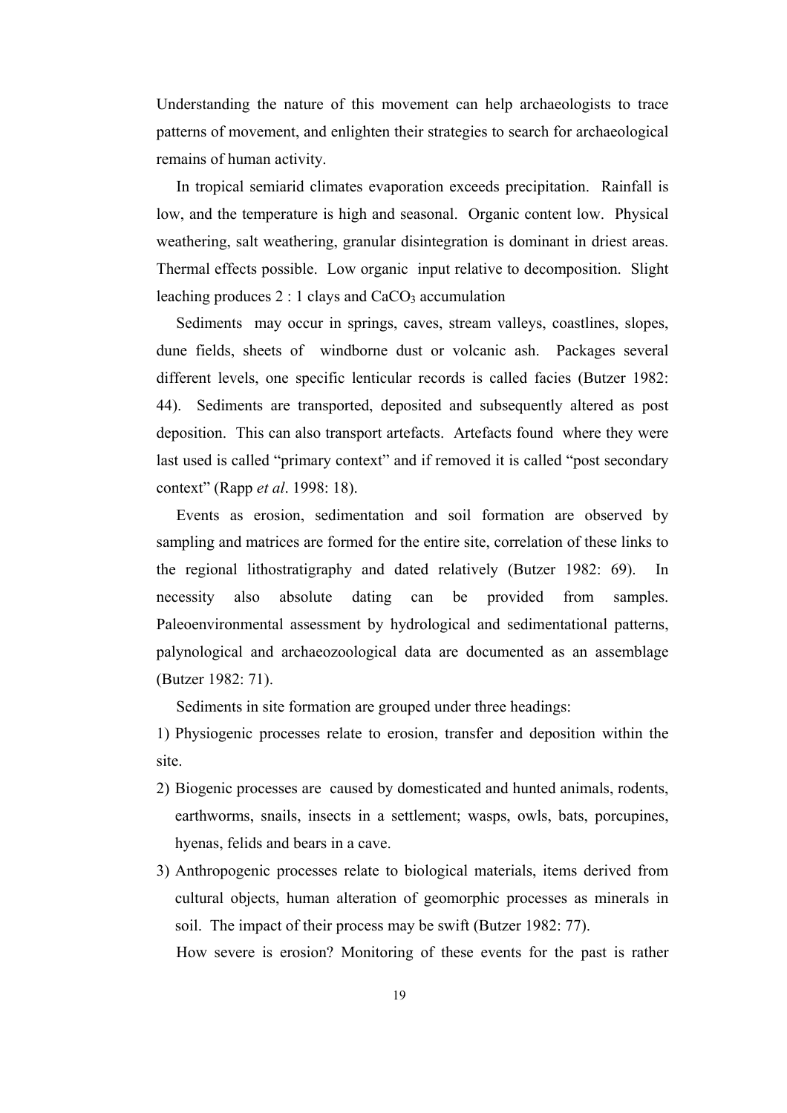Understanding the nature of this movement can help archaeologists to trace patterns of movement, and enlighten their strategies to search for archaeological remains of human activity.

 In tropical semiarid climates evaporation exceeds precipitation. Rainfall is low, and the temperature is high and seasonal. Organic content low. Physical weathering, salt weathering, granular disintegration is dominant in driest areas. Thermal effects possible. Low organic input relative to decomposition. Slight leaching produces  $2:1$  clays and  $CaCO<sub>3</sub>$  accumulation

 Sediments may occur in springs, caves, stream valleys, coastlines, slopes, dune fields, sheets of windborne dust or volcanic ash. Packages several different levels, one specific lenticular records is called facies (Butzer 1982: 44). Sediments are transported, deposited and subsequently altered as post deposition. This can also transport artefacts. Artefacts found where they were last used is called "primary context" and if removed it is called "post secondary context" (Rapp *et al*. 1998: 18).

 Events as erosion, sedimentation and soil formation are observed by sampling and matrices are formed for the entire site, correlation of these links to the regional lithostratigraphy and dated relatively (Butzer 1982: 69). In necessity also absolute dating can be provided from samples. Paleoenvironmental assessment by hydrological and sedimentational patterns, palynological and archaeozoological data are documented as an assemblage (Butzer 1982: 71).

Sediments in site formation are grouped under three headings:

1) Physiogenic processes relate to erosion, transfer and deposition within the site.

- 2) Biogenic processes are caused by domesticated and hunted animals, rodents, earthworms, snails, insects in a settlement; wasps, owls, bats, porcupines, hyenas, felids and bears in a cave.
- 3) Anthropogenic processes relate to biological materials, items derived from cultural objects, human alteration of geomorphic processes as minerals in soil. The impact of their process may be swift (Butzer 1982: 77). How severe is erosion? Monitoring of these events for the past is rather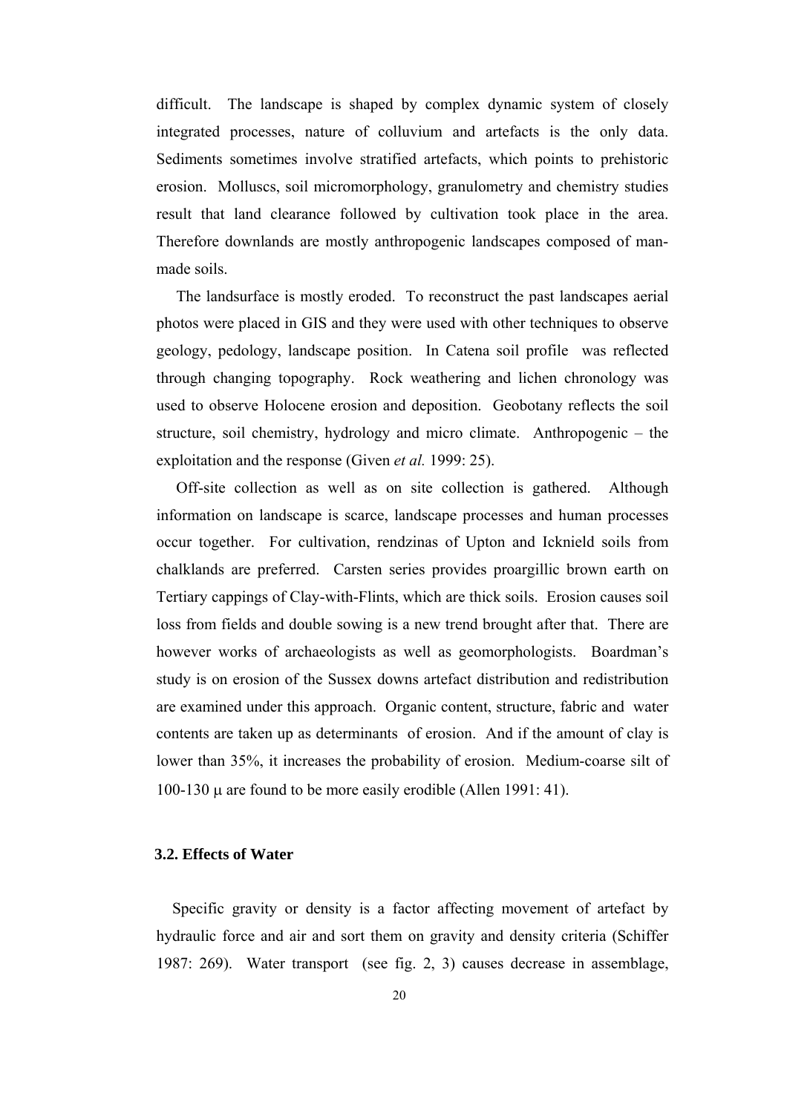difficult. The landscape is shaped by complex dynamic system of closely integrated processes, nature of colluvium and artefacts is the only data. Sediments sometimes involve stratified artefacts, which points to prehistoric erosion. Molluscs, soil micromorphology, granulometry and chemistry studies result that land clearance followed by cultivation took place in the area. Therefore downlands are mostly anthropogenic landscapes composed of manmade soils.

 The landsurface is mostly eroded. To reconstruct the past landscapes aerial photos were placed in GIS and they were used with other techniques to observe geology, pedology, landscape position. In Catena soil profile was reflected through changing topography. Rock weathering and lichen chronology was used to observe Holocene erosion and deposition. Geobotany reflects the soil structure, soil chemistry, hydrology and micro climate. Anthropogenic – the exploitation and the response (Given *et al.* 1999: 25).

 Off-site collection as well as on site collection is gathered. Although information on landscape is scarce, landscape processes and human processes occur together. For cultivation, rendzinas of Upton and Icknield soils from chalklands are preferred. Carsten series provides proargillic brown earth on Tertiary cappings of Clay-with-Flints, which are thick soils. Erosion causes soil loss from fields and double sowing is a new trend brought after that. There are however works of archaeologists as well as geomorphologists. Boardman's study is on erosion of the Sussex downs artefact distribution and redistribution are examined under this approach. Organic content, structure, fabric and water contents are taken up as determinants of erosion. And if the amount of clay is lower than 35%, it increases the probability of erosion. Medium-coarse silt of 100-130 µ are found to be more easily erodible (Allen 1991: 41).

#### **3.2. Effects of Water**

 Specific gravity or density is a factor affecting movement of artefact by hydraulic force and air and sort them on gravity and density criteria (Schiffer 1987: 269). Water transport (see fig. 2, 3) causes decrease in assemblage,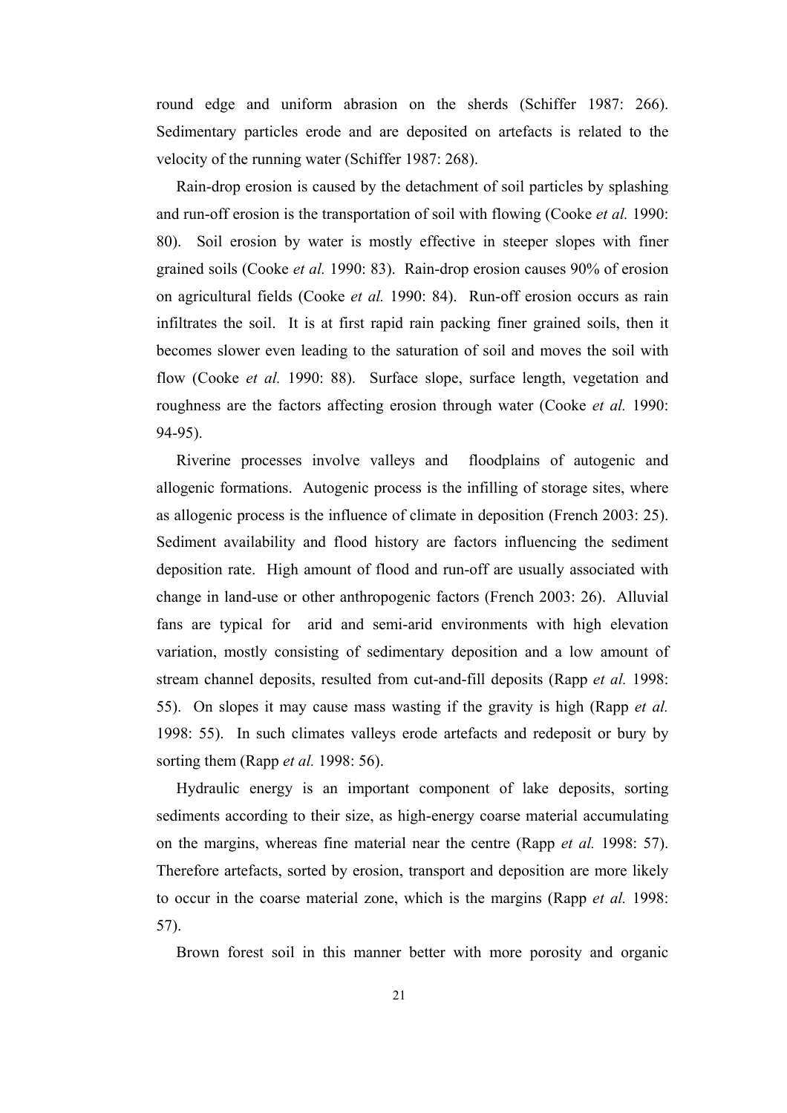round edge and uniform abrasion on the sherds (Schiffer 1987: 266). Sedimentary particles erode and are deposited on artefacts is related to the velocity of the running water (Schiffer 1987: 268).

 Rain-drop erosion is caused by the detachment of soil particles by splashing and run-off erosion is the transportation of soil with flowing (Cooke *et al.* 1990: 80). Soil erosion by water is mostly effective in steeper slopes with finer grained soils (Cooke *et al.* 1990: 83). Rain-drop erosion causes 90% of erosion on agricultural fields (Cooke *et al.* 1990: 84). Run-off erosion occurs as rain infiltrates the soil. It is at first rapid rain packing finer grained soils, then it becomes slower even leading to the saturation of soil and moves the soil with flow (Cooke *et al.* 1990: 88). Surface slope, surface length, vegetation and roughness are the factors affecting erosion through water (Cooke *et al.* 1990: 94-95).

 Riverine processes involve valleys and floodplains of autogenic and allogenic formations. Autogenic process is the infilling of storage sites, where as allogenic process is the influence of climate in deposition (French 2003: 25). Sediment availability and flood history are factors influencing the sediment deposition rate. High amount of flood and run-off are usually associated with change in land-use or other anthropogenic factors (French 2003: 26). Alluvial fans are typical for arid and semi-arid environments with high elevation variation, mostly consisting of sedimentary deposition and a low amount of stream channel deposits, resulted from cut-and-fill deposits (Rapp *et al.* 1998: 55). On slopes it may cause mass wasting if the gravity is high (Rapp *et al.* 1998: 55). In such climates valleys erode artefacts and redeposit or bury by sorting them (Rapp *et al.* 1998: 56).

 Hydraulic energy is an important component of lake deposits, sorting sediments according to their size, as high-energy coarse material accumulating on the margins, whereas fine material near the centre (Rapp *et al.* 1998: 57). Therefore artefacts, sorted by erosion, transport and deposition are more likely to occur in the coarse material zone, which is the margins (Rapp *et al.* 1998: 57).

Brown forest soil in this manner better with more porosity and organic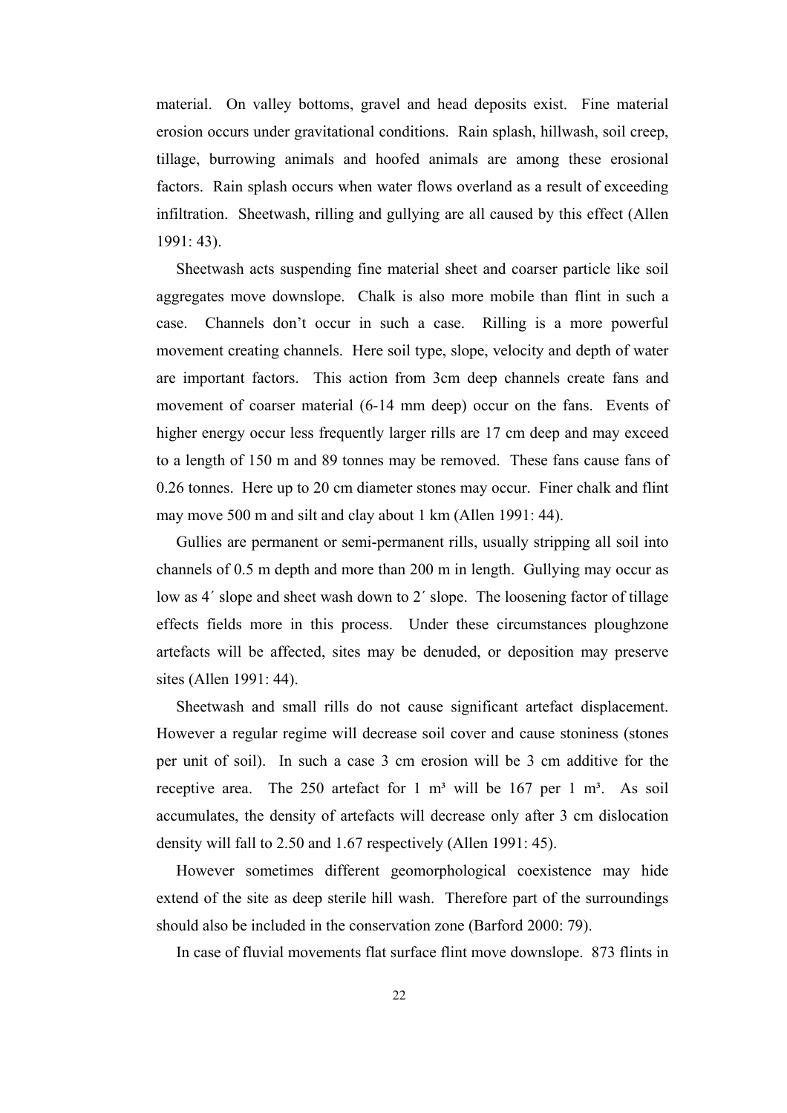material. On valley bottoms, gravel and head deposits exist. Fine material erosion occurs under gravitational conditions. Rain splash, hillwash, soil creep, tillage, burrowing animals and hoofed animals are among these erosional factors. Rain splash occurs when water flows overland as a result of exceeding infiltration. Sheetwash, rilling and gullying are all caused by this effect (Allen 1991: 43).

 Sheetwash acts suspending fine material sheet and coarser particle like soil aggregates move downslope. Chalk is also more mobile than flint in such a case. Channels don't occur in such a case. Rilling is a more powerful movement creating channels. Here soil type, slope, velocity and depth of water are important factors. This action from 3cm deep channels create fans and movement of coarser material (6-14 mm deep) occur on the fans. Events of higher energy occur less frequently larger rills are 17 cm deep and may exceed to a length of 150 m and 89 tonnes may be removed. These fans cause fans of 0.26 tonnes. Here up to 20 cm diameter stones may occur. Finer chalk and flint may move 500 m and silt and clay about 1 km (Allen 1991: 44).

 Gullies are permanent or semi-permanent rills, usually stripping all soil into channels of 0.5 m depth and more than 200 m in length. Gullying may occur as low as 4΄ slope and sheet wash down to 2΄ slope. The loosening factor of tillage effects fields more in this process. Under these circumstances ploughzone artefacts will be affected, sites may be denuded, or deposition may preserve sites (Allen 1991: 44).

 Sheetwash and small rills do not cause significant artefact displacement. However a regular regime will decrease soil cover and cause stoniness (stones per unit of soil). In such a case 3 cm erosion will be 3 cm additive for the receptive area. The 250 artefact for 1  $m<sup>3</sup>$  will be 167 per 1  $m<sup>3</sup>$ . As soil accumulates, the density of artefacts will decrease only after 3 cm dislocation density will fall to 2.50 and 1.67 respectively (Allen 1991: 45).

 However sometimes different geomorphological coexistence may hide extend of the site as deep sterile hill wash. Therefore part of the surroundings should also be included in the conservation zone (Barford 2000: 79).

In case of fluvial movements flat surface flint move downslope. 873 flints in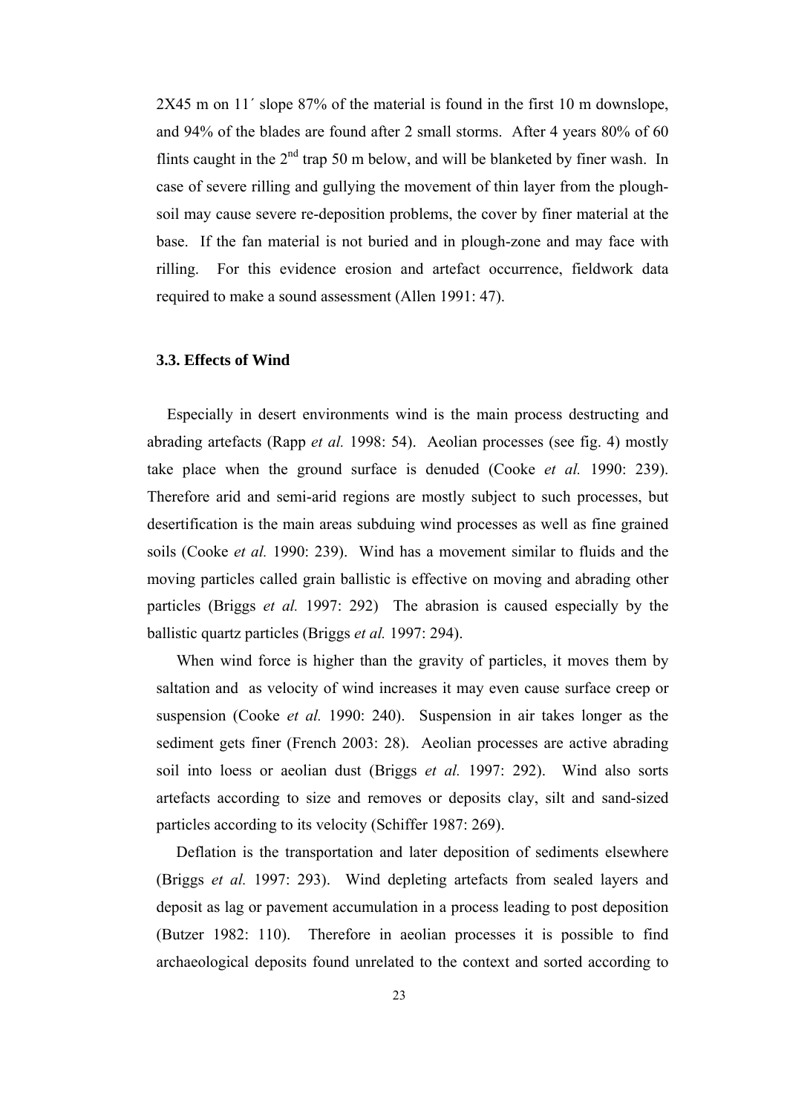2X45 m on 11´ slope 87% of the material is found in the first 10 m downslope, and 94% of the blades are found after 2 small storms. After 4 years 80% of 60 flints caught in the  $2<sup>nd</sup>$  trap 50 m below, and will be blanketed by finer wash. In case of severe rilling and gullying the movement of thin layer from the ploughsoil may cause severe re-deposition problems, the cover by finer material at the base. If the fan material is not buried and in plough-zone and may face with rilling. For this evidence erosion and artefact occurrence, fieldwork data required to make a sound assessment (Allen 1991: 47).

#### **3.3. Effects of Wind**

 Especially in desert environments wind is the main process destructing and abrading artefacts (Rapp *et al.* 1998: 54). Aeolian processes (see fig. 4) mostly take place when the ground surface is denuded (Cooke *et al.* 1990: 239). Therefore arid and semi-arid regions are mostly subject to such processes, but desertification is the main areas subduing wind processes as well as fine grained soils (Cooke *et al.* 1990: 239). Wind has a movement similar to fluids and the moving particles called grain ballistic is effective on moving and abrading other particles (Briggs *et al.* 1997: 292) The abrasion is caused especially by the ballistic quartz particles (Briggs *et al.* 1997: 294).

 When wind force is higher than the gravity of particles, it moves them by saltation and as velocity of wind increases it may even cause surface creep or suspension (Cooke *et al.* 1990: 240). Suspension in air takes longer as the sediment gets finer (French 2003: 28). Aeolian processes are active abrading soil into loess or aeolian dust (Briggs *et al.* 1997: 292). Wind also sorts artefacts according to size and removes or deposits clay, silt and sand-sized particles according to its velocity (Schiffer 1987: 269).

 Deflation is the transportation and later deposition of sediments elsewhere (Briggs *et al.* 1997: 293). Wind depleting artefacts from sealed layers and deposit as lag or pavement accumulation in a process leading to post deposition (Butzer 1982: 110). Therefore in aeolian processes it is possible to find archaeological deposits found unrelated to the context and sorted according to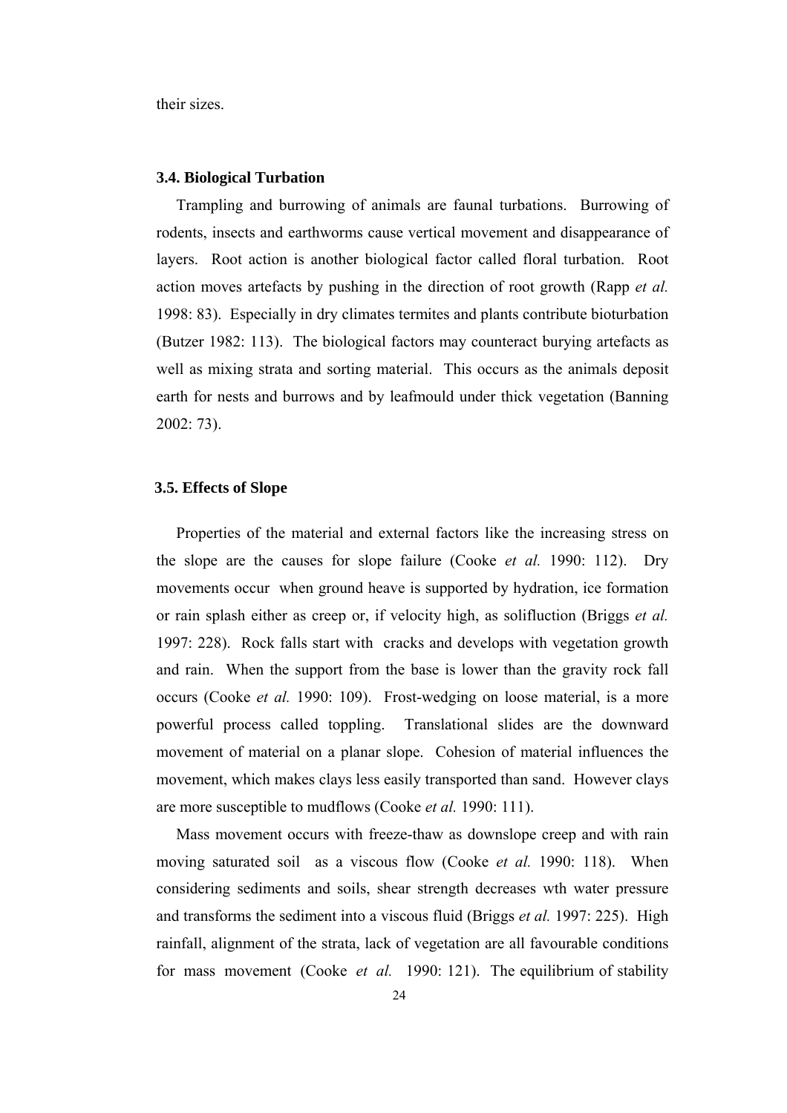their sizes.

#### **3.4. Biological Turbation**

 Trampling and burrowing of animals are faunal turbations. Burrowing of rodents, insects and earthworms cause vertical movement and disappearance of layers. Root action is another biological factor called floral turbation. Root action moves artefacts by pushing in the direction of root growth (Rapp *et al.*  1998: 83). Especially in dry climates termites and plants contribute bioturbation (Butzer 1982: 113). The biological factors may counteract burying artefacts as well as mixing strata and sorting material. This occurs as the animals deposit earth for nests and burrows and by leafmould under thick vegetation (Banning 2002: 73).

#### **3.5. Effects of Slope**

 Properties of the material and external factors like the increasing stress on the slope are the causes for slope failure (Cooke *et al.* 1990: 112). Dry movements occur when ground heave is supported by hydration, ice formation or rain splash either as creep or, if velocity high, as solifluction (Briggs *et al.*  1997: 228). Rock falls start with cracks and develops with vegetation growth and rain. When the support from the base is lower than the gravity rock fall occurs (Cooke *et al.* 1990: 109). Frost-wedging on loose material, is a more powerful process called toppling. Translational slides are the downward movement of material on a planar slope. Cohesion of material influences the movement, which makes clays less easily transported than sand. However clays are more susceptible to mudflows (Cooke *et al.* 1990: 111).

 Mass movement occurs with freeze-thaw as downslope creep and with rain moving saturated soil as a viscous flow (Cooke *et al.* 1990: 118). When considering sediments and soils, shear strength decreases wth water pressure and transforms the sediment into a viscous fluid (Briggs *et al.* 1997: 225). High rainfall, alignment of the strata, lack of vegetation are all favourable conditions for mass movement (Cooke *et al.* 1990: 121). The equilibrium of stability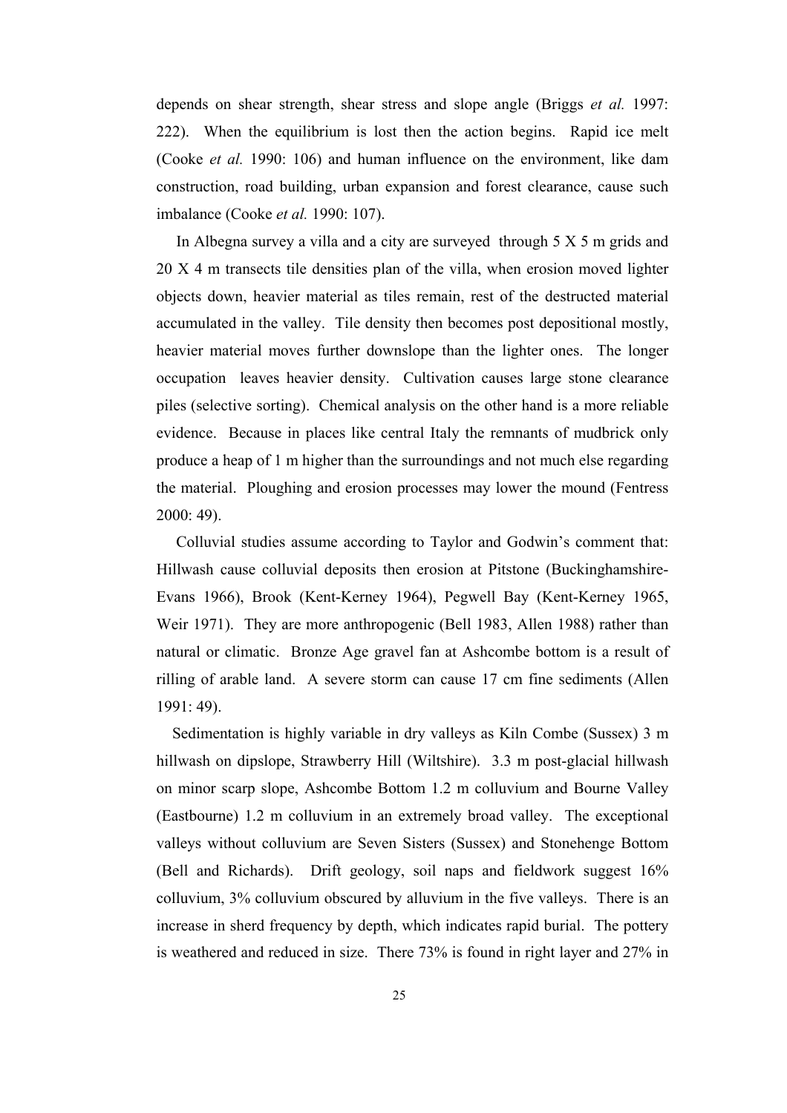depends on shear strength, shear stress and slope angle (Briggs *et al.* 1997: 222). When the equilibrium is lost then the action begins. Rapid ice melt (Cooke *et al.* 1990: 106) and human influence on the environment, like dam construction, road building, urban expansion and forest clearance, cause such imbalance (Cooke *et al.* 1990: 107).

 In Albegna survey a villa and a city are surveyed through 5 X 5 m grids and 20 X 4 m transects tile densities plan of the villa, when erosion moved lighter objects down, heavier material as tiles remain, rest of the destructed material accumulated in the valley. Tile density then becomes post depositional mostly, heavier material moves further downslope than the lighter ones. The longer occupation leaves heavier density. Cultivation causes large stone clearance piles (selective sorting). Chemical analysis on the other hand is a more reliable evidence. Because in places like central Italy the remnants of mudbrick only produce a heap of 1 m higher than the surroundings and not much else regarding the material. Ploughing and erosion processes may lower the mound (Fentress 2000: 49).

 Colluvial studies assume according to Taylor and Godwin's comment that: Hillwash cause colluvial deposits then erosion at Pitstone (Buckinghamshire-Evans 1966), Brook (Kent-Kerney 1964), Pegwell Bay (Kent-Kerney 1965, Weir 1971). They are more anthropogenic (Bell 1983, Allen 1988) rather than natural or climatic. Bronze Age gravel fan at Ashcombe bottom is a result of rilling of arable land. A severe storm can cause 17 cm fine sediments (Allen 1991: 49).

 Sedimentation is highly variable in dry valleys as Kiln Combe (Sussex) 3 m hillwash on dipslope, Strawberry Hill (Wiltshire). 3.3 m post-glacial hillwash on minor scarp slope, Ashcombe Bottom 1.2 m colluvium and Bourne Valley (Eastbourne) 1.2 m colluvium in an extremely broad valley. The exceptional valleys without colluvium are Seven Sisters (Sussex) and Stonehenge Bottom (Bell and Richards). Drift geology, soil naps and fieldwork suggest 16% colluvium, 3% colluvium obscured by alluvium in the five valleys. There is an increase in sherd frequency by depth, which indicates rapid burial. The pottery is weathered and reduced in size. There 73% is found in right layer and 27% in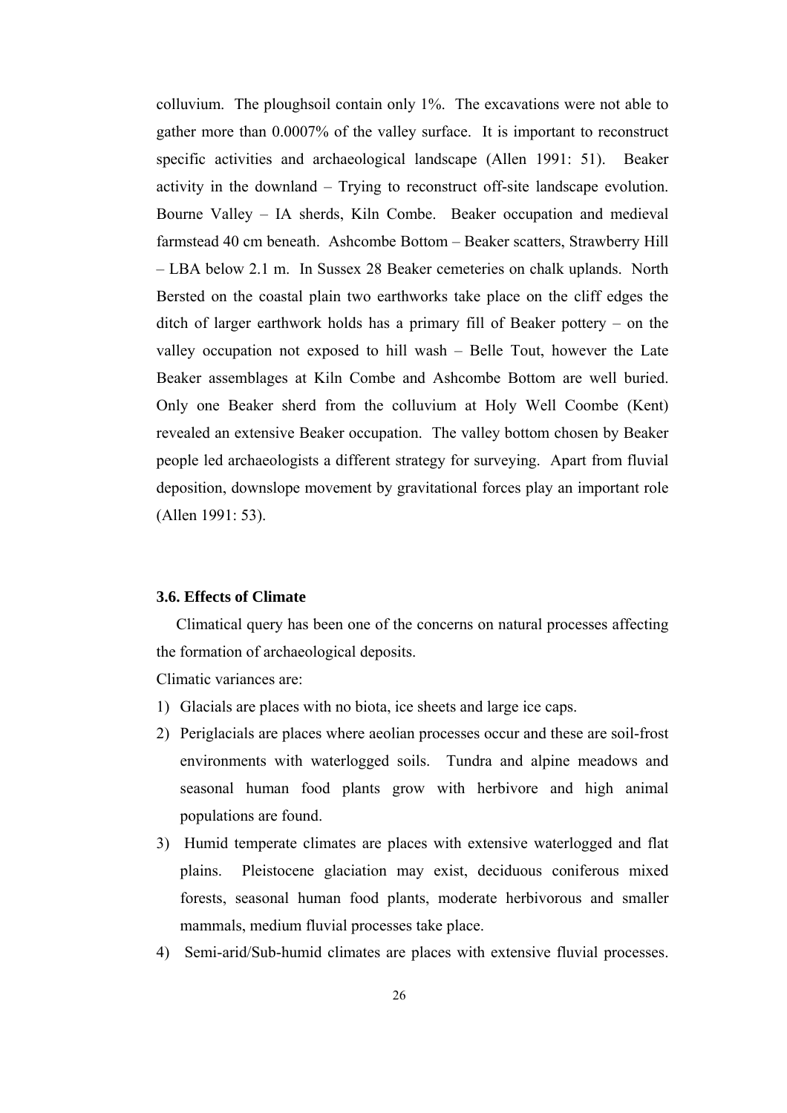colluvium. The ploughsoil contain only 1%. The excavations were not able to gather more than 0.0007% of the valley surface. It is important to reconstruct specific activities and archaeological landscape (Allen 1991: 51). Beaker activity in the downland – Trying to reconstruct off-site landscape evolution. Bourne Valley – IA sherds, Kiln Combe. Beaker occupation and medieval farmstead 40 cm beneath. Ashcombe Bottom – Beaker scatters, Strawberry Hill – LBA below 2.1 m. In Sussex 28 Beaker cemeteries on chalk uplands. North Bersted on the coastal plain two earthworks take place on the cliff edges the ditch of larger earthwork holds has a primary fill of Beaker pottery – on the valley occupation not exposed to hill wash – Belle Tout, however the Late Beaker assemblages at Kiln Combe and Ashcombe Bottom are well buried. Only one Beaker sherd from the colluvium at Holy Well Coombe (Kent) revealed an extensive Beaker occupation. The valley bottom chosen by Beaker people led archaeologists a different strategy for surveying. Apart from fluvial deposition, downslope movement by gravitational forces play an important role (Allen 1991: 53).

#### **3.6. Effects of Climate**

 Climatical query has been one of the concerns on natural processes affecting the formation of archaeological deposits.

Climatic variances are:

- 1) Glacials are places with no biota, ice sheets and large ice caps.
- 2) Periglacials are places where aeolian processes occur and these are soil-frost environments with waterlogged soils. Tundra and alpine meadows and seasonal human food plants grow with herbivore and high animal populations are found.
- 3) Humid temperate climates are places with extensive waterlogged and flat plains. Pleistocene glaciation may exist, deciduous coniferous mixed forests, seasonal human food plants, moderate herbivorous and smaller mammals, medium fluvial processes take place.
- 4) Semi-arid/Sub-humid climates are places with extensive fluvial processes.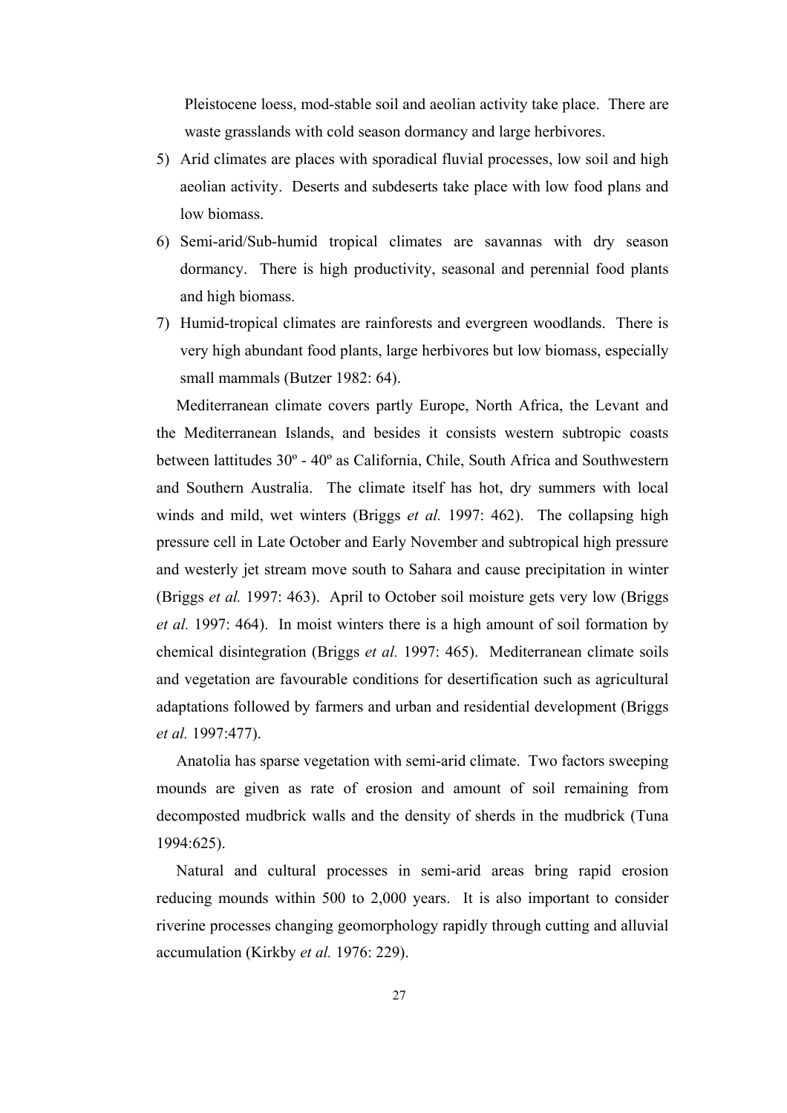Pleistocene loess, mod-stable soil and aeolian activity take place. There are waste grasslands with cold season dormancy and large herbivores.

- 5) Arid climates are places with sporadical fluvial processes, low soil and high aeolian activity. Deserts and subdeserts take place with low food plans and low biomass.
- 6) Semi-arid/Sub-humid tropical climates are savannas with dry season dormancy. There is high productivity, seasonal and perennial food plants and high biomass.
- 7) Humid-tropical climates are rainforests and evergreen woodlands. There is very high abundant food plants, large herbivores but low biomass, especially small mammals (Butzer 1982: 64).

 Mediterranean climate covers partly Europe, North Africa, the Levant and the Mediterranean Islands, and besides it consists western subtropic coasts between lattitudes 30º - 40º as California, Chile, South Africa and Southwestern and Southern Australia. The climate itself has hot, dry summers with local winds and mild, wet winters (Briggs *et al.* 1997: 462). The collapsing high pressure cell in Late October and Early November and subtropical high pressure and westerly jet stream move south to Sahara and cause precipitation in winter (Briggs *et al.* 1997: 463). April to October soil moisture gets very low (Briggs *et al.* 1997: 464). In moist winters there is a high amount of soil formation by chemical disintegration (Briggs *et al.* 1997: 465). Mediterranean climate soils and vegetation are favourable conditions for desertification such as agricultural adaptations followed by farmers and urban and residential development (Briggs *et al.* 1997:477).

 Anatolia has sparse vegetation with semi-arid climate. Two factors sweeping mounds are given as rate of erosion and amount of soil remaining from decomposted mudbrick walls and the density of sherds in the mudbrick (Tuna 1994:625).

 Natural and cultural processes in semi-arid areas bring rapid erosion reducing mounds within 500 to 2,000 years. It is also important to consider riverine processes changing geomorphology rapidly through cutting and alluvial accumulation (Kirkby *et al.* 1976: 229).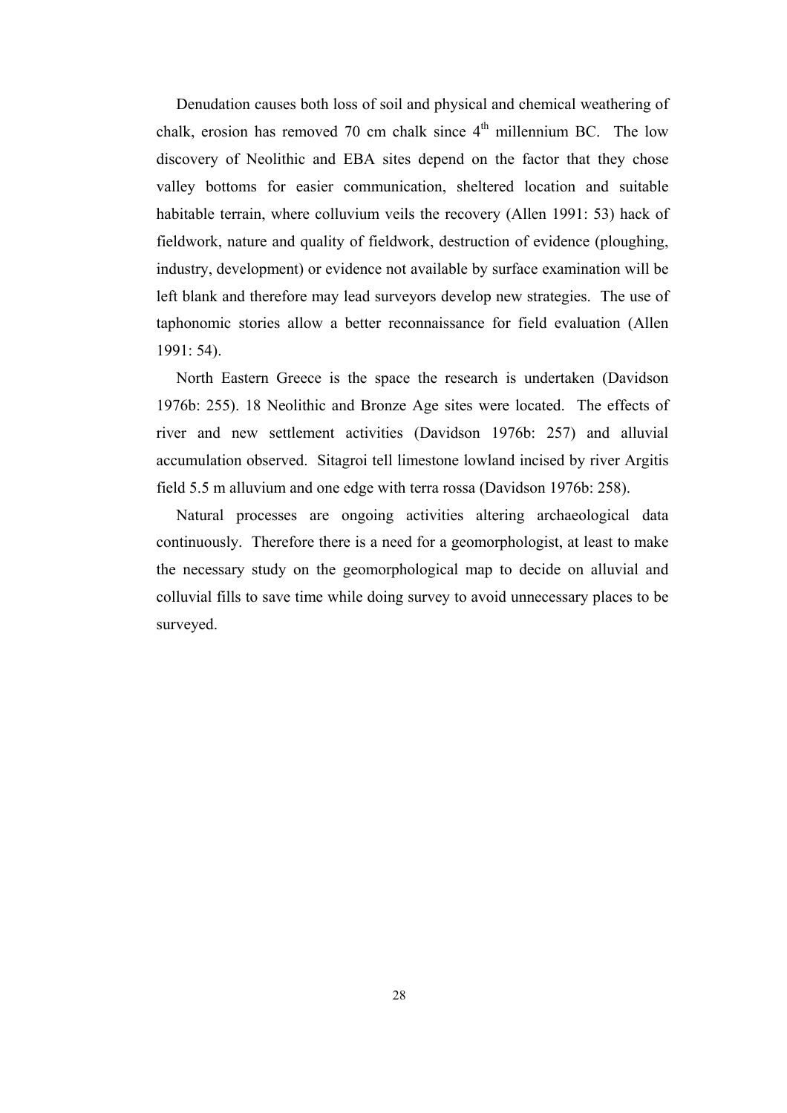Denudation causes both loss of soil and physical and chemical weathering of chalk, erosion has removed 70 cm chalk since  $4<sup>th</sup>$  millennium BC. The low discovery of Neolithic and EBA sites depend on the factor that they chose valley bottoms for easier communication, sheltered location and suitable habitable terrain, where colluvium veils the recovery (Allen 1991: 53) hack of fieldwork, nature and quality of fieldwork, destruction of evidence (ploughing, industry, development) or evidence not available by surface examination will be left blank and therefore may lead surveyors develop new strategies. The use of taphonomic stories allow a better reconnaissance for field evaluation (Allen 1991: 54).

 North Eastern Greece is the space the research is undertaken (Davidson 1976b: 255). 18 Neolithic and Bronze Age sites were located. The effects of river and new settlement activities (Davidson 1976b: 257) and alluvial accumulation observed. Sitagroi tell limestone lowland incised by river Argitis field 5.5 m alluvium and one edge with terra rossa (Davidson 1976b: 258).

 Natural processes are ongoing activities altering archaeological data continuously. Therefore there is a need for a geomorphologist, at least to make the necessary study on the geomorphological map to decide on alluvial and colluvial fills to save time while doing survey to avoid unnecessary places to be surveyed.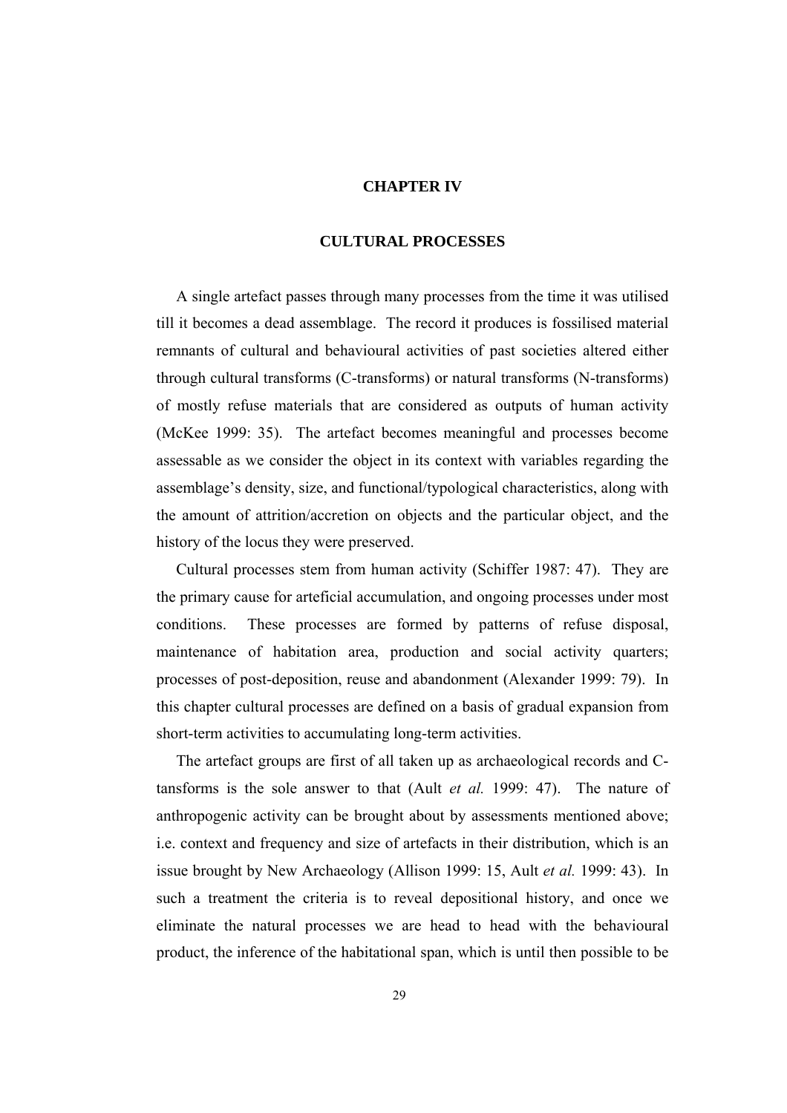# **CHAPTER IV**

#### **CULTURAL PROCESSES**

 A single artefact passes through many processes from the time it was utilised till it becomes a dead assemblage. The record it produces is fossilised material remnants of cultural and behavioural activities of past societies altered either through cultural transforms (C-transforms) or natural transforms (N-transforms) of mostly refuse materials that are considered as outputs of human activity (McKee 1999: 35). The artefact becomes meaningful and processes become assessable as we consider the object in its context with variables regarding the assemblage's density, size, and functional/typological characteristics, along with the amount of attrition/accretion on objects and the particular object, and the history of the locus they were preserved.

 Cultural processes stem from human activity (Schiffer 1987: 47). They are the primary cause for arteficial accumulation, and ongoing processes under most conditions. These processes are formed by patterns of refuse disposal, maintenance of habitation area, production and social activity quarters; processes of post-deposition, reuse and abandonment (Alexander 1999: 79). In this chapter cultural processes are defined on a basis of gradual expansion from short-term activities to accumulating long-term activities.

 The artefact groups are first of all taken up as archaeological records and Ctansforms is the sole answer to that (Ault *et al.* 1999: 47). The nature of anthropogenic activity can be brought about by assessments mentioned above; i.e. context and frequency and size of artefacts in their distribution, which is an issue brought by New Archaeology (Allison 1999: 15, Ault *et al.* 1999: 43). In such a treatment the criteria is to reveal depositional history, and once we eliminate the natural processes we are head to head with the behavioural product, the inference of the habitational span, which is until then possible to be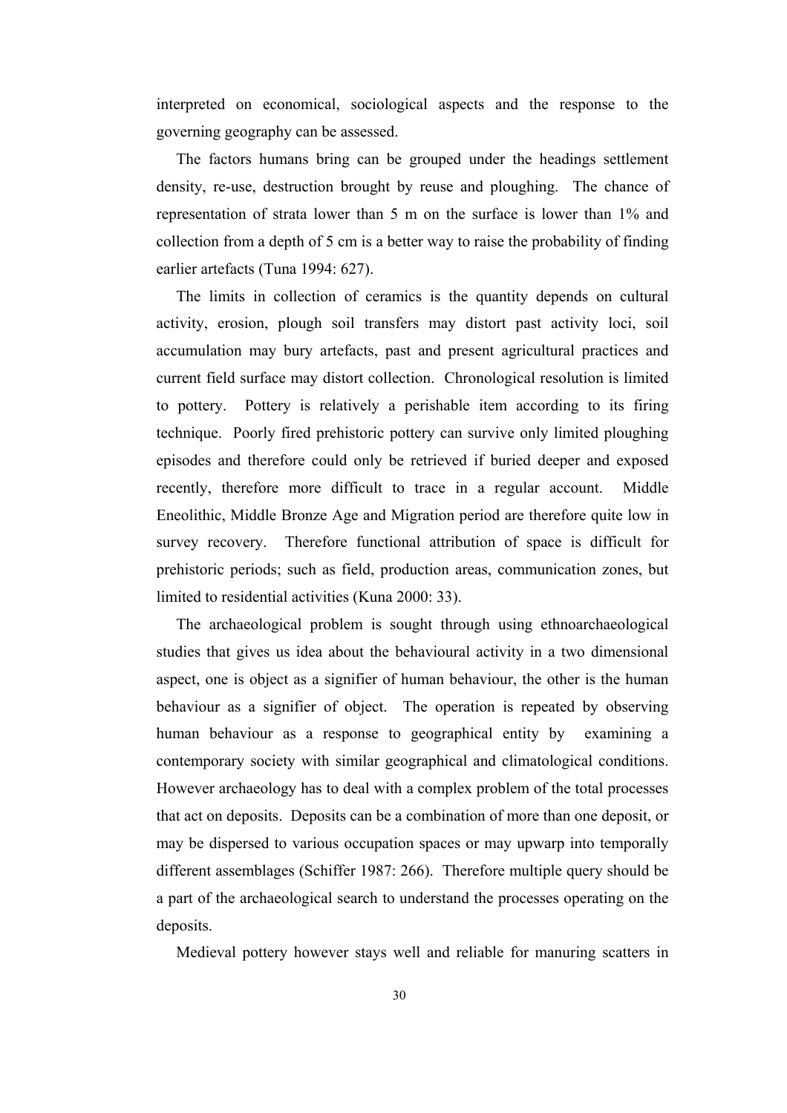interpreted on economical, sociological aspects and the response to the governing geography can be assessed.

 The factors humans bring can be grouped under the headings settlement density, re-use, destruction brought by reuse and ploughing. The chance of representation of strata lower than 5 m on the surface is lower than 1% and collection from a depth of 5 cm is a better way to raise the probability of finding earlier artefacts (Tuna 1994: 627).

 The limits in collection of ceramics is the quantity depends on cultural activity, erosion, plough soil transfers may distort past activity loci, soil accumulation may bury artefacts, past and present agricultural practices and current field surface may distort collection. Chronological resolution is limited to pottery. Pottery is relatively a perishable item according to its firing technique. Poorly fired prehistoric pottery can survive only limited ploughing episodes and therefore could only be retrieved if buried deeper and exposed recently, therefore more difficult to trace in a regular account. Middle Eneolithic, Middle Bronze Age and Migration period are therefore quite low in survey recovery. Therefore functional attribution of space is difficult for prehistoric periods; such as field, production areas, communication zones, but limited to residential activities (Kuna 2000: 33).

 The archaeological problem is sought through using ethnoarchaeological studies that gives us idea about the behavioural activity in a two dimensional aspect, one is object as a signifier of human behaviour, the other is the human behaviour as a signifier of object. The operation is repeated by observing human behaviour as a response to geographical entity by examining a contemporary society with similar geographical and climatological conditions. However archaeology has to deal with a complex problem of the total processes that act on deposits. Deposits can be a combination of more than one deposit, or may be dispersed to various occupation spaces or may upwarp into temporally different assemblages (Schiffer 1987: 266). Therefore multiple query should be a part of the archaeological search to understand the processes operating on the deposits.

Medieval pottery however stays well and reliable for manuring scatters in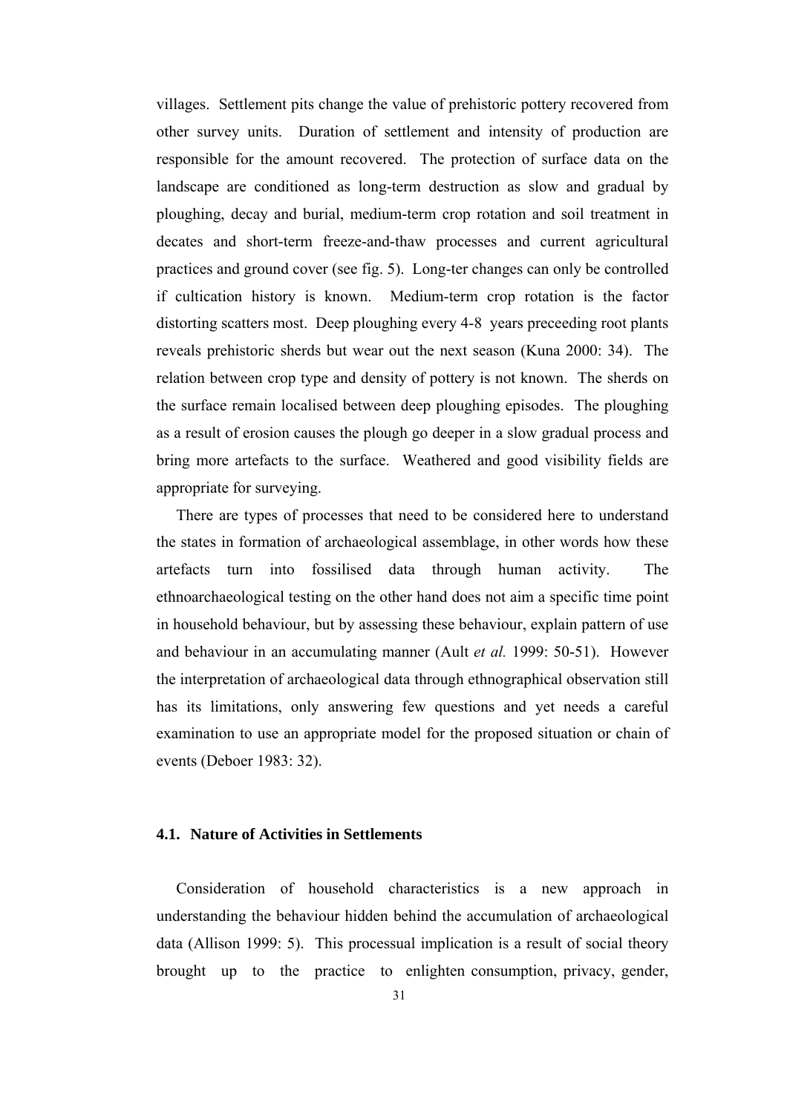villages. Settlement pits change the value of prehistoric pottery recovered from other survey units. Duration of settlement and intensity of production are responsible for the amount recovered. The protection of surface data on the landscape are conditioned as long-term destruction as slow and gradual by ploughing, decay and burial, medium-term crop rotation and soil treatment in decates and short-term freeze-and-thaw processes and current agricultural practices and ground cover (see fig. 5). Long-ter changes can only be controlled if cultication history is known. Medium-term crop rotation is the factor distorting scatters most. Deep ploughing every 4-8 years preceeding root plants reveals prehistoric sherds but wear out the next season (Kuna 2000: 34). The relation between crop type and density of pottery is not known. The sherds on the surface remain localised between deep ploughing episodes. The ploughing as a result of erosion causes the plough go deeper in a slow gradual process and bring more artefacts to the surface. Weathered and good visibility fields are appropriate for surveying.

 There are types of processes that need to be considered here to understand the states in formation of archaeological assemblage, in other words how these artefacts turn into fossilised data through human activity. The ethnoarchaeological testing on the other hand does not aim a specific time point in household behaviour, but by assessing these behaviour, explain pattern of use and behaviour in an accumulating manner (Ault *et al.* 1999: 50-51). However the interpretation of archaeological data through ethnographical observation still has its limitations, only answering few questions and yet needs a careful examination to use an appropriate model for the proposed situation or chain of events (Deboer 1983: 32).

# **4.1. Nature of Activities in Settlements**

 Consideration of household characteristics is a new approach in understanding the behaviour hidden behind the accumulation of archaeological data (Allison 1999: 5). This processual implication is a result of social theory brought up to the practice to enlighten consumption, privacy, gender,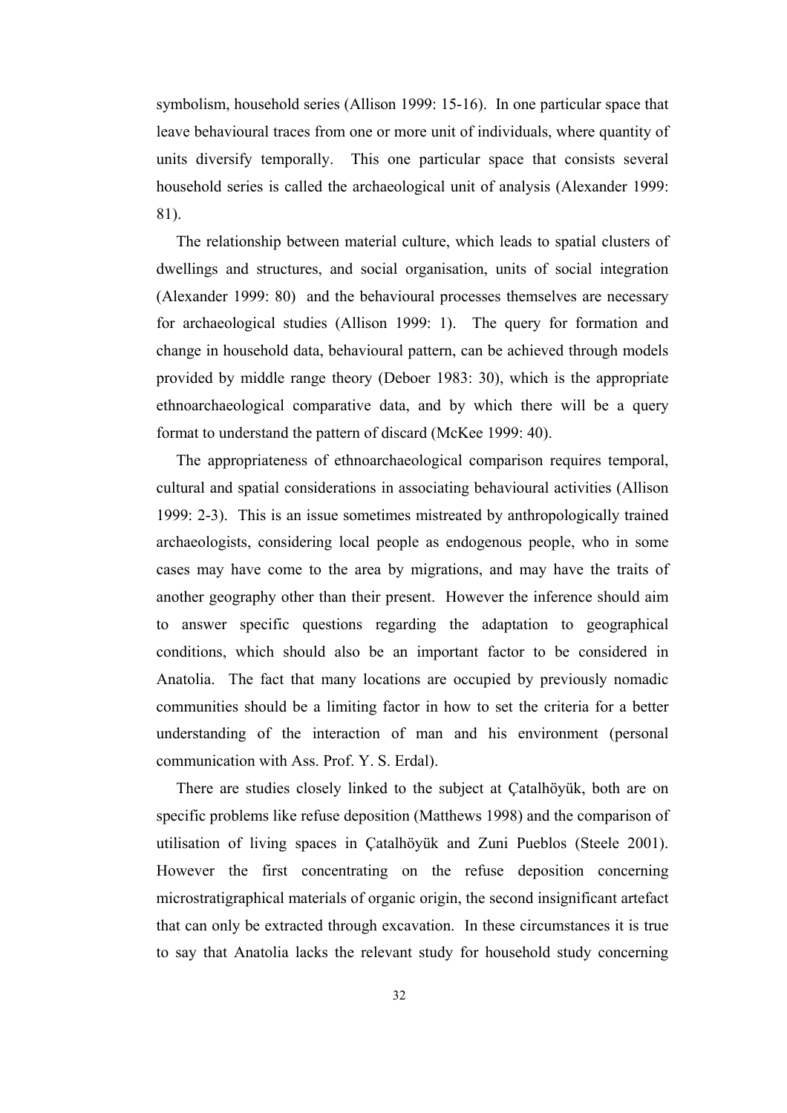symbolism, household series (Allison 1999: 15-16). In one particular space that leave behavioural traces from one or more unit of individuals, where quantity of units diversify temporally. This one particular space that consists several household series is called the archaeological unit of analysis (Alexander 1999: 81).

 The relationship between material culture, which leads to spatial clusters of dwellings and structures, and social organisation, units of social integration (Alexander 1999: 80) and the behavioural processes themselves are necessary for archaeological studies (Allison 1999: 1). The query for formation and change in household data, behavioural pattern, can be achieved through models provided by middle range theory (Deboer 1983: 30), which is the appropriate ethnoarchaeological comparative data, and by which there will be a query format to understand the pattern of discard (McKee 1999: 40).

 The appropriateness of ethnoarchaeological comparison requires temporal, cultural and spatial considerations in associating behavioural activities (Allison 1999: 2-3). This is an issue sometimes mistreated by anthropologically trained archaeologists, considering local people as endogenous people, who in some cases may have come to the area by migrations, and may have the traits of another geography other than their present. However the inference should aim to answer specific questions regarding the adaptation to geographical conditions, which should also be an important factor to be considered in Anatolia. The fact that many locations are occupied by previously nomadic communities should be a limiting factor in how to set the criteria for a better understanding of the interaction of man and his environment (personal communication with Ass. Prof. Y. S. Erdal).

 There are studies closely linked to the subject at Çatalhöyük, both are on specific problems like refuse deposition (Matthews 1998) and the comparison of utilisation of living spaces in Çatalhöyük and Zuni Pueblos (Steele 2001). However the first concentrating on the refuse deposition concerning microstratigraphical materials of organic origin, the second insignificant artefact that can only be extracted through excavation. In these circumstances it is true to say that Anatolia lacks the relevant study for household study concerning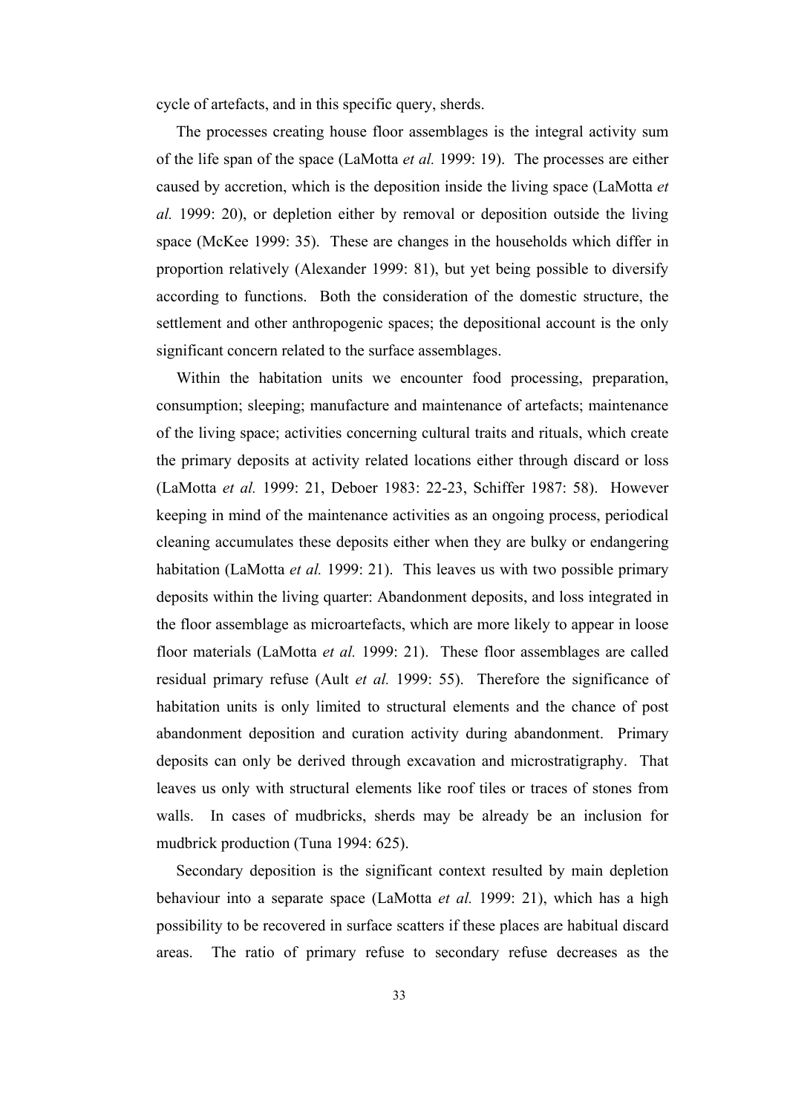cycle of artefacts, and in this specific query, sherds.

 The processes creating house floor assemblages is the integral activity sum of the life span of the space (LaMotta *et al.* 1999: 19). The processes are either caused by accretion, which is the deposition inside the living space (LaMotta *et al.* 1999: 20), or depletion either by removal or deposition outside the living space (McKee 1999: 35). These are changes in the households which differ in proportion relatively (Alexander 1999: 81), but yet being possible to diversify according to functions. Both the consideration of the domestic structure, the settlement and other anthropogenic spaces; the depositional account is the only significant concern related to the surface assemblages.

 Within the habitation units we encounter food processing, preparation, consumption; sleeping; manufacture and maintenance of artefacts; maintenance of the living space; activities concerning cultural traits and rituals, which create the primary deposits at activity related locations either through discard or loss (LaMotta *et al.* 1999: 21, Deboer 1983: 22-23, Schiffer 1987: 58). However keeping in mind of the maintenance activities as an ongoing process, periodical cleaning accumulates these deposits either when they are bulky or endangering habitation (LaMotta *et al.* 1999: 21). This leaves us with two possible primary deposits within the living quarter: Abandonment deposits, and loss integrated in the floor assemblage as microartefacts, which are more likely to appear in loose floor materials (LaMotta *et al.* 1999: 21). These floor assemblages are called residual primary refuse (Ault *et al.* 1999: 55). Therefore the significance of habitation units is only limited to structural elements and the chance of post abandonment deposition and curation activity during abandonment. Primary deposits can only be derived through excavation and microstratigraphy. That leaves us only with structural elements like roof tiles or traces of stones from walls. In cases of mudbricks, sherds may be already be an inclusion for mudbrick production (Tuna 1994: 625).

 Secondary deposition is the significant context resulted by main depletion behaviour into a separate space (LaMotta *et al.* 1999: 21), which has a high possibility to be recovered in surface scatters if these places are habitual discard areas. The ratio of primary refuse to secondary refuse decreases as the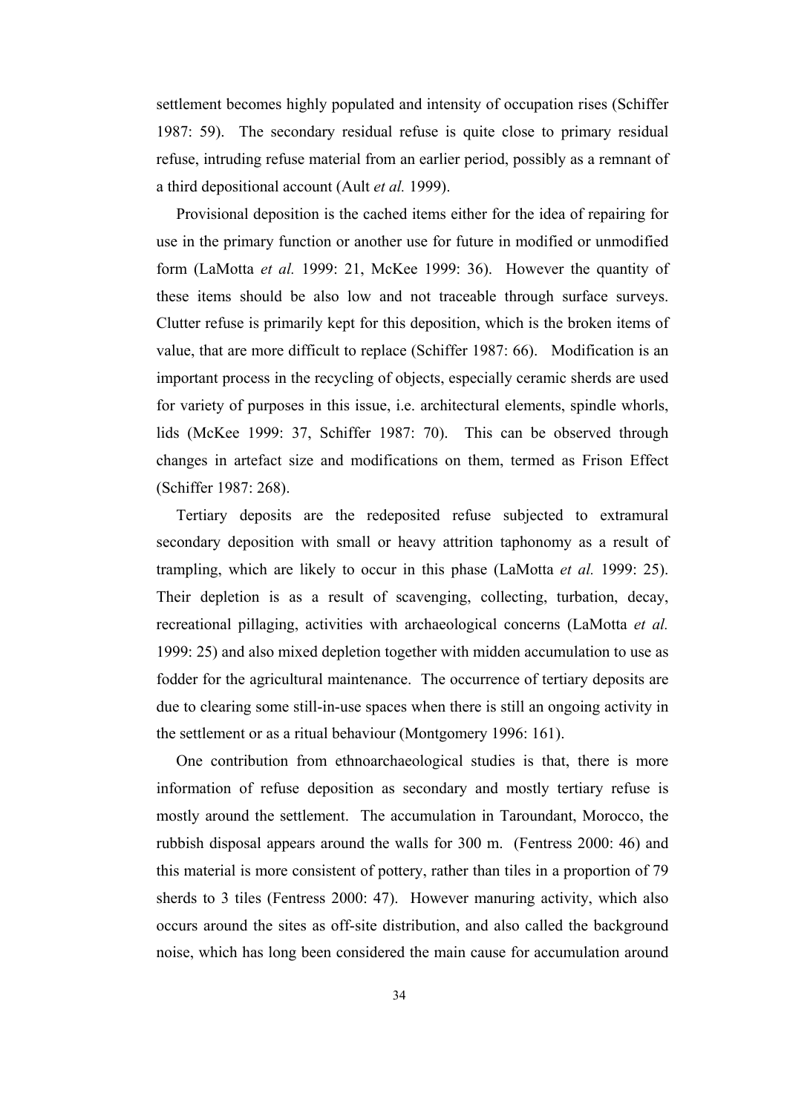settlement becomes highly populated and intensity of occupation rises (Schiffer 1987: 59). The secondary residual refuse is quite close to primary residual refuse, intruding refuse material from an earlier period, possibly as a remnant of a third depositional account (Ault *et al.* 1999).

 Provisional deposition is the cached items either for the idea of repairing for use in the primary function or another use for future in modified or unmodified form (LaMotta *et al.* 1999: 21, McKee 1999: 36). However the quantity of these items should be also low and not traceable through surface surveys. Clutter refuse is primarily kept for this deposition, which is the broken items of value, that are more difficult to replace (Schiffer 1987: 66). Modification is an important process in the recycling of objects, especially ceramic sherds are used for variety of purposes in this issue, i.e. architectural elements, spindle whorls, lids (McKee 1999: 37, Schiffer 1987: 70). This can be observed through changes in artefact size and modifications on them, termed as Frison Effect (Schiffer 1987: 268).

 Tertiary deposits are the redeposited refuse subjected to extramural secondary deposition with small or heavy attrition taphonomy as a result of trampling, which are likely to occur in this phase (LaMotta *et al.* 1999: 25). Their depletion is as a result of scavenging, collecting, turbation, decay, recreational pillaging, activities with archaeological concerns (LaMotta *et al.* 1999: 25) and also mixed depletion together with midden accumulation to use as fodder for the agricultural maintenance. The occurrence of tertiary deposits are due to clearing some still-in-use spaces when there is still an ongoing activity in the settlement or as a ritual behaviour (Montgomery 1996: 161).

 One contribution from ethnoarchaeological studies is that, there is more information of refuse deposition as secondary and mostly tertiary refuse is mostly around the settlement. The accumulation in Taroundant, Morocco, the rubbish disposal appears around the walls for 300 m. (Fentress 2000: 46) and this material is more consistent of pottery, rather than tiles in a proportion of 79 sherds to 3 tiles (Fentress 2000: 47). However manuring activity, which also occurs around the sites as off-site distribution, and also called the background noise, which has long been considered the main cause for accumulation around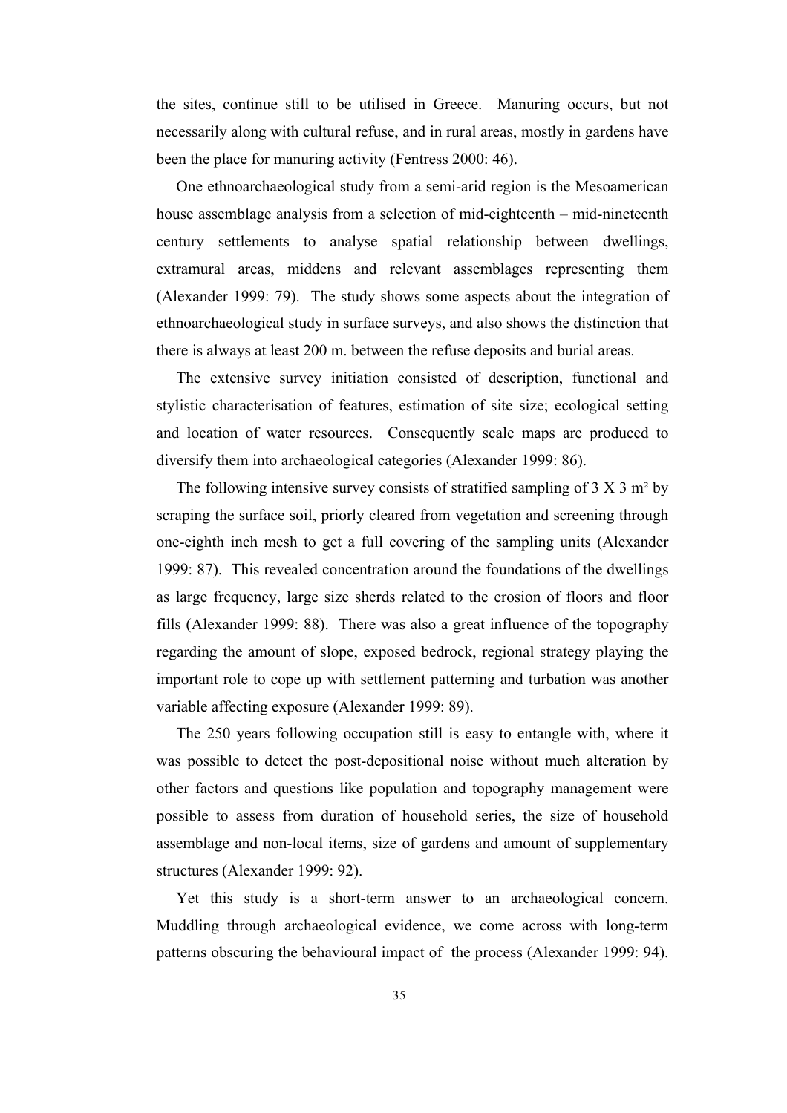the sites, continue still to be utilised in Greece. Manuring occurs, but not necessarily along with cultural refuse, and in rural areas, mostly in gardens have been the place for manuring activity (Fentress 2000: 46).

 One ethnoarchaeological study from a semi-arid region is the Mesoamerican house assemblage analysis from a selection of mid-eighteenth – mid-nineteenth century settlements to analyse spatial relationship between dwellings, extramural areas, middens and relevant assemblages representing them (Alexander 1999: 79). The study shows some aspects about the integration of ethnoarchaeological study in surface surveys, and also shows the distinction that there is always at least 200 m. between the refuse deposits and burial areas.

 The extensive survey initiation consisted of description, functional and stylistic characterisation of features, estimation of site size; ecological setting and location of water resources. Consequently scale maps are produced to diversify them into archaeological categories (Alexander 1999: 86).

The following intensive survey consists of stratified sampling of  $3 \times 3$  m<sup>2</sup> by scraping the surface soil, priorly cleared from vegetation and screening through one-eighth inch mesh to get a full covering of the sampling units (Alexander 1999: 87). This revealed concentration around the foundations of the dwellings as large frequency, large size sherds related to the erosion of floors and floor fills (Alexander 1999: 88). There was also a great influence of the topography regarding the amount of slope, exposed bedrock, regional strategy playing the important role to cope up with settlement patterning and turbation was another variable affecting exposure (Alexander 1999: 89).

 The 250 years following occupation still is easy to entangle with, where it was possible to detect the post-depositional noise without much alteration by other factors and questions like population and topography management were possible to assess from duration of household series, the size of household assemblage and non-local items, size of gardens and amount of supplementary structures (Alexander 1999: 92).

 Yet this study is a short-term answer to an archaeological concern. Muddling through archaeological evidence, we come across with long-term patterns obscuring the behavioural impact of the process (Alexander 1999: 94).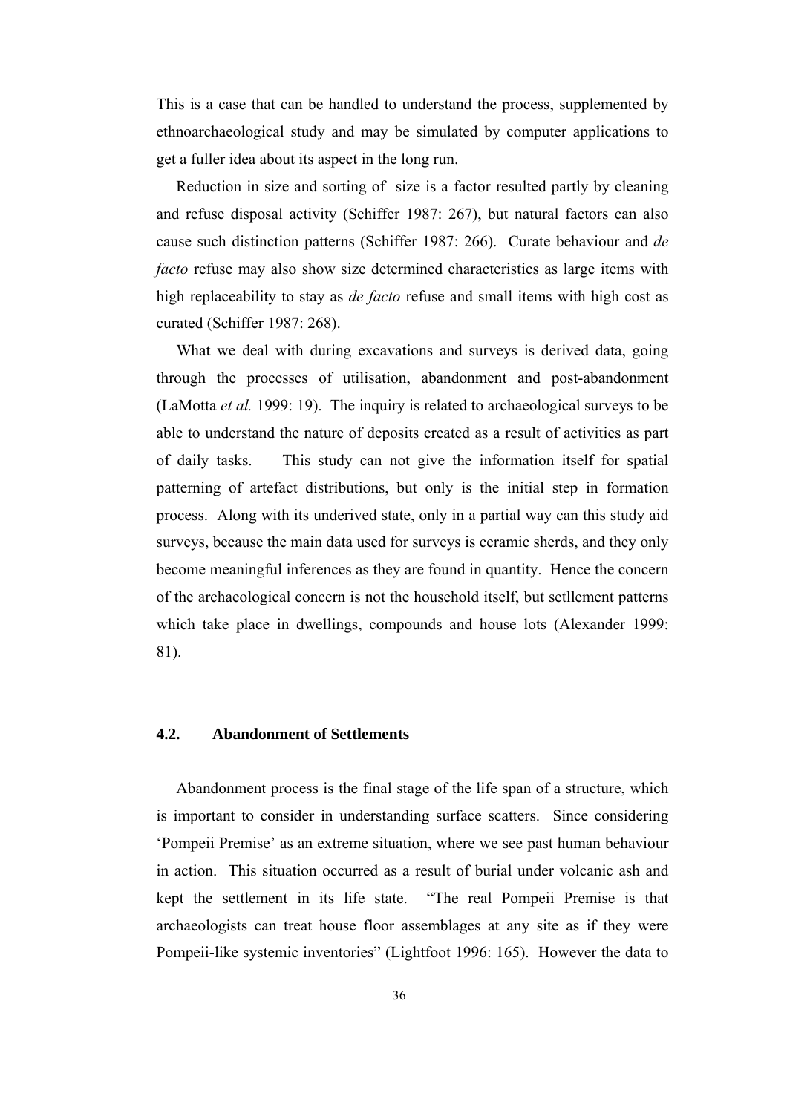This is a case that can be handled to understand the process, supplemented by ethnoarchaeological study and may be simulated by computer applications to get a fuller idea about its aspect in the long run.

 Reduction in size and sorting of size is a factor resulted partly by cleaning and refuse disposal activity (Schiffer 1987: 267), but natural factors can also cause such distinction patterns (Schiffer 1987: 266). Curate behaviour and *de facto* refuse may also show size determined characteristics as large items with high replaceability to stay as *de facto* refuse and small items with high cost as curated (Schiffer 1987: 268).

 What we deal with during excavations and surveys is derived data, going through the processes of utilisation, abandonment and post-abandonment (LaMotta *et al.* 1999: 19). The inquiry is related to archaeological surveys to be able to understand the nature of deposits created as a result of activities as part of daily tasks. This study can not give the information itself for spatial patterning of artefact distributions, but only is the initial step in formation process. Along with its underived state, only in a partial way can this study aid surveys, because the main data used for surveys is ceramic sherds, and they only become meaningful inferences as they are found in quantity. Hence the concern of the archaeological concern is not the household itself, but setllement patterns which take place in dwellings, compounds and house lots (Alexander 1999: 81).

## **4.2. Abandonment of Settlements**

 Abandonment process is the final stage of the life span of a structure, which is important to consider in understanding surface scatters. Since considering 'Pompeii Premise' as an extreme situation, where we see past human behaviour in action. This situation occurred as a result of burial under volcanic ash and kept the settlement in its life state. "The real Pompeii Premise is that archaeologists can treat house floor assemblages at any site as if they were Pompeii-like systemic inventories" (Lightfoot 1996: 165). However the data to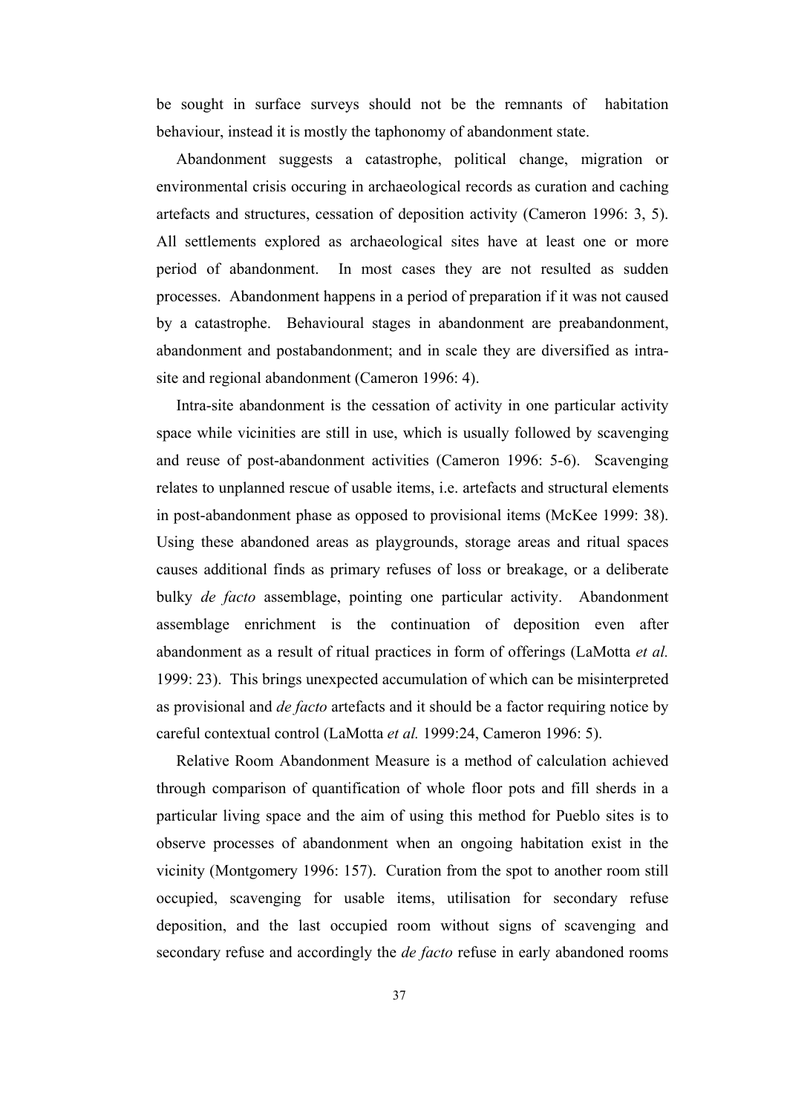be sought in surface surveys should not be the remnants of habitation behaviour, instead it is mostly the taphonomy of abandonment state.

 Abandonment suggests a catastrophe, political change, migration or environmental crisis occuring in archaeological records as curation and caching artefacts and structures, cessation of deposition activity (Cameron 1996: 3, 5). All settlements explored as archaeological sites have at least one or more period of abandonment. In most cases they are not resulted as sudden processes. Abandonment happens in a period of preparation if it was not caused by a catastrophe. Behavioural stages in abandonment are preabandonment, abandonment and postabandonment; and in scale they are diversified as intrasite and regional abandonment (Cameron 1996: 4).

 Intra-site abandonment is the cessation of activity in one particular activity space while vicinities are still in use, which is usually followed by scavenging and reuse of post-abandonment activities (Cameron 1996: 5-6). Scavenging relates to unplanned rescue of usable items, i.e. artefacts and structural elements in post-abandonment phase as opposed to provisional items (McKee 1999: 38). Using these abandoned areas as playgrounds, storage areas and ritual spaces causes additional finds as primary refuses of loss or breakage, or a deliberate bulky *de facto* assemblage, pointing one particular activity. Abandonment assemblage enrichment is the continuation of deposition even after abandonment as a result of ritual practices in form of offerings (LaMotta *et al.*  1999: 23). This brings unexpected accumulation of which can be misinterpreted as provisional and *de facto* artefacts and it should be a factor requiring notice by careful contextual control (LaMotta *et al.* 1999:24, Cameron 1996: 5).

 Relative Room Abandonment Measure is a method of calculation achieved through comparison of quantification of whole floor pots and fill sherds in a particular living space and the aim of using this method for Pueblo sites is to observe processes of abandonment when an ongoing habitation exist in the vicinity (Montgomery 1996: 157). Curation from the spot to another room still occupied, scavenging for usable items, utilisation for secondary refuse deposition, and the last occupied room without signs of scavenging and secondary refuse and accordingly the *de facto* refuse in early abandoned rooms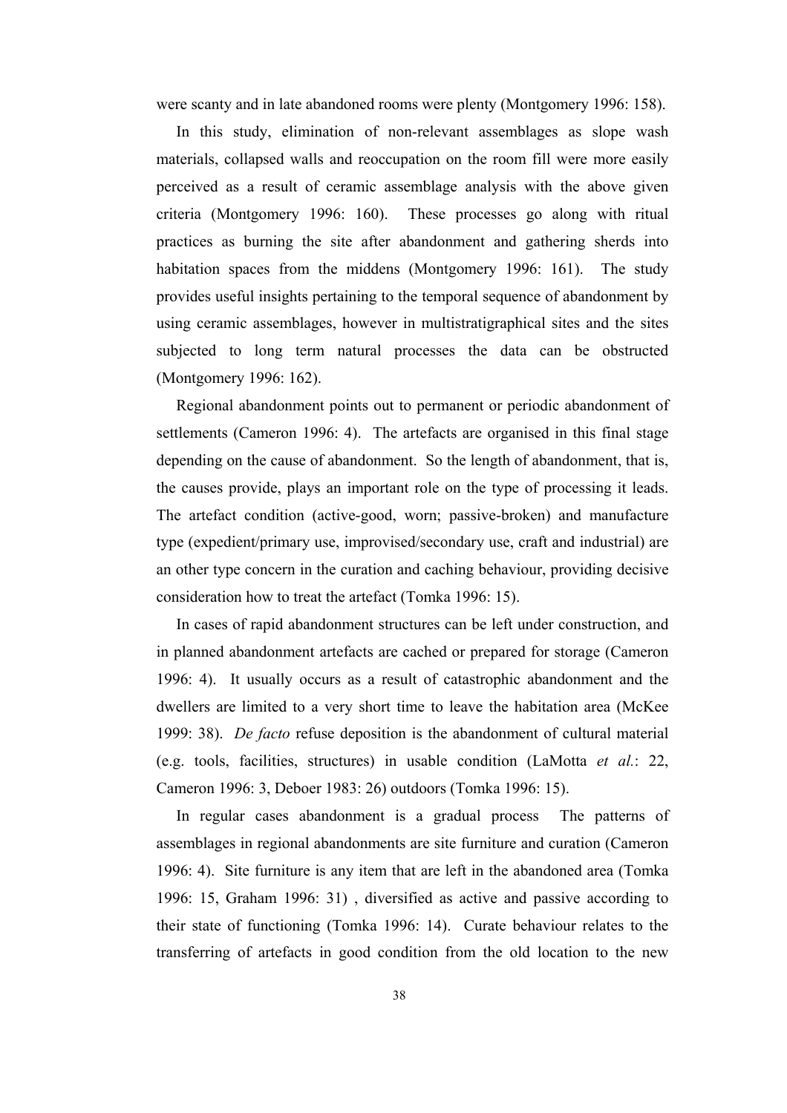were scanty and in late abandoned rooms were plenty (Montgomery 1996: 158).

 In this study, elimination of non-relevant assemblages as slope wash materials, collapsed walls and reoccupation on the room fill were more easily perceived as a result of ceramic assemblage analysis with the above given criteria (Montgomery 1996: 160). These processes go along with ritual practices as burning the site after abandonment and gathering sherds into habitation spaces from the middens (Montgomery 1996: 161). The study provides useful insights pertaining to the temporal sequence of abandonment by using ceramic assemblages, however in multistratigraphical sites and the sites subjected to long term natural processes the data can be obstructed (Montgomery 1996: 162).

 Regional abandonment points out to permanent or periodic abandonment of settlements (Cameron 1996: 4). The artefacts are organised in this final stage depending on the cause of abandonment. So the length of abandonment, that is, the causes provide, plays an important role on the type of processing it leads. The artefact condition (active-good, worn; passive-broken) and manufacture type (expedient/primary use, improvised/secondary use, craft and industrial) are an other type concern in the curation and caching behaviour, providing decisive consideration how to treat the artefact (Tomka 1996: 15).

 In cases of rapid abandonment structures can be left under construction, and in planned abandonment artefacts are cached or prepared for storage (Cameron 1996: 4). It usually occurs as a result of catastrophic abandonment and the dwellers are limited to a very short time to leave the habitation area (McKee 1999: 38). *De facto* refuse deposition is the abandonment of cultural material (e.g. tools, facilities, structures) in usable condition (LaMotta *et al.*: 22, Cameron 1996: 3, Deboer 1983: 26) outdoors (Tomka 1996: 15).

 In regular cases abandonment is a gradual process The patterns of assemblages in regional abandonments are site furniture and curation (Cameron 1996: 4). Site furniture is any item that are left in the abandoned area (Tomka 1996: 15, Graham 1996: 31) , diversified as active and passive according to their state of functioning (Tomka 1996: 14). Curate behaviour relates to the transferring of artefacts in good condition from the old location to the new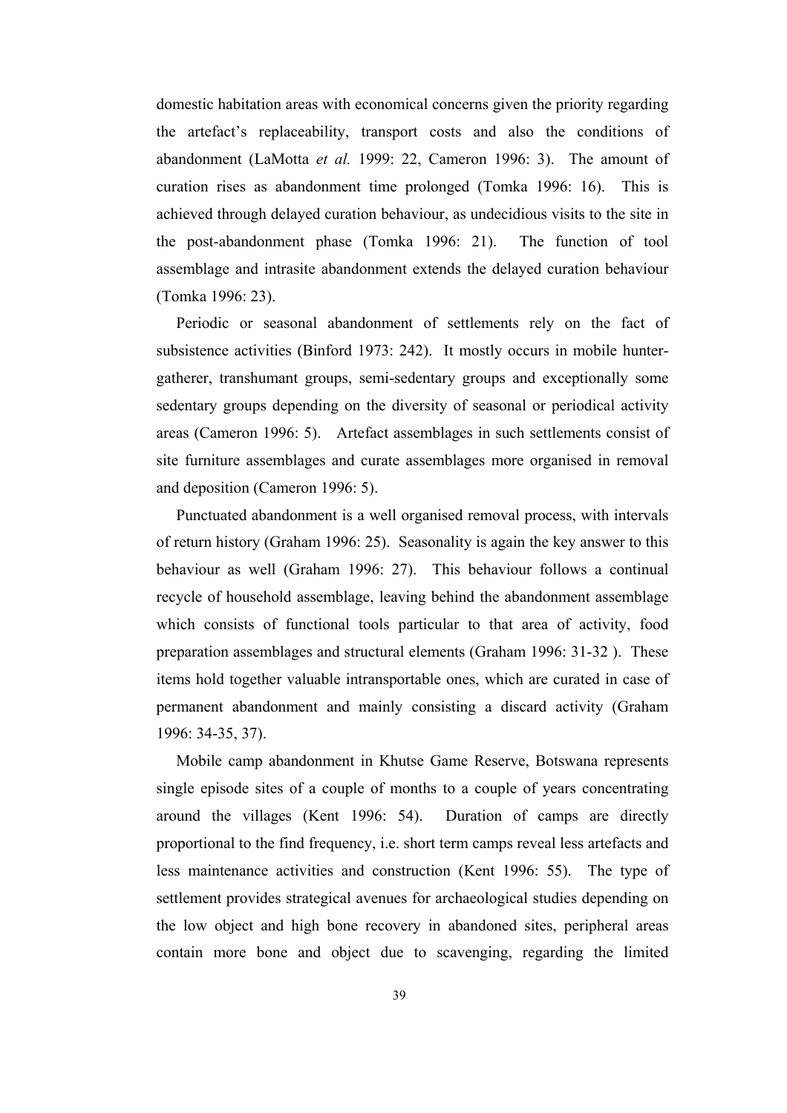domestic habitation areas with economical concerns given the priority regarding the artefact's replaceability, transport costs and also the conditions of abandonment (LaMotta *et al.* 1999: 22, Cameron 1996: 3). The amount of curation rises as abandonment time prolonged (Tomka 1996: 16). This is achieved through delayed curation behaviour, as undecidious visits to the site in the post-abandonment phase (Tomka 1996: 21). The function of tool assemblage and intrasite abandonment extends the delayed curation behaviour (Tomka 1996: 23).

 Periodic or seasonal abandonment of settlements rely on the fact of subsistence activities (Binford 1973: 242). It mostly occurs in mobile huntergatherer, transhumant groups, semi-sedentary groups and exceptionally some sedentary groups depending on the diversity of seasonal or periodical activity areas (Cameron 1996: 5). Artefact assemblages in such settlements consist of site furniture assemblages and curate assemblages more organised in removal and deposition (Cameron 1996: 5).

 Punctuated abandonment is a well organised removal process, with intervals of return history (Graham 1996: 25). Seasonality is again the key answer to this behaviour as well (Graham 1996: 27). This behaviour follows a continual recycle of household assemblage, leaving behind the abandonment assemblage which consists of functional tools particular to that area of activity, food preparation assemblages and structural elements (Graham 1996: 31-32 ). These items hold together valuable intransportable ones, which are curated in case of permanent abandonment and mainly consisting a discard activity (Graham 1996: 34-35, 37).

 Mobile camp abandonment in Khutse Game Reserve, Botswana represents single episode sites of a couple of months to a couple of years concentrating around the villages (Kent 1996: 54). Duration of camps are directly proportional to the find frequency, i.e. short term camps reveal less artefacts and less maintenance activities and construction (Kent 1996: 55). The type of settlement provides strategical avenues for archaeological studies depending on the low object and high bone recovery in abandoned sites, peripheral areas contain more bone and object due to scavenging, regarding the limited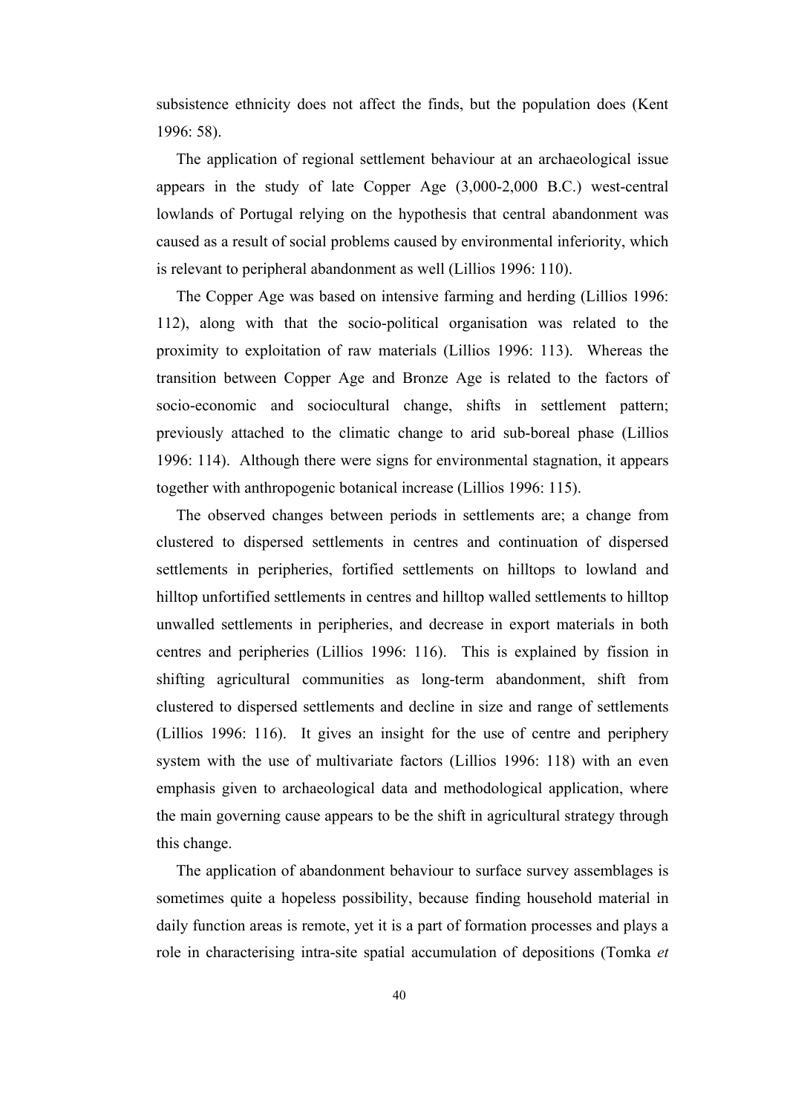subsistence ethnicity does not affect the finds, but the population does (Kent 1996: 58).

 The application of regional settlement behaviour at an archaeological issue appears in the study of late Copper Age (3,000-2,000 B.C.) west-central lowlands of Portugal relying on the hypothesis that central abandonment was caused as a result of social problems caused by environmental inferiority, which is relevant to peripheral abandonment as well (Lillios 1996: 110).

 The Copper Age was based on intensive farming and herding (Lillios 1996: 112), along with that the socio-political organisation was related to the proximity to exploitation of raw materials (Lillios 1996: 113). Whereas the transition between Copper Age and Bronze Age is related to the factors of socio-economic and sociocultural change, shifts in settlement pattern; previously attached to the climatic change to arid sub-boreal phase (Lillios 1996: 114). Although there were signs for environmental stagnation, it appears together with anthropogenic botanical increase (Lillios 1996: 115).

 The observed changes between periods in settlements are; a change from clustered to dispersed settlements in centres and continuation of dispersed settlements in peripheries, fortified settlements on hilltops to lowland and hilltop unfortified settlements in centres and hilltop walled settlements to hilltop unwalled settlements in peripheries, and decrease in export materials in both centres and peripheries (Lillios 1996: 116). This is explained by fission in shifting agricultural communities as long-term abandonment, shift from clustered to dispersed settlements and decline in size and range of settlements (Lillios 1996: 116). It gives an insight for the use of centre and periphery system with the use of multivariate factors (Lillios 1996: 118) with an even emphasis given to archaeological data and methodological application, where the main governing cause appears to be the shift in agricultural strategy through this change.

 The application of abandonment behaviour to surface survey assemblages is sometimes quite a hopeless possibility, because finding household material in daily function areas is remote, yet it is a part of formation processes and plays a role in characterising intra-site spatial accumulation of depositions (Tomka *et*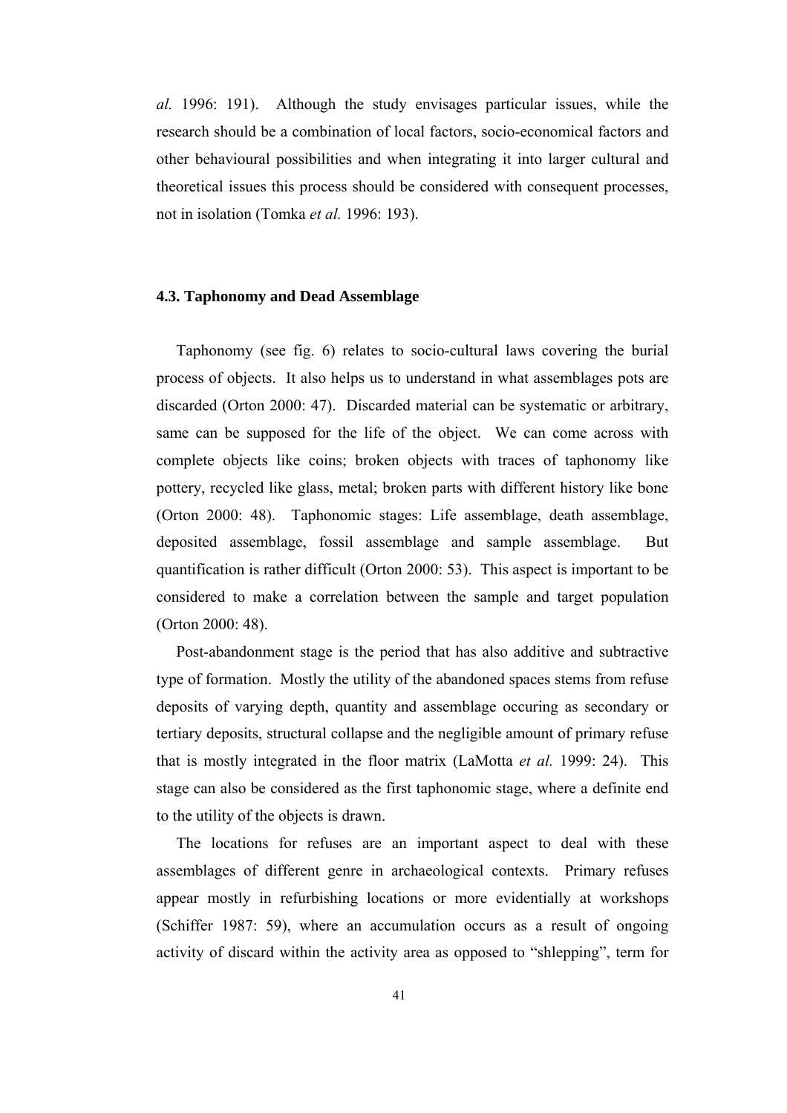*al.* 1996: 191). Although the study envisages particular issues, while the research should be a combination of local factors, socio-economical factors and other behavioural possibilities and when integrating it into larger cultural and theoretical issues this process should be considered with consequent processes, not in isolation (Tomka *et al.* 1996: 193).

### **4.3. Taphonomy and Dead Assemblage**

 Taphonomy (see fig. 6) relates to socio-cultural laws covering the burial process of objects. It also helps us to understand in what assemblages pots are discarded (Orton 2000: 47). Discarded material can be systematic or arbitrary, same can be supposed for the life of the object. We can come across with complete objects like coins; broken objects with traces of taphonomy like pottery, recycled like glass, metal; broken parts with different history like bone (Orton 2000: 48). Taphonomic stages: Life assemblage, death assemblage, deposited assemblage, fossil assemblage and sample assemblage. But quantification is rather difficult (Orton 2000: 53). This aspect is important to be considered to make a correlation between the sample and target population (Orton 2000: 48).

 Post-abandonment stage is the period that has also additive and subtractive type of formation. Mostly the utility of the abandoned spaces stems from refuse deposits of varying depth, quantity and assemblage occuring as secondary or tertiary deposits, structural collapse and the negligible amount of primary refuse that is mostly integrated in the floor matrix (LaMotta *et al.* 1999: 24). This stage can also be considered as the first taphonomic stage, where a definite end to the utility of the objects is drawn.

 The locations for refuses are an important aspect to deal with these assemblages of different genre in archaeological contexts. Primary refuses appear mostly in refurbishing locations or more evidentially at workshops (Schiffer 1987: 59), where an accumulation occurs as a result of ongoing activity of discard within the activity area as opposed to "shlepping", term for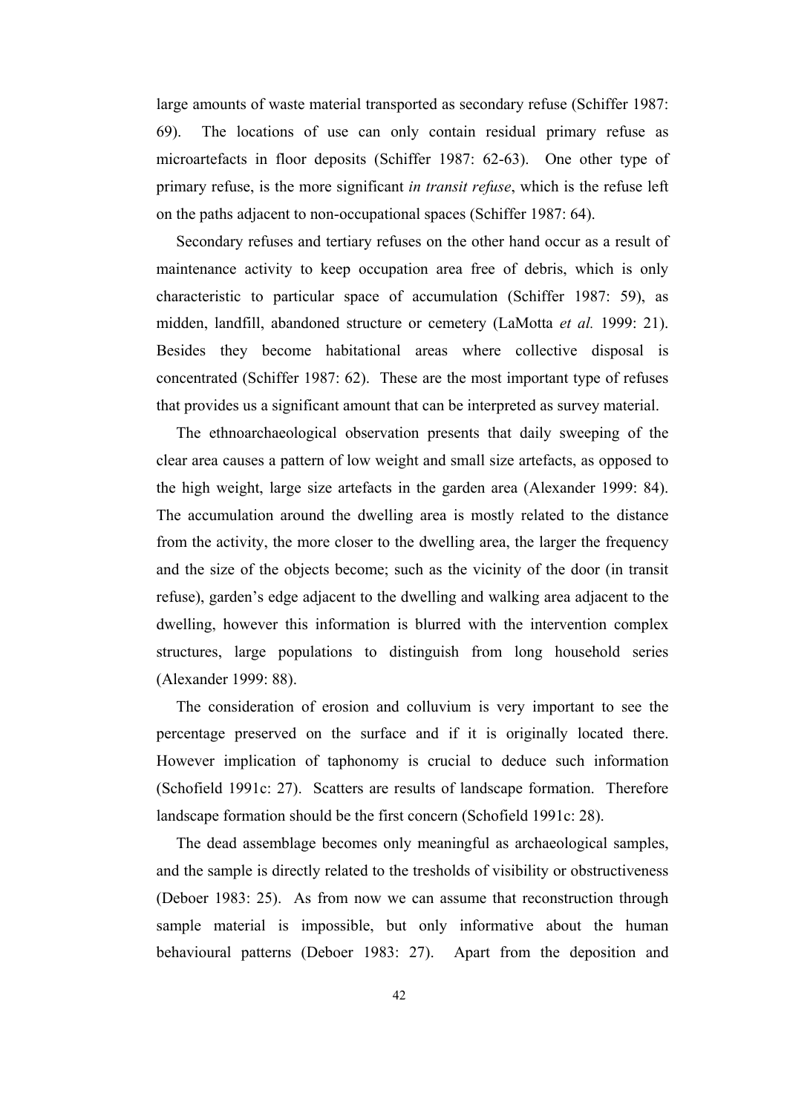large amounts of waste material transported as secondary refuse (Schiffer 1987: 69). The locations of use can only contain residual primary refuse as microartefacts in floor deposits (Schiffer 1987: 62-63). One other type of primary refuse, is the more significant *in transit refuse*, which is the refuse left on the paths adjacent to non-occupational spaces (Schiffer 1987: 64).

 Secondary refuses and tertiary refuses on the other hand occur as a result of maintenance activity to keep occupation area free of debris, which is only characteristic to particular space of accumulation (Schiffer 1987: 59), as midden, landfill, abandoned structure or cemetery (LaMotta *et al.* 1999: 21). Besides they become habitational areas where collective disposal is concentrated (Schiffer 1987: 62). These are the most important type of refuses that provides us a significant amount that can be interpreted as survey material.

 The ethnoarchaeological observation presents that daily sweeping of the clear area causes a pattern of low weight and small size artefacts, as opposed to the high weight, large size artefacts in the garden area (Alexander 1999: 84). The accumulation around the dwelling area is mostly related to the distance from the activity, the more closer to the dwelling area, the larger the frequency and the size of the objects become; such as the vicinity of the door (in transit refuse), garden's edge adjacent to the dwelling and walking area adjacent to the dwelling, however this information is blurred with the intervention complex structures, large populations to distinguish from long household series (Alexander 1999: 88).

 The consideration of erosion and colluvium is very important to see the percentage preserved on the surface and if it is originally located there. However implication of taphonomy is crucial to deduce such information (Schofield 1991c: 27). Scatters are results of landscape formation. Therefore landscape formation should be the first concern (Schofield 1991c: 28).

 The dead assemblage becomes only meaningful as archaeological samples, and the sample is directly related to the tresholds of visibility or obstructiveness (Deboer 1983: 25). As from now we can assume that reconstruction through sample material is impossible, but only informative about the human behavioural patterns (Deboer 1983: 27). Apart from the deposition and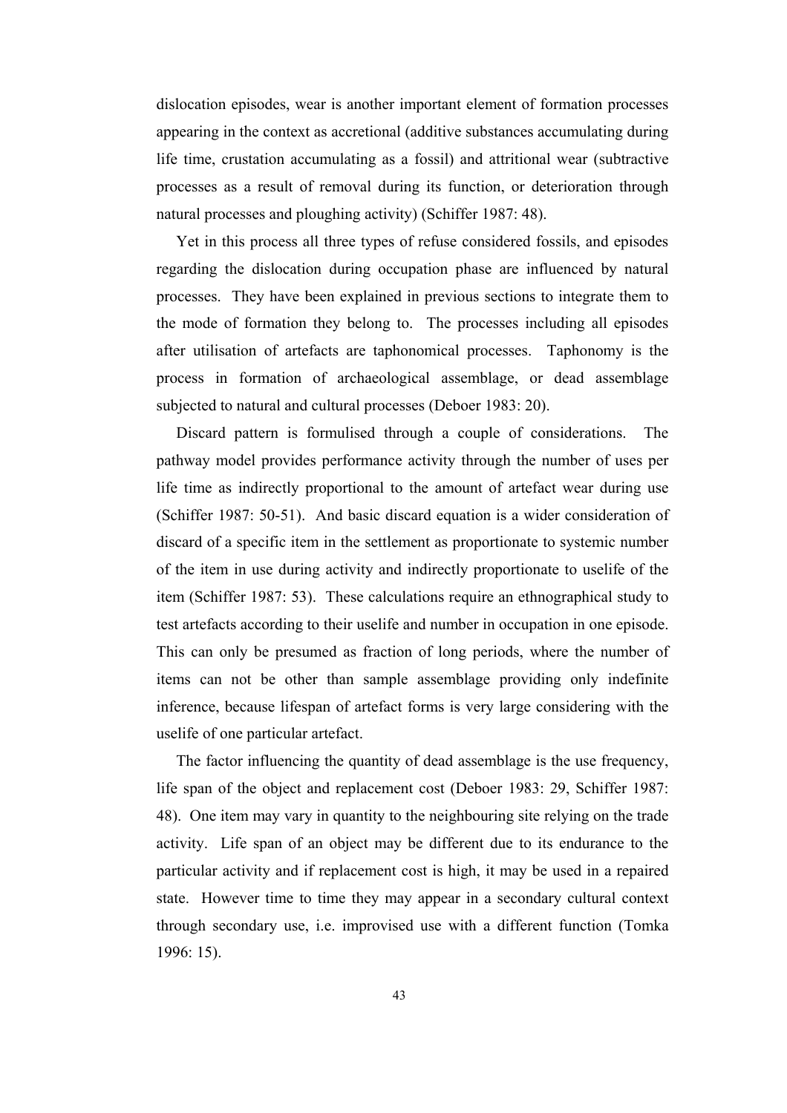dislocation episodes, wear is another important element of formation processes appearing in the context as accretional (additive substances accumulating during life time, crustation accumulating as a fossil) and attritional wear (subtractive processes as a result of removal during its function, or deterioration through natural processes and ploughing activity) (Schiffer 1987: 48).

 Yet in this process all three types of refuse considered fossils, and episodes regarding the dislocation during occupation phase are influenced by natural processes. They have been explained in previous sections to integrate them to the mode of formation they belong to. The processes including all episodes after utilisation of artefacts are taphonomical processes. Taphonomy is the process in formation of archaeological assemblage, or dead assemblage subjected to natural and cultural processes (Deboer 1983: 20).

 Discard pattern is formulised through a couple of considerations. The pathway model provides performance activity through the number of uses per life time as indirectly proportional to the amount of artefact wear during use (Schiffer 1987: 50-51). And basic discard equation is a wider consideration of discard of a specific item in the settlement as proportionate to systemic number of the item in use during activity and indirectly proportionate to uselife of the item (Schiffer 1987: 53). These calculations require an ethnographical study to test artefacts according to their uselife and number in occupation in one episode. This can only be presumed as fraction of long periods, where the number of items can not be other than sample assemblage providing only indefinite inference, because lifespan of artefact forms is very large considering with the uselife of one particular artefact.

 The factor influencing the quantity of dead assemblage is the use frequency, life span of the object and replacement cost (Deboer 1983: 29, Schiffer 1987: 48). One item may vary in quantity to the neighbouring site relying on the trade activity. Life span of an object may be different due to its endurance to the particular activity and if replacement cost is high, it may be used in a repaired state. However time to time they may appear in a secondary cultural context through secondary use, i.e. improvised use with a different function (Tomka 1996: 15).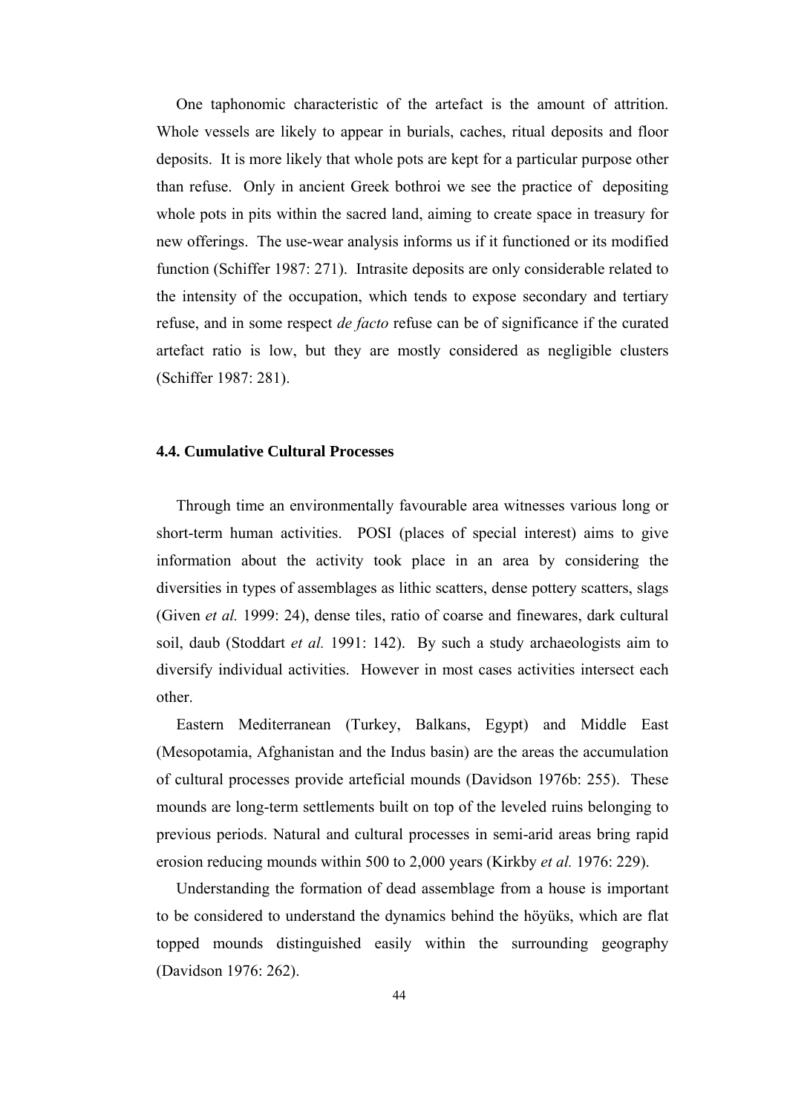One taphonomic characteristic of the artefact is the amount of attrition. Whole vessels are likely to appear in burials, caches, ritual deposits and floor deposits. It is more likely that whole pots are kept for a particular purpose other than refuse. Only in ancient Greek bothroi we see the practice of depositing whole pots in pits within the sacred land, aiming to create space in treasury for new offerings. The use-wear analysis informs us if it functioned or its modified function (Schiffer 1987: 271). Intrasite deposits are only considerable related to the intensity of the occupation, which tends to expose secondary and tertiary refuse, and in some respect *de facto* refuse can be of significance if the curated artefact ratio is low, but they are mostly considered as negligible clusters (Schiffer 1987: 281).

### **4.4. Cumulative Cultural Processes**

 Through time an environmentally favourable area witnesses various long or short-term human activities. POSI (places of special interest) aims to give information about the activity took place in an area by considering the diversities in types of assemblages as lithic scatters, dense pottery scatters, slags (Given *et al.* 1999: 24), dense tiles, ratio of coarse and finewares, dark cultural soil, daub (Stoddart *et al.* 1991: 142). By such a study archaeologists aim to diversify individual activities. However in most cases activities intersect each other.

 Eastern Mediterranean (Turkey, Balkans, Egypt) and Middle East (Mesopotamia, Afghanistan and the Indus basin) are the areas the accumulation of cultural processes provide arteficial mounds (Davidson 1976b: 255). These mounds are long-term settlements built on top of the leveled ruins belonging to previous periods. Natural and cultural processes in semi-arid areas bring rapid erosion reducing mounds within 500 to 2,000 years (Kirkby *et al.* 1976: 229).

 Understanding the formation of dead assemblage from a house is important to be considered to understand the dynamics behind the höyüks, which are flat topped mounds distinguished easily within the surrounding geography (Davidson 1976: 262).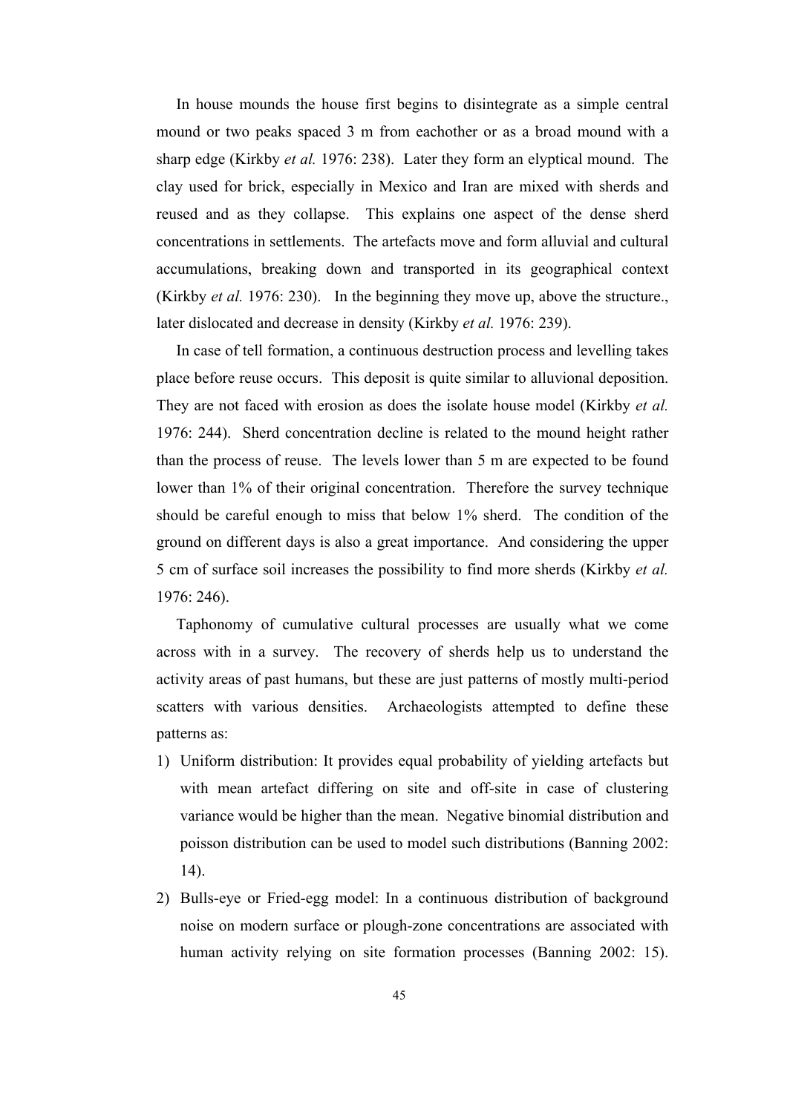In house mounds the house first begins to disintegrate as a simple central mound or two peaks spaced 3 m from eachother or as a broad mound with a sharp edge (Kirkby *et al.* 1976: 238). Later they form an elyptical mound. The clay used for brick, especially in Mexico and Iran are mixed with sherds and reused and as they collapse. This explains one aspect of the dense sherd concentrations in settlements. The artefacts move and form alluvial and cultural accumulations, breaking down and transported in its geographical context (Kirkby *et al.* 1976: 230). In the beginning they move up, above the structure., later dislocated and decrease in density (Kirkby *et al.* 1976: 239).

 In case of tell formation, a continuous destruction process and levelling takes place before reuse occurs. This deposit is quite similar to alluvional deposition. They are not faced with erosion as does the isolate house model (Kirkby *et al.* 1976: 244). Sherd concentration decline is related to the mound height rather than the process of reuse. The levels lower than 5 m are expected to be found lower than 1% of their original concentration. Therefore the survey technique should be careful enough to miss that below 1% sherd. The condition of the ground on different days is also a great importance. And considering the upper 5 cm of surface soil increases the possibility to find more sherds (Kirkby *et al.* 1976: 246).

 Taphonomy of cumulative cultural processes are usually what we come across with in a survey. The recovery of sherds help us to understand the activity areas of past humans, but these are just patterns of mostly multi-period scatters with various densities. Archaeologists attempted to define these patterns as:

- 1) Uniform distribution: It provides equal probability of yielding artefacts but with mean artefact differing on site and off-site in case of clustering variance would be higher than the mean. Negative binomial distribution and poisson distribution can be used to model such distributions (Banning 2002: 14).
- 2) Bulls-eye or Fried-egg model: In a continuous distribution of background noise on modern surface or plough-zone concentrations are associated with human activity relying on site formation processes (Banning 2002: 15).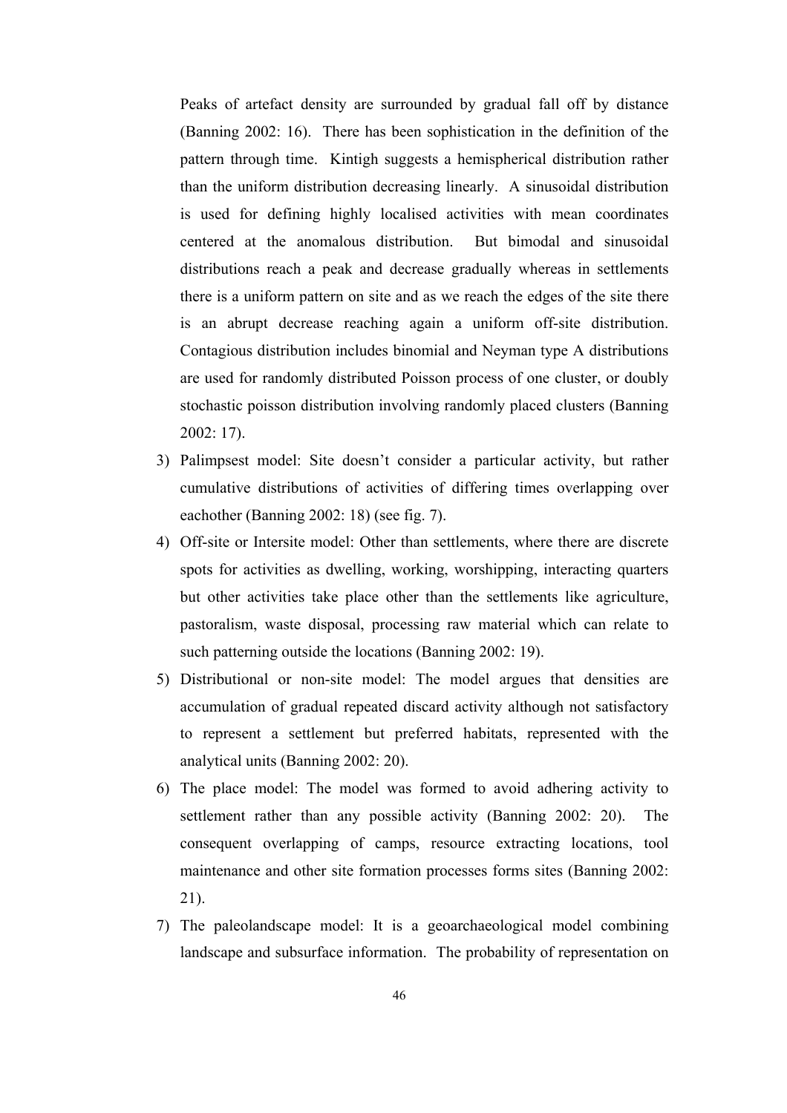Peaks of artefact density are surrounded by gradual fall off by distance (Banning 2002: 16). There has been sophistication in the definition of the pattern through time. Kintigh suggests a hemispherical distribution rather than the uniform distribution decreasing linearly. A sinusoidal distribution is used for defining highly localised activities with mean coordinates centered at the anomalous distribution. But bimodal and sinusoidal distributions reach a peak and decrease gradually whereas in settlements there is a uniform pattern on site and as we reach the edges of the site there is an abrupt decrease reaching again a uniform off-site distribution. Contagious distribution includes binomial and Neyman type A distributions are used for randomly distributed Poisson process of one cluster, or doubly stochastic poisson distribution involving randomly placed clusters (Banning 2002: 17).

- 3) Palimpsest model: Site doesn't consider a particular activity, but rather cumulative distributions of activities of differing times overlapping over eachother (Banning 2002: 18) (see fig. 7).
- 4) Off-site or Intersite model: Other than settlements, where there are discrete spots for activities as dwelling, working, worshipping, interacting quarters but other activities take place other than the settlements like agriculture, pastoralism, waste disposal, processing raw material which can relate to such patterning outside the locations (Banning 2002: 19).
- 5) Distributional or non-site model: The model argues that densities are accumulation of gradual repeated discard activity although not satisfactory to represent a settlement but preferred habitats, represented with the analytical units (Banning 2002: 20).
- 6) The place model: The model was formed to avoid adhering activity to settlement rather than any possible activity (Banning 2002: 20). The consequent overlapping of camps, resource extracting locations, tool maintenance and other site formation processes forms sites (Banning 2002: 21).
- 7) The paleolandscape model: It is a geoarchaeological model combining landscape and subsurface information. The probability of representation on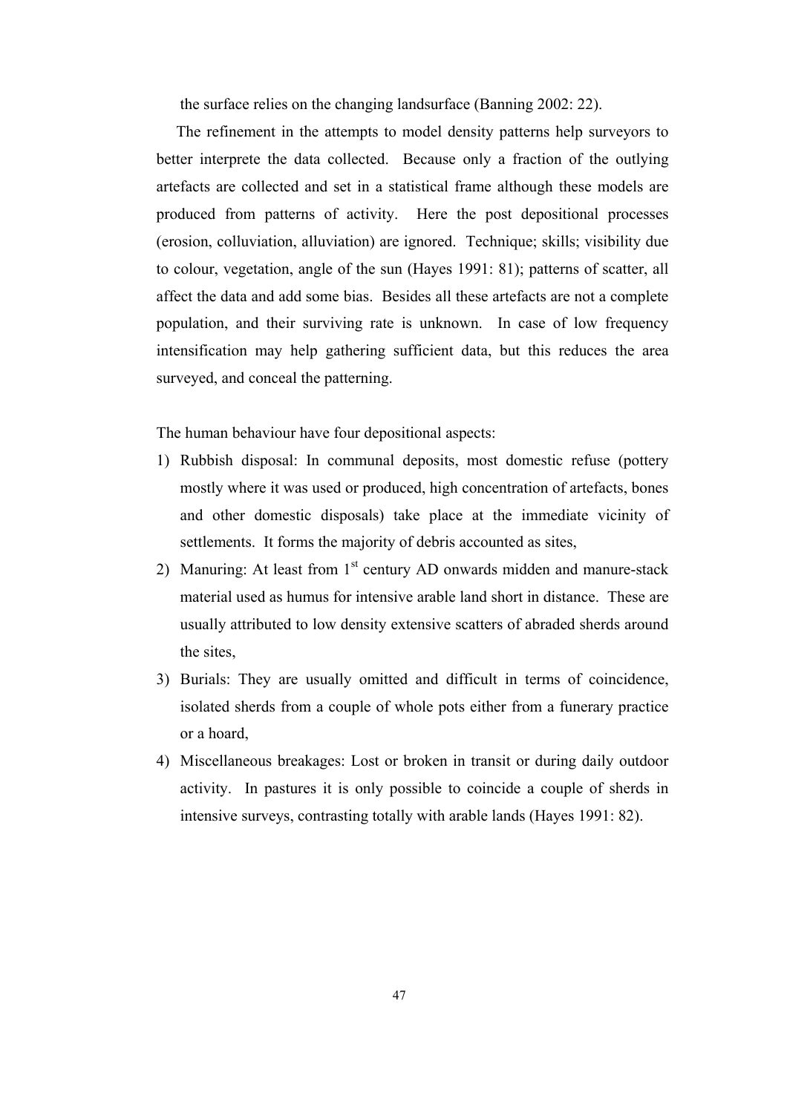the surface relies on the changing landsurface (Banning 2002: 22).

 The refinement in the attempts to model density patterns help surveyors to better interprete the data collected. Because only a fraction of the outlying artefacts are collected and set in a statistical frame although these models are produced from patterns of activity. Here the post depositional processes (erosion, colluviation, alluviation) are ignored. Technique; skills; visibility due to colour, vegetation, angle of the sun (Hayes 1991: 81); patterns of scatter, all affect the data and add some bias. Besides all these artefacts are not a complete population, and their surviving rate is unknown. In case of low frequency intensification may help gathering sufficient data, but this reduces the area surveyed, and conceal the patterning.

The human behaviour have four depositional aspects:

- 1) Rubbish disposal: In communal deposits, most domestic refuse (pottery mostly where it was used or produced, high concentration of artefacts, bones and other domestic disposals) take place at the immediate vicinity of settlements. It forms the majority of debris accounted as sites,
- 2) Manuring: At least from  $1<sup>st</sup>$  century AD onwards midden and manure-stack material used as humus for intensive arable land short in distance. These are usually attributed to low density extensive scatters of abraded sherds around the sites,
- 3) Burials: They are usually omitted and difficult in terms of coincidence, isolated sherds from a couple of whole pots either from a funerary practice or a hoard,
- 4) Miscellaneous breakages: Lost or broken in transit or during daily outdoor activity. In pastures it is only possible to coincide a couple of sherds in intensive surveys, contrasting totally with arable lands (Hayes 1991: 82).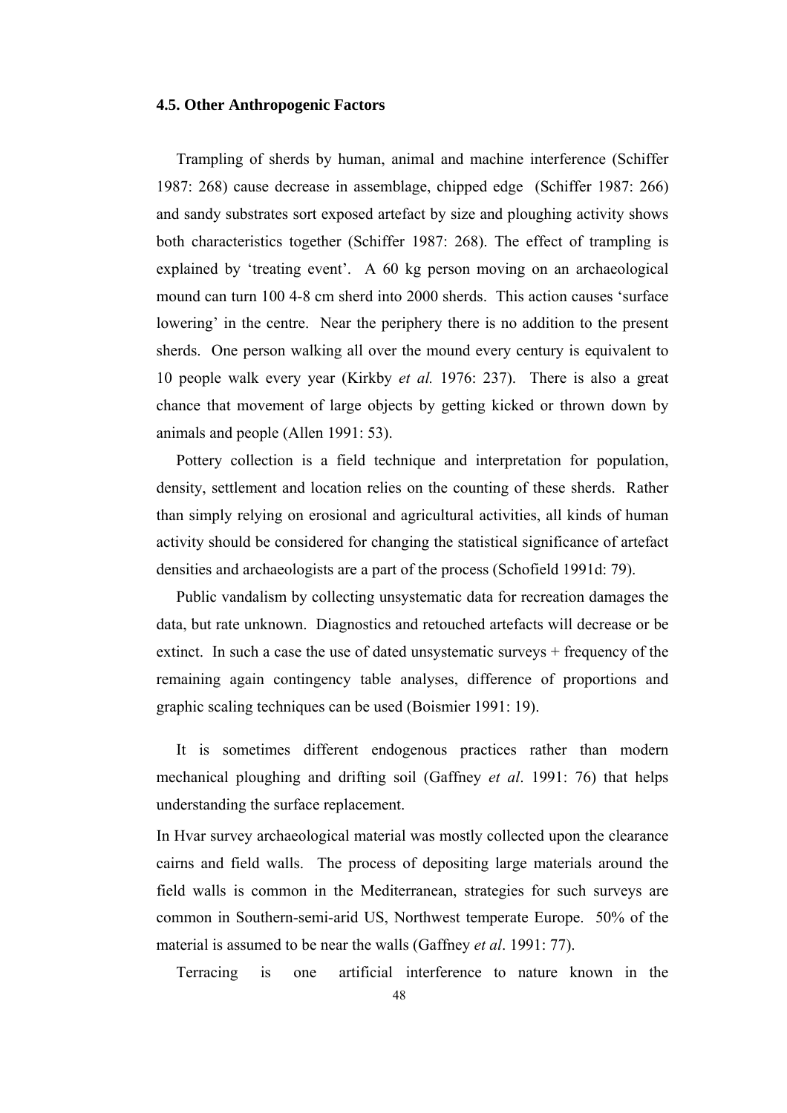### **4.5. Other Anthropogenic Factors**

 Trampling of sherds by human, animal and machine interference (Schiffer 1987: 268) cause decrease in assemblage, chipped edge (Schiffer 1987: 266) and sandy substrates sort exposed artefact by size and ploughing activity shows both characteristics together (Schiffer 1987: 268). The effect of trampling is explained by 'treating event'. A 60 kg person moving on an archaeological mound can turn 100 4-8 cm sherd into 2000 sherds. This action causes 'surface lowering' in the centre. Near the periphery there is no addition to the present sherds. One person walking all over the mound every century is equivalent to 10 people walk every year (Kirkby *et al.* 1976: 237). There is also a great chance that movement of large objects by getting kicked or thrown down by animals and people (Allen 1991: 53).

 Pottery collection is a field technique and interpretation for population, density, settlement and location relies on the counting of these sherds. Rather than simply relying on erosional and agricultural activities, all kinds of human activity should be considered for changing the statistical significance of artefact densities and archaeologists are a part of the process (Schofield 1991d: 79).

 Public vandalism by collecting unsystematic data for recreation damages the data, but rate unknown. Diagnostics and retouched artefacts will decrease or be extinct. In such a case the use of dated unsystematic surveys + frequency of the remaining again contingency table analyses, difference of proportions and graphic scaling techniques can be used (Boismier 1991: 19).

 It is sometimes different endogenous practices rather than modern mechanical ploughing and drifting soil (Gaffney *et al*. 1991: 76) that helps understanding the surface replacement.

In Hvar survey archaeological material was mostly collected upon the clearance cairns and field walls. The process of depositing large materials around the field walls is common in the Mediterranean, strategies for such surveys are common in Southern-semi-arid US, Northwest temperate Europe. 50% of the material is assumed to be near the walls (Gaffney *et al*. 1991: 77).

Terracing is one artificial interference to nature known in the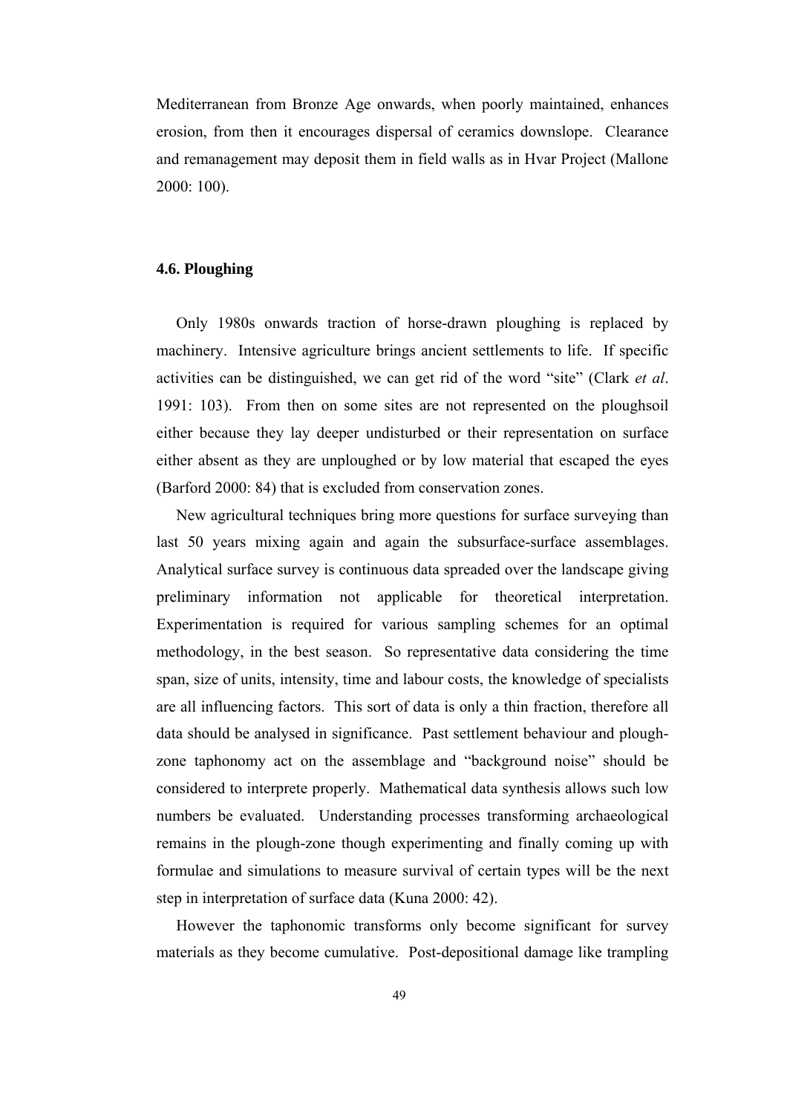Mediterranean from Bronze Age onwards, when poorly maintained, enhances erosion, from then it encourages dispersal of ceramics downslope. Clearance and remanagement may deposit them in field walls as in Hvar Project (Mallone 2000: 100).

## **4.6. Ploughing**

 Only 1980s onwards traction of horse-drawn ploughing is replaced by machinery. Intensive agriculture brings ancient settlements to life. If specific activities can be distinguished, we can get rid of the word "site" (Clark *et al*. 1991: 103). From then on some sites are not represented on the ploughsoil either because they lay deeper undisturbed or their representation on surface either absent as they are unploughed or by low material that escaped the eyes (Barford 2000: 84) that is excluded from conservation zones.

 New agricultural techniques bring more questions for surface surveying than last 50 years mixing again and again the subsurface-surface assemblages. Analytical surface survey is continuous data spreaded over the landscape giving preliminary information not applicable for theoretical interpretation. Experimentation is required for various sampling schemes for an optimal methodology, in the best season. So representative data considering the time span, size of units, intensity, time and labour costs, the knowledge of specialists are all influencing factors. This sort of data is only a thin fraction, therefore all data should be analysed in significance. Past settlement behaviour and ploughzone taphonomy act on the assemblage and "background noise" should be considered to interprete properly. Mathematical data synthesis allows such low numbers be evaluated. Understanding processes transforming archaeological remains in the plough-zone though experimenting and finally coming up with formulae and simulations to measure survival of certain types will be the next step in interpretation of surface data (Kuna 2000: 42).

 However the taphonomic transforms only become significant for survey materials as they become cumulative. Post-depositional damage like trampling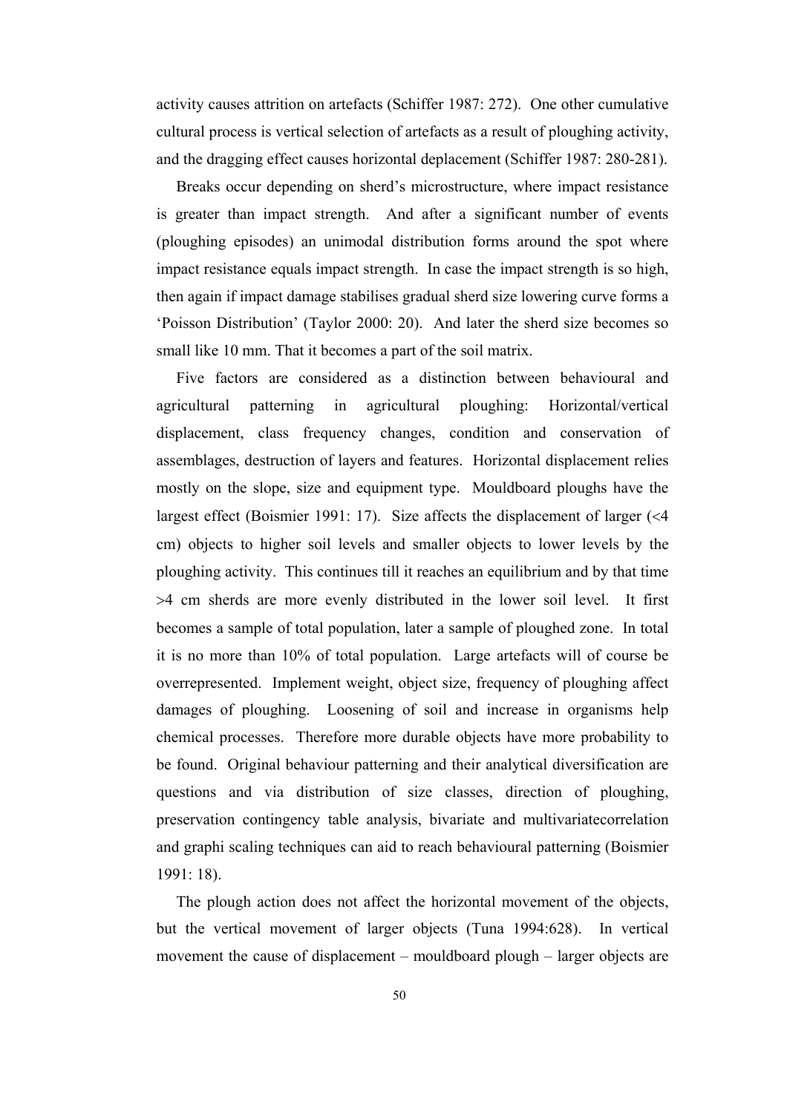activity causes attrition on artefacts (Schiffer 1987: 272). One other cumulative cultural process is vertical selection of artefacts as a result of ploughing activity, and the dragging effect causes horizontal deplacement (Schiffer 1987: 280-281).

 Breaks occur depending on sherd's microstructure, where impact resistance is greater than impact strength. And after a significant number of events (ploughing episodes) an unimodal distribution forms around the spot where impact resistance equals impact strength. In case the impact strength is so high, then again if impact damage stabilises gradual sherd size lowering curve forms a 'Poisson Distribution' (Taylor 2000: 20). And later the sherd size becomes so small like 10 mm. That it becomes a part of the soil matrix.

 Five factors are considered as a distinction between behavioural and agricultural patterning in agricultural ploughing: Horizontal/vertical displacement, class frequency changes, condition and conservation of assemblages, destruction of layers and features. Horizontal displacement relies mostly on the slope, size and equipment type. Mouldboard ploughs have the largest effect (Boismier 1991: 17). Size affects the displacement of larger (<4 cm) objects to higher soil levels and smaller objects to lower levels by the ploughing activity. This continues till it reaches an equilibrium and by that time >4 cm sherds are more evenly distributed in the lower soil level. It first becomes a sample of total population, later a sample of ploughed zone. In total it is no more than 10% of total population. Large artefacts will of course be overrepresented. Implement weight, object size, frequency of ploughing affect damages of ploughing. Loosening of soil and increase in organisms help chemical processes. Therefore more durable objects have more probability to be found. Original behaviour patterning and their analytical diversification are questions and via distribution of size classes, direction of ploughing, preservation contingency table analysis, bivariate and multivariatecorrelation and graphi scaling techniques can aid to reach behavioural patterning (Boismier 1991: 18).

 The plough action does not affect the horizontal movement of the objects, but the vertical movement of larger objects (Tuna 1994:628). In vertical movement the cause of displacement – mouldboard plough – larger objects are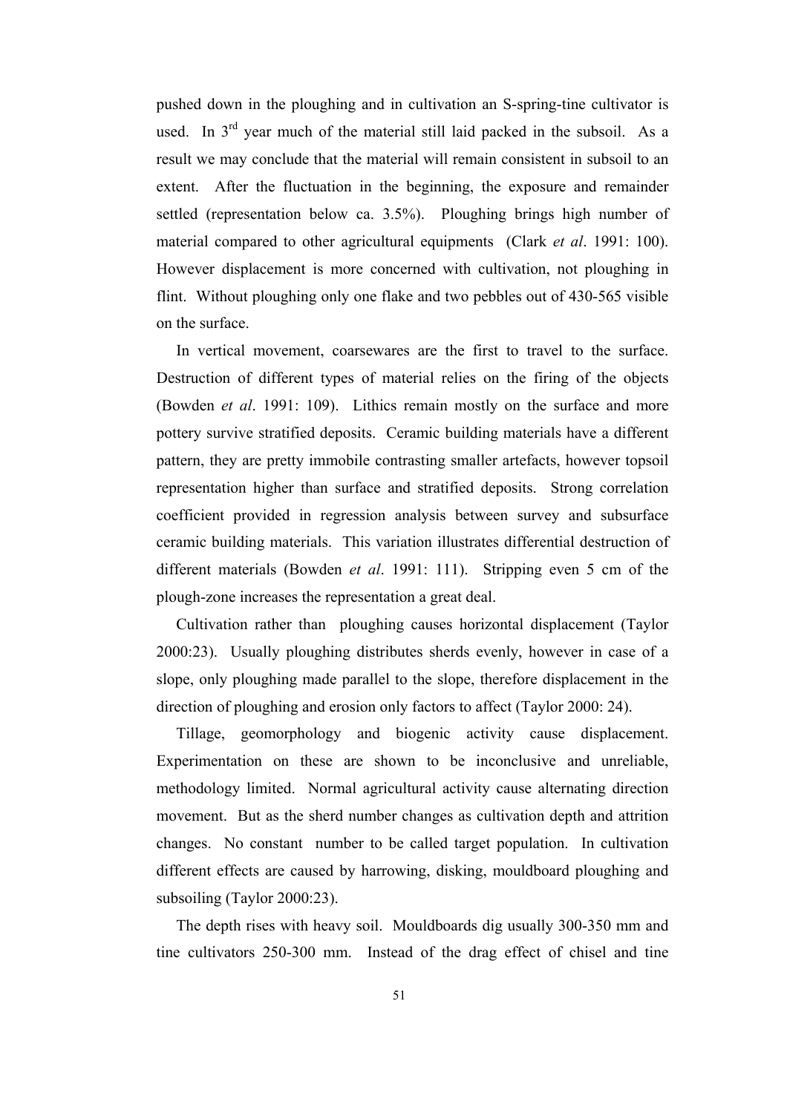pushed down in the ploughing and in cultivation an S-spring-tine cultivator is used. In  $3<sup>rd</sup>$  year much of the material still laid packed in the subsoil. As a result we may conclude that the material will remain consistent in subsoil to an extent. After the fluctuation in the beginning, the exposure and remainder settled (representation below ca. 3.5%). Ploughing brings high number of material compared to other agricultural equipments (Clark *et al*. 1991: 100). However displacement is more concerned with cultivation, not ploughing in flint. Without ploughing only one flake and two pebbles out of 430-565 visible on the surface.

 In vertical movement, coarsewares are the first to travel to the surface. Destruction of different types of material relies on the firing of the objects (Bowden *et al*. 1991: 109). Lithics remain mostly on the surface and more pottery survive stratified deposits. Ceramic building materials have a different pattern, they are pretty immobile contrasting smaller artefacts, however topsoil representation higher than surface and stratified deposits. Strong correlation coefficient provided in regression analysis between survey and subsurface ceramic building materials. This variation illustrates differential destruction of different materials (Bowden *et al*. 1991: 111). Stripping even 5 cm of the plough-zone increases the representation a great deal.

 Cultivation rather than ploughing causes horizontal displacement (Taylor 2000:23). Usually ploughing distributes sherds evenly, however in case of a slope, only ploughing made parallel to the slope, therefore displacement in the direction of ploughing and erosion only factors to affect (Taylor 2000: 24).

 Tillage, geomorphology and biogenic activity cause displacement. Experimentation on these are shown to be inconclusive and unreliable, methodology limited. Normal agricultural activity cause alternating direction movement. But as the sherd number changes as cultivation depth and attrition changes. No constant number to be called target population. In cultivation different effects are caused by harrowing, disking, mouldboard ploughing and subsoiling (Taylor 2000:23).

 The depth rises with heavy soil. Mouldboards dig usually 300-350 mm and tine cultivators 250-300 mm. Instead of the drag effect of chisel and tine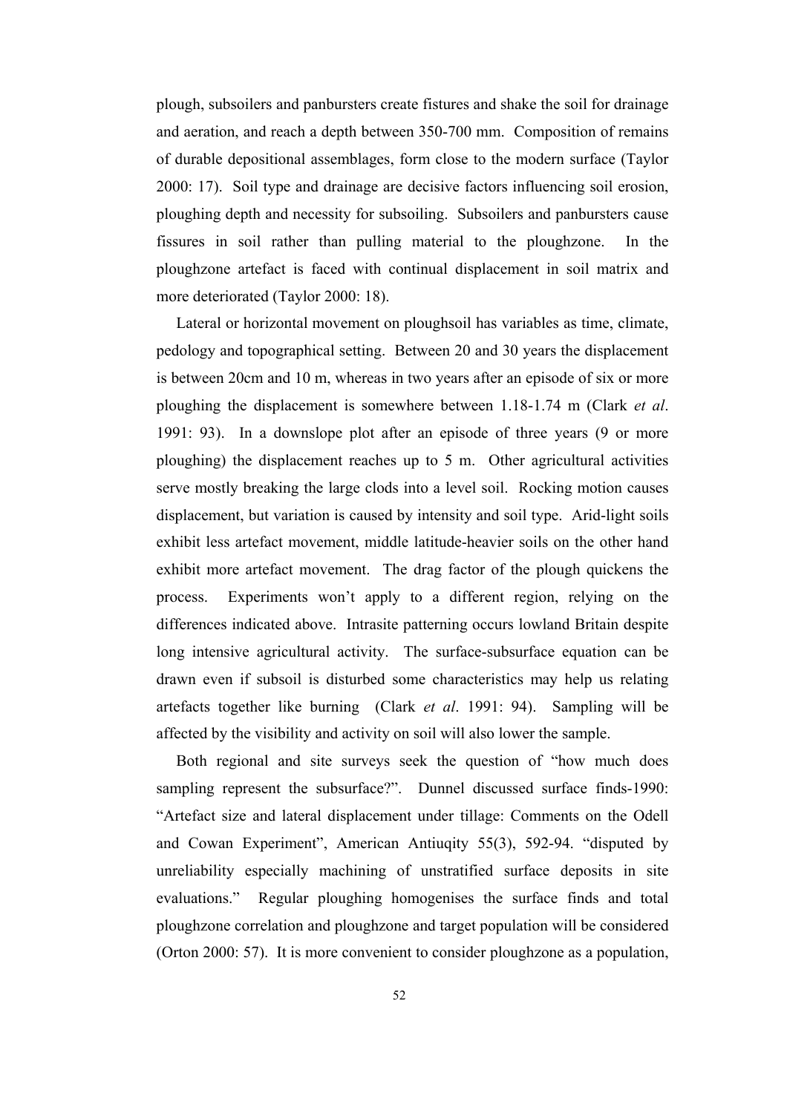plough, subsoilers and panbursters create fistures and shake the soil for drainage and aeration, and reach a depth between 350-700 mm. Composition of remains of durable depositional assemblages, form close to the modern surface (Taylor 2000: 17). Soil type and drainage are decisive factors influencing soil erosion, ploughing depth and necessity for subsoiling. Subsoilers and panbursters cause fissures in soil rather than pulling material to the ploughzone. In the ploughzone artefact is faced with continual displacement in soil matrix and more deteriorated (Taylor 2000: 18).

 Lateral or horizontal movement on ploughsoil has variables as time, climate, pedology and topographical setting. Between 20 and 30 years the displacement is between 20cm and 10 m, whereas in two years after an episode of six or more ploughing the displacement is somewhere between 1.18-1.74 m (Clark *et al*. 1991: 93). In a downslope plot after an episode of three years (9 or more ploughing) the displacement reaches up to 5 m. Other agricultural activities serve mostly breaking the large clods into a level soil. Rocking motion causes displacement, but variation is caused by intensity and soil type. Arid-light soils exhibit less artefact movement, middle latitude-heavier soils on the other hand exhibit more artefact movement. The drag factor of the plough quickens the process. Experiments won't apply to a different region, relying on the differences indicated above. Intrasite patterning occurs lowland Britain despite long intensive agricultural activity. The surface-subsurface equation can be drawn even if subsoil is disturbed some characteristics may help us relating artefacts together like burning (Clark *et al*. 1991: 94). Sampling will be affected by the visibility and activity on soil will also lower the sample.

 Both regional and site surveys seek the question of "how much does sampling represent the subsurface?". Dunnel discussed surface finds-1990: "Artefact size and lateral displacement under tillage: Comments on the Odell and Cowan Experiment", American Antiuqity 55(3), 592-94. "disputed by unreliability especially machining of unstratified surface deposits in site evaluations." Regular ploughing homogenises the surface finds and total ploughzone correlation and ploughzone and target population will be considered (Orton 2000: 57). It is more convenient to consider ploughzone as a population,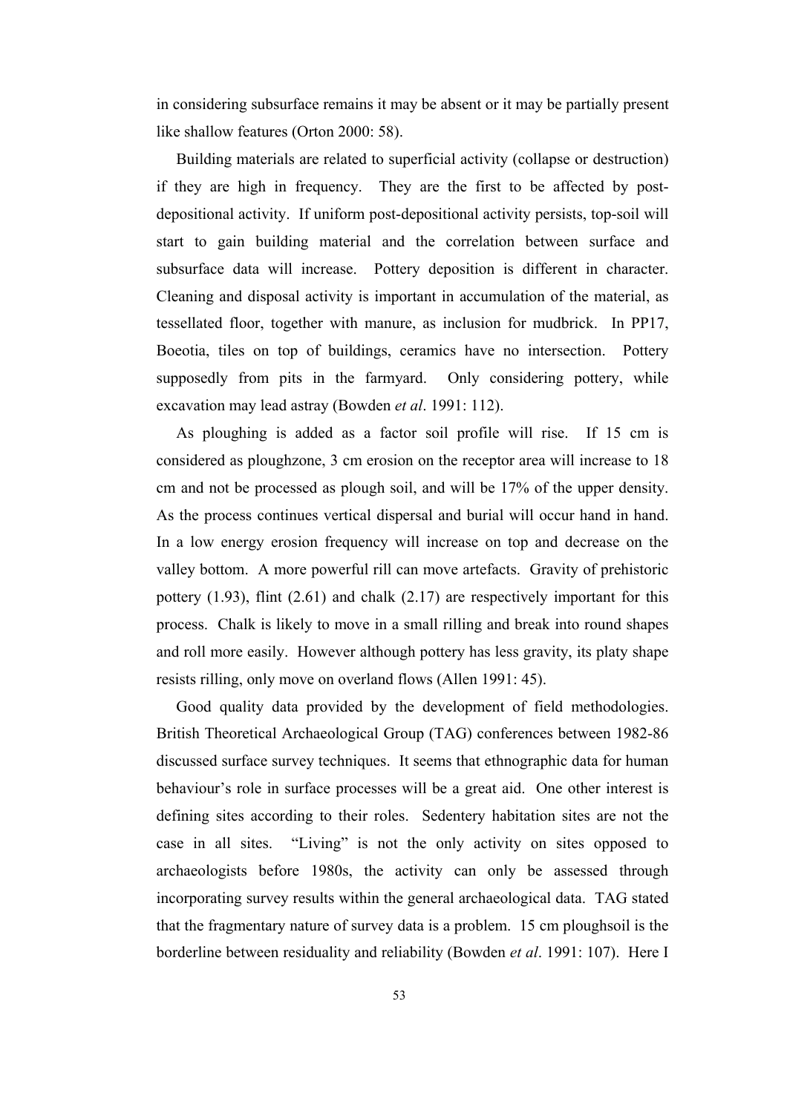in considering subsurface remains it may be absent or it may be partially present like shallow features (Orton 2000: 58).

 Building materials are related to superficial activity (collapse or destruction) if they are high in frequency. They are the first to be affected by postdepositional activity. If uniform post-depositional activity persists, top-soil will start to gain building material and the correlation between surface and subsurface data will increase. Pottery deposition is different in character. Cleaning and disposal activity is important in accumulation of the material, as tessellated floor, together with manure, as inclusion for mudbrick. In PP17, Boeotia, tiles on top of buildings, ceramics have no intersection. Pottery supposedly from pits in the farmyard. Only considering pottery, while excavation may lead astray (Bowden *et al*. 1991: 112).

 As ploughing is added as a factor soil profile will rise. If 15 cm is considered as ploughzone, 3 cm erosion on the receptor area will increase to 18 cm and not be processed as plough soil, and will be 17% of the upper density. As the process continues vertical dispersal and burial will occur hand in hand. In a low energy erosion frequency will increase on top and decrease on the valley bottom. A more powerful rill can move artefacts. Gravity of prehistoric pottery (1.93), flint (2.61) and chalk (2.17) are respectively important for this process. Chalk is likely to move in a small rilling and break into round shapes and roll more easily. However although pottery has less gravity, its platy shape resists rilling, only move on overland flows (Allen 1991: 45).

 Good quality data provided by the development of field methodologies. British Theoretical Archaeological Group (TAG) conferences between 1982-86 discussed surface survey techniques. It seems that ethnographic data for human behaviour's role in surface processes will be a great aid. One other interest is defining sites according to their roles. Sedentery habitation sites are not the case in all sites. "Living" is not the only activity on sites opposed to archaeologists before 1980s, the activity can only be assessed through incorporating survey results within the general archaeological data. TAG stated that the fragmentary nature of survey data is a problem. 15 cm ploughsoil is the borderline between residuality and reliability (Bowden *et al*. 1991: 107). Here I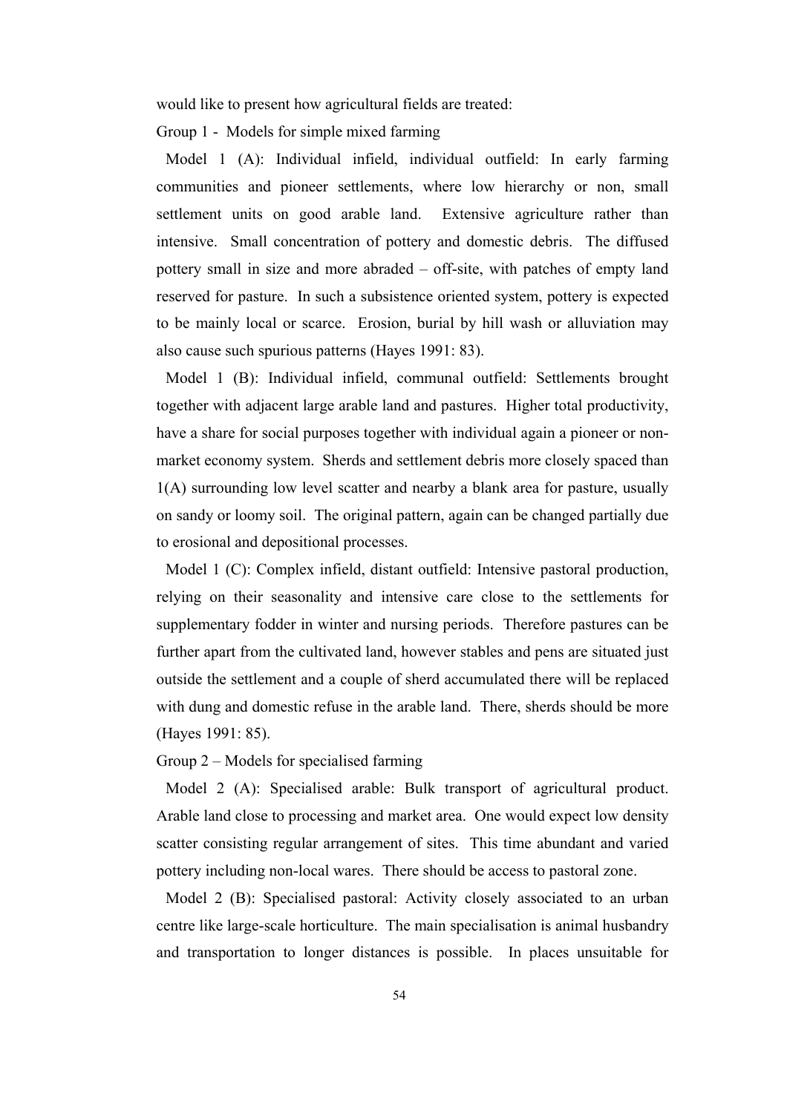would like to present how agricultural fields are treated:

Group 1 - Models for simple mixed farming

 Model 1 (A): Individual infield, individual outfield: In early farming communities and pioneer settlements, where low hierarchy or non, small settlement units on good arable land. Extensive agriculture rather than intensive. Small concentration of pottery and domestic debris. The diffused pottery small in size and more abraded – off-site, with patches of empty land reserved for pasture. In such a subsistence oriented system, pottery is expected to be mainly local or scarce. Erosion, burial by hill wash or alluviation may also cause such spurious patterns (Hayes 1991: 83).

 Model 1 (B): Individual infield, communal outfield: Settlements brought together with adjacent large arable land and pastures. Higher total productivity, have a share for social purposes together with individual again a pioneer or nonmarket economy system. Sherds and settlement debris more closely spaced than 1(A) surrounding low level scatter and nearby a blank area for pasture, usually on sandy or loomy soil. The original pattern, again can be changed partially due to erosional and depositional processes.

 Model 1 (C): Complex infield, distant outfield: Intensive pastoral production, relying on their seasonality and intensive care close to the settlements for supplementary fodder in winter and nursing periods. Therefore pastures can be further apart from the cultivated land, however stables and pens are situated just outside the settlement and a couple of sherd accumulated there will be replaced with dung and domestic refuse in the arable land. There, sherds should be more (Hayes 1991: 85).

Group 2 – Models for specialised farming

 Model 2 (A): Specialised arable: Bulk transport of agricultural product. Arable land close to processing and market area. One would expect low density scatter consisting regular arrangement of sites. This time abundant and varied pottery including non-local wares. There should be access to pastoral zone.

 Model 2 (B): Specialised pastoral: Activity closely associated to an urban centre like large-scale horticulture. The main specialisation is animal husbandry and transportation to longer distances is possible. In places unsuitable for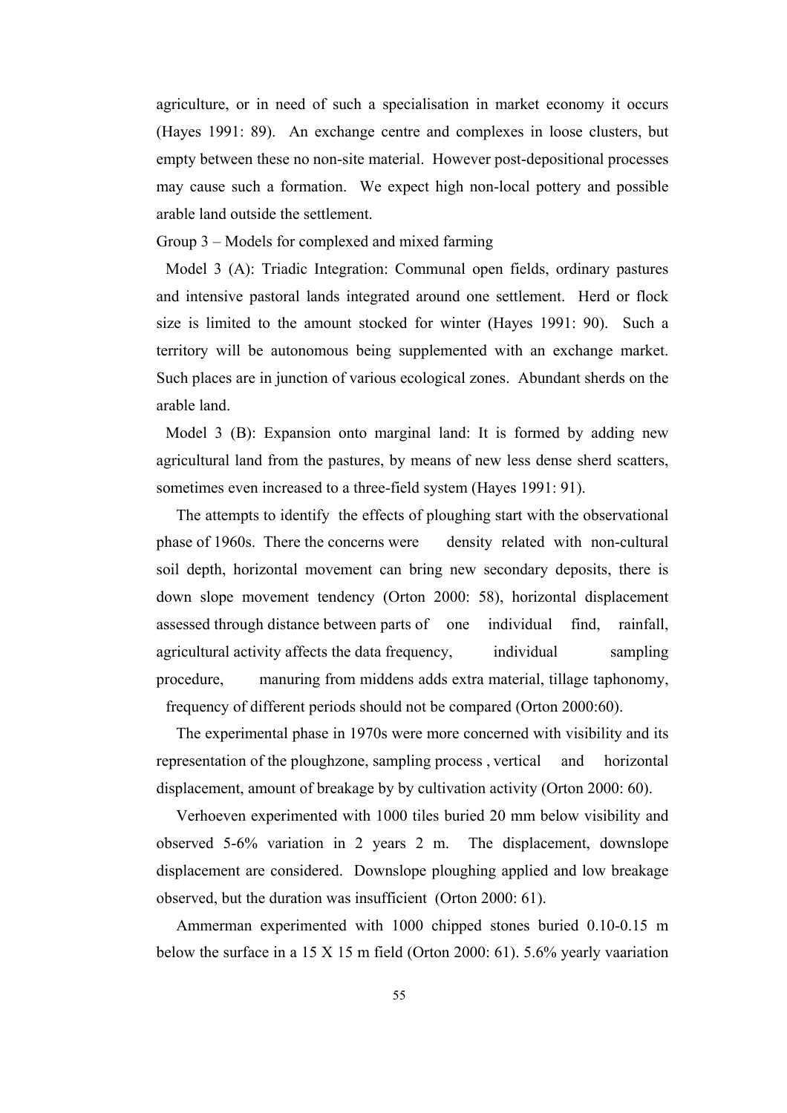agriculture, or in need of such a specialisation in market economy it occurs (Hayes 1991: 89). An exchange centre and complexes in loose clusters, but empty between these no non-site material. However post-depositional processes may cause such a formation. We expect high non-local pottery and possible arable land outside the settlement.

Group 3 – Models for complexed and mixed farming

 Model 3 (A): Triadic Integration: Communal open fields, ordinary pastures and intensive pastoral lands integrated around one settlement. Herd or flock size is limited to the amount stocked for winter (Hayes 1991: 90). Such a territory will be autonomous being supplemented with an exchange market. Such places are in junction of various ecological zones. Abundant sherds on the arable land.

 Model 3 (B): Expansion onto marginal land: It is formed by adding new agricultural land from the pastures, by means of new less dense sherd scatters, sometimes even increased to a three-field system (Hayes 1991: 91).

 The attempts to identify the effects of ploughing start with the observational phase of 1960s. There the concerns were density related with non-cultural soil depth, horizontal movement can bring new secondary deposits, there is down slope movement tendency (Orton 2000: 58), horizontal displacement assessed through distance between parts of one individual find, rainfall, agricultural activity affects the data frequency, individual sampling procedure, manuring from middens adds extra material, tillage taphonomy, frequency of different periods should not be compared (Orton 2000:60).

 The experimental phase in 1970s were more concerned with visibility and its representation of the ploughzone, sampling process , vertical and horizontal displacement, amount of breakage by by cultivation activity (Orton 2000: 60).

 Verhoeven experimented with 1000 tiles buried 20 mm below visibility and observed 5-6% variation in 2 years 2 m. The displacement, downslope displacement are considered. Downslope ploughing applied and low breakage observed, but the duration was insufficient (Orton 2000: 61).

 Ammerman experimented with 1000 chipped stones buried 0.10-0.15 m below the surface in a 15 X 15 m field (Orton 2000: 61). 5.6% yearly vaariation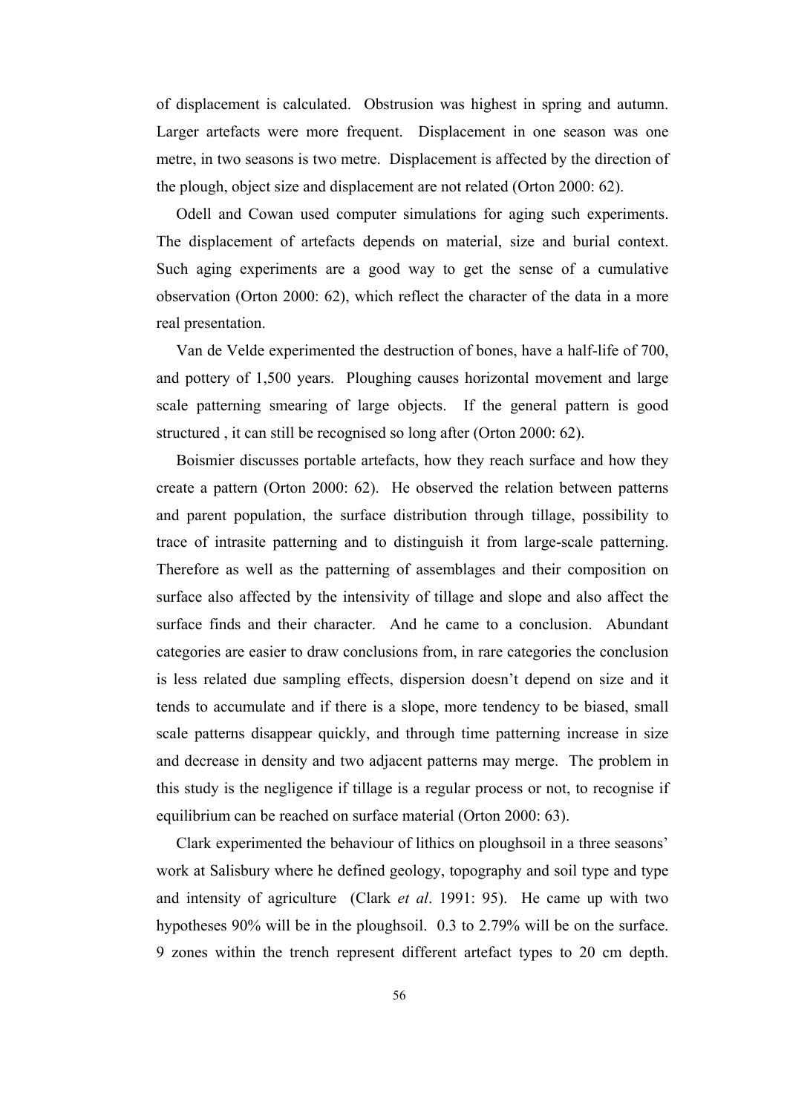of displacement is calculated. Obstrusion was highest in spring and autumn. Larger artefacts were more frequent. Displacement in one season was one metre, in two seasons is two metre. Displacement is affected by the direction of the plough, object size and displacement are not related (Orton 2000: 62).

 Odell and Cowan used computer simulations for aging such experiments. The displacement of artefacts depends on material, size and burial context. Such aging experiments are a good way to get the sense of a cumulative observation (Orton 2000: 62), which reflect the character of the data in a more real presentation.

 Van de Velde experimented the destruction of bones, have a half-life of 700, and pottery of 1,500 years. Ploughing causes horizontal movement and large scale patterning smearing of large objects. If the general pattern is good structured , it can still be recognised so long after (Orton 2000: 62).

 Boismier discusses portable artefacts, how they reach surface and how they create a pattern (Orton 2000: 62). He observed the relation between patterns and parent population, the surface distribution through tillage, possibility to trace of intrasite patterning and to distinguish it from large-scale patterning. Therefore as well as the patterning of assemblages and their composition on surface also affected by the intensivity of tillage and slope and also affect the surface finds and their character. And he came to a conclusion. Abundant categories are easier to draw conclusions from, in rare categories the conclusion is less related due sampling effects, dispersion doesn't depend on size and it tends to accumulate and if there is a slope, more tendency to be biased, small scale patterns disappear quickly, and through time patterning increase in size and decrease in density and two adjacent patterns may merge. The problem in this study is the negligence if tillage is a regular process or not, to recognise if equilibrium can be reached on surface material (Orton 2000: 63).

 Clark experimented the behaviour of lithics on ploughsoil in a three seasons' work at Salisbury where he defined geology, topography and soil type and type and intensity of agriculture (Clark *et al*. 1991: 95). He came up with two hypotheses 90% will be in the ploughsoil. 0.3 to 2.79% will be on the surface. 9 zones within the trench represent different artefact types to 20 cm depth.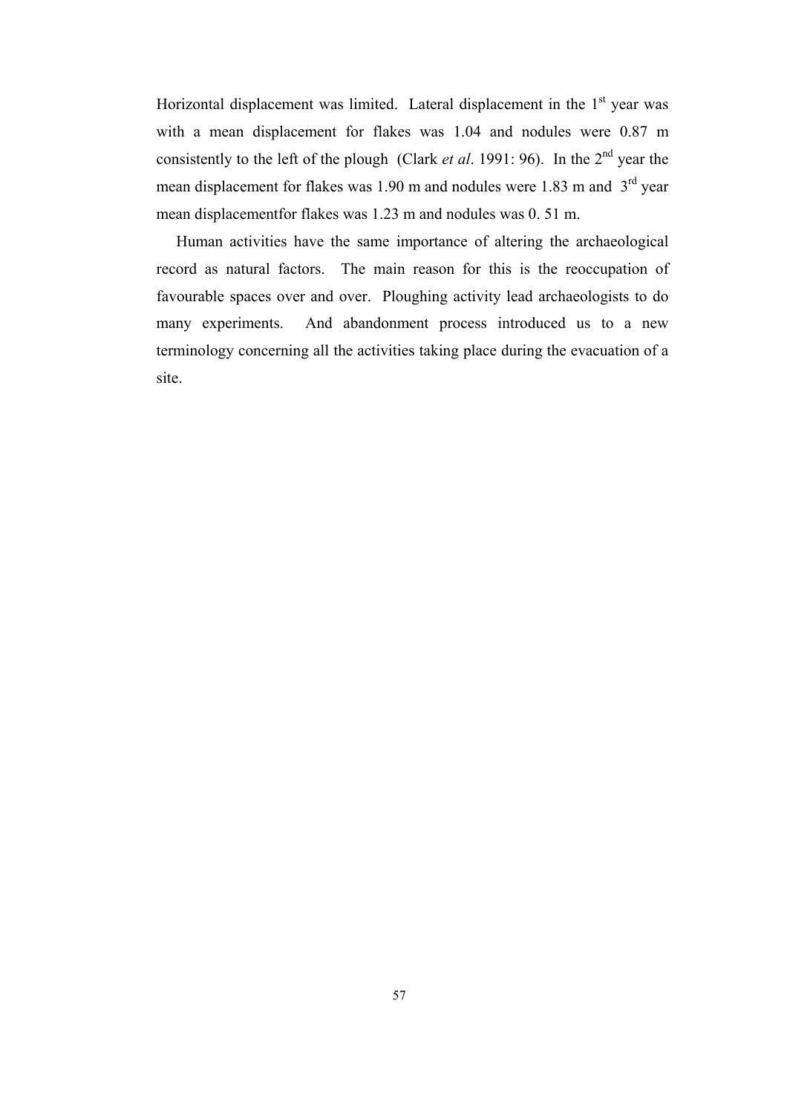Horizontal displacement was limited. Lateral displacement in the  $1<sup>st</sup>$  year was with a mean displacement for flakes was 1.04 and nodules were 0.87 m consistently to the left of the plough (Clark *et al.* 1991: 96). In the 2<sup>nd</sup> year the mean displacement for flakes was 1.90 m and nodules were 1.83 m and  $3<sup>rd</sup>$  year mean displacementfor flakes was 1.23 m and nodules was 0. 51 m.

 Human activities have the same importance of altering the archaeological record as natural factors. The main reason for this is the reoccupation of favourable spaces over and over. Ploughing activity lead archaeologists to do many experiments. And abandonment process introduced us to a new terminology concerning all the activities taking place during the evacuation of a site.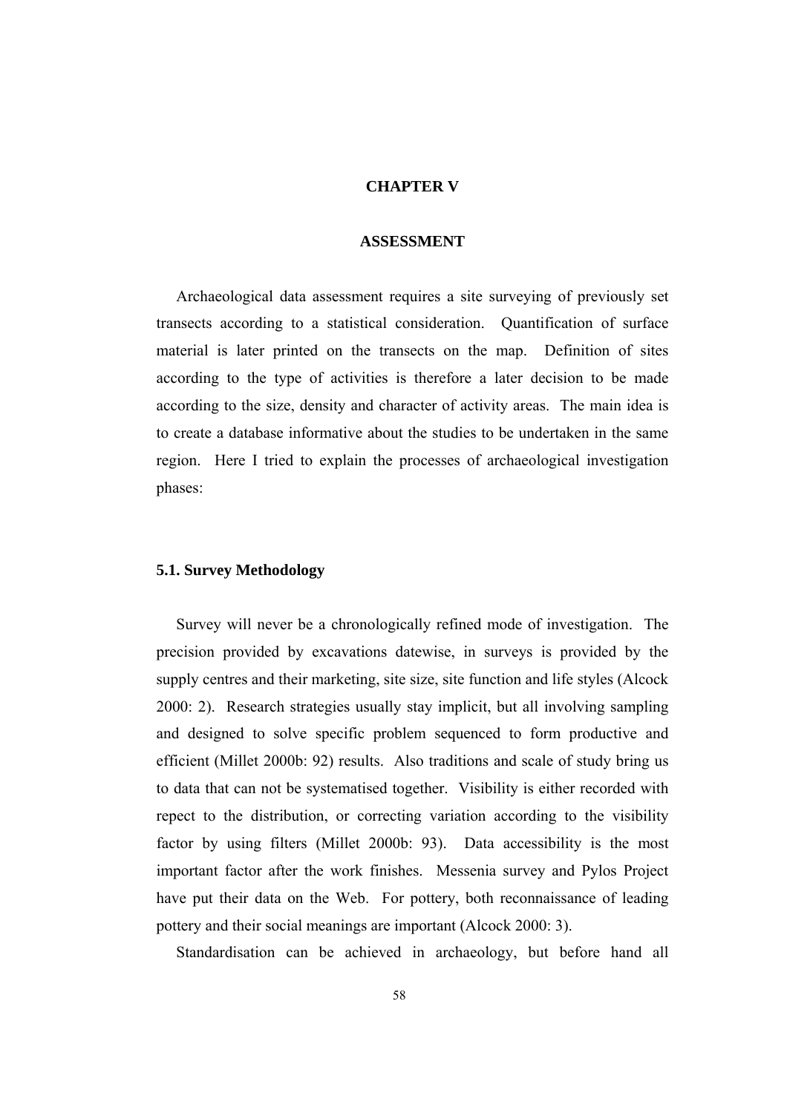# **CHAPTER V**

#### **ASSESSMENT**

 Archaeological data assessment requires a site surveying of previously set transects according to a statistical consideration. Quantification of surface material is later printed on the transects on the map. Definition of sites according to the type of activities is therefore a later decision to be made according to the size, density and character of activity areas. The main idea is to create a database informative about the studies to be undertaken in the same region. Here I tried to explain the processes of archaeological investigation phases:

## **5.1. Survey Methodology**

 Survey will never be a chronologically refined mode of investigation. The precision provided by excavations datewise, in surveys is provided by the supply centres and their marketing, site size, site function and life styles (Alcock 2000: 2). Research strategies usually stay implicit, but all involving sampling and designed to solve specific problem sequenced to form productive and efficient (Millet 2000b: 92) results. Also traditions and scale of study bring us to data that can not be systematised together. Visibility is either recorded with repect to the distribution, or correcting variation according to the visibility factor by using filters (Millet 2000b: 93). Data accessibility is the most important factor after the work finishes. Messenia survey and Pylos Project have put their data on the Web. For pottery, both reconnaissance of leading pottery and their social meanings are important (Alcock 2000: 3).

Standardisation can be achieved in archaeology, but before hand all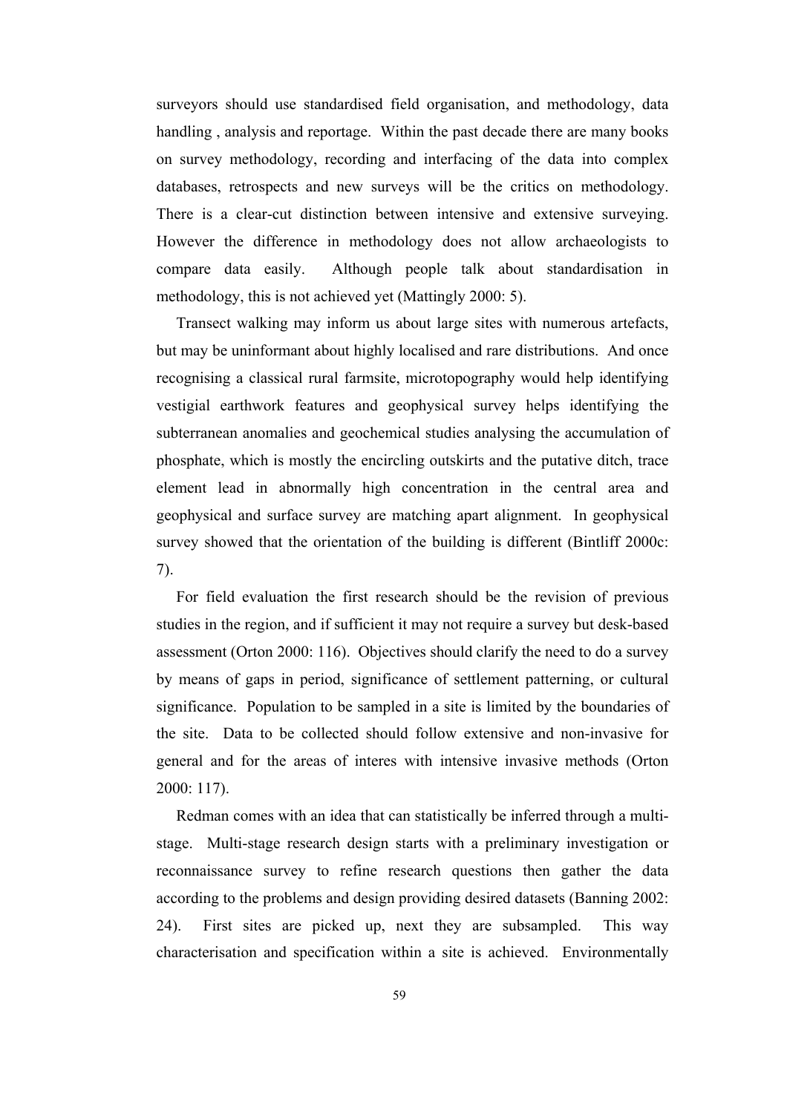surveyors should use standardised field organisation, and methodology, data handling , analysis and reportage. Within the past decade there are many books on survey methodology, recording and interfacing of the data into complex databases, retrospects and new surveys will be the critics on methodology. There is a clear-cut distinction between intensive and extensive surveying. However the difference in methodology does not allow archaeologists to compare data easily. Although people talk about standardisation in methodology, this is not achieved yet (Mattingly 2000: 5).

 Transect walking may inform us about large sites with numerous artefacts, but may be uninformant about highly localised and rare distributions. And once recognising a classical rural farmsite, microtopography would help identifying vestigial earthwork features and geophysical survey helps identifying the subterranean anomalies and geochemical studies analysing the accumulation of phosphate, which is mostly the encircling outskirts and the putative ditch, trace element lead in abnormally high concentration in the central area and geophysical and surface survey are matching apart alignment. In geophysical survey showed that the orientation of the building is different (Bintliff 2000c: 7).

 For field evaluation the first research should be the revision of previous studies in the region, and if sufficient it may not require a survey but desk-based assessment (Orton 2000: 116). Objectives should clarify the need to do a survey by means of gaps in period, significance of settlement patterning, or cultural significance. Population to be sampled in a site is limited by the boundaries of the site. Data to be collected should follow extensive and non-invasive for general and for the areas of interes with intensive invasive methods (Orton 2000: 117).

 Redman comes with an idea that can statistically be inferred through a multistage. Multi-stage research design starts with a preliminary investigation or reconnaissance survey to refine research questions then gather the data according to the problems and design providing desired datasets (Banning 2002: 24). First sites are picked up, next they are subsampled. This way characterisation and specification within a site is achieved. Environmentally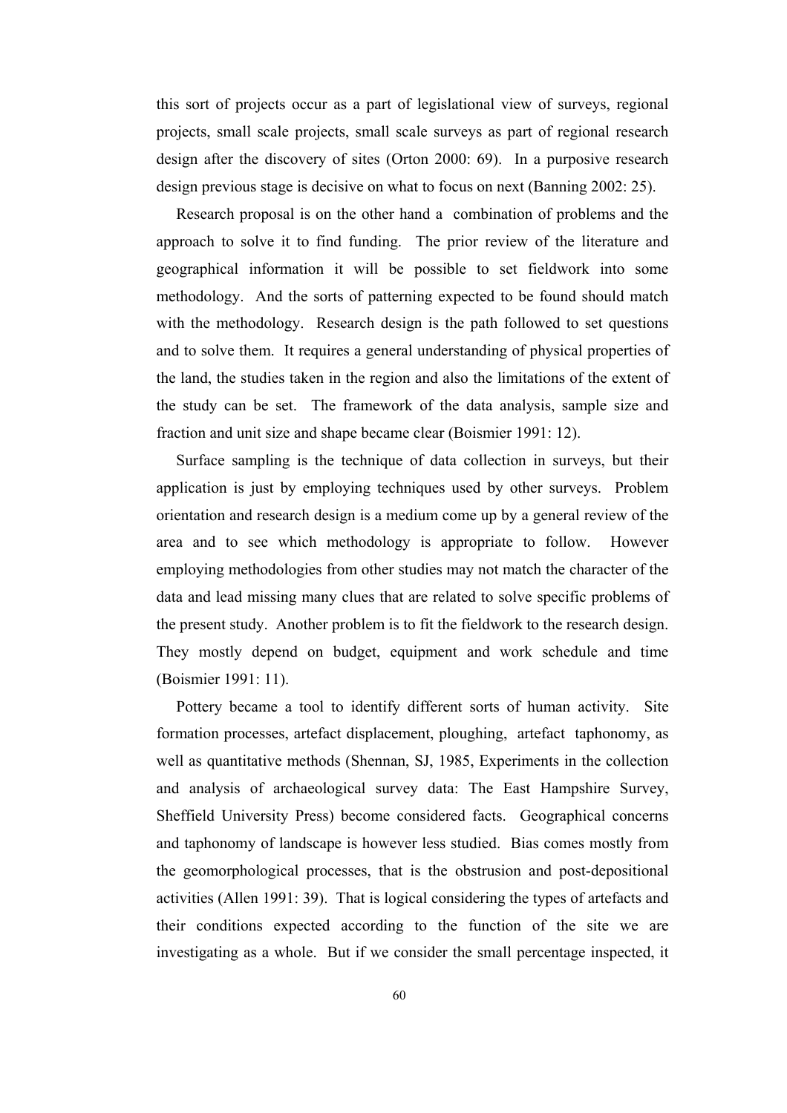this sort of projects occur as a part of legislational view of surveys, regional projects, small scale projects, small scale surveys as part of regional research design after the discovery of sites (Orton 2000: 69). In a purposive research design previous stage is decisive on what to focus on next (Banning 2002: 25).

 Research proposal is on the other hand a combination of problems and the approach to solve it to find funding. The prior review of the literature and geographical information it will be possible to set fieldwork into some methodology. And the sorts of patterning expected to be found should match with the methodology. Research design is the path followed to set questions and to solve them. It requires a general understanding of physical properties of the land, the studies taken in the region and also the limitations of the extent of the study can be set. The framework of the data analysis, sample size and fraction and unit size and shape became clear (Boismier 1991: 12).

Surface sampling is the technique of data collection in surveys, but their application is just by employing techniques used by other surveys. Problem orientation and research design is a medium come up by a general review of the area and to see which methodology is appropriate to follow. However employing methodologies from other studies may not match the character of the data and lead missing many clues that are related to solve specific problems of the present study. Another problem is to fit the fieldwork to the research design. They mostly depend on budget, equipment and work schedule and time (Boismier 1991: 11).

 Pottery became a tool to identify different sorts of human activity. Site formation processes, artefact displacement, ploughing, artefact taphonomy, as well as quantitative methods (Shennan, SJ, 1985, Experiments in the collection and analysis of archaeological survey data: The East Hampshire Survey, Sheffield University Press) become considered facts. Geographical concerns and taphonomy of landscape is however less studied. Bias comes mostly from the geomorphological processes, that is the obstrusion and post-depositional activities (Allen 1991: 39). That is logical considering the types of artefacts and their conditions expected according to the function of the site we are investigating as a whole. But if we consider the small percentage inspected, it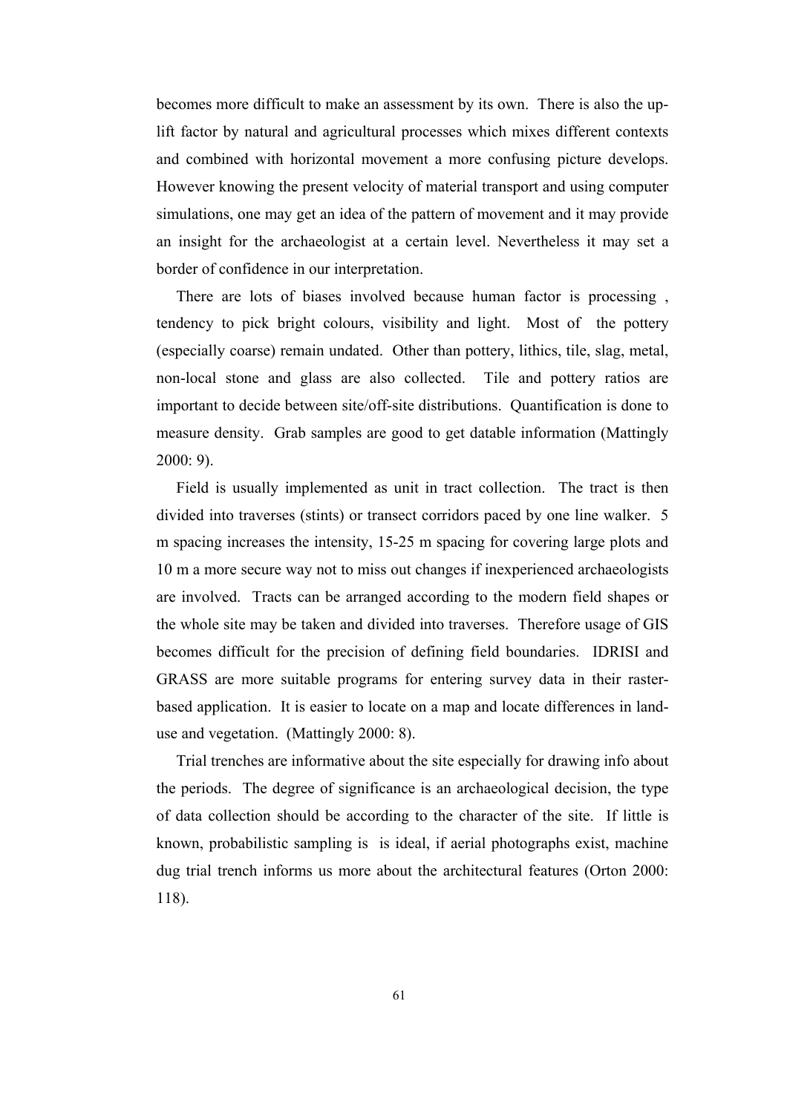becomes more difficult to make an assessment by its own. There is also the uplift factor by natural and agricultural processes which mixes different contexts and combined with horizontal movement a more confusing picture develops. However knowing the present velocity of material transport and using computer simulations, one may get an idea of the pattern of movement and it may provide an insight for the archaeologist at a certain level. Nevertheless it may set a border of confidence in our interpretation.

 There are lots of biases involved because human factor is processing , tendency to pick bright colours, visibility and light. Most of the pottery (especially coarse) remain undated. Other than pottery, lithics, tile, slag, metal, non-local stone and glass are also collected. Tile and pottery ratios are important to decide between site/off-site distributions. Quantification is done to measure density. Grab samples are good to get datable information (Mattingly 2000: 9).

 Field is usually implemented as unit in tract collection. The tract is then divided into traverses (stints) or transect corridors paced by one line walker. 5 m spacing increases the intensity, 15-25 m spacing for covering large plots and 10 m a more secure way not to miss out changes if inexperienced archaeologists are involved. Tracts can be arranged according to the modern field shapes or the whole site may be taken and divided into traverses. Therefore usage of GIS becomes difficult for the precision of defining field boundaries. IDRISI and GRASS are more suitable programs for entering survey data in their rasterbased application. It is easier to locate on a map and locate differences in landuse and vegetation. (Mattingly 2000: 8).

 Trial trenches are informative about the site especially for drawing info about the periods. The degree of significance is an archaeological decision, the type of data collection should be according to the character of the site. If little is known, probabilistic sampling is is ideal, if aerial photographs exist, machine dug trial trench informs us more about the architectural features (Orton 2000: 118).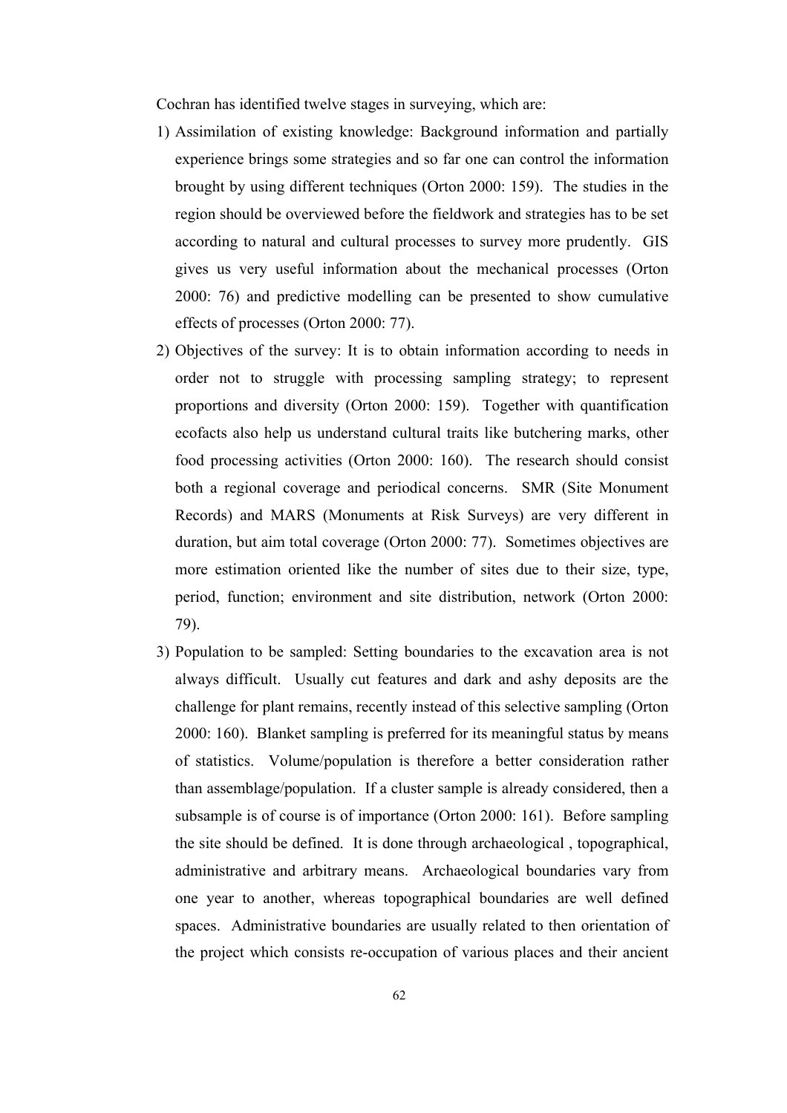Cochran has identified twelve stages in surveying, which are:

- 1) Assimilation of existing knowledge: Background information and partially experience brings some strategies and so far one can control the information brought by using different techniques (Orton 2000: 159). The studies in the region should be overviewed before the fieldwork and strategies has to be set according to natural and cultural processes to survey more prudently. GIS gives us very useful information about the mechanical processes (Orton 2000: 76) and predictive modelling can be presented to show cumulative effects of processes (Orton 2000: 77).
- 2) Objectives of the survey: It is to obtain information according to needs in order not to struggle with processing sampling strategy; to represent proportions and diversity (Orton 2000: 159). Together with quantification ecofacts also help us understand cultural traits like butchering marks, other food processing activities (Orton 2000: 160). The research should consist both a regional coverage and periodical concerns. SMR (Site Monument Records) and MARS (Monuments at Risk Surveys) are very different in duration, but aim total coverage (Orton 2000: 77). Sometimes objectives are more estimation oriented like the number of sites due to their size, type, period, function; environment and site distribution, network (Orton 2000: 79).
- 3) Population to be sampled: Setting boundaries to the excavation area is not always difficult. Usually cut features and dark and ashy deposits are the challenge for plant remains, recently instead of this selective sampling (Orton 2000: 160). Blanket sampling is preferred for its meaningful status by means of statistics. Volume/population is therefore a better consideration rather than assemblage/population. If a cluster sample is already considered, then a subsample is of course is of importance (Orton 2000: 161). Before sampling the site should be defined. It is done through archaeological , topographical, administrative and arbitrary means. Archaeological boundaries vary from one year to another, whereas topographical boundaries are well defined spaces. Administrative boundaries are usually related to then orientation of the project which consists re-occupation of various places and their ancient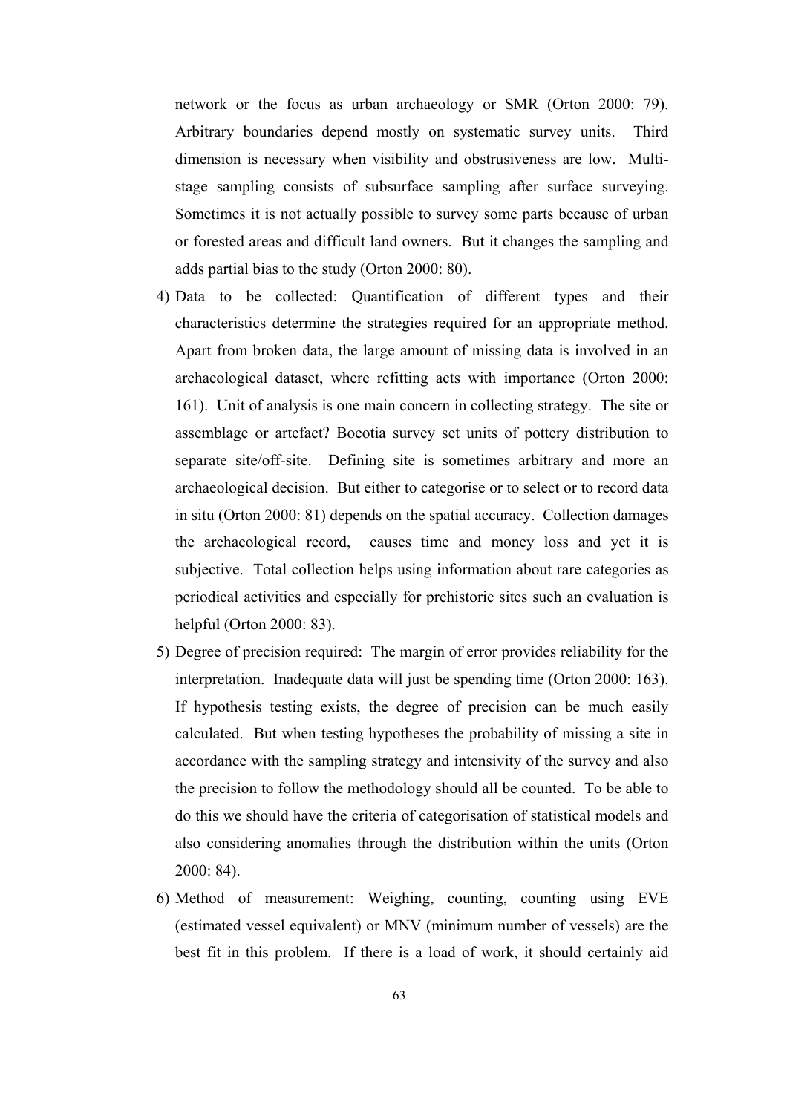network or the focus as urban archaeology or SMR (Orton 2000: 79). Arbitrary boundaries depend mostly on systematic survey units. Third dimension is necessary when visibility and obstrusiveness are low. Multistage sampling consists of subsurface sampling after surface surveying. Sometimes it is not actually possible to survey some parts because of urban or forested areas and difficult land owners. But it changes the sampling and adds partial bias to the study (Orton 2000: 80).

- 4) Data to be collected: Quantification of different types and their characteristics determine the strategies required for an appropriate method. Apart from broken data, the large amount of missing data is involved in an archaeological dataset, where refitting acts with importance (Orton 2000: 161). Unit of analysis is one main concern in collecting strategy. The site or assemblage or artefact? Boeotia survey set units of pottery distribution to separate site/off-site. Defining site is sometimes arbitrary and more an archaeological decision. But either to categorise or to select or to record data in situ (Orton 2000: 81) depends on the spatial accuracy. Collection damages the archaeological record, causes time and money loss and yet it is subjective. Total collection helps using information about rare categories as periodical activities and especially for prehistoric sites such an evaluation is helpful (Orton 2000: 83).
- 5) Degree of precision required: The margin of error provides reliability for the interpretation. Inadequate data will just be spending time (Orton 2000: 163). If hypothesis testing exists, the degree of precision can be much easily calculated. But when testing hypotheses the probability of missing a site in accordance with the sampling strategy and intensivity of the survey and also the precision to follow the methodology should all be counted. To be able to do this we should have the criteria of categorisation of statistical models and also considering anomalies through the distribution within the units (Orton 2000: 84).
- 6) Method of measurement: Weighing, counting, counting using EVE (estimated vessel equivalent) or MNV (minimum number of vessels) are the best fit in this problem. If there is a load of work, it should certainly aid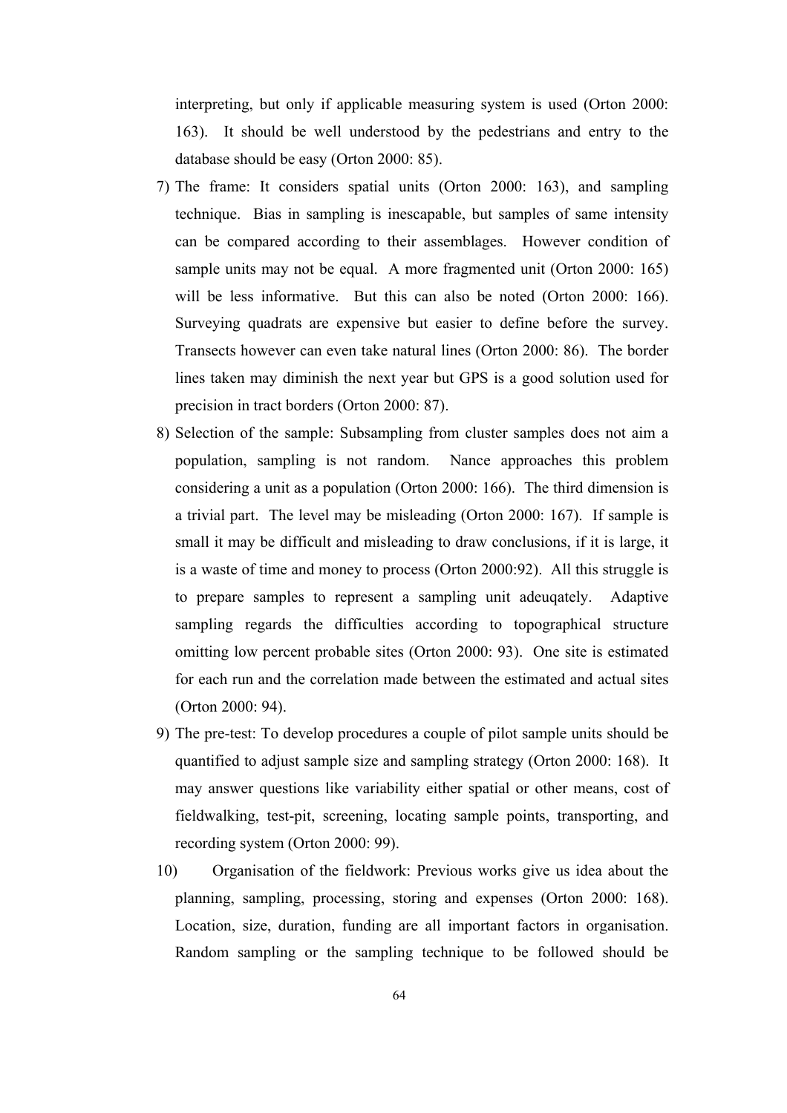interpreting, but only if applicable measuring system is used (Orton 2000: 163). It should be well understood by the pedestrians and entry to the database should be easy (Orton 2000: 85).

- 7) The frame: It considers spatial units (Orton 2000: 163), and sampling technique. Bias in sampling is inescapable, but samples of same intensity can be compared according to their assemblages. However condition of sample units may not be equal. A more fragmented unit (Orton 2000: 165) will be less informative. But this can also be noted (Orton 2000: 166). Surveying quadrats are expensive but easier to define before the survey. Transects however can even take natural lines (Orton 2000: 86). The border lines taken may diminish the next year but GPS is a good solution used for precision in tract borders (Orton 2000: 87).
- 8) Selection of the sample: Subsampling from cluster samples does not aim a population, sampling is not random. Nance approaches this problem considering a unit as a population (Orton 2000: 166). The third dimension is a trivial part. The level may be misleading (Orton 2000: 167). If sample is small it may be difficult and misleading to draw conclusions, if it is large, it is a waste of time and money to process (Orton 2000:92). All this struggle is to prepare samples to represent a sampling unit adeuqately. Adaptive sampling regards the difficulties according to topographical structure omitting low percent probable sites (Orton 2000: 93). One site is estimated for each run and the correlation made between the estimated and actual sites (Orton 2000: 94).
- 9) The pre-test: To develop procedures a couple of pilot sample units should be quantified to adjust sample size and sampling strategy (Orton 2000: 168). It may answer questions like variability either spatial or other means, cost of fieldwalking, test-pit, screening, locating sample points, transporting, and recording system (Orton 2000: 99).
- 10) Organisation of the fieldwork: Previous works give us idea about the planning, sampling, processing, storing and expenses (Orton 2000: 168). Location, size, duration, funding are all important factors in organisation. Random sampling or the sampling technique to be followed should be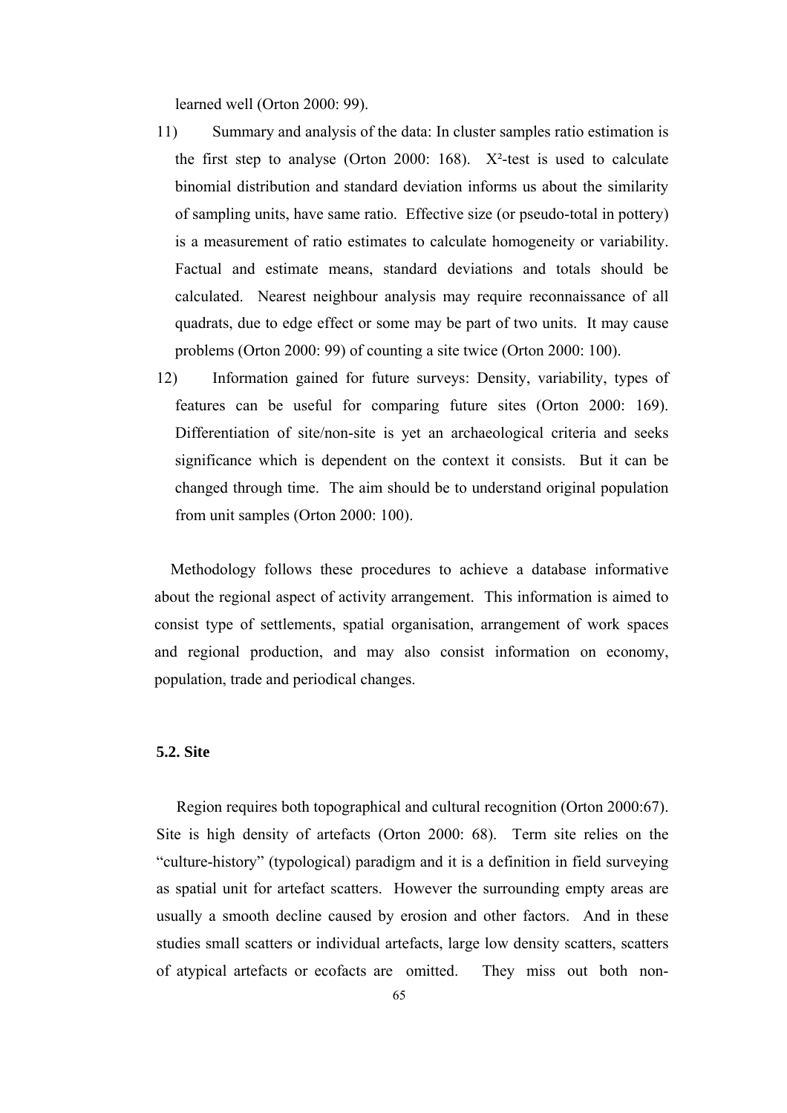learned well (Orton 2000: 99).

- 11) Summary and analysis of the data: In cluster samples ratio estimation is the first step to analyse (Orton 2000: 168).  $X^2$ -test is used to calculate binomial distribution and standard deviation informs us about the similarity of sampling units, have same ratio. Effective size (or pseudo-total in pottery) is a measurement of ratio estimates to calculate homogeneity or variability. Factual and estimate means, standard deviations and totals should be calculated. Nearest neighbour analysis may require reconnaissance of all quadrats, due to edge effect or some may be part of two units. It may cause problems (Orton 2000: 99) of counting a site twice (Orton 2000: 100).
- 12) Information gained for future surveys: Density, variability, types of features can be useful for comparing future sites (Orton 2000: 169). Differentiation of site/non-site is yet an archaeological criteria and seeks significance which is dependent on the context it consists. But it can be changed through time. The aim should be to understand original population from unit samples (Orton 2000: 100).

 Methodology follows these procedures to achieve a database informative about the regional aspect of activity arrangement. This information is aimed to consist type of settlements, spatial organisation, arrangement of work spaces and regional production, and may also consist information on economy, population, trade and periodical changes.

# **5.2. Site**

 Region requires both topographical and cultural recognition (Orton 2000:67). Site is high density of artefacts (Orton 2000: 68). Term site relies on the "culture-history" (typological) paradigm and it is a definition in field surveying as spatial unit for artefact scatters. However the surrounding empty areas are usually a smooth decline caused by erosion and other factors. And in these studies small scatters or individual artefacts, large low density scatters, scatters of atypical artefacts or ecofacts are omitted. They miss out both non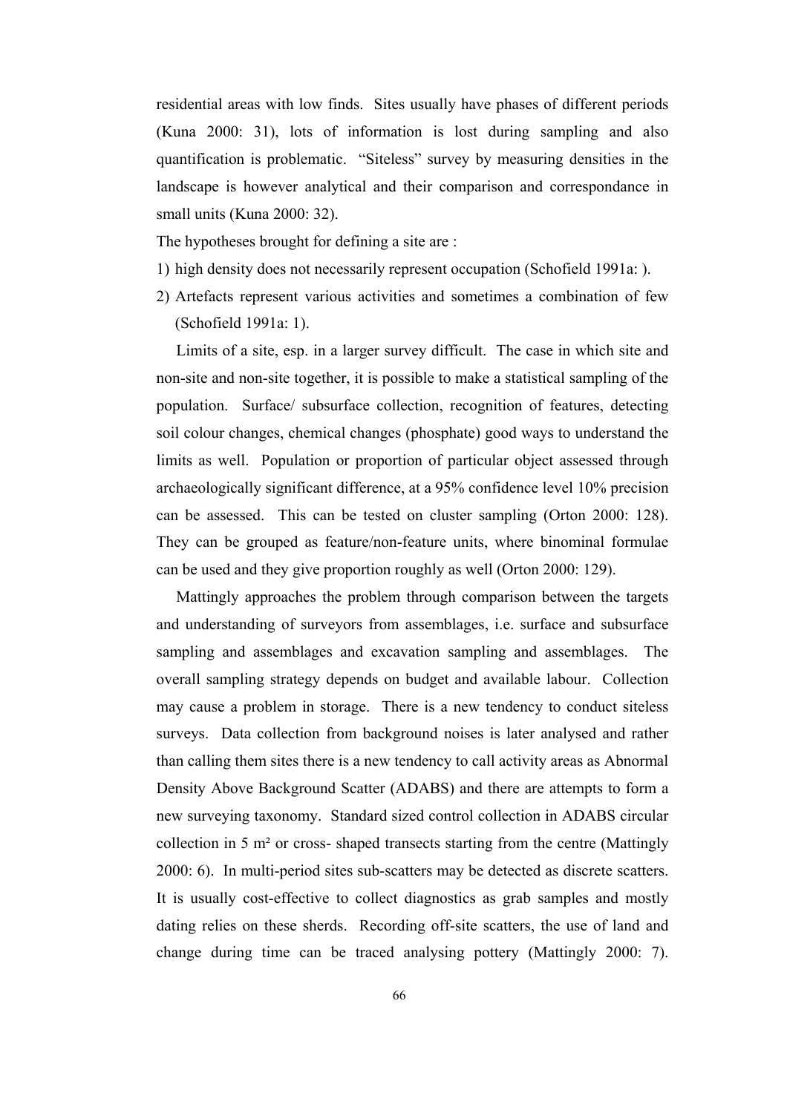residential areas with low finds. Sites usually have phases of different periods (Kuna 2000: 31), lots of information is lost during sampling and also quantification is problematic. "Siteless" survey by measuring densities in the landscape is however analytical and their comparison and correspondance in small units (Kuna 2000: 32).

The hypotheses brought for defining a site are :

- 1) high density does not necessarily represent occupation (Schofield 1991a: ).
- 2) Artefacts represent various activities and sometimes a combination of few (Schofield 1991a: 1).

 Limits of a site, esp. in a larger survey difficult. The case in which site and non-site and non-site together, it is possible to make a statistical sampling of the population. Surface/ subsurface collection, recognition of features, detecting soil colour changes, chemical changes (phosphate) good ways to understand the limits as well. Population or proportion of particular object assessed through archaeologically significant difference, at a 95% confidence level 10% precision can be assessed. This can be tested on cluster sampling (Orton 2000: 128). They can be grouped as feature/non-feature units, where binominal formulae can be used and they give proportion roughly as well (Orton 2000: 129).

 Mattingly approaches the problem through comparison between the targets and understanding of surveyors from assemblages, i.e. surface and subsurface sampling and assemblages and excavation sampling and assemblages. The overall sampling strategy depends on budget and available labour. Collection may cause a problem in storage. There is a new tendency to conduct siteless surveys. Data collection from background noises is later analysed and rather than calling them sites there is a new tendency to call activity areas as Abnormal Density Above Background Scatter (ADABS) and there are attempts to form a new surveying taxonomy. Standard sized control collection in ADABS circular collection in 5 m² or cross- shaped transects starting from the centre (Mattingly 2000: 6). In multi-period sites sub-scatters may be detected as discrete scatters. It is usually cost-effective to collect diagnostics as grab samples and mostly dating relies on these sherds. Recording off-site scatters, the use of land and change during time can be traced analysing pottery (Mattingly 2000: 7).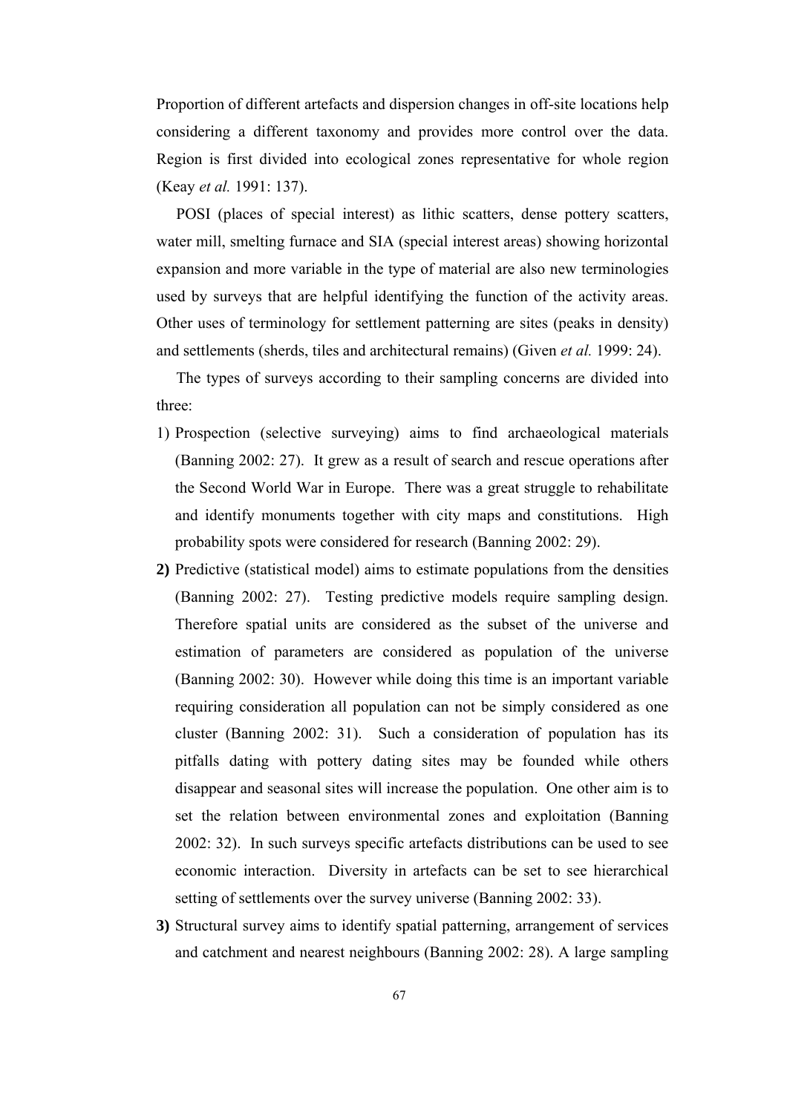Proportion of different artefacts and dispersion changes in off-site locations help considering a different taxonomy and provides more control over the data. Region is first divided into ecological zones representative for whole region (Keay *et al.* 1991: 137).

 POSI (places of special interest) as lithic scatters, dense pottery scatters, water mill, smelting furnace and SIA (special interest areas) showing horizontal expansion and more variable in the type of material are also new terminologies used by surveys that are helpful identifying the function of the activity areas. Other uses of terminology for settlement patterning are sites (peaks in density) and settlements (sherds, tiles and architectural remains) (Given *et al.* 1999: 24).

The types of surveys according to their sampling concerns are divided into three:

- 1) Prospection (selective surveying) aims to find archaeological materials (Banning 2002: 27). It grew as a result of search and rescue operations after the Second World War in Europe. There was a great struggle to rehabilitate and identify monuments together with city maps and constitutions. High probability spots were considered for research (Banning 2002: 29).
- **2)** Predictive (statistical model) aims to estimate populations from the densities (Banning 2002: 27). Testing predictive models require sampling design. Therefore spatial units are considered as the subset of the universe and estimation of parameters are considered as population of the universe (Banning 2002: 30). However while doing this time is an important variable requiring consideration all population can not be simply considered as one cluster (Banning 2002: 31). Such a consideration of population has its pitfalls dating with pottery dating sites may be founded while others disappear and seasonal sites will increase the population. One other aim is to set the relation between environmental zones and exploitation (Banning 2002: 32). In such surveys specific artefacts distributions can be used to see economic interaction. Diversity in artefacts can be set to see hierarchical setting of settlements over the survey universe (Banning 2002: 33).
- **3)** Structural survey aims to identify spatial patterning, arrangement of services and catchment and nearest neighbours (Banning 2002: 28). A large sampling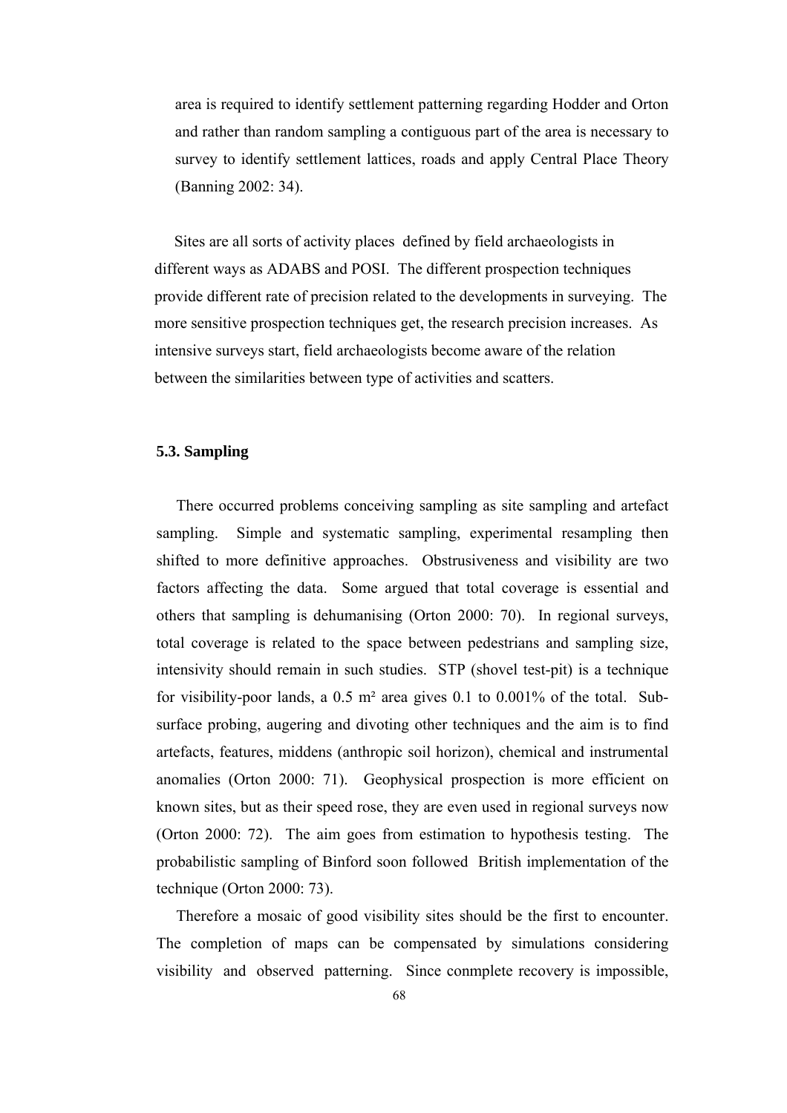area is required to identify settlement patterning regarding Hodder and Orton and rather than random sampling a contiguous part of the area is necessary to survey to identify settlement lattices, roads and apply Central Place Theory (Banning 2002: 34).

 Sites are all sorts of activity places defined by field archaeologists in different ways as ADABS and POSI. The different prospection techniques provide different rate of precision related to the developments in surveying. The more sensitive prospection techniques get, the research precision increases. As intensive surveys start, field archaeologists become aware of the relation between the similarities between type of activities and scatters.

### **5.3. Sampling**

 There occurred problems conceiving sampling as site sampling and artefact sampling. Simple and systematic sampling, experimental resampling then shifted to more definitive approaches. Obstrusiveness and visibility are two factors affecting the data. Some argued that total coverage is essential and others that sampling is dehumanising (Orton 2000: 70). In regional surveys, total coverage is related to the space between pedestrians and sampling size, intensivity should remain in such studies. STP (shovel test-pit) is a technique for visibility-poor lands, a 0.5 m² area gives 0.1 to 0.001% of the total. Subsurface probing, augering and divoting other techniques and the aim is to find artefacts, features, middens (anthropic soil horizon), chemical and instrumental anomalies (Orton 2000: 71). Geophysical prospection is more efficient on known sites, but as their speed rose, they are even used in regional surveys now (Orton 2000: 72). The aim goes from estimation to hypothesis testing. The probabilistic sampling of Binford soon followed British implementation of the technique (Orton 2000: 73).

 Therefore a mosaic of good visibility sites should be the first to encounter. The completion of maps can be compensated by simulations considering visibility and observed patterning. Since conmplete recovery is impossible,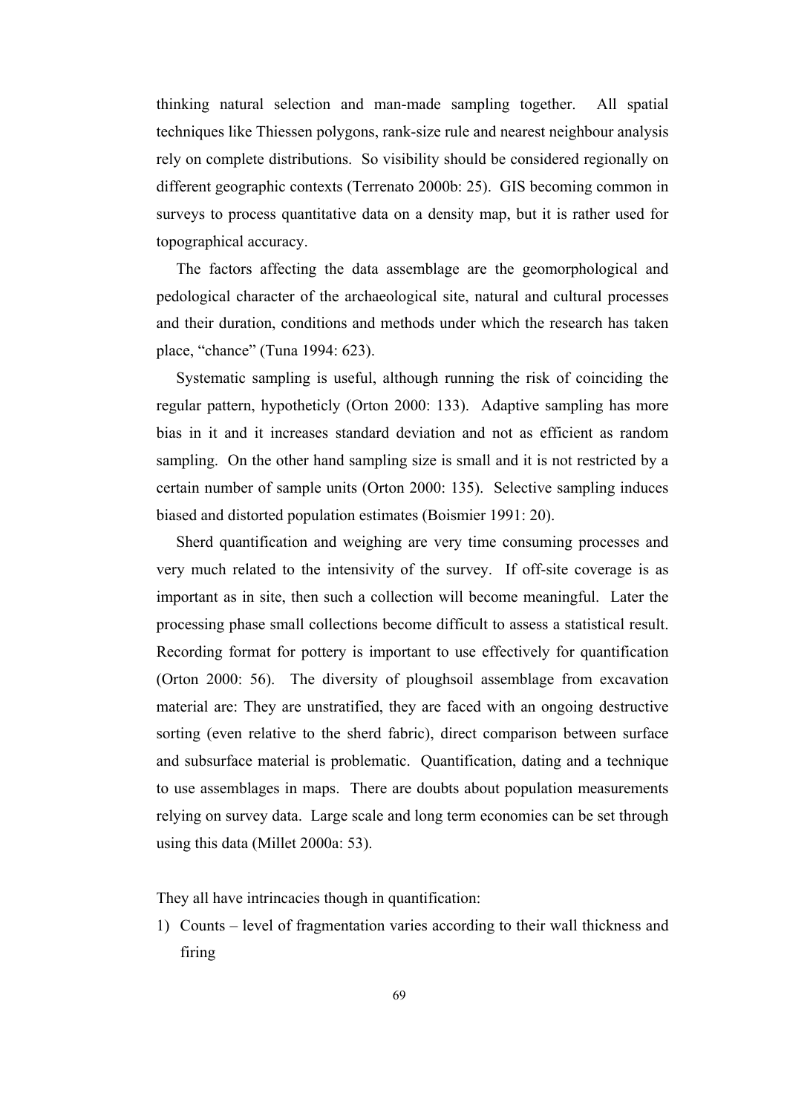thinking natural selection and man-made sampling together. All spatial techniques like Thiessen polygons, rank-size rule and nearest neighbour analysis rely on complete distributions. So visibility should be considered regionally on different geographic contexts (Terrenato 2000b: 25). GIS becoming common in surveys to process quantitative data on a density map, but it is rather used for topographical accuracy.

 The factors affecting the data assemblage are the geomorphological and pedological character of the archaeological site, natural and cultural processes and their duration, conditions and methods under which the research has taken place, "chance" (Tuna 1994: 623).

 Systematic sampling is useful, although running the risk of coinciding the regular pattern, hypotheticly (Orton 2000: 133). Adaptive sampling has more bias in it and it increases standard deviation and not as efficient as random sampling. On the other hand sampling size is small and it is not restricted by a certain number of sample units (Orton 2000: 135). Selective sampling induces biased and distorted population estimates (Boismier 1991: 20).

 Sherd quantification and weighing are very time consuming processes and very much related to the intensivity of the survey. If off-site coverage is as important as in site, then such a collection will become meaningful. Later the processing phase small collections become difficult to assess a statistical result. Recording format for pottery is important to use effectively for quantification (Orton 2000: 56). The diversity of ploughsoil assemblage from excavation material are: They are unstratified, they are faced with an ongoing destructive sorting (even relative to the sherd fabric), direct comparison between surface and subsurface material is problematic. Quantification, dating and a technique to use assemblages in maps. There are doubts about population measurements relying on survey data. Large scale and long term economies can be set through using this data (Millet 2000a: 53).

They all have intrincacies though in quantification:

1) Counts – level of fragmentation varies according to their wall thickness and firing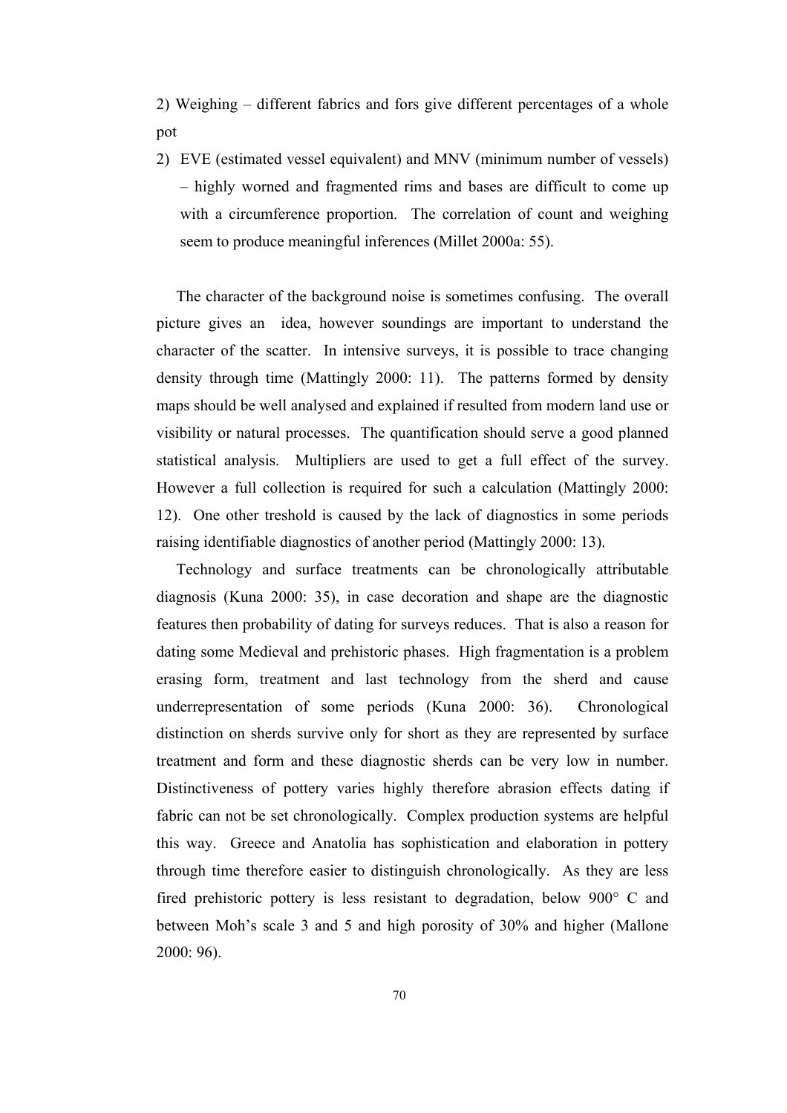2) Weighing – different fabrics and fors give different percentages of a whole pot

2) EVE (estimated vessel equivalent) and MNV (minimum number of vessels) – highly worned and fragmented rims and bases are difficult to come up with a circumference proportion. The correlation of count and weighing seem to produce meaningful inferences (Millet 2000a: 55).

 The character of the background noise is sometimes confusing. The overall picture gives an idea, however soundings are important to understand the character of the scatter. In intensive surveys, it is possible to trace changing density through time (Mattingly 2000: 11). The patterns formed by density maps should be well analysed and explained if resulted from modern land use or visibility or natural processes. The quantification should serve a good planned statistical analysis. Multipliers are used to get a full effect of the survey. However a full collection is required for such a calculation (Mattingly 2000: 12). One other treshold is caused by the lack of diagnostics in some periods raising identifiable diagnostics of another period (Mattingly 2000: 13).

 Technology and surface treatments can be chronologically attributable diagnosis (Kuna 2000: 35), in case decoration and shape are the diagnostic features then probability of dating for surveys reduces. That is also a reason for dating some Medieval and prehistoric phases. High fragmentation is a problem erasing form, treatment and last technology from the sherd and cause underrepresentation of some periods (Kuna 2000: 36). Chronological distinction on sherds survive only for short as they are represented by surface treatment and form and these diagnostic sherds can be very low in number. Distinctiveness of pottery varies highly therefore abrasion effects dating if fabric can not be set chronologically. Complex production systems are helpful this way. Greece and Anatolia has sophistication and elaboration in pottery through time therefore easier to distinguish chronologically. As they are less fired prehistoric pottery is less resistant to degradation, below 900° C and between Moh's scale 3 and 5 and high porosity of 30% and higher (Mallone 2000: 96).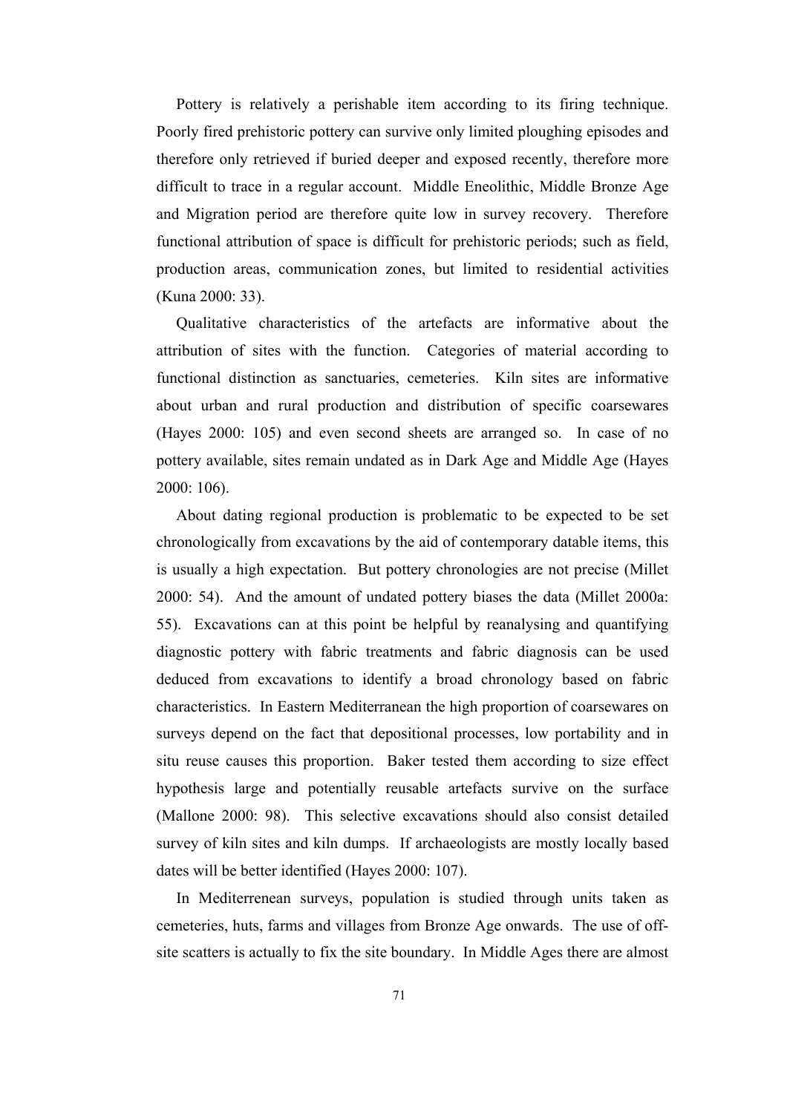Pottery is relatively a perishable item according to its firing technique. Poorly fired prehistoric pottery can survive only limited ploughing episodes and therefore only retrieved if buried deeper and exposed recently, therefore more difficult to trace in a regular account. Middle Eneolithic, Middle Bronze Age and Migration period are therefore quite low in survey recovery. Therefore functional attribution of space is difficult for prehistoric periods; such as field, production areas, communication zones, but limited to residential activities (Kuna 2000: 33).

 Qualitative characteristics of the artefacts are informative about the attribution of sites with the function. Categories of material according to functional distinction as sanctuaries, cemeteries. Kiln sites are informative about urban and rural production and distribution of specific coarsewares (Hayes 2000: 105) and even second sheets are arranged so. In case of no pottery available, sites remain undated as in Dark Age and Middle Age (Hayes 2000: 106).

 About dating regional production is problematic to be expected to be set chronologically from excavations by the aid of contemporary datable items, this is usually a high expectation. But pottery chronologies are not precise (Millet 2000: 54). And the amount of undated pottery biases the data (Millet 2000a: 55). Excavations can at this point be helpful by reanalysing and quantifying diagnostic pottery with fabric treatments and fabric diagnosis can be used deduced from excavations to identify a broad chronology based on fabric characteristics. In Eastern Mediterranean the high proportion of coarsewares on surveys depend on the fact that depositional processes, low portability and in situ reuse causes this proportion. Baker tested them according to size effect hypothesis large and potentially reusable artefacts survive on the surface (Mallone 2000: 98). This selective excavations should also consist detailed survey of kiln sites and kiln dumps. If archaeologists are mostly locally based dates will be better identified (Hayes 2000: 107).

 In Mediterrenean surveys, population is studied through units taken as cemeteries, huts, farms and villages from Bronze Age onwards. The use of offsite scatters is actually to fix the site boundary. In Middle Ages there are almost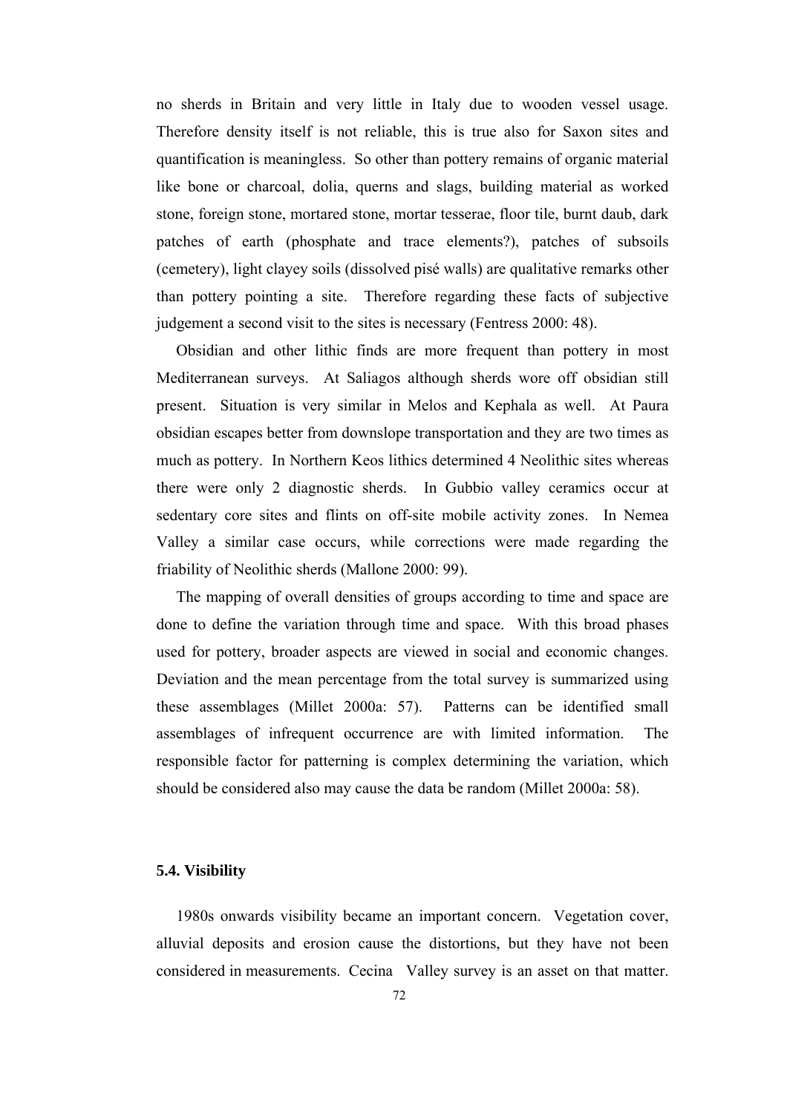no sherds in Britain and very little in Italy due to wooden vessel usage. Therefore density itself is not reliable, this is true also for Saxon sites and quantification is meaningless. So other than pottery remains of organic material like bone or charcoal, dolia, querns and slags, building material as worked stone, foreign stone, mortared stone, mortar tesserae, floor tile, burnt daub, dark patches of earth (phosphate and trace elements?), patches of subsoils (cemetery), light clayey soils (dissolved pisé walls) are qualitative remarks other than pottery pointing a site. Therefore regarding these facts of subjective judgement a second visit to the sites is necessary (Fentress 2000: 48).

 Obsidian and other lithic finds are more frequent than pottery in most Mediterranean surveys. At Saliagos although sherds wore off obsidian still present. Situation is very similar in Melos and Kephala as well. At Paura obsidian escapes better from downslope transportation and they are two times as much as pottery. In Northern Keos lithics determined 4 Neolithic sites whereas there were only 2 diagnostic sherds. In Gubbio valley ceramics occur at sedentary core sites and flints on off-site mobile activity zones. In Nemea Valley a similar case occurs, while corrections were made regarding the friability of Neolithic sherds (Mallone 2000: 99).

 The mapping of overall densities of groups according to time and space are done to define the variation through time and space. With this broad phases used for pottery, broader aspects are viewed in social and economic changes. Deviation and the mean percentage from the total survey is summarized using these assemblages (Millet 2000a: 57). Patterns can be identified small assemblages of infrequent occurrence are with limited information. The responsible factor for patterning is complex determining the variation, which should be considered also may cause the data be random (Millet 2000a: 58).

### **5.4. Visibility**

 1980s onwards visibility became an important concern. Vegetation cover, alluvial deposits and erosion cause the distortions, but they have not been considered in measurements. Cecina Valley survey is an asset on that matter.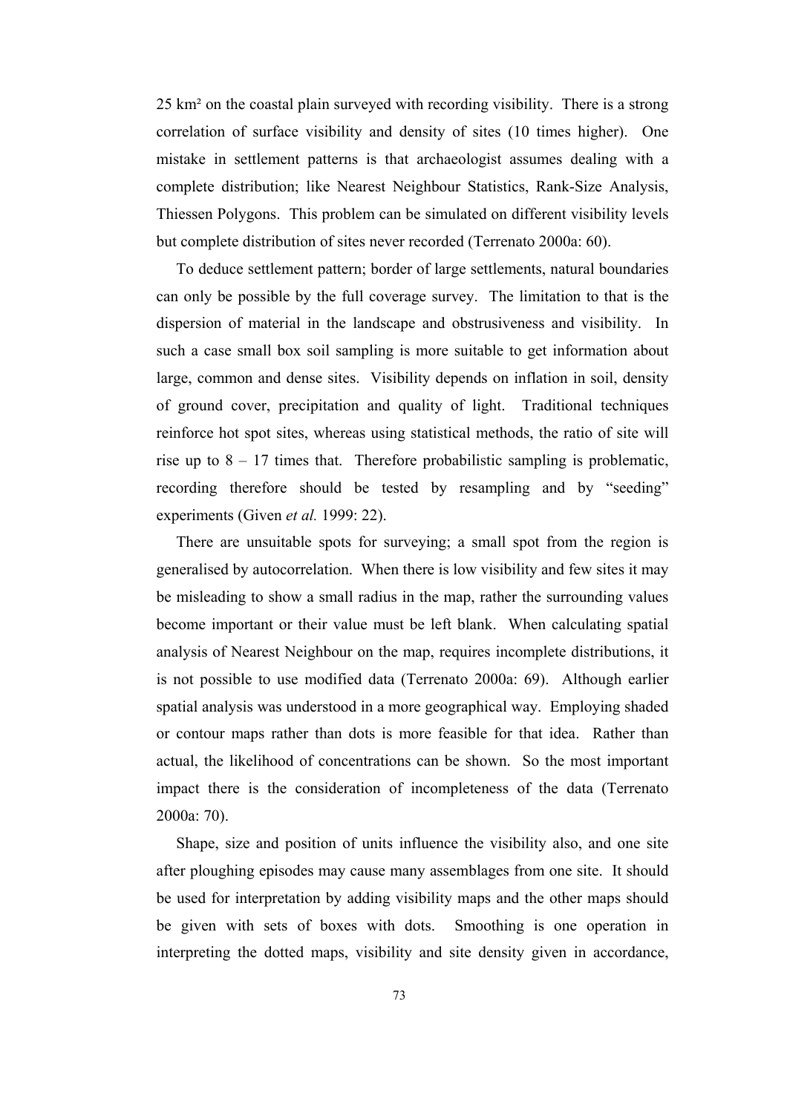25 km² on the coastal plain surveyed with recording visibility. There is a strong correlation of surface visibility and density of sites (10 times higher). One mistake in settlement patterns is that archaeologist assumes dealing with a complete distribution; like Nearest Neighbour Statistics, Rank-Size Analysis, Thiessen Polygons. This problem can be simulated on different visibility levels but complete distribution of sites never recorded (Terrenato 2000a: 60).

 To deduce settlement pattern; border of large settlements, natural boundaries can only be possible by the full coverage survey. The limitation to that is the dispersion of material in the landscape and obstrusiveness and visibility. In such a case small box soil sampling is more suitable to get information about large, common and dense sites. Visibility depends on inflation in soil, density of ground cover, precipitation and quality of light. Traditional techniques reinforce hot spot sites, whereas using statistical methods, the ratio of site will rise up to  $8 - 17$  times that. Therefore probabilistic sampling is problematic, recording therefore should be tested by resampling and by "seeding" experiments (Given *et al.* 1999: 22).

 There are unsuitable spots for surveying; a small spot from the region is generalised by autocorrelation. When there is low visibility and few sites it may be misleading to show a small radius in the map, rather the surrounding values become important or their value must be left blank. When calculating spatial analysis of Nearest Neighbour on the map, requires incomplete distributions, it is not possible to use modified data (Terrenato 2000a: 69). Although earlier spatial analysis was understood in a more geographical way. Employing shaded or contour maps rather than dots is more feasible for that idea. Rather than actual, the likelihood of concentrations can be shown. So the most important impact there is the consideration of incompleteness of the data (Terrenato 2000a: 70).

 Shape, size and position of units influence the visibility also, and one site after ploughing episodes may cause many assemblages from one site. It should be used for interpretation by adding visibility maps and the other maps should be given with sets of boxes with dots. Smoothing is one operation in interpreting the dotted maps, visibility and site density given in accordance,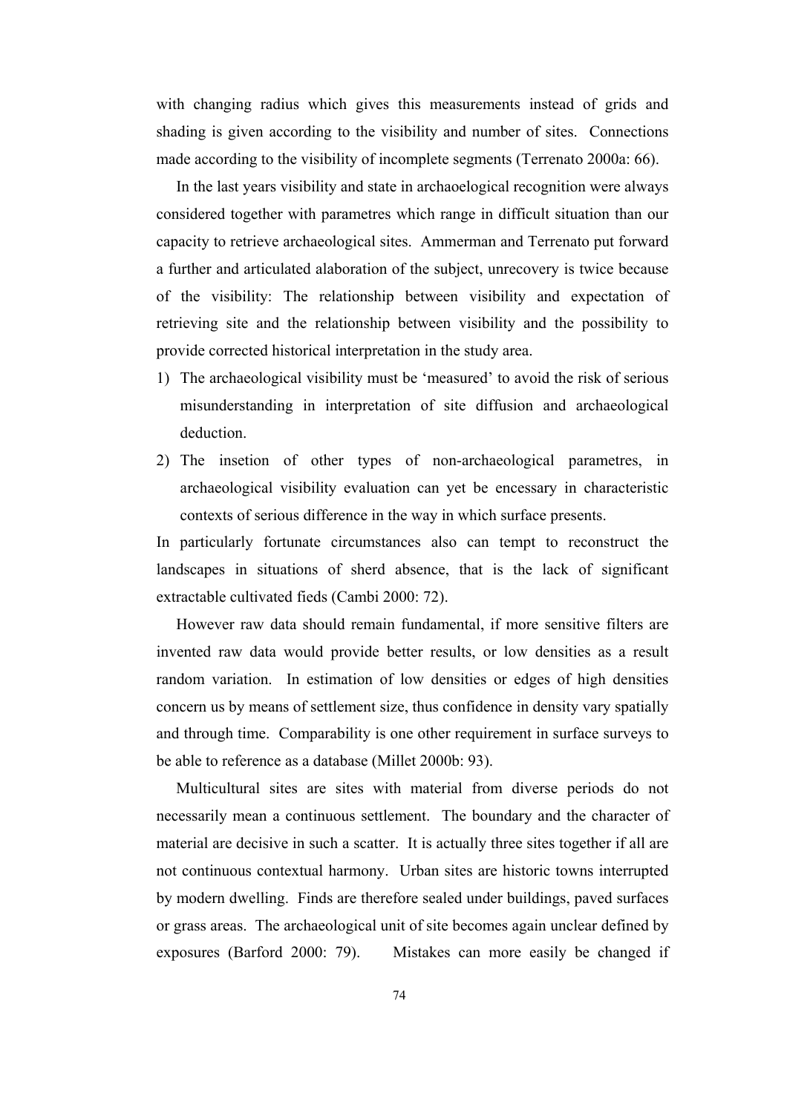with changing radius which gives this measurements instead of grids and shading is given according to the visibility and number of sites. Connections made according to the visibility of incomplete segments (Terrenato 2000a: 66).

 In the last years visibility and state in archaoelogical recognition were always considered together with parametres which range in difficult situation than our capacity to retrieve archaeological sites. Ammerman and Terrenato put forward a further and articulated alaboration of the subject, unrecovery is twice because of the visibility: The relationship between visibility and expectation of retrieving site and the relationship between visibility and the possibility to provide corrected historical interpretation in the study area.

- 1) The archaeological visibility must be 'measured' to avoid the risk of serious misunderstanding in interpretation of site diffusion and archaeological deduction.
- 2) The insetion of other types of non-archaeological parametres, in archaeological visibility evaluation can yet be encessary in characteristic contexts of serious difference in the way in which surface presents.

In particularly fortunate circumstances also can tempt to reconstruct the landscapes in situations of sherd absence, that is the lack of significant extractable cultivated fieds (Cambi 2000: 72).

 However raw data should remain fundamental, if more sensitive filters are invented raw data would provide better results, or low densities as a result random variation. In estimation of low densities or edges of high densities concern us by means of settlement size, thus confidence in density vary spatially and through time. Comparability is one other requirement in surface surveys to be able to reference as a database (Millet 2000b: 93).

 Multicultural sites are sites with material from diverse periods do not necessarily mean a continuous settlement. The boundary and the character of material are decisive in such a scatter. It is actually three sites together if all are not continuous contextual harmony. Urban sites are historic towns interrupted by modern dwelling. Finds are therefore sealed under buildings, paved surfaces or grass areas. The archaeological unit of site becomes again unclear defined by exposures (Barford 2000: 79). Mistakes can more easily be changed if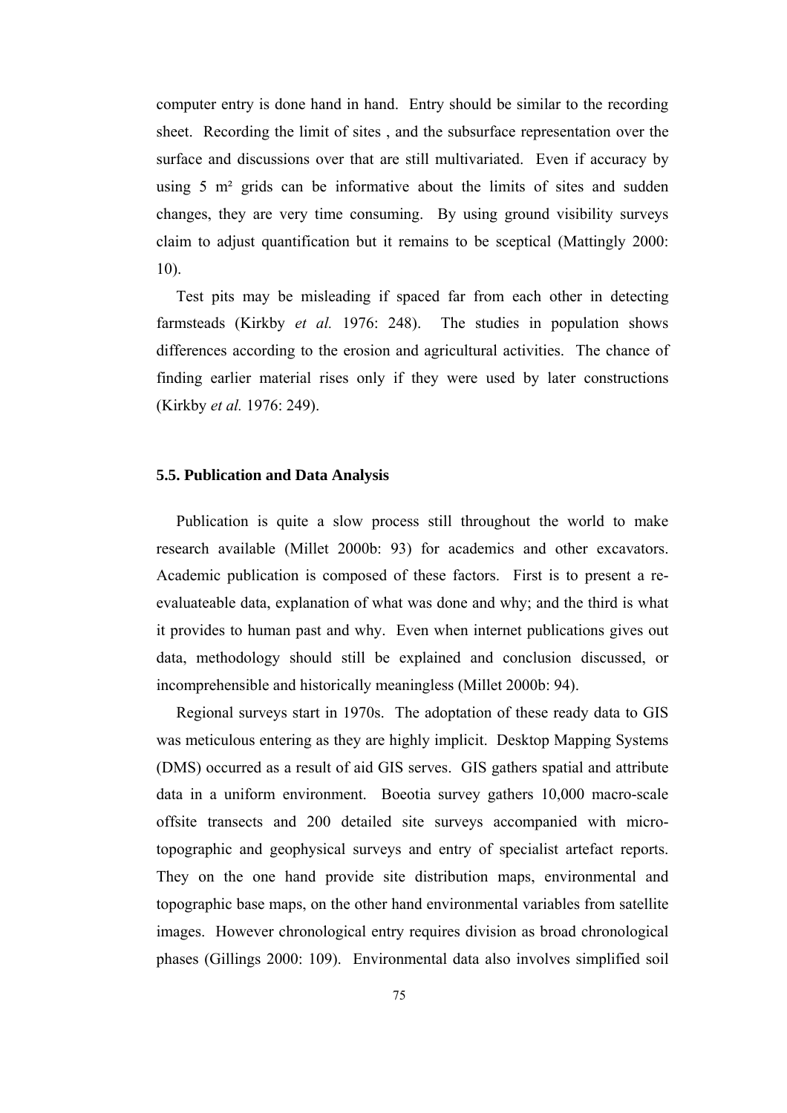computer entry is done hand in hand. Entry should be similar to the recording sheet. Recording the limit of sites , and the subsurface representation over the surface and discussions over that are still multivariated. Even if accuracy by using 5 m<sup>2</sup> grids can be informative about the limits of sites and sudden changes, they are very time consuming. By using ground visibility surveys claim to adjust quantification but it remains to be sceptical (Mattingly 2000: 10).

 Test pits may be misleading if spaced far from each other in detecting farmsteads (Kirkby *et al.* 1976: 248). The studies in population shows differences according to the erosion and agricultural activities. The chance of finding earlier material rises only if they were used by later constructions (Kirkby *et al.* 1976: 249).

# **5.5. Publication and Data Analysis**

 Publication is quite a slow process still throughout the world to make research available (Millet 2000b: 93) for academics and other excavators. Academic publication is composed of these factors. First is to present a reevaluateable data, explanation of what was done and why; and the third is what it provides to human past and why. Even when internet publications gives out data, methodology should still be explained and conclusion discussed, or incomprehensible and historically meaningless (Millet 2000b: 94).

 Regional surveys start in 1970s. The adoptation of these ready data to GIS was meticulous entering as they are highly implicit. Desktop Mapping Systems (DMS) occurred as a result of aid GIS serves. GIS gathers spatial and attribute data in a uniform environment. Boeotia survey gathers 10,000 macro-scale offsite transects and 200 detailed site surveys accompanied with microtopographic and geophysical surveys and entry of specialist artefact reports. They on the one hand provide site distribution maps, environmental and topographic base maps, on the other hand environmental variables from satellite images. However chronological entry requires division as broad chronological phases (Gillings 2000: 109). Environmental data also involves simplified soil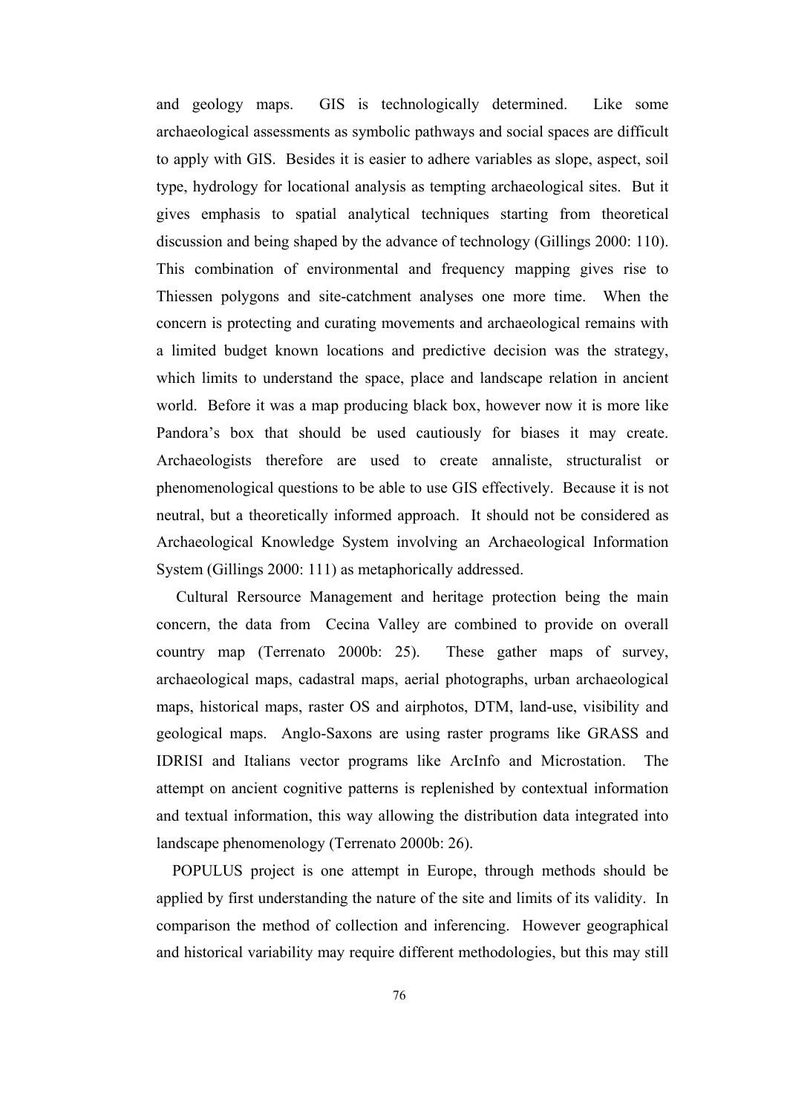and geology maps. GIS is technologically determined. Like some archaeological assessments as symbolic pathways and social spaces are difficult to apply with GIS. Besides it is easier to adhere variables as slope, aspect, soil type, hydrology for locational analysis as tempting archaeological sites. But it gives emphasis to spatial analytical techniques starting from theoretical discussion and being shaped by the advance of technology (Gillings 2000: 110). This combination of environmental and frequency mapping gives rise to Thiessen polygons and site-catchment analyses one more time. When the concern is protecting and curating movements and archaeological remains with a limited budget known locations and predictive decision was the strategy, which limits to understand the space, place and landscape relation in ancient world. Before it was a map producing black box, however now it is more like Pandora's box that should be used cautiously for biases it may create. Archaeologists therefore are used to create annaliste, structuralist or phenomenological questions to be able to use GIS effectively. Because it is not neutral, but a theoretically informed approach. It should not be considered as Archaeological Knowledge System involving an Archaeological Information System (Gillings 2000: 111) as metaphorically addressed.

 Cultural Rersource Management and heritage protection being the main concern, the data from Cecina Valley are combined to provide on overall country map (Terrenato 2000b: 25). These gather maps of survey, archaeological maps, cadastral maps, aerial photographs, urban archaeological maps, historical maps, raster OS and airphotos, DTM, land-use, visibility and geological maps. Anglo-Saxons are using raster programs like GRASS and IDRISI and Italians vector programs like ArcInfo and Microstation. The attempt on ancient cognitive patterns is replenished by contextual information and textual information, this way allowing the distribution data integrated into landscape phenomenology (Terrenato 2000b: 26).

 POPULUS project is one attempt in Europe, through methods should be applied by first understanding the nature of the site and limits of its validity. In comparison the method of collection and inferencing. However geographical and historical variability may require different methodologies, but this may still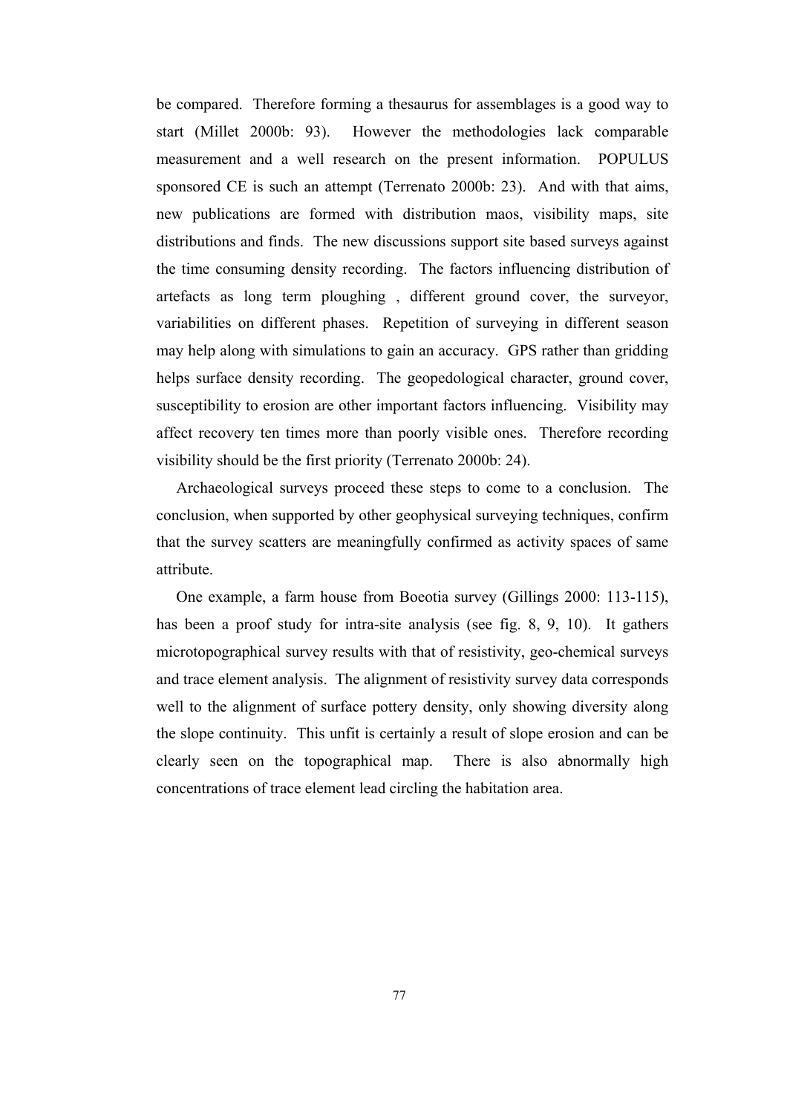be compared. Therefore forming a thesaurus for assemblages is a good way to start (Millet 2000b: 93). However the methodologies lack comparable measurement and a well research on the present information. POPULUS sponsored CE is such an attempt (Terrenato 2000b: 23). And with that aims, new publications are formed with distribution maos, visibility maps, site distributions and finds. The new discussions support site based surveys against the time consuming density recording. The factors influencing distribution of artefacts as long term ploughing , different ground cover, the surveyor, variabilities on different phases. Repetition of surveying in different season may help along with simulations to gain an accuracy. GPS rather than gridding helps surface density recording. The geopedological character, ground cover, susceptibility to erosion are other important factors influencing. Visibility may affect recovery ten times more than poorly visible ones. Therefore recording visibility should be the first priority (Terrenato 2000b: 24).

 Archaeological surveys proceed these steps to come to a conclusion. The conclusion, when supported by other geophysical surveying techniques, confirm that the survey scatters are meaningfully confirmed as activity spaces of same attribute.

 One example, a farm house from Boeotia survey (Gillings 2000: 113-115), has been a proof study for intra-site analysis (see fig. 8, 9, 10). It gathers microtopographical survey results with that of resistivity, geo-chemical surveys and trace element analysis. The alignment of resistivity survey data corresponds well to the alignment of surface pottery density, only showing diversity along the slope continuity. This unfit is certainly a result of slope erosion and can be clearly seen on the topographical map. There is also abnormally high concentrations of trace element lead circling the habitation area.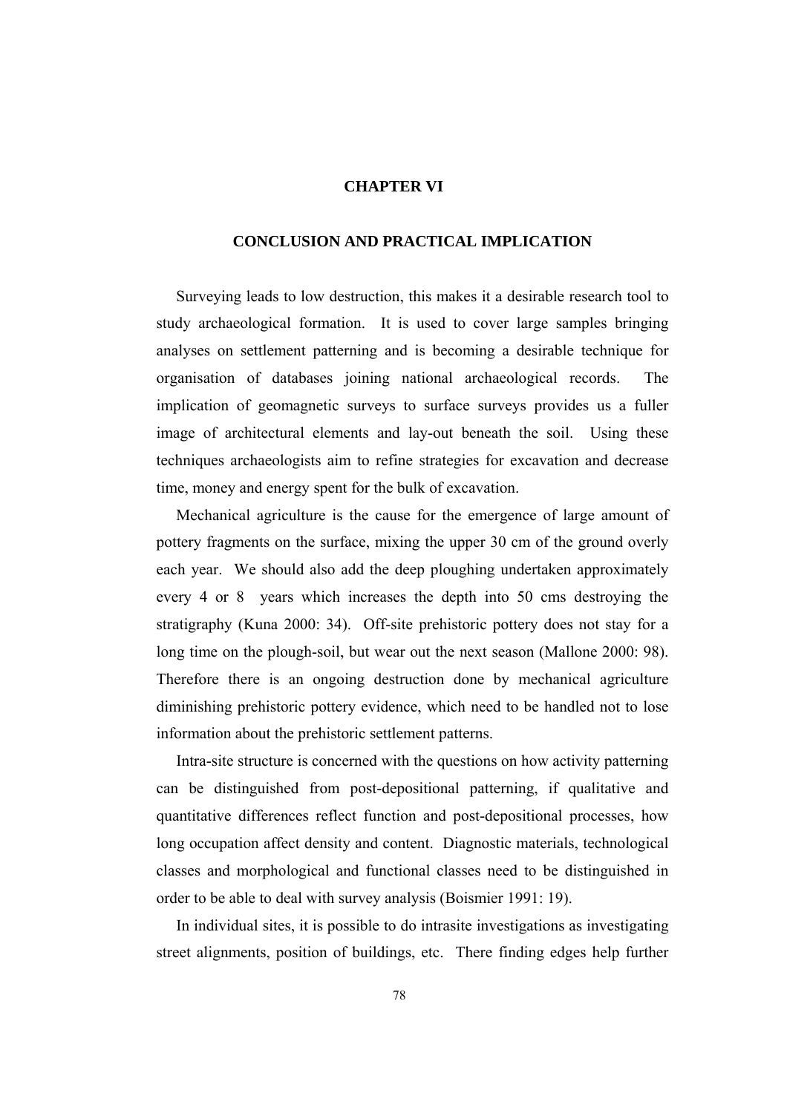# **CHAPTER VI**

# **CONCLUSION AND PRACTICAL IMPLICATION**

 Surveying leads to low destruction, this makes it a desirable research tool to study archaeological formation. It is used to cover large samples bringing analyses on settlement patterning and is becoming a desirable technique for organisation of databases joining national archaeological records. The implication of geomagnetic surveys to surface surveys provides us a fuller image of architectural elements and lay-out beneath the soil. Using these techniques archaeologists aim to refine strategies for excavation and decrease time, money and energy spent for the bulk of excavation.

 Mechanical agriculture is the cause for the emergence of large amount of pottery fragments on the surface, mixing the upper 30 cm of the ground overly each year. We should also add the deep ploughing undertaken approximately every 4 or 8 years which increases the depth into 50 cms destroying the stratigraphy (Kuna 2000: 34). Off-site prehistoric pottery does not stay for a long time on the plough-soil, but wear out the next season (Mallone 2000: 98). Therefore there is an ongoing destruction done by mechanical agriculture diminishing prehistoric pottery evidence, which need to be handled not to lose information about the prehistoric settlement patterns.

 Intra-site structure is concerned with the questions on how activity patterning can be distinguished from post-depositional patterning, if qualitative and quantitative differences reflect function and post-depositional processes, how long occupation affect density and content. Diagnostic materials, technological classes and morphological and functional classes need to be distinguished in order to be able to deal with survey analysis (Boismier 1991: 19).

 In individual sites, it is possible to do intrasite investigations as investigating street alignments, position of buildings, etc. There finding edges help further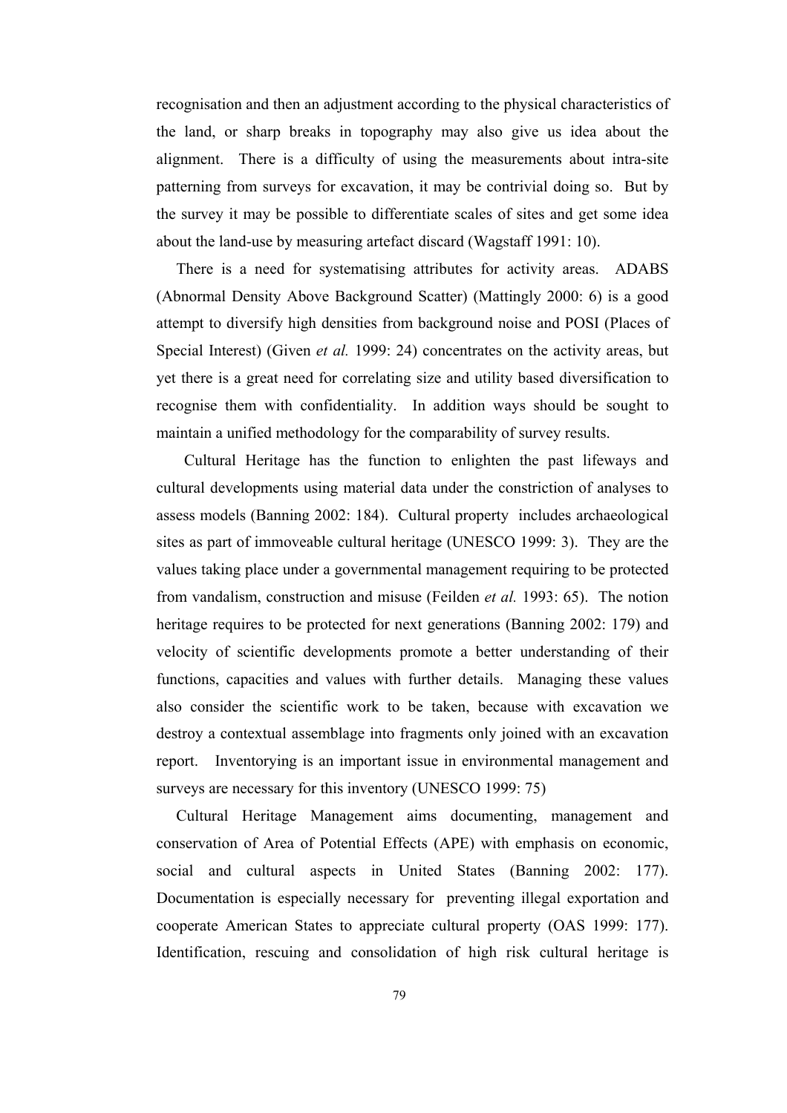recognisation and then an adjustment according to the physical characteristics of the land, or sharp breaks in topography may also give us idea about the alignment. There is a difficulty of using the measurements about intra-site patterning from surveys for excavation, it may be contrivial doing so. But by the survey it may be possible to differentiate scales of sites and get some idea about the land-use by measuring artefact discard (Wagstaff 1991: 10).

 There is a need for systematising attributes for activity areas. ADABS (Abnormal Density Above Background Scatter) (Mattingly 2000: 6) is a good attempt to diversify high densities from background noise and POSI (Places of Special Interest) (Given *et al.* 1999: 24) concentrates on the activity areas, but yet there is a great need for correlating size and utility based diversification to recognise them with confidentiality. In addition ways should be sought to maintain a unified methodology for the comparability of survey results.

 Cultural Heritage has the function to enlighten the past lifeways and cultural developments using material data under the constriction of analyses to assess models (Banning 2002: 184). Cultural property includes archaeological sites as part of immoveable cultural heritage (UNESCO 1999: 3). They are the values taking place under a governmental management requiring to be protected from vandalism, construction and misuse (Feilden *et al.* 1993: 65). The notion heritage requires to be protected for next generations (Banning 2002: 179) and velocity of scientific developments promote a better understanding of their functions, capacities and values with further details. Managing these values also consider the scientific work to be taken, because with excavation we destroy a contextual assemblage into fragments only joined with an excavation report. Inventorying is an important issue in environmental management and surveys are necessary for this inventory (UNESCO 1999: 75)

 Cultural Heritage Management aims documenting, management and conservation of Area of Potential Effects (APE) with emphasis on economic, social and cultural aspects in United States (Banning 2002: 177). Documentation is especially necessary for preventing illegal exportation and cooperate American States to appreciate cultural property (OAS 1999: 177). Identification, rescuing and consolidation of high risk cultural heritage is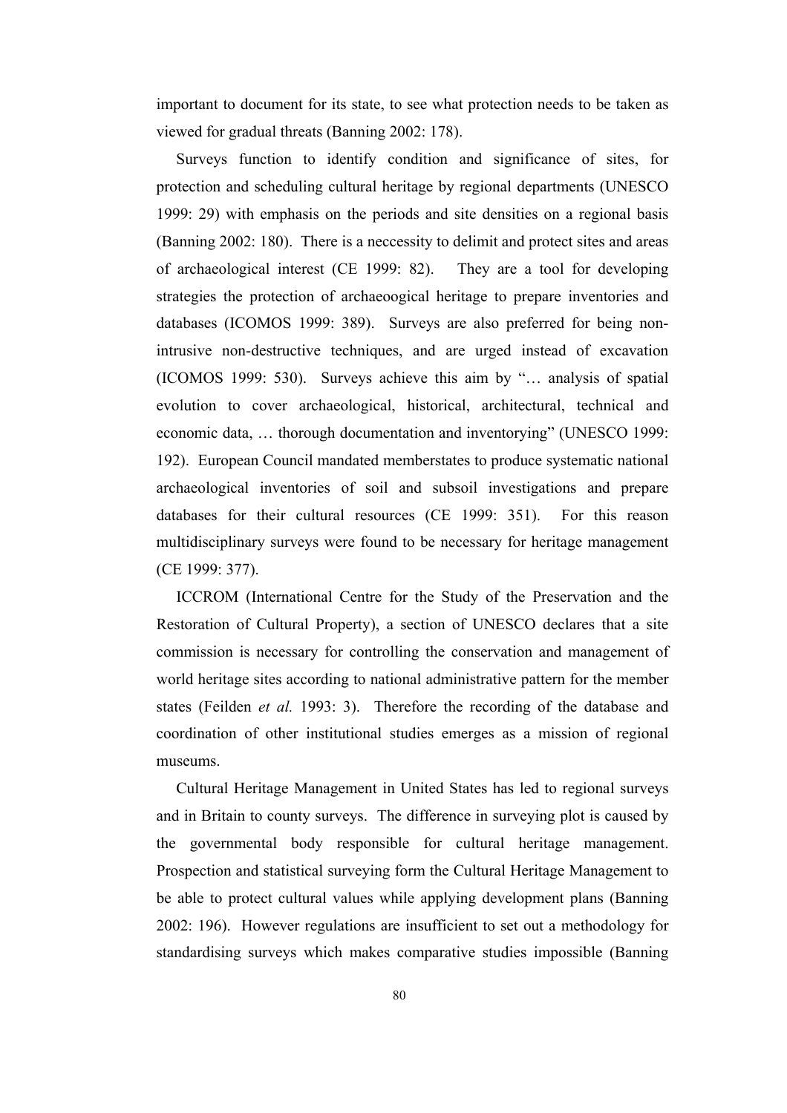important to document for its state, to see what protection needs to be taken as viewed for gradual threats (Banning 2002: 178).

 Surveys function to identify condition and significance of sites, for protection and scheduling cultural heritage by regional departments (UNESCO 1999: 29) with emphasis on the periods and site densities on a regional basis (Banning 2002: 180). There is a neccessity to delimit and protect sites and areas of archaeological interest (CE 1999: 82). They are a tool for developing strategies the protection of archaeoogical heritage to prepare inventories and databases (ICOMOS 1999: 389). Surveys are also preferred for being nonintrusive non-destructive techniques, and are urged instead of excavation (ICOMOS 1999: 530). Surveys achieve this aim by "… analysis of spatial evolution to cover archaeological, historical, architectural, technical and economic data, … thorough documentation and inventorying" (UNESCO 1999: 192). European Council mandated memberstates to produce systematic national archaeological inventories of soil and subsoil investigations and prepare databases for their cultural resources (CE 1999: 351). For this reason multidisciplinary surveys were found to be necessary for heritage management (CE 1999: 377).

 ICCROM (International Centre for the Study of the Preservation and the Restoration of Cultural Property), a section of UNESCO declares that a site commission is necessary for controlling the conservation and management of world heritage sites according to national administrative pattern for the member states (Feilden *et al.* 1993: 3). Therefore the recording of the database and coordination of other institutional studies emerges as a mission of regional museums.

 Cultural Heritage Management in United States has led to regional surveys and in Britain to county surveys. The difference in surveying plot is caused by the governmental body responsible for cultural heritage management. Prospection and statistical surveying form the Cultural Heritage Management to be able to protect cultural values while applying development plans (Banning 2002: 196). However regulations are insufficient to set out a methodology for standardising surveys which makes comparative studies impossible (Banning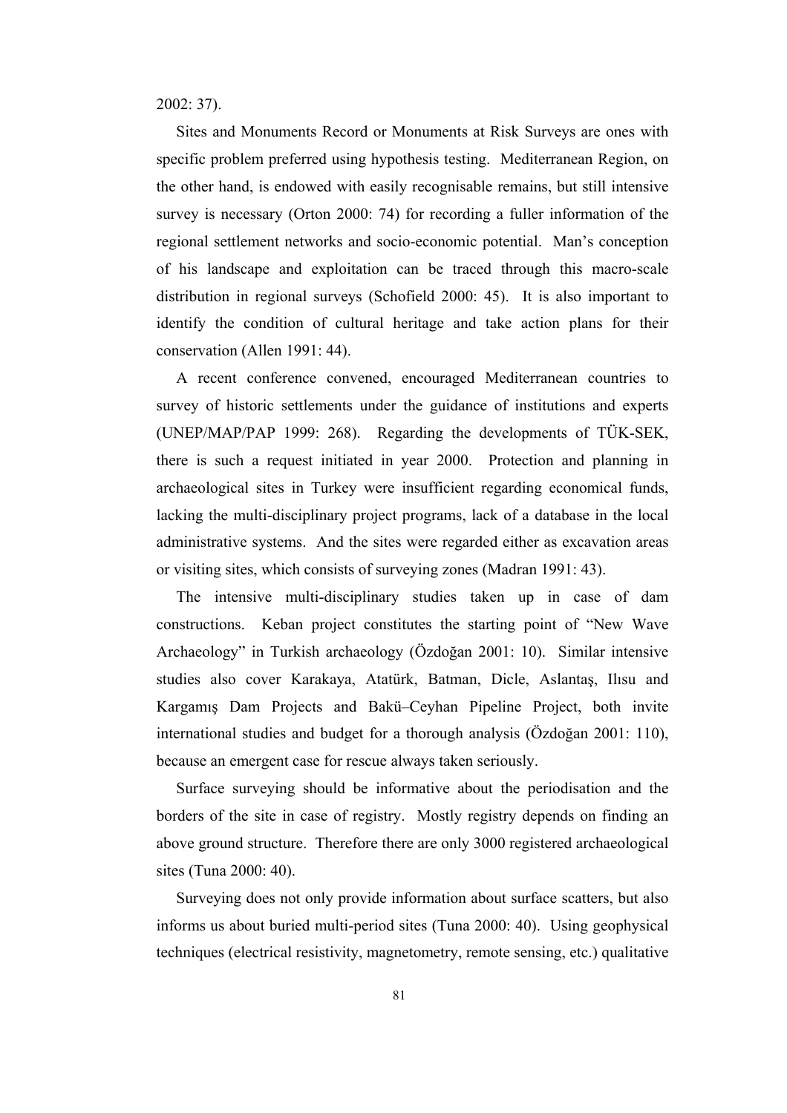2002: 37).

 Sites and Monuments Record or Monuments at Risk Surveys are ones with specific problem preferred using hypothesis testing. Mediterranean Region, on the other hand, is endowed with easily recognisable remains, but still intensive survey is necessary (Orton 2000: 74) for recording a fuller information of the regional settlement networks and socio-economic potential. Man's conception of his landscape and exploitation can be traced through this macro-scale distribution in regional surveys (Schofield 2000: 45). It is also important to identify the condition of cultural heritage and take action plans for their conservation (Allen 1991: 44).

 A recent conference convened, encouraged Mediterranean countries to survey of historic settlements under the guidance of institutions and experts (UNEP/MAP/PAP 1999: 268). Regarding the developments of TÜK-SEK, there is such a request initiated in year 2000. Protection and planning in archaeological sites in Turkey were insufficient regarding economical funds, lacking the multi-disciplinary project programs, lack of a database in the local administrative systems. And the sites were regarded either as excavation areas or visiting sites, which consists of surveying zones (Madran 1991: 43).

 The intensive multi-disciplinary studies taken up in case of dam constructions. Keban project constitutes the starting point of "New Wave Archaeology" in Turkish archaeology (Özdoğan 2001: 10). Similar intensive studies also cover Karakaya, Atatürk, Batman, Dicle, Aslantaş, Ilısu and Kargamış Dam Projects and Bakü–Ceyhan Pipeline Project, both invite international studies and budget for a thorough analysis (Özdoğan 2001: 110), because an emergent case for rescue always taken seriously.

 Surface surveying should be informative about the periodisation and the borders of the site in case of registry. Mostly registry depends on finding an above ground structure. Therefore there are only 3000 registered archaeological sites (Tuna 2000: 40).

 Surveying does not only provide information about surface scatters, but also informs us about buried multi-period sites (Tuna 2000: 40). Using geophysical techniques (electrical resistivity, magnetometry, remote sensing, etc.) qualitative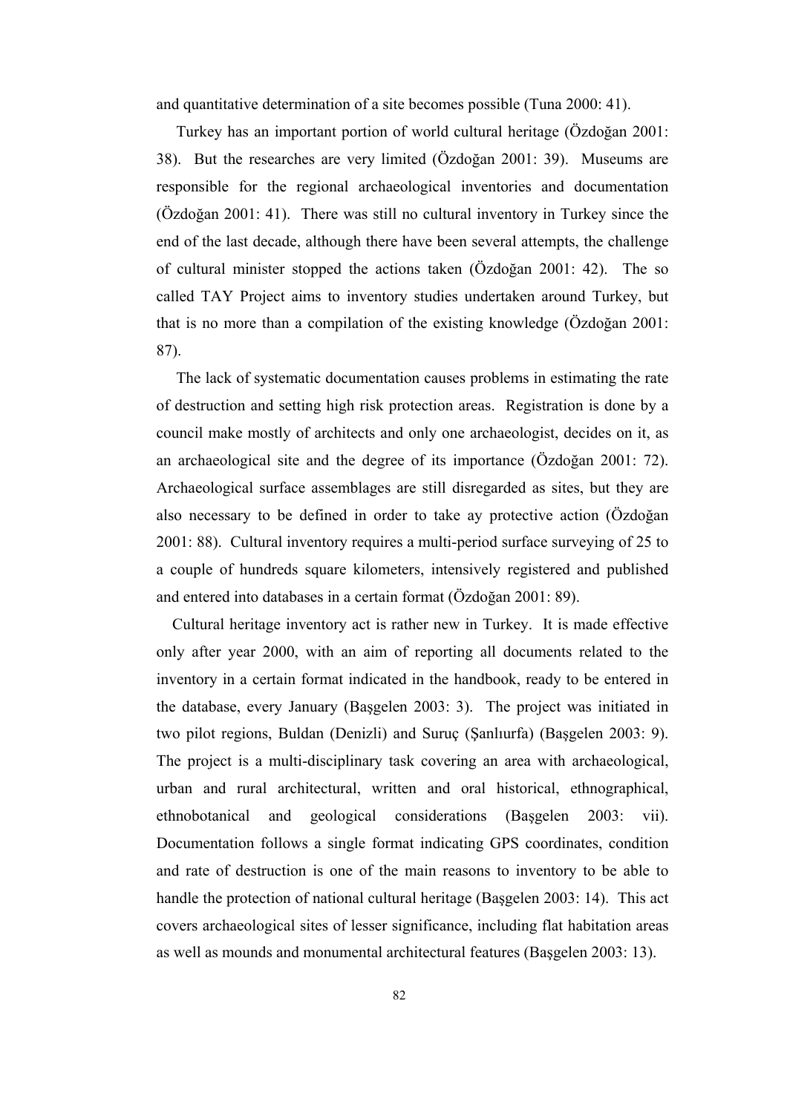and quantitative determination of a site becomes possible (Tuna 2000: 41).

 Turkey has an important portion of world cultural heritage (Özdoğan 2001: 38). But the researches are very limited (Özdoğan 2001: 39). Museums are responsible for the regional archaeological inventories and documentation (Özdoğan 2001: 41). There was still no cultural inventory in Turkey since the end of the last decade, although there have been several attempts, the challenge of cultural minister stopped the actions taken (Özdoğan 2001: 42). The so called TAY Project aims to inventory studies undertaken around Turkey, but that is no more than a compilation of the existing knowledge (Özdoğan 2001: 87).

 The lack of systematic documentation causes problems in estimating the rate of destruction and setting high risk protection areas. Registration is done by a council make mostly of architects and only one archaeologist, decides on it, as an archaeological site and the degree of its importance (Özdoğan 2001: 72). Archaeological surface assemblages are still disregarded as sites, but they are also necessary to be defined in order to take ay protective action (Özdoğan 2001: 88). Cultural inventory requires a multi-period surface surveying of 25 to a couple of hundreds square kilometers, intensively registered and published and entered into databases in a certain format (Özdoğan 2001: 89).

 Cultural heritage inventory act is rather new in Turkey. It is made effective only after year 2000, with an aim of reporting all documents related to the inventory in a certain format indicated in the handbook, ready to be entered in the database, every January (Başgelen 2003: 3). The project was initiated in two pilot regions, Buldan (Denizli) and Suruç (Şanlıurfa) (Başgelen 2003: 9). The project is a multi-disciplinary task covering an area with archaeological, urban and rural architectural, written and oral historical, ethnographical, ethnobotanical and geological considerations (Başgelen 2003: vii). Documentation follows a single format indicating GPS coordinates, condition and rate of destruction is one of the main reasons to inventory to be able to handle the protection of national cultural heritage (Başgelen 2003: 14). This act covers archaeological sites of lesser significance, including flat habitation areas as well as mounds and monumental architectural features (Başgelen 2003: 13).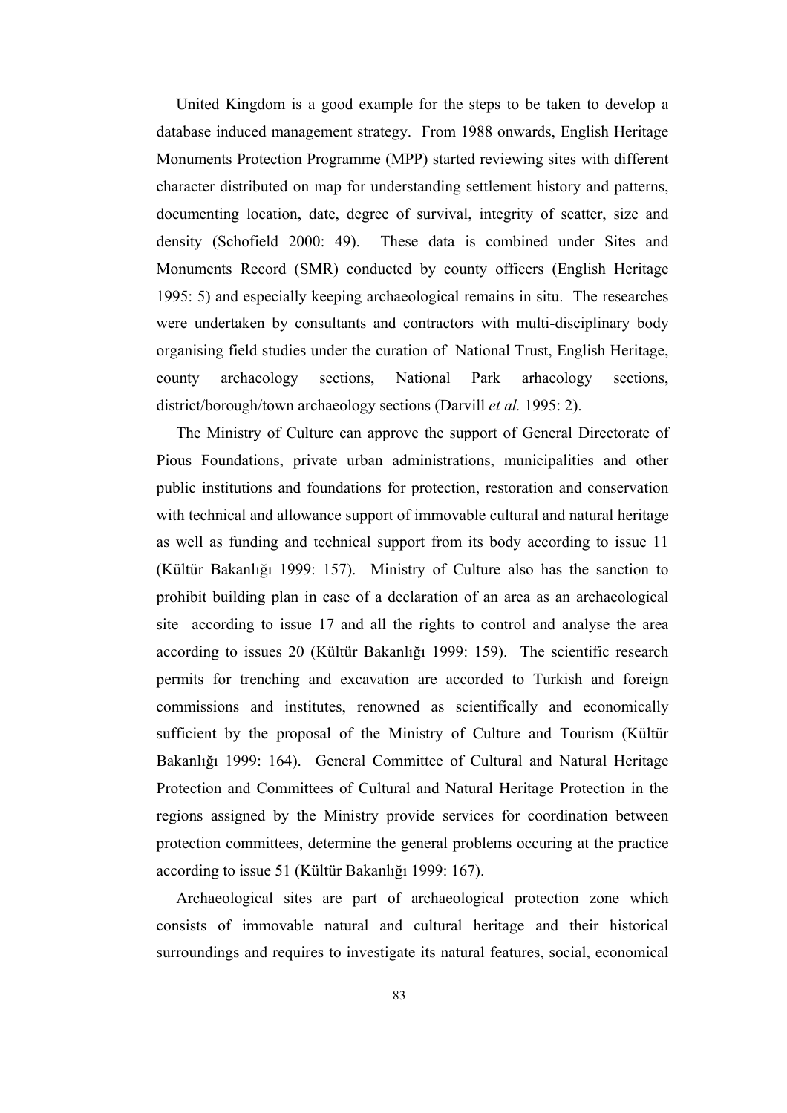United Kingdom is a good example for the steps to be taken to develop a database induced management strategy. From 1988 onwards, English Heritage Monuments Protection Programme (MPP) started reviewing sites with different character distributed on map for understanding settlement history and patterns, documenting location, date, degree of survival, integrity of scatter, size and density (Schofield 2000: 49). These data is combined under Sites and Monuments Record (SMR) conducted by county officers (English Heritage 1995: 5) and especially keeping archaeological remains in situ. The researches were undertaken by consultants and contractors with multi-disciplinary body organising field studies under the curation of National Trust, English Heritage, county archaeology sections, National Park arhaeology sections, district/borough/town archaeology sections (Darvill *et al.* 1995: 2).

 The Ministry of Culture can approve the support of General Directorate of Pious Foundations, private urban administrations, municipalities and other public institutions and foundations for protection, restoration and conservation with technical and allowance support of immovable cultural and natural heritage as well as funding and technical support from its body according to issue 11 (Kültür Bakanlığı 1999: 157). Ministry of Culture also has the sanction to prohibit building plan in case of a declaration of an area as an archaeological site according to issue 17 and all the rights to control and analyse the area according to issues 20 (Kültür Bakanlığı 1999: 159). The scientific research permits for trenching and excavation are accorded to Turkish and foreign commissions and institutes, renowned as scientifically and economically sufficient by the proposal of the Ministry of Culture and Tourism (Kültür Bakanlığı 1999: 164). General Committee of Cultural and Natural Heritage Protection and Committees of Cultural and Natural Heritage Protection in the regions assigned by the Ministry provide services for coordination between protection committees, determine the general problems occuring at the practice according to issue 51 (Kültür Bakanlığı 1999: 167).

 Archaeological sites are part of archaeological protection zone which consists of immovable natural and cultural heritage and their historical surroundings and requires to investigate its natural features, social, economical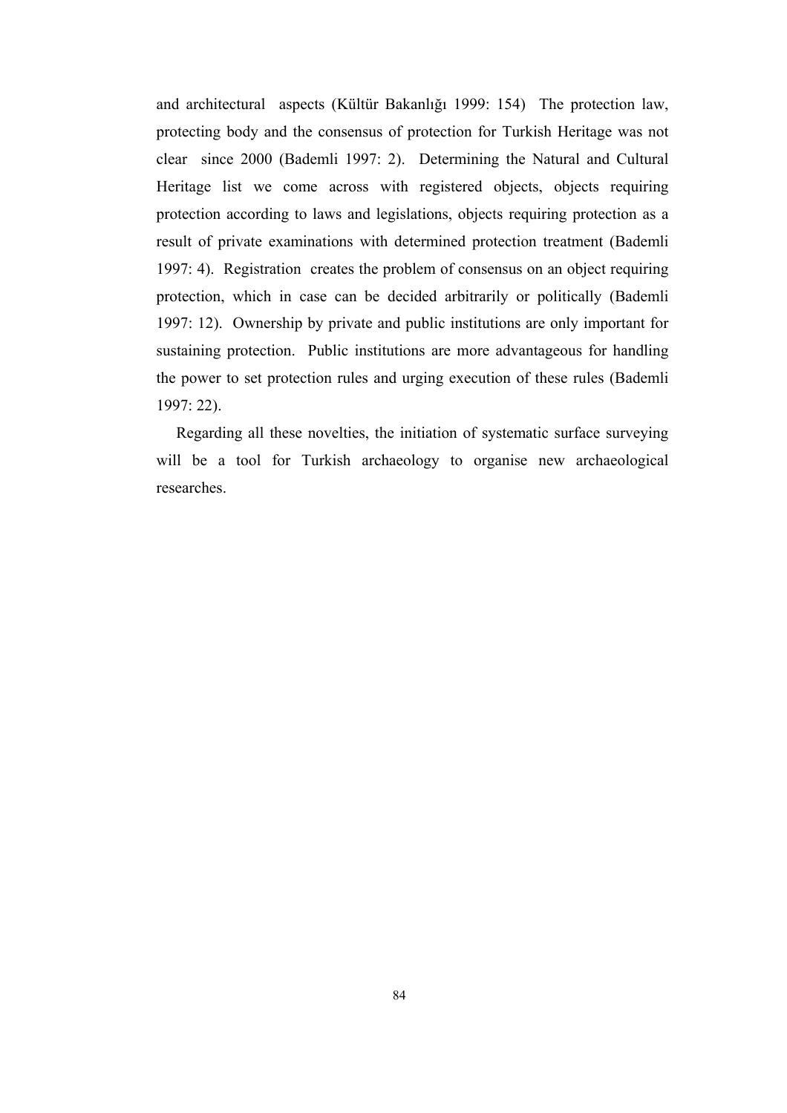and architectural aspects (Kültür Bakanlığı 1999: 154) The protection law, protecting body and the consensus of protection for Turkish Heritage was not clear since 2000 (Bademli 1997: 2). Determining the Natural and Cultural Heritage list we come across with registered objects, objects requiring protection according to laws and legislations, objects requiring protection as a result of private examinations with determined protection treatment (Bademli 1997: 4). Registration creates the problem of consensus on an object requiring protection, which in case can be decided arbitrarily or politically (Bademli 1997: 12). Ownership by private and public institutions are only important for sustaining protection. Public institutions are more advantageous for handling the power to set protection rules and urging execution of these rules (Bademli 1997: 22).

 Regarding all these novelties, the initiation of systematic surface surveying will be a tool for Turkish archaeology to organise new archaeological researches.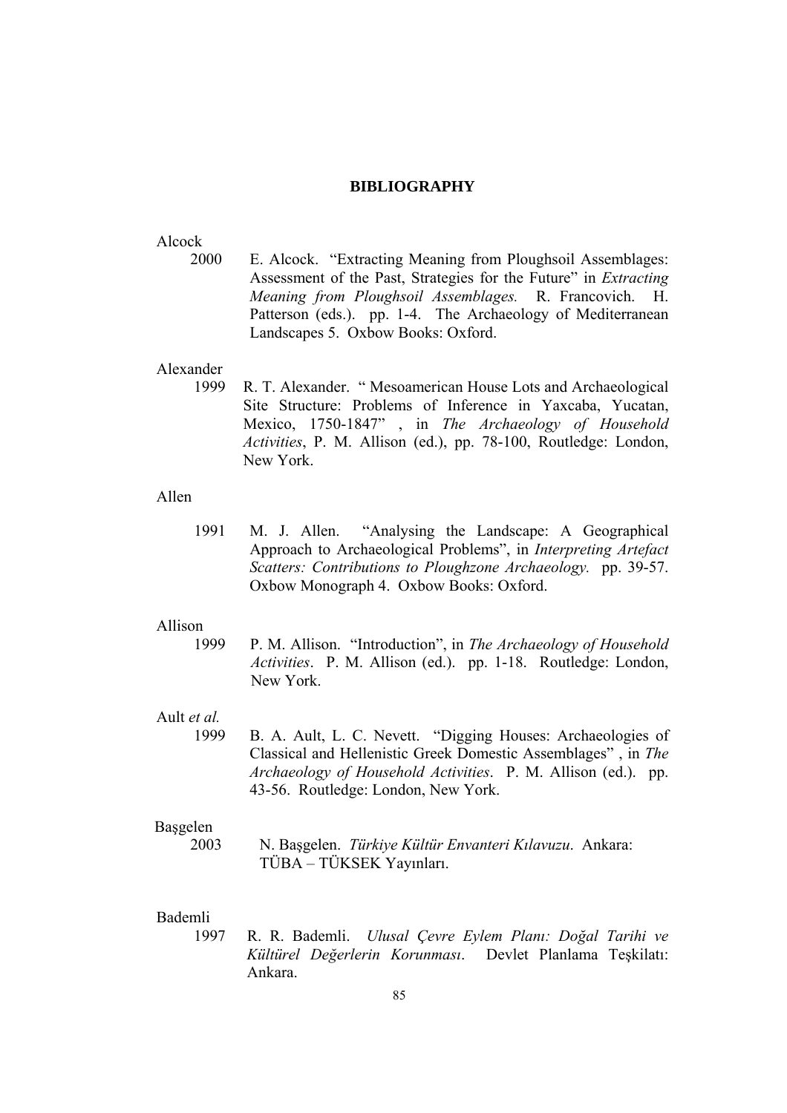# **BIBLIOGRAPHY**

### Alcock

2000 E. Alcock. "Extracting Meaning from Ploughsoil Assemblages: Assessment of the Past, Strategies for the Future" in *Extracting Meaning from Ploughsoil Assemblages.* R. Francovich. H. Patterson (eds.). pp. 1-4. The Archaeology of Mediterranean Landscapes 5. Oxbow Books: Oxford.

# Alexander

 1999 R. T. Alexander. " Mesoamerican House Lots and Archaeological Site Structure: Problems of Inference in Yaxcaba, Yucatan, Mexico, 1750-1847" , in *The Archaeology of Household Activities*, P. M. Allison (ed.), pp. 78-100, Routledge: London, New York.

## Allen

1991 M. J. Allen. "Analysing the Landscape: A Geographical Approach to Archaeological Problems", in *Interpreting Artefact Scatters: Contributions to Ploughzone Archaeology.* pp. 39-57. Oxbow Monograph 4. Oxbow Books: Oxford.

#### Allison

 1999 P. M. Allison. "Introduction", in *The Archaeology of Household Activities*. P. M. Allison (ed.). pp. 1-18. Routledge: London, New York.

# Ault *et al.*

 1999 B. A. Ault, L. C. Nevett. "Digging Houses: Archaeologies of Classical and Hellenistic Greek Domestic Assemblages" , in *The Archaeology of Household Activities*. P. M. Allison (ed.). pp. 43-56. Routledge: London, New York.

### Başgelen

 2003 N. Başgelen. *Türkiye Kültür Envanteri Kılavuzu*. Ankara: TÜBA – TÜKSEK Yayınları.

# Bademli

 1997 R. R. Bademli. *Ulusal Çevre Eylem Planı: Doğal Tarihi ve Kültürel Değerlerin Korunması*. Devlet Planlama Teşkilatı: Ankara.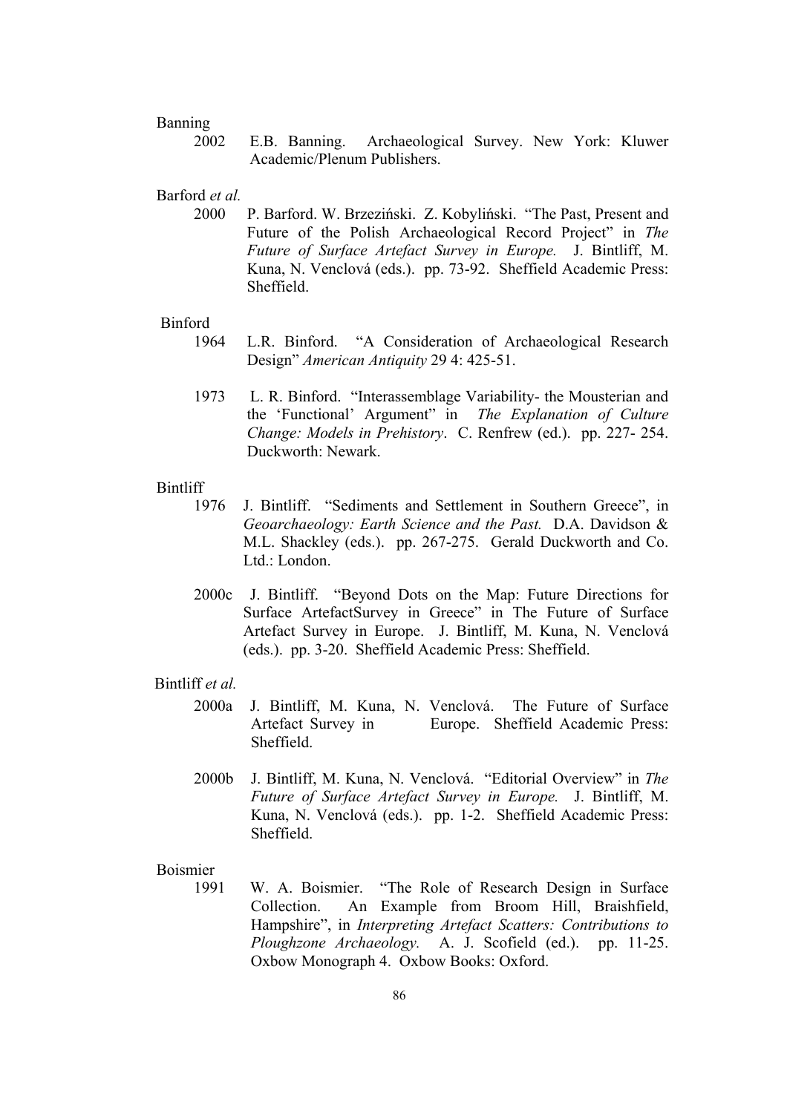## Banning

 2002 E.B. Banning. Archaeological Survey. New York: Kluwer Academic/Plenum Publishers.

### Barford *et al.*

 2000 P. Barford. W. Brzeziński. Z. Kobyliński. "The Past, Present and Future of the Polish Archaeological Record Project" in *The Future of Surface Artefact Survey in Europe.* J. Bintliff, M. Kuna, N. Venclová (eds.). pp. 73-92. Sheffield Academic Press: Sheffield.

### Binford

- 1964 L.R. Binford. "A Consideration of Archaeological Research Design" *American Antiquity* 29 4: 425-51.
- 1973 L. R. Binford. "Interassemblage Variability- the Mousterian and the 'Functional' Argument" in *The Explanation of Culture Change: Models in Prehistory*. C. Renfrew (ed.). pp. 227- 254. Duckworth: Newark.

## **Bintliff**

- 1976 J. Bintliff. "Sediments and Settlement in Southern Greece", in *Geoarchaeology: Earth Science and the Past.* D.A. Davidson & M.L. Shackley (eds.). pp. 267-275. Gerald Duckworth and Co. Ltd. London.
- 2000c J. Bintliff. "Beyond Dots on the Map: Future Directions for Surface ArtefactSurvey in Greece" in The Future of Surface Artefact Survey in Europe. J. Bintliff, M. Kuna, N. Venclová (eds.). pp. 3-20. Sheffield Academic Press: Sheffield.

## Bintliff *et al.*

- 2000a J. Bintliff, M. Kuna, N. Venclová. The Future of Surface Artefact Survey in Europe. Sheffield Academic Press: Sheffield.
- 2000b J. Bintliff, M. Kuna, N. Venclová. "Editorial Overview" in *The Future of Surface Artefact Survey in Europe.* J. Bintliff, M. Kuna, N. Venclová (eds.). pp. 1-2. Sheffield Academic Press: Sheffield.

## Boismier

 1991 W. A. Boismier. "The Role of Research Design in Surface Collection. An Example from Broom Hill, Braishfield, Hampshire", in *Interpreting Artefact Scatters: Contributions to Ploughzone Archaeology.* A. J. Scofield (ed.). pp. 11-25. Oxbow Monograph 4. Oxbow Books: Oxford.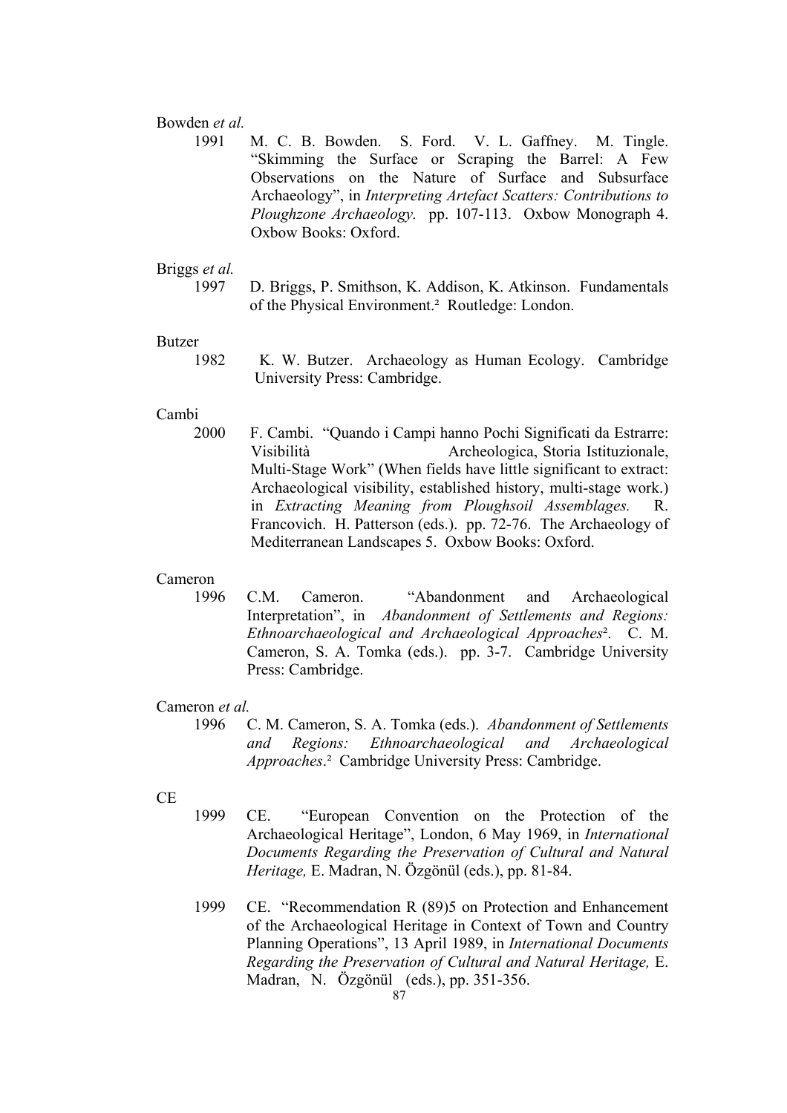### Bowden *et al.*

 1991 M. C. B. Bowden. S. Ford. V. L. Gaffney. M. Tingle. "Skimming the Surface or Scraping the Barrel: A Few Observations on the Nature of Surface and Subsurface Archaeology", in *Interpreting Artefact Scatters: Contributions to Ploughzone Archaeology.* pp. 107-113. Oxbow Monograph 4. Oxbow Books: Oxford.

# Briggs *et al.*

 1997 D. Briggs, P. Smithson, K. Addison, K. Atkinson. Fundamentals of the Physical Environment.² Routledge: London.

### Butzer

 1982 K. W. Butzer. Archaeology as Human Ecology. Cambridge University Press: Cambridge.

## Cambi

 2000 F. Cambi. "Quando i Campi hanno Pochi Significati da Estrarre: Visibilità Archeologica, Storia Istituzionale, Multi-Stage Work" (When fields have little significant to extract: Archaeological visibility, established history, multi-stage work.) in *Extracting Meaning from Ploughsoil Assemblages.* R. Francovich. H. Patterson (eds.). pp. 72-76. The Archaeology of Mediterranean Landscapes 5. Oxbow Books: Oxford.

### Cameron

 1996 C.M. Cameron. "Abandonment and Archaeological Interpretation", in *Abandonment of Settlements and Regions: Ethnoarchaeological and Archaeological Approaches*². C. M. Cameron, S. A. Tomka (eds.). pp. 3-7. Cambridge University Press: Cambridge.

# Cameron *et al.*

- 1996 C. M. Cameron, S. A. Tomka (eds.). *Abandonment of Settlements and Regions: Ethnoarchaeological and Archaeological Approaches*.² Cambridge University Press: Cambridge.
- CE
- 1999 CE. "European Convention on the Protection of the Archaeological Heritage", London, 6 May 1969, in *International Documents Regarding the Preservation of Cultural and Natural Heritage,* E. Madran, N. Özgönül (eds.), pp. 81-84.
- 1999 CE. "Recommendation R (89)5 on Protection and Enhancement of the Archaeological Heritage in Context of Town and Country Planning Operations", 13 April 1989, in *International Documents Regarding the Preservation of Cultural and Natural Heritage,* E. Madran, N. Özgönül (eds.), pp. 351-356.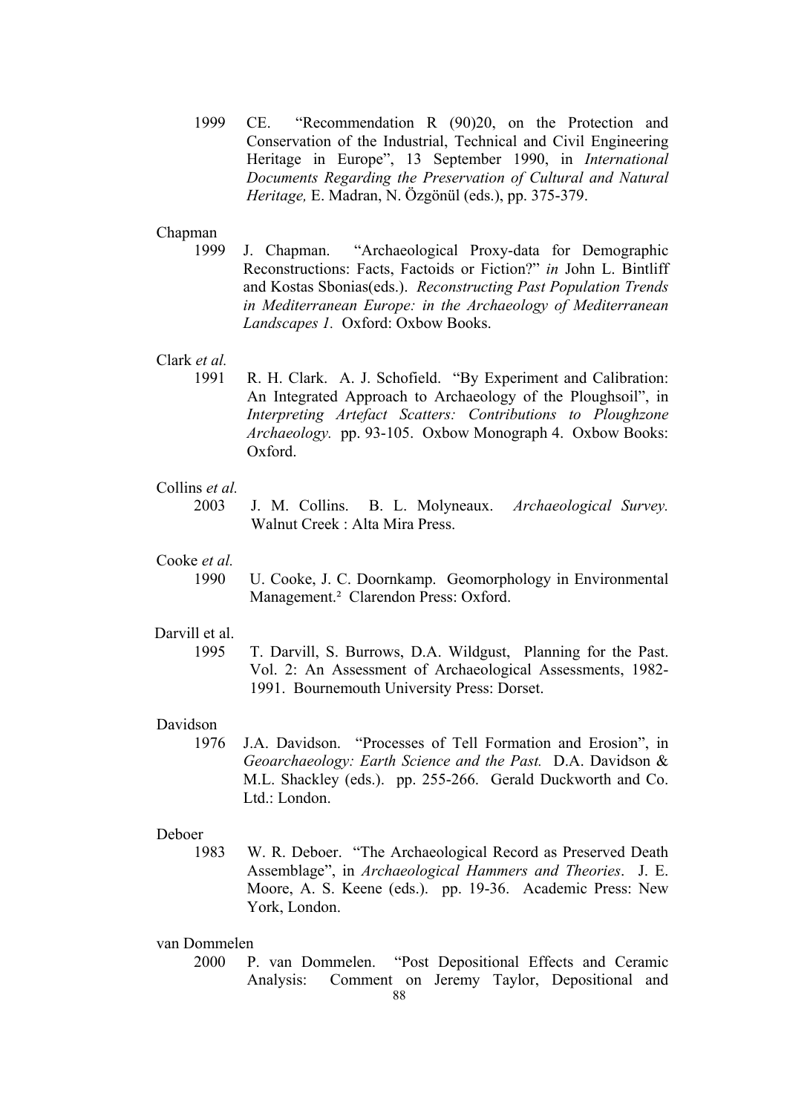1999 CE. "Recommendation R (90)20, on the Protection and Conservation of the Industrial, Technical and Civil Engineering Heritage in Europe", 13 September 1990, in *International Documents Regarding the Preservation of Cultural and Natural Heritage,* E. Madran, N. Özgönül (eds.), pp. 375-379.

## Chapman

 1999 J. Chapman. "Archaeological Proxy-data for Demographic Reconstructions: Facts, Factoids or Fiction?" *in* John L. Bintliff and Kostas Sbonias(eds.). *Reconstructing Past Population Trends in Mediterranean Europe: in the Archaeology of Mediterranean Landscapes 1.* Oxford: Oxbow Books.

# Clark *et al.*

 1991 R. H. Clark. A. J. Schofield. "By Experiment and Calibration: An Integrated Approach to Archaeology of the Ploughsoil", in *Interpreting Artefact Scatters: Contributions to Ploughzone Archaeology.* pp. 93-105. Oxbow Monograph 4. Oxbow Books: Oxford.

# Collins *et al.*

 2003 J. M. Collins. B. L. Molyneaux. *Archaeological Survey.* Walnut Creek : Alta Mira Press.

# Cooke *et al.*

 1990 U. Cooke, J. C. Doornkamp. Geomorphology in Environmental Management.² Clarendon Press: Oxford.

# Darvill et al.

 1995 T. Darvill, S. Burrows, D.A. Wildgust, Planning for the Past. Vol. 2: An Assessment of Archaeological Assessments, 1982- 1991. Bournemouth University Press: Dorset.

## Davidson

 1976 J.A. Davidson. "Processes of Tell Formation and Erosion", in *Geoarchaeology: Earth Science and the Past.* D.A. Davidson & M.L. Shackley (eds.). pp. 255-266. Gerald Duckworth and Co. Ltd.: London.

#### Deboer

 1983 W. R. Deboer. "The Archaeological Record as Preserved Death Assemblage", in *Archaeological Hammers and Theories*. J. E. Moore, A. S. Keene (eds.). pp. 19-36. Academic Press: New York, London.

### van Dommelen

 2000 P. van Dommelen. "Post Depositional Effects and Ceramic Analysis: Comment on Jeremy Taylor, Depositional and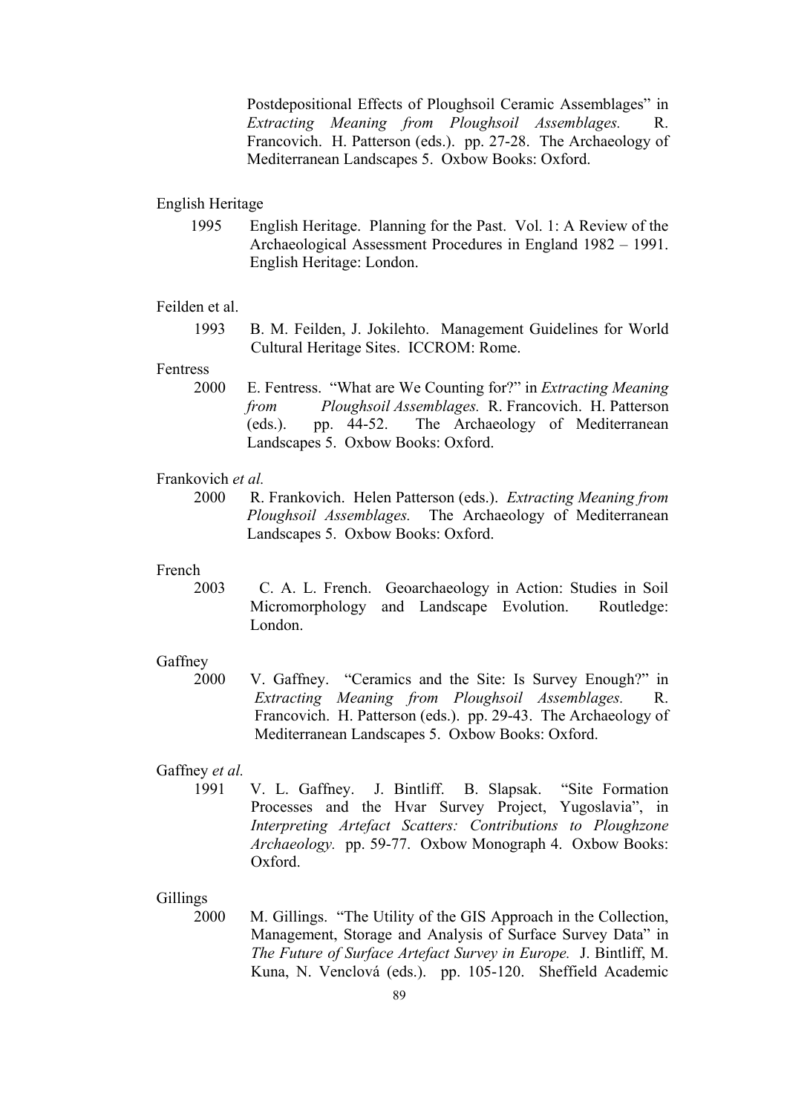Postdepositional Effects of Ploughsoil Ceramic Assemblages" in *Extracting Meaning from Ploughsoil Assemblages.* R. Francovich. H. Patterson (eds.). pp. 27-28. The Archaeology of Mediterranean Landscapes 5. Oxbow Books: Oxford.

### English Heritage

1995 English Heritage. Planning for the Past. Vol. 1: A Review of the Archaeological Assessment Procedures in England 1982 – 1991. English Heritage: London.

### Feilden et al.

 1993 B. M. Feilden, J. Jokilehto. Management Guidelines for World Cultural Heritage Sites. ICCROM: Rome.

# Fentress

 2000 E. Fentress. "What are We Counting for?" in *Extracting Meaning from Ploughsoil Assemblages.* R. Francovich. H. Patterson (eds.). pp. 44-52. The Archaeology of Mediterranean Landscapes 5. Oxbow Books: Oxford.

### Frankovich *et al.*

 2000 R. Frankovich. Helen Patterson (eds.). *Extracting Meaning from Ploughsoil Assemblages.* The Archaeology of Mediterranean Landscapes 5. Oxbow Books: Oxford.

### French

 2003 C. A. L. French. Geoarchaeology in Action: Studies in Soil Micromorphology and Landscape Evolution. Routledge: London.

### Gaffney

 2000 V. Gaffney. "Ceramics and the Site: Is Survey Enough?" in *Extracting Meaning from Ploughsoil Assemblages.* R. Francovich. H. Patterson (eds.). pp. 29-43. The Archaeology of Mediterranean Landscapes 5. Oxbow Books: Oxford.

### Gaffney *et al.*

 1991 V. L. Gaffney. J. Bintliff. B. Slapsak. "Site Formation Processes and the Hvar Survey Project, Yugoslavia", in *Interpreting Artefact Scatters: Contributions to Ploughzone Archaeology.* pp. 59-77. Oxbow Monograph 4. Oxbow Books: Oxford.

## Gillings

 2000 M. Gillings. "The Utility of the GIS Approach in the Collection, Management, Storage and Analysis of Surface Survey Data" in *The Future of Surface Artefact Survey in Europe.* J. Bintliff, M. Kuna, N. Venclová (eds.). pp. 105-120. Sheffield Academic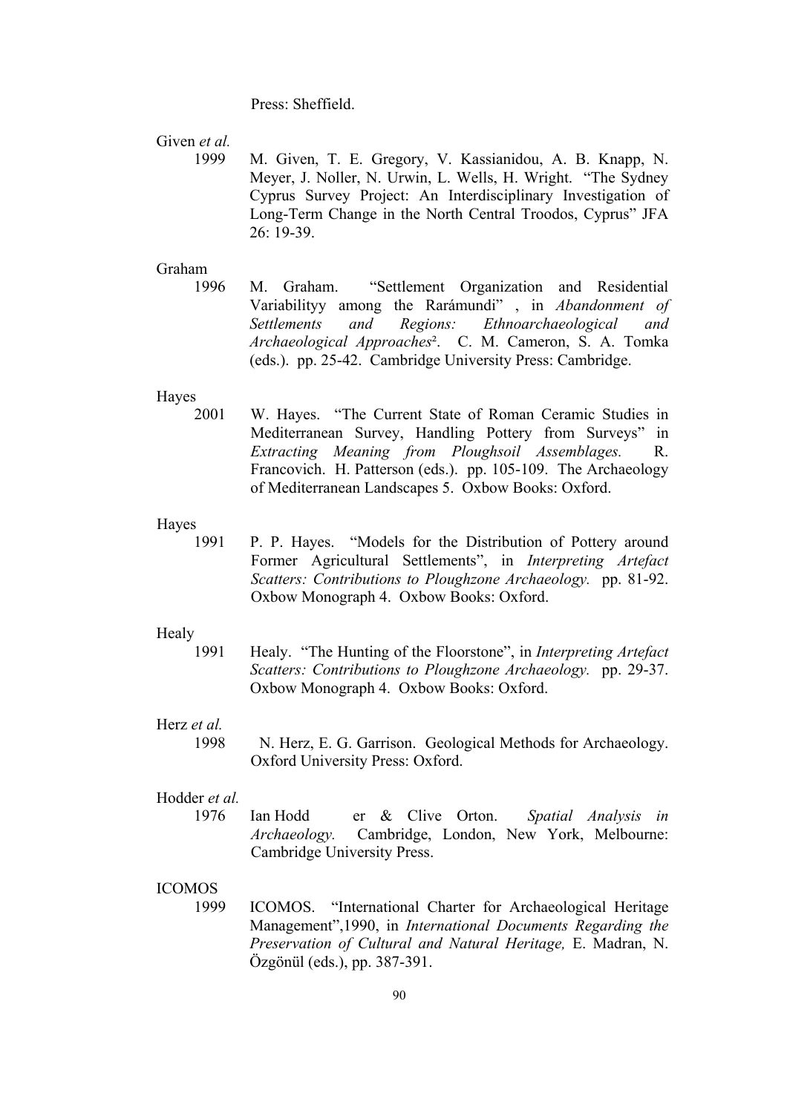Press: Sheffield.

Given *et al.* 

 1999 M. Given, T. E. Gregory, V. Kassianidou, A. B. Knapp, N. Meyer, J. Noller, N. Urwin, L. Wells, H. Wright. "The Sydney Cyprus Survey Project: An Interdisciplinary Investigation of Long-Term Change in the North Central Troodos, Cyprus" JFA 26: 19-39.

### Graham

 1996 M. Graham. "Settlement Organization and Residential Variabilityy among the Rarámundi" , in *Abandonment of Settlements and Regions: Ethnoarchaeological and Archaeological Approaches*². C. M. Cameron, S. A. Tomka (eds.). pp. 25-42. Cambridge University Press: Cambridge.

### Hayes

2001 W. Hayes. "The Current State of Roman Ceramic Studies in Mediterranean Survey, Handling Pottery from Surveys" in *Extracting Meaning from Ploughsoil Assemblages.* R. Francovich. H. Patterson (eds.). pp. 105-109. The Archaeology of Mediterranean Landscapes 5. Oxbow Books: Oxford.

#### Hayes

 1991 P. P. Hayes. "Models for the Distribution of Pottery around Former Agricultural Settlements", in *Interpreting Artefact Scatters: Contributions to Ploughzone Archaeology.* pp. 81-92. Oxbow Monograph 4. Oxbow Books: Oxford.

### Healy

1991 Healy. "The Hunting of the Floorstone", in *Interpreting Artefact Scatters: Contributions to Ploughzone Archaeology.* pp. 29-37. Oxbow Monograph 4. Oxbow Books: Oxford.

# Herz *et al.*

 1998 N. Herz, E. G. Garrison. Geological Methods for Archaeology. Oxford University Press: Oxford.

## Hodder *et al.*

 1976 Ian Hodd er & Clive Orton. *Spatial Analysis in Archaeology.* Cambridge, London, New York, Melbourne: Cambridge University Press.

# ICOMOS

1999 ICOMOS. "International Charter for Archaeological Heritage Management",1990, in *International Documents Regarding the Preservation of Cultural and Natural Heritage,* E. Madran, N. Özgönül (eds.), pp. 387-391.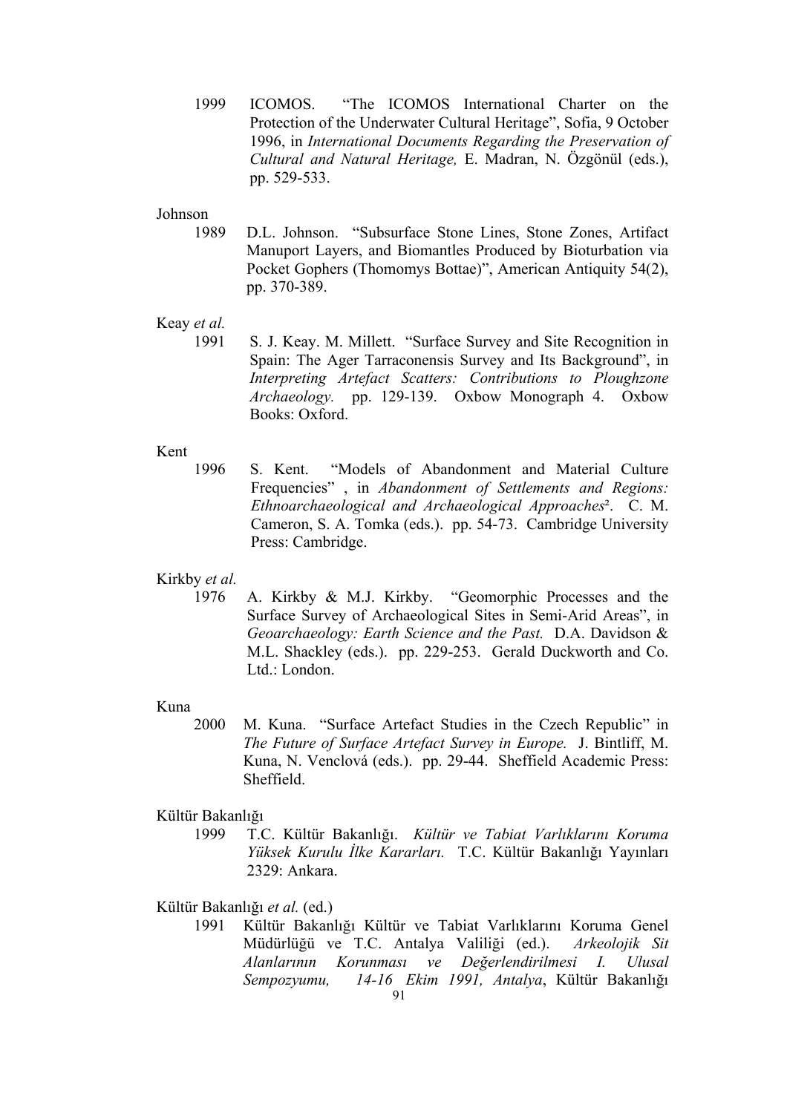1999 ICOMOS. "The ICOMOS International Charter on the Protection of the Underwater Cultural Heritage", Sofia, 9 October 1996, in *International Documents Regarding the Preservation of Cultural and Natural Heritage,* E. Madran, N. Özgönül (eds.), pp. 529-533.

# Johnson

1989 D.L. Johnson. "Subsurface Stone Lines, Stone Zones, Artifact Manuport Layers, and Biomantles Produced by Bioturbation via Pocket Gophers (Thomomys Bottae)", American Antiquity 54(2), pp. 370-389.

# Keay *et al.*

 1991 S. J. Keay. M. Millett. "Surface Survey and Site Recognition in Spain: The Ager Tarraconensis Survey and Its Background", in *Interpreting Artefact Scatters: Contributions to Ploughzone Archaeology.* pp. 129-139. Oxbow Monograph 4. Oxbow Books: Oxford.

# Kent

 1996 S. Kent. "Models of Abandonment and Material Culture Frequencies" , in *Abandonment of Settlements and Regions: Ethnoarchaeological and Archaeological Approaches*². C. M. Cameron, S. A. Tomka (eds.). pp. 54-73. Cambridge University Press: Cambridge.

# Kirkby *et al.*

 1976 A. Kirkby & M.J. Kirkby. "Geomorphic Processes and the Surface Survey of Archaeological Sites in Semi-Arid Areas", in *Geoarchaeology: Earth Science and the Past.* D.A. Davidson & M.L. Shackley (eds.). pp. 229-253. Gerald Duckworth and Co. Ltd.: London.

### Kuna

 2000 M. Kuna. "Surface Artefact Studies in the Czech Republic" in *The Future of Surface Artefact Survey in Europe.* J. Bintliff, M. Kuna, N. Venclová (eds.). pp. 29-44. Sheffield Academic Press: **Sheffield** 

### Kültür Bakanlığı

 1999 T.C. Kültür Bakanlığı. *Kültür ve Tabiat Varlıklarını Koruma Yüksek Kurulu İlke Kararları.* T.C. Kültür Bakanlığı Yayınları 2329: Ankara.

### Kültür Bakanlığı *et al.* (ed.)

91 1991 Kültür Bakanlığı Kültür ve Tabiat Varlıklarını Koruma Genel Müdürlüğü ve T.C. Antalya Valiliği (ed.). *Arkeolojik Sit Alanlarının Korunması ve Değerlendirilmesi I. Ulusal Sempozyumu, 14-16 Ekim 1991, Antalya*, Kültür Bakanlığı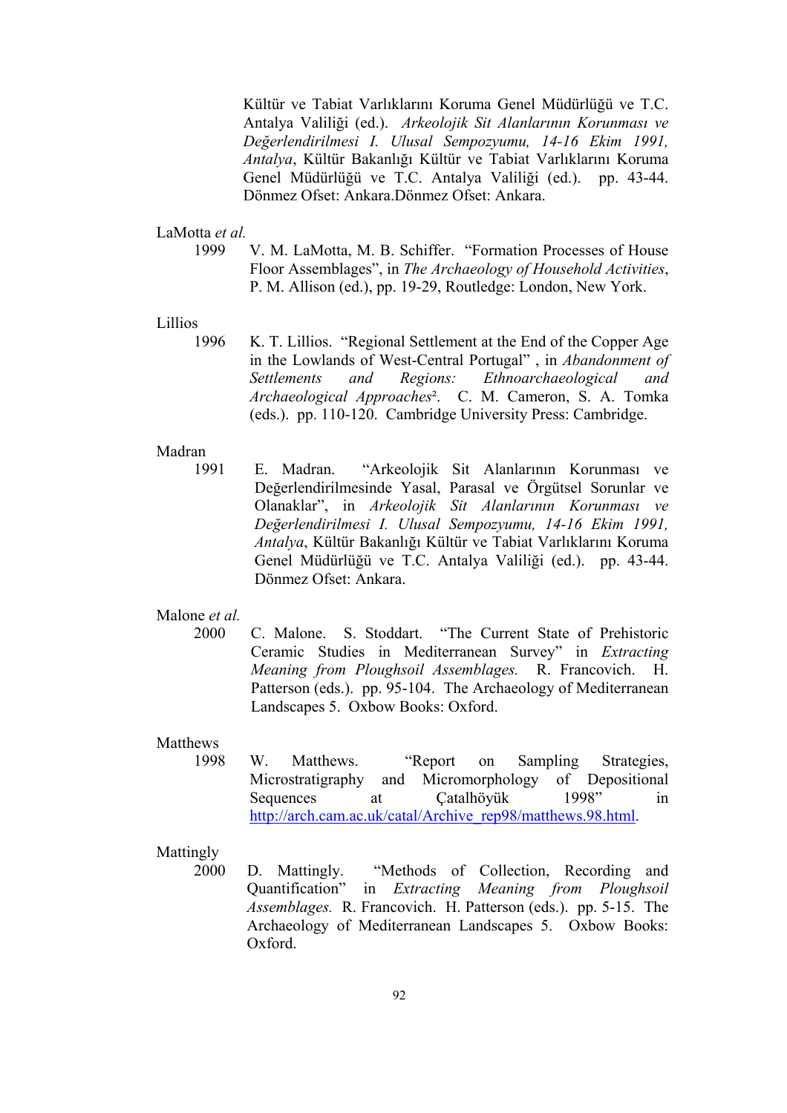Kültür ve Tabiat Varlıklarını Koruma Genel Müdürlüğü ve T.C. Antalya Valiliği (ed.). *Arkeolojik Sit Alanlarının Korunması ve Değerlendirilmesi I. Ulusal Sempozyumu, 14-16 Ekim 1991, Antalya*, Kültür Bakanlığı Kültür ve Tabiat Varlıklarını Koruma Genel Müdürlüğü ve T.C. Antalya Valiliği (ed.). pp. 43-44. Dönmez Ofset: Ankara.Dönmez Ofset: Ankara.

### LaMotta *et al.*

 1999 V. M. LaMotta, M. B. Schiffer. "Formation Processes of House Floor Assemblages", in *The Archaeology of Household Activities*, P. M. Allison (ed.), pp. 19-29, Routledge: London, New York.

### Lillios

 1996 K. T. Lillios. "Regional Settlement at the End of the Copper Age in the Lowlands of West-Central Portugal" , in *Abandonment of Settlements and Regions: Ethnoarchaeological and Archaeological Approaches*². C. M. Cameron, S. A. Tomka (eds.). pp. 110-120. Cambridge University Press: Cambridge.

## Madran

 1991 E. Madran. "Arkeolojik Sit Alanlarının Korunması ve Değerlendirilmesinde Yasal, Parasal ve Örgütsel Sorunlar ve Olanaklar", in *Arkeolojik Sit Alanlarının Korunması ve Değerlendirilmesi I. Ulusal Sempozyumu, 14-16 Ekim 1991, Antalya*, Kültür Bakanlığı Kültür ve Tabiat Varlıklarını Koruma Genel Müdürlüğü ve T.C. Antalya Valiliği (ed.). pp. 43-44. Dönmez Ofset: Ankara.

# Malone *et al.*

2000 C. Malone. S. Stoddart. "The Current State of Prehistoric Ceramic Studies in Mediterranean Survey" in *Extracting Meaning from Ploughsoil Assemblages.* R. Francovich. H. Patterson (eds.). pp. 95-104. The Archaeology of Mediterranean Landscapes 5. Oxbow Books: Oxford.

### Matthews

 1998 W. Matthews. "Report on Sampling Strategies, Microstratigraphy and Micromorphology of Depositional Sequences at Catalhöyük 1998" in http://arch.cam.ac.uk/catal/Archive\_rep98/matthews.98.html.

# Mattingly

 2000 D. Mattingly. "Methods of Collection, Recording and Quantification" in *Extracting Meaning from Ploughsoil Assemblages.* R. Francovich. H. Patterson (eds.). pp. 5-15. The Archaeology of Mediterranean Landscapes 5. Oxbow Books: Oxford.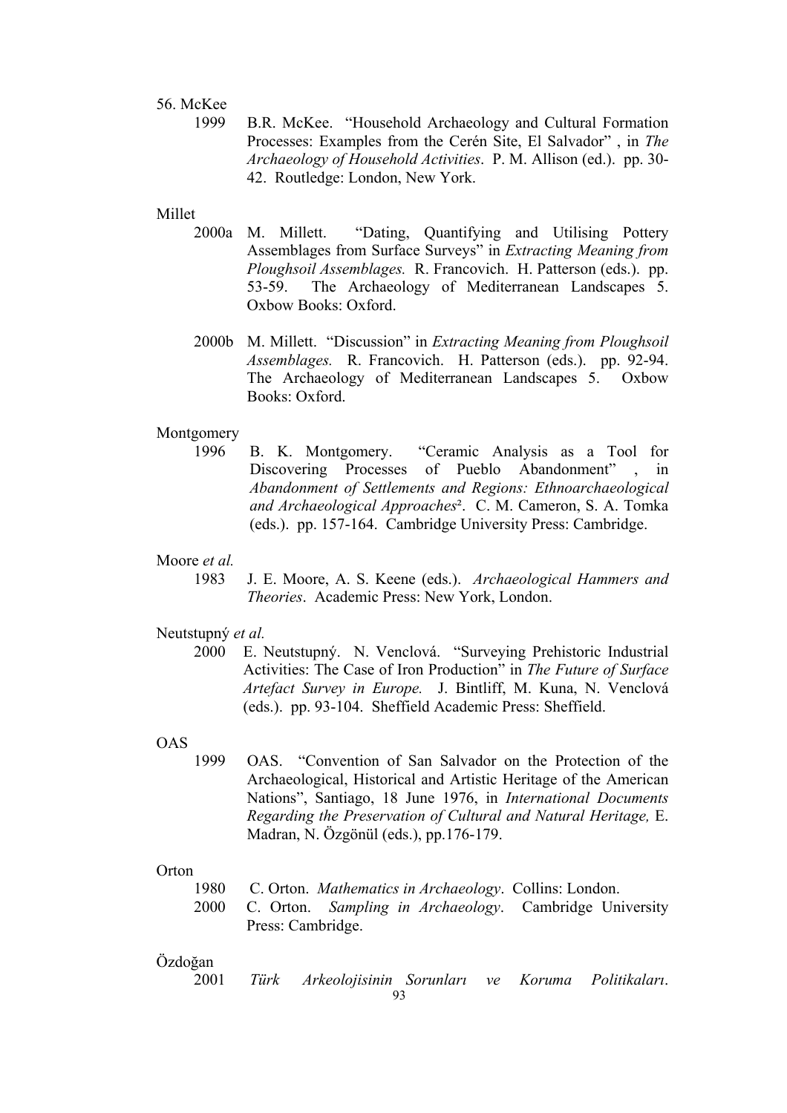## 56. McKee

 1999 B.R. McKee. "Household Archaeology and Cultural Formation Processes: Examples from the Cerén Site, El Salvador" , in *The Archaeology of Household Activities*. P. M. Allison (ed.). pp. 30- 42. Routledge: London, New York.

## Millet

- 2000a M. Millett. "Dating, Quantifying and Utilising Pottery Assemblages from Surface Surveys" in *Extracting Meaning from Ploughsoil Assemblages.* R. Francovich. H. Patterson (eds.). pp. 53-59. The Archaeology of Mediterranean Landscapes 5. Oxbow Books: Oxford.
- 2000b M. Millett. "Discussion" in *Extracting Meaning from Ploughsoil Assemblages.* R. Francovich. H. Patterson (eds.). pp. 92-94. The Archaeology of Mediterranean Landscapes 5. Oxbow Books: Oxford.

### Montgomery

 1996 B. K. Montgomery. "Ceramic Analysis as a Tool for Discovering Processes of Pueblo Abandonment" , in *Abandonment of Settlements and Regions: Ethnoarchaeological and Archaeological Approaches*². C. M. Cameron, S. A. Tomka (eds.). pp. 157-164. Cambridge University Press: Cambridge.

# Moore *et al.*

 1983 J. E. Moore, A. S. Keene (eds.). *Archaeological Hammers and Theories*. Academic Press: New York, London.

# Neutstupný *et al.*

 2000 E. Neutstupný. N. Venclová. "Surveying Prehistoric Industrial Activities: The Case of Iron Production" in *The Future of Surface Artefact Survey in Europe.* J. Bintliff, M. Kuna, N. Venclová (eds.). pp. 93-104. Sheffield Academic Press: Sheffield.

### OAS

 1999 OAS. "Convention of San Salvador on the Protection of the Archaeological, Historical and Artistic Heritage of the American Nations", Santiago, 18 June 1976, in *International Documents Regarding the Preservation of Cultural and Natural Heritage,* E. Madran, N. Özgönül (eds.), pp.176-179.

## Orton

1980 C. Orton. *Mathematics in Archaeology*. Collins: London.

 2000 C. Orton. *Sampling in Archaeology*. Cambridge University Press: Cambridge.

# Özdoğan

93 2001 *Türk Arkeolojisinin Sorunları ve Koruma Politikaları*.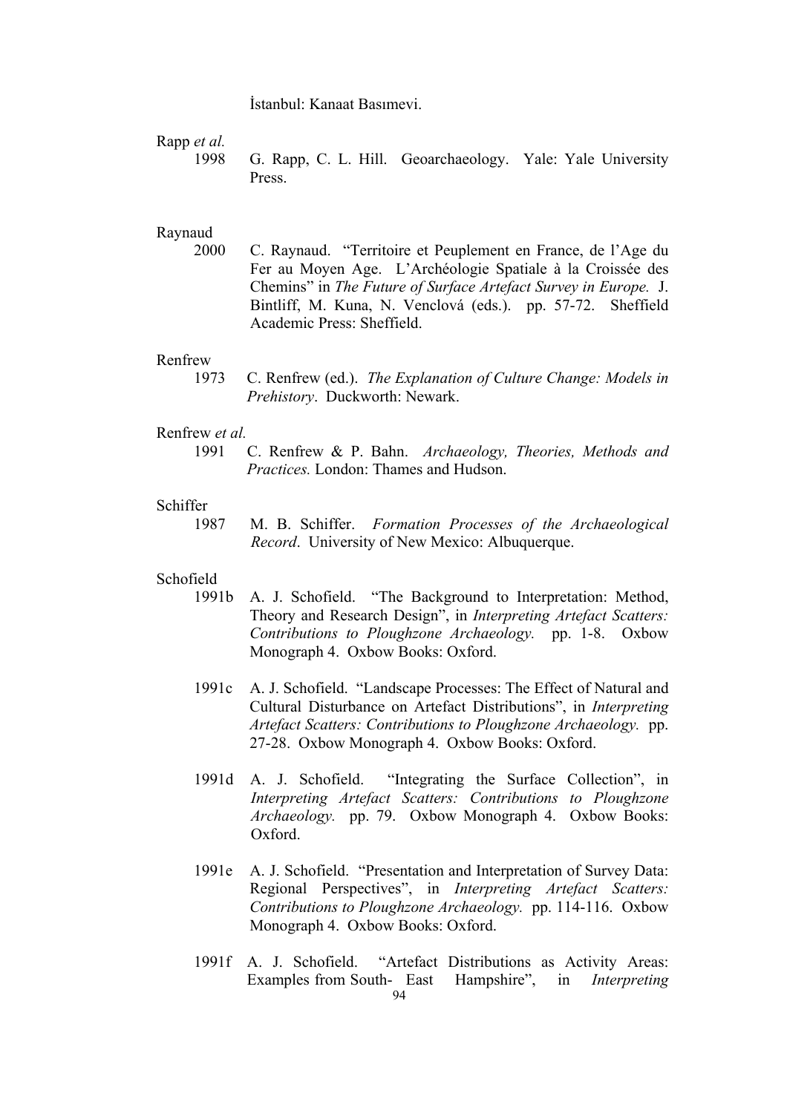İstanbul: Kanaat Basımevi.

Rapp *et al.*

 1998 G. Rapp, C. L. Hill. Geoarchaeology. Yale: Yale University Press.

## Raynaud

 2000 C. Raynaud. "Territoire et Peuplement en France, de l'Age du Fer au Moyen Age. L'Archéologie Spatiale à la Croissée des Chemins" in *The Future of Surface Artefact Survey in Europe.* J. Bintliff, M. Kuna, N. Venclová (eds.). pp. 57-72. Sheffield Academic Press: Sheffield.

## Renfrew

 1973 C. Renfrew (ed.). *The Explanation of Culture Change: Models in Prehistory*. Duckworth: Newark.

## Renfrew *et al.*

 1991 C. Renfrew & P. Bahn. *Archaeology, Theories, Methods and Practices.* London: Thames and Hudson.

### Schiffer

 1987 M. B. Schiffer. *Formation Processes of the Archaeological Record*. University of New Mexico: Albuquerque.

# Schofield

- 1991b A. J. Schofield. "The Background to Interpretation: Method, Theory and Research Design", in *Interpreting Artefact Scatters: Contributions to Ploughzone Archaeology.* pp. 1-8. Oxbow Monograph 4. Oxbow Books: Oxford.
- 1991c A. J. Schofield. "Landscape Processes: The Effect of Natural and Cultural Disturbance on Artefact Distributions", in *Interpreting Artefact Scatters: Contributions to Ploughzone Archaeology.* pp. 27-28. Oxbow Monograph 4. Oxbow Books: Oxford.
- 1991d A. J. Schofield. "Integrating the Surface Collection", in *Interpreting Artefact Scatters: Contributions to Ploughzone Archaeology.* pp. 79. Oxbow Monograph 4. Oxbow Books: Oxford.
- 1991e A. J. Schofield. "Presentation and Interpretation of Survey Data: Regional Perspectives", in *Interpreting Artefact Scatters: Contributions to Ploughzone Archaeology.* pp. 114-116. Oxbow Monograph 4. Oxbow Books: Oxford.
- 94 1991f A. J. Schofield. "Artefact Distributions as Activity Areas: Examples from South- East Hampshire", in *Interpreting*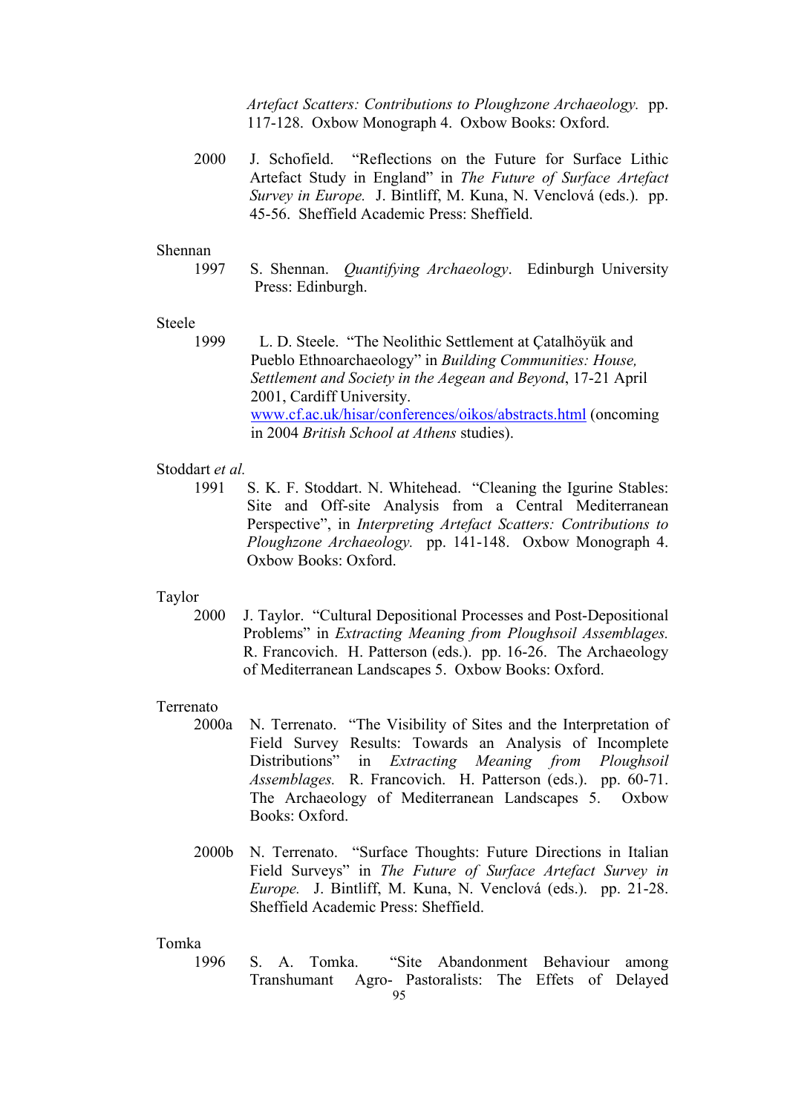*Artefact Scatters: Contributions to Ploughzone Archaeology.* pp. 117-128. Oxbow Monograph 4. Oxbow Books: Oxford.

2000 J. Schofield. "Reflections on the Future for Surface Lithic Artefact Study in England" in *The Future of Surface Artefact Survey in Europe.* J. Bintliff, M. Kuna, N. Venclová (eds.). pp. 45-56. Sheffield Academic Press: Sheffield.

### Shennan

 1997 S. Shennan. *Quantifying Archaeology*. Edinburgh University Press: Edinburgh.

## Steele

 1999 L. D. Steele. "The Neolithic Settlement at Çatalhöyük and Pueblo Ethnoarchaeology" in *Building Communities: House, Settlement and Society in the Aegean and Beyond*, 17-21 April 2001, Cardiff University. www.cf.ac.uk/hisar/conferences/oikos/abstracts.html (oncoming in 2004 *British School at Athens* studies).

## Stoddart *et al.*

 1991 S. K. F. Stoddart. N. Whitehead. "Cleaning the Igurine Stables: Site and Off-site Analysis from a Central Mediterranean Perspective", in *Interpreting Artefact Scatters: Contributions to Ploughzone Archaeology.* pp. 141-148. Oxbow Monograph 4. Oxbow Books: Oxford.

#### Taylor

 2000 J. Taylor. "Cultural Depositional Processes and Post-Depositional Problems" in *Extracting Meaning from Ploughsoil Assemblages.* R. Francovich. H. Patterson (eds.). pp. 16-26. The Archaeology of Mediterranean Landscapes 5. Oxbow Books: Oxford.

### Terrenato

- 2000a N. Terrenato. "The Visibility of Sites and the Interpretation of Field Survey Results: Towards an Analysis of Incomplete Distributions" in *Extracting Meaning from Ploughsoil Assemblages.* R. Francovich. H. Patterson (eds.). pp. 60-71. The Archaeology of Mediterranean Landscapes 5. Oxbow Books: Oxford.
- 2000b N. Terrenato. "Surface Thoughts: Future Directions in Italian Field Surveys" in *The Future of Surface Artefact Survey in Europe.* J. Bintliff, M. Kuna, N. Venclová (eds.). pp. 21-28. Sheffield Academic Press: Sheffield.

### Tomka

95 1996 S. A. Tomka. "Site Abandonment Behaviour among Transhumant Agro- Pastoralists: The Effets of Delayed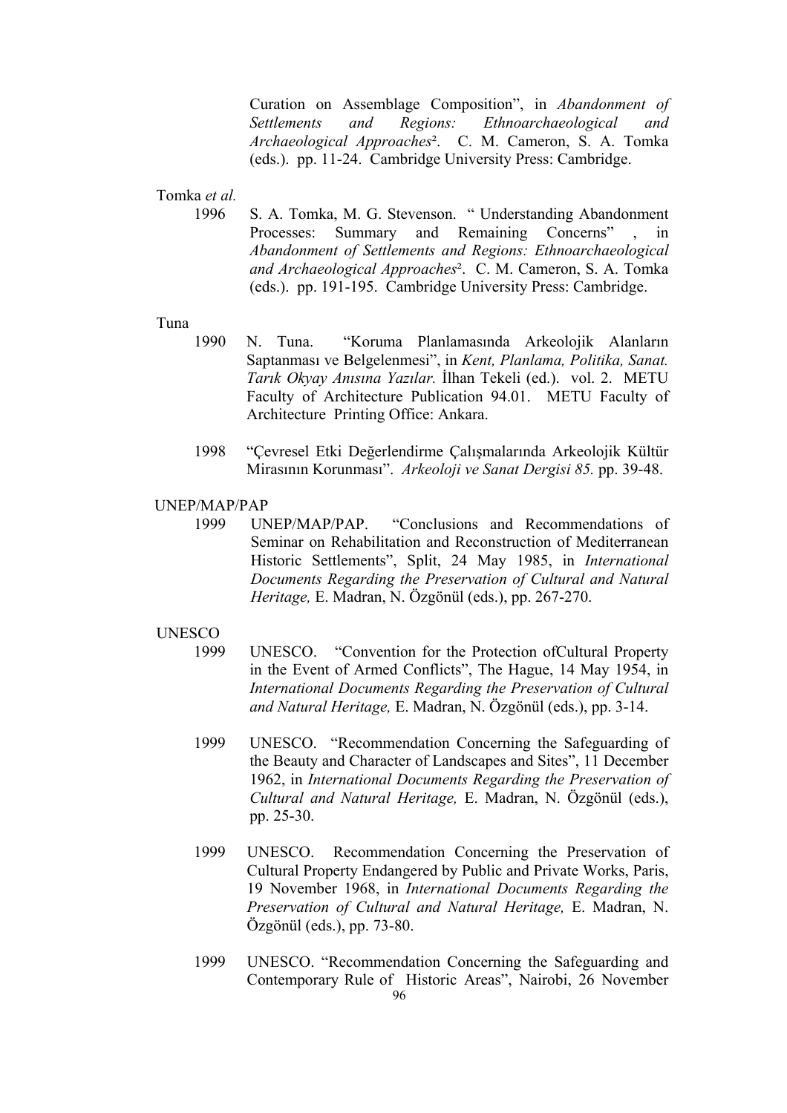Curation on Assemblage Composition", in *Abandonment of Settlements and Regions: Ethnoarchaeological and Archaeological Approaches*². C. M. Cameron, S. A. Tomka (eds.). pp. 11-24. Cambridge University Press: Cambridge.

## Tomka *et al.*

 1996 S. A. Tomka, M. G. Stevenson. " Understanding Abandonment Processes: Summary and Remaining Concerns" , in *Abandonment of Settlements and Regions: Ethnoarchaeological and Archaeological Approaches*². C. M. Cameron, S. A. Tomka (eds.). pp. 191-195. Cambridge University Press: Cambridge.

### Tuna

- 1990 N. Tuna. "Koruma Planlamasında Arkeolojik Alanların Saptanması ve Belgelenmesi", in *Kent, Planlama, Politika, Sanat. Tarık Okyay Anısına Yazılar.* İlhan Tekeli (ed.). vol. 2. METU Faculty of Architecture Publication 94.01. METU Faculty of Architecture Printing Office: Ankara.
- 1998 "Çevresel Etki Değerlendirme Çalışmalarında Arkeolojik Kültür Mirasının Korunması". *Arkeoloji ve Sanat Dergisi 85.* pp. 39-48.

#### UNEP/MAP/PAP

1999 UNEP/MAP/PAP. "Conclusions and Recommendations of Seminar on Rehabilitation and Reconstruction of Mediterranean Historic Settlements", Split, 24 May 1985, in *International Documents Regarding the Preservation of Cultural and Natural Heritage,* E. Madran, N. Özgönül (eds.), pp. 267-270.

# UNESCO

- 1999 UNESCO. "Convention for the Protection ofCultural Property in the Event of Armed Conflicts", The Hague, 14 May 1954, in *International Documents Regarding the Preservation of Cultural and Natural Heritage,* E. Madran, N. Özgönül (eds.), pp. 3-14.
- 1999 UNESCO. "Recommendation Concerning the Safeguarding of the Beauty and Character of Landscapes and Sites", 11 December 1962, in *International Documents Regarding the Preservation of Cultural and Natural Heritage,* E. Madran, N. Özgönül (eds.), pp. 25-30.
- 1999 UNESCO. Recommendation Concerning the Preservation of Cultural Property Endangered by Public and Private Works, Paris, 19 November 1968, in *International Documents Regarding the Preservation of Cultural and Natural Heritage,* E. Madran, N. Özgönül (eds.), pp. 73-80.
- 96 1999 UNESCO. "Recommendation Concerning the Safeguarding and Contemporary Rule of Historic Areas", Nairobi, 26 November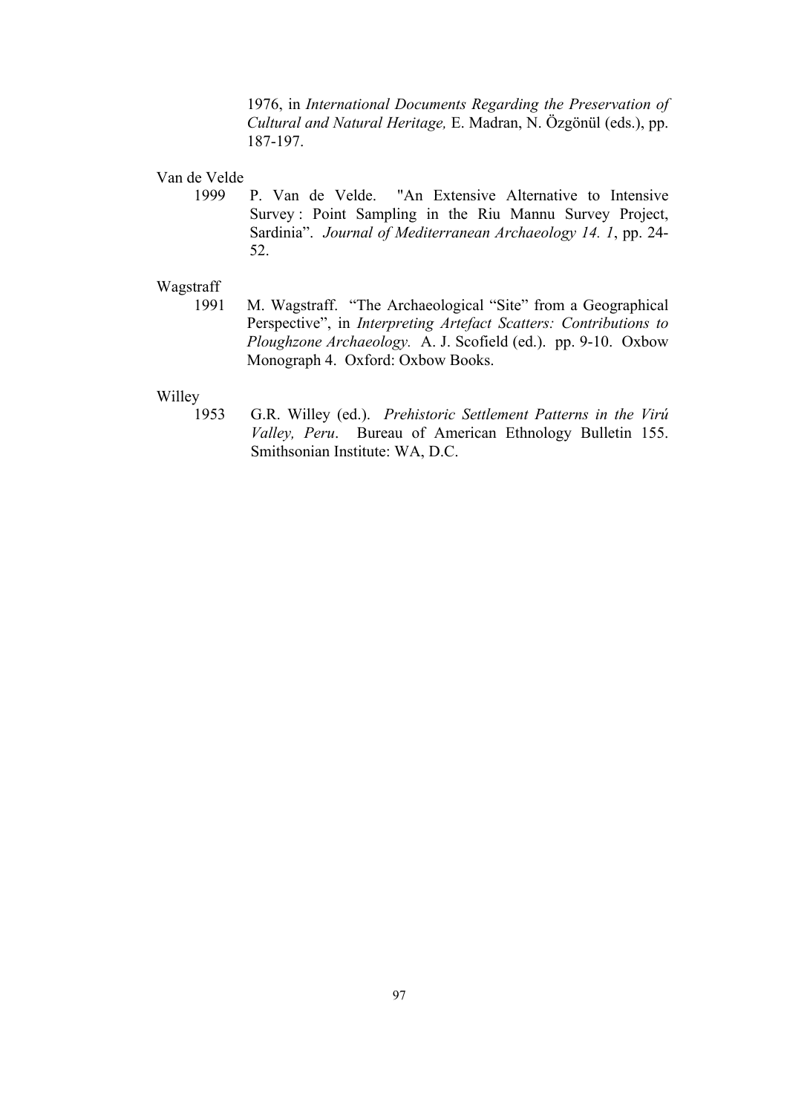1976, in *International Documents Regarding the Preservation of Cultural and Natural Heritage,* E. Madran, N. Özgönül (eds.), pp. 187-197.

# Van de Velde

 1999 P. Van de Velde. "An Extensive Alternative to Intensive Survey : Point Sampling in the Riu Mannu Survey Project, Sardinia". *Journal of Mediterranean Archaeology 14. 1*, pp. 24- 52.

## Wagstraff

 1991 M. Wagstraff. "The Archaeological "Site" from a Geographical Perspective", in *Interpreting Artefact Scatters: Contributions to Ploughzone Archaeology.* A. J. Scofield (ed.). pp. 9-10. Oxbow Monograph 4. Oxford: Oxbow Books.

### Willey

 1953 G.R. Willey (ed.). *Prehistoric Settlement Patterns in the Virú Valley, Peru*. Bureau of American Ethnology Bulletin 155. Smithsonian Institute: WA, D.C.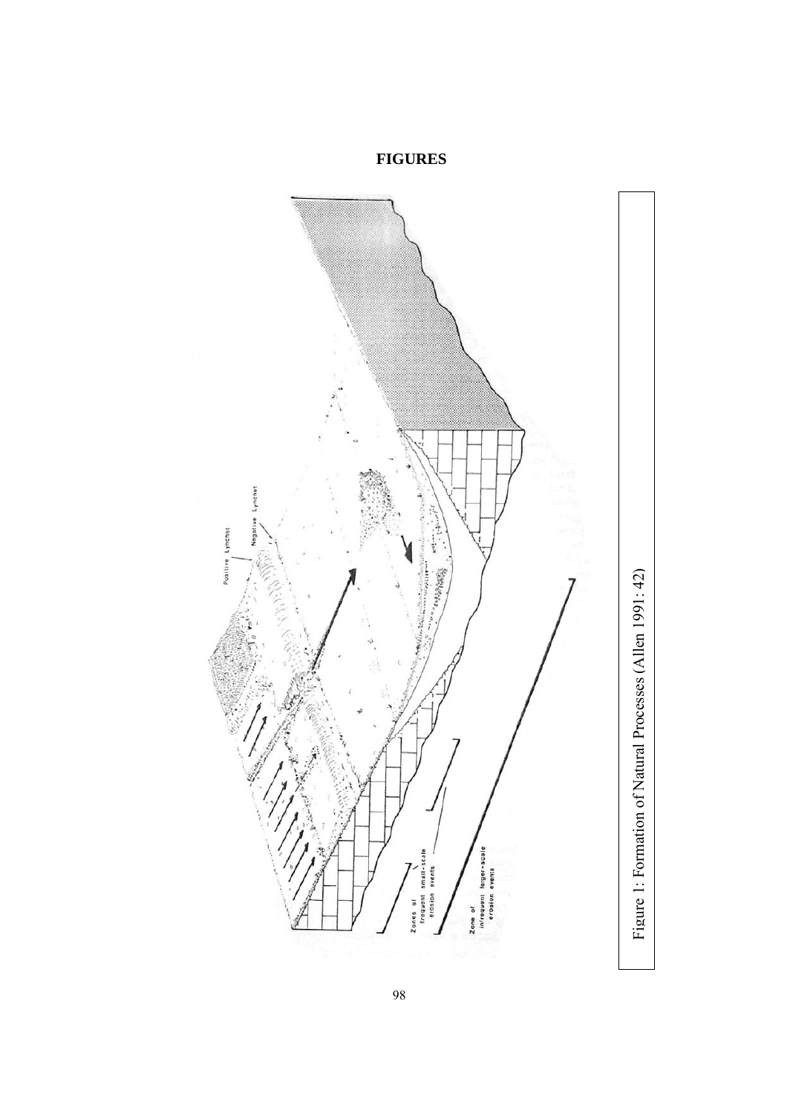

**FIGURES**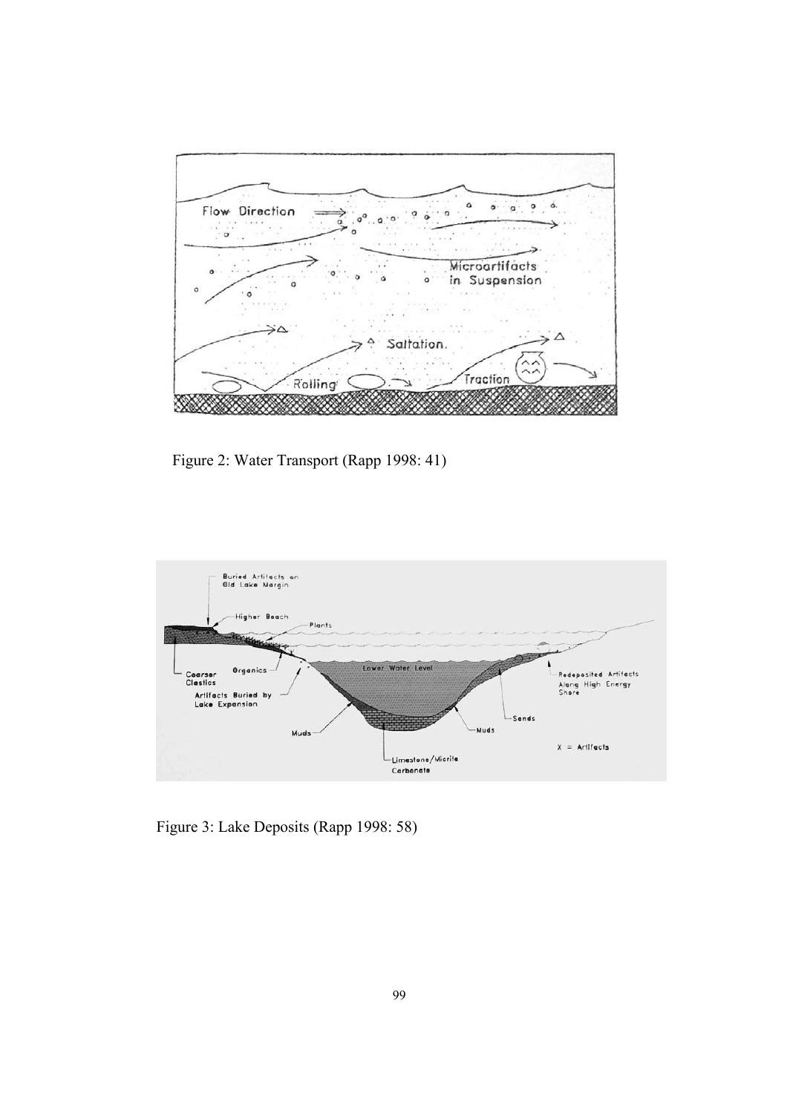

Figure 2: Water Transport (Rapp 1998: 41)



Figure 3: Lake Deposits (Rapp 1998: 58)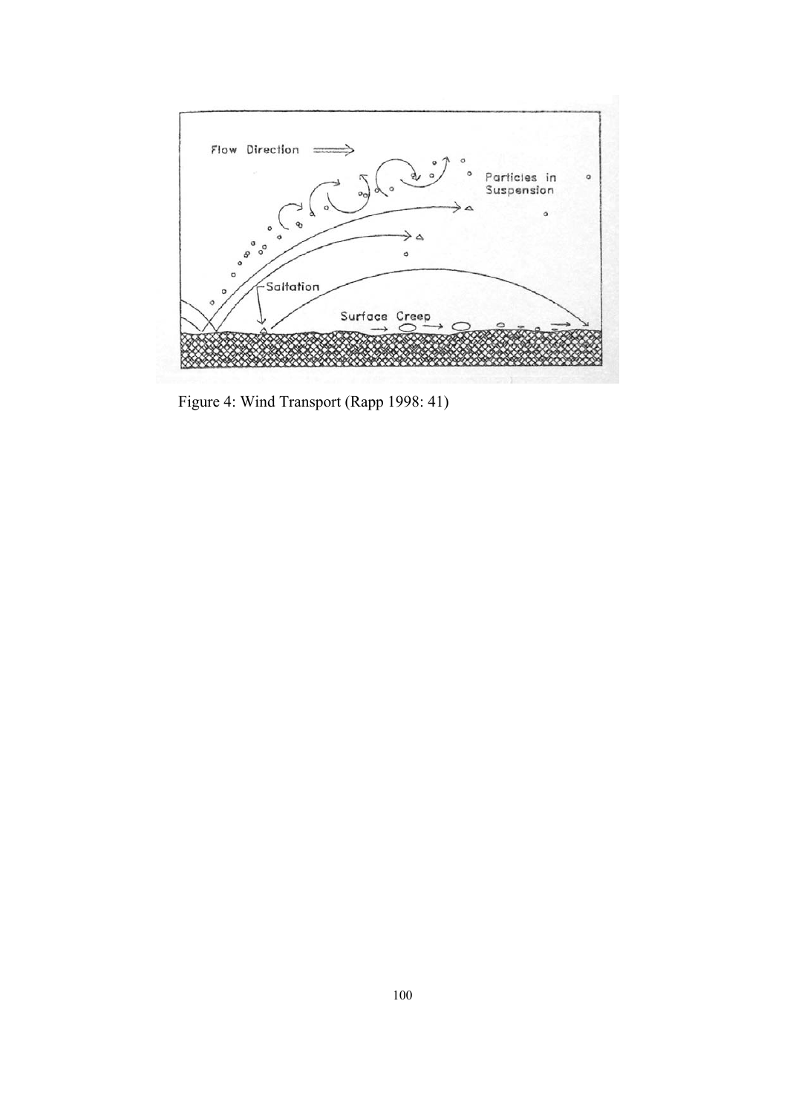

Figure 4: Wind Transport (Rapp 1998: 41)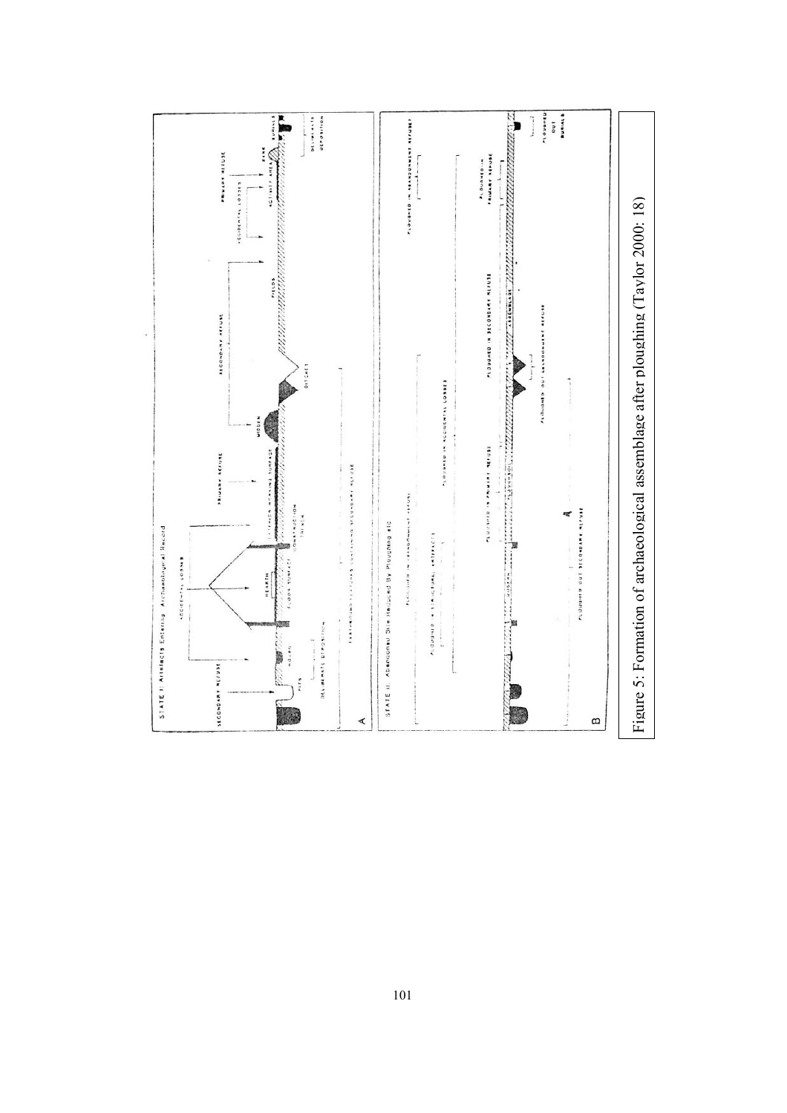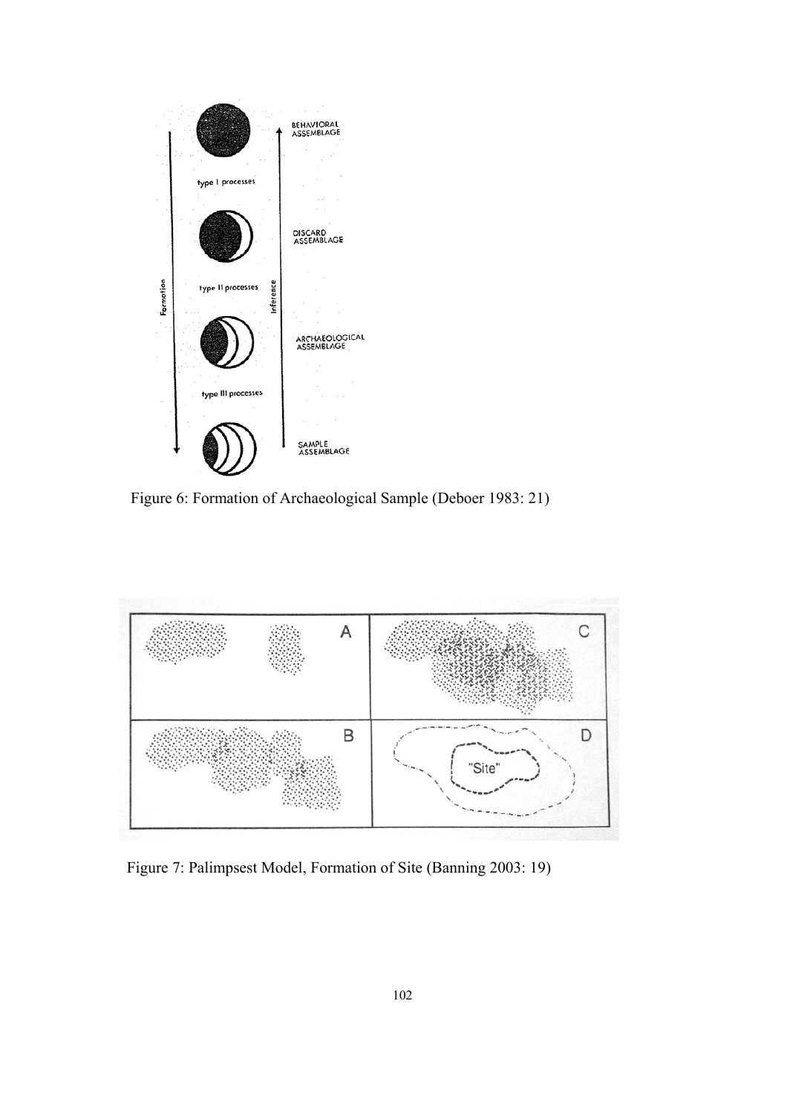

Figure 6: Formation of Archaeological Sample (Deboer 1983: 21)



Figure 7: Palimpsest Model, Formation of Site (Banning 2003: 19)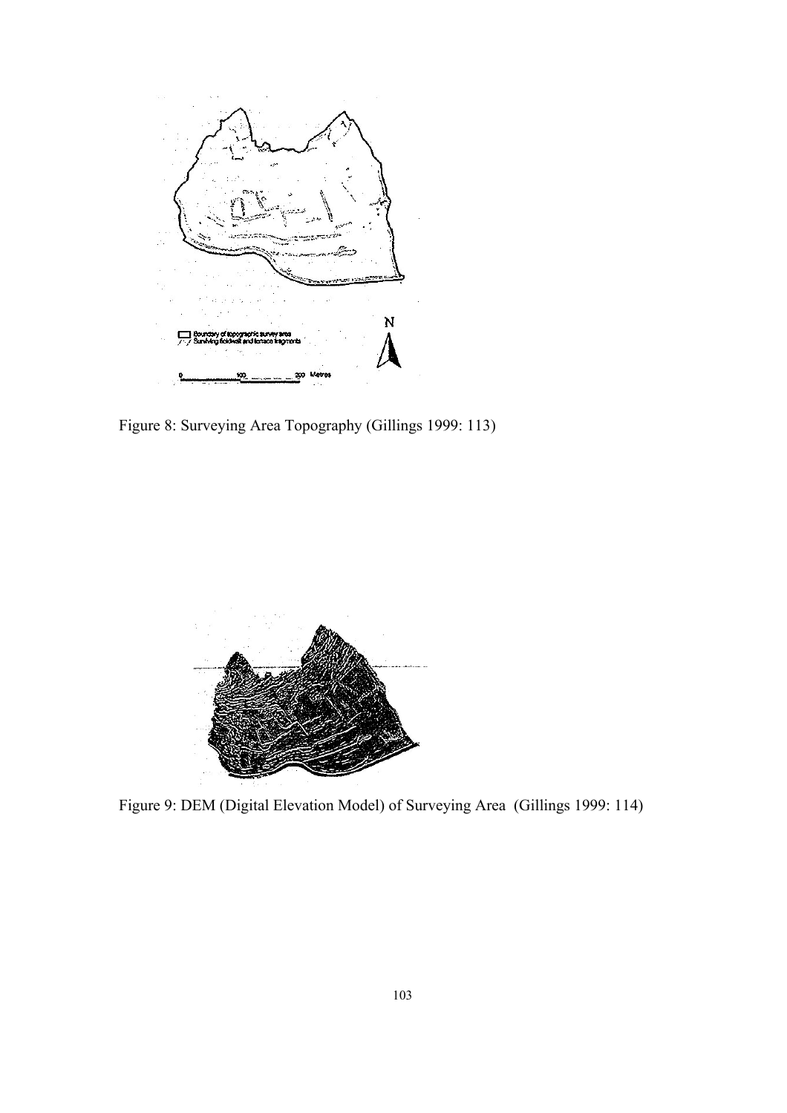

Figure 8: Surveying Area Topography (Gillings 1999: 113)



Figure 9: DEM (Digital Elevation Model) of Surveying Area (Gillings 1999: 114)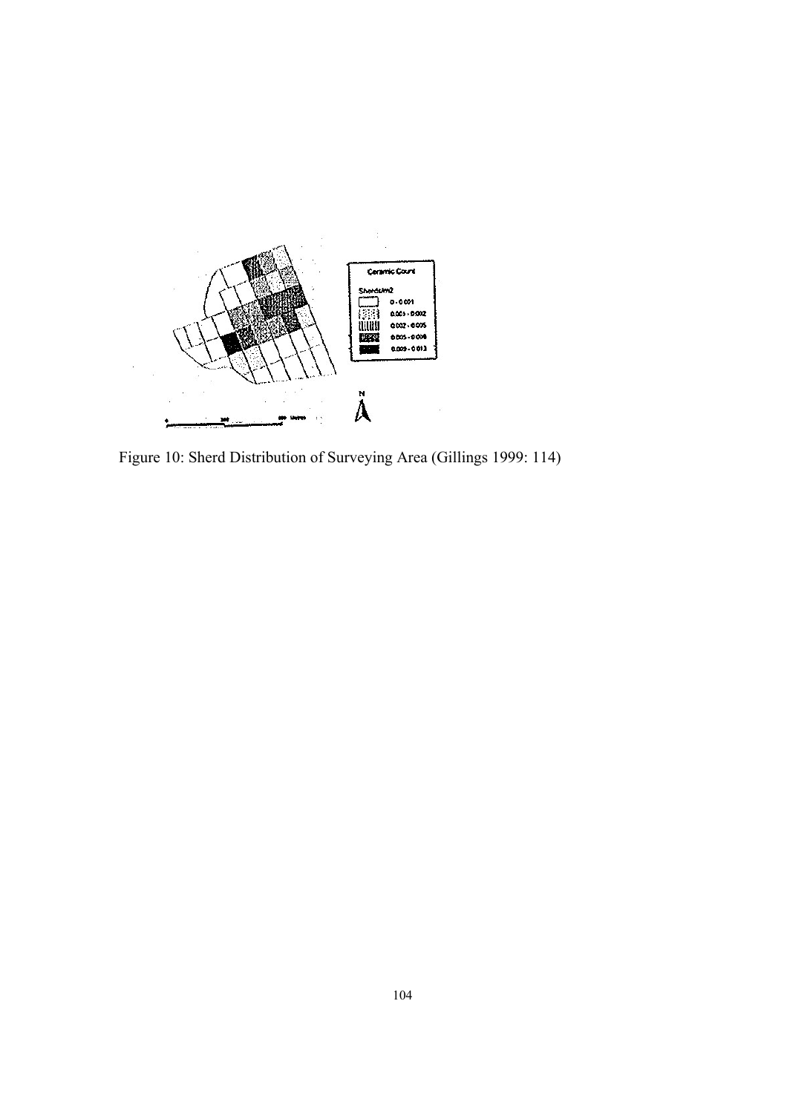

Figure 10: Sherd Distribution of Surveying Area (Gillings 1999: 114)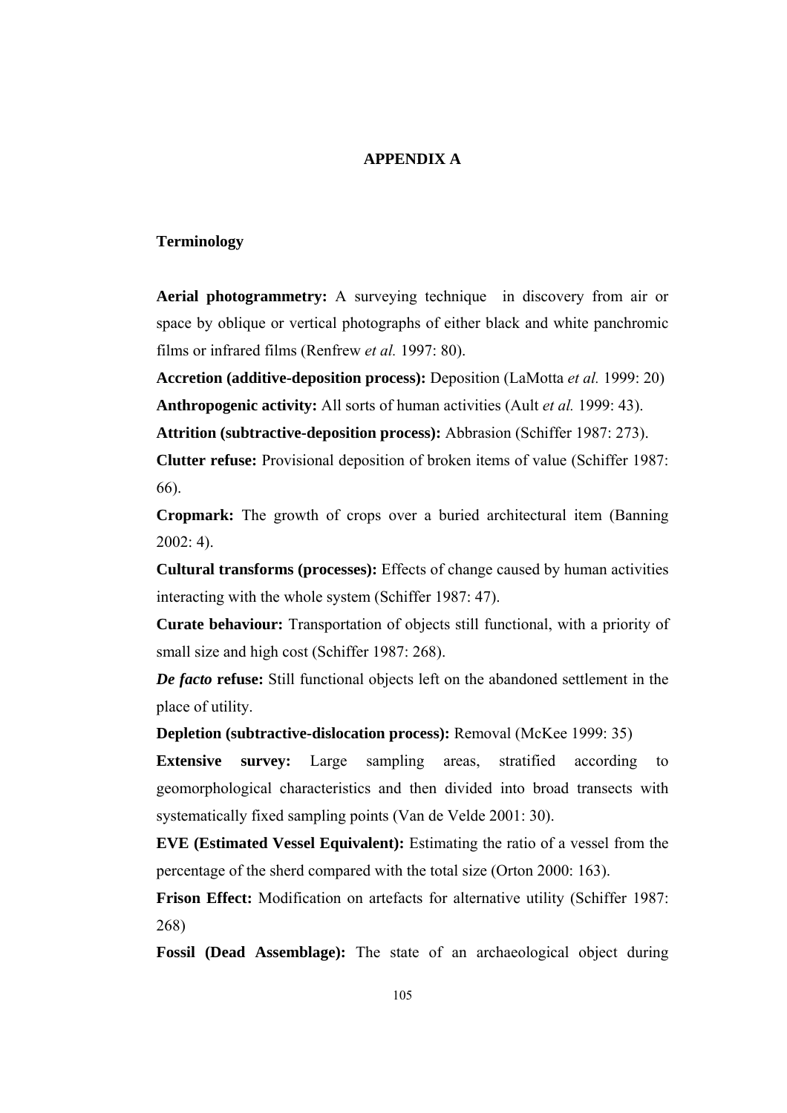## **APPENDIX A**

## **Terminology**

**Aerial photogrammetry:** A surveying technique in discovery from air or space by oblique or vertical photographs of either black and white panchromic films or infrared films (Renfrew *et al.* 1997: 80).

**Accretion (additive-deposition process):** Deposition (LaMotta *et al.* 1999: 20) **Anthropogenic activity:** All sorts of human activities (Ault *et al.* 1999: 43).

**Attrition (subtractive-deposition process):** Abbrasion (Schiffer 1987: 273).

**Clutter refuse:** Provisional deposition of broken items of value (Schiffer 1987: 66).

**Cropmark:** The growth of crops over a buried architectural item (Banning 2002: 4).

**Cultural transforms (processes):** Effects of change caused by human activities interacting with the whole system (Schiffer 1987: 47).

**Curate behaviour:** Transportation of objects still functional, with a priority of small size and high cost (Schiffer 1987: 268).

*De facto* **refuse:** Still functional objects left on the abandoned settlement in the place of utility.

**Depletion (subtractive-dislocation process):** Removal (McKee 1999: 35)

**Extensive survey:** Large sampling areas, stratified according to geomorphological characteristics and then divided into broad transects with systematically fixed sampling points (Van de Velde 2001: 30).

**EVE (Estimated Vessel Equivalent):** Estimating the ratio of a vessel from the percentage of the sherd compared with the total size (Orton 2000: 163).

**Frison Effect:** Modification on artefacts for alternative utility (Schiffer 1987: 268)

**Fossil (Dead Assemblage):** The state of an archaeological object during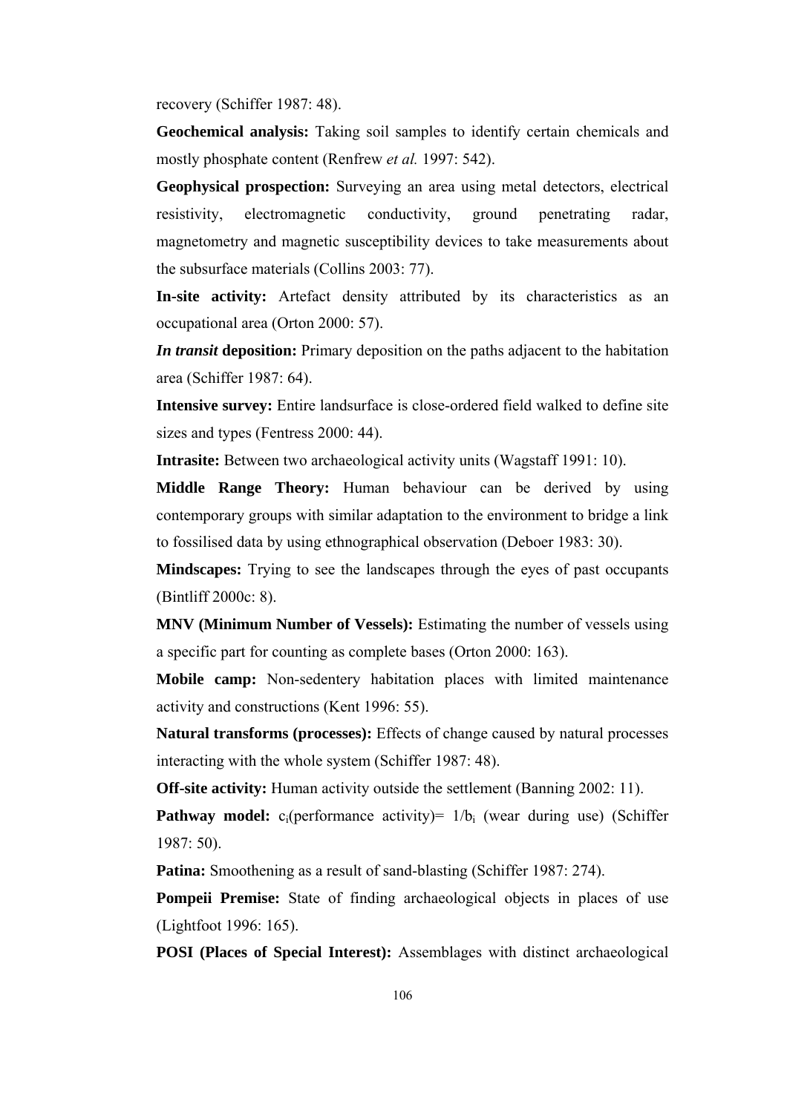recovery (Schiffer 1987: 48).

**Geochemical analysis:** Taking soil samples to identify certain chemicals and mostly phosphate content (Renfrew *et al.* 1997: 542).

**Geophysical prospection:** Surveying an area using metal detectors, electrical resistivity, electromagnetic conductivity, ground penetrating radar, magnetometry and magnetic susceptibility devices to take measurements about the subsurface materials (Collins 2003: 77).

**In-site activity:** Artefact density attributed by its characteristics as an occupational area (Orton 2000: 57).

*In transit* **deposition:** Primary deposition on the paths adjacent to the habitation area (Schiffer 1987: 64).

**Intensive survey:** Entire landsurface is close-ordered field walked to define site sizes and types (Fentress 2000: 44).

**Intrasite:** Between two archaeological activity units (Wagstaff 1991: 10).

**Middle Range Theory:** Human behaviour can be derived by using contemporary groups with similar adaptation to the environment to bridge a link to fossilised data by using ethnographical observation (Deboer 1983: 30).

**Mindscapes:** Trying to see the landscapes through the eyes of past occupants (Bintliff 2000c: 8).

**MNV (Minimum Number of Vessels):** Estimating the number of vessels using a specific part for counting as complete bases (Orton 2000: 163).

**Mobile camp:** Non-sedentery habitation places with limited maintenance activity and constructions (Kent 1996: 55).

**Natural transforms (processes):** Effects of change caused by natural processes interacting with the whole system (Schiffer 1987: 48).

**Off-site activity:** Human activity outside the settlement (Banning 2002: 11).

**Pathway model:** c<sub>i</sub>(performance activity) =  $1/b_i$  (wear during use) (Schiffer 1987: 50).

**Patina:** Smoothening as a result of sand-blasting (Schiffer 1987: 274).

**Pompeii Premise:** State of finding archaeological objects in places of use (Lightfoot 1996: 165).

**POSI (Places of Special Interest):** Assemblages with distinct archaeological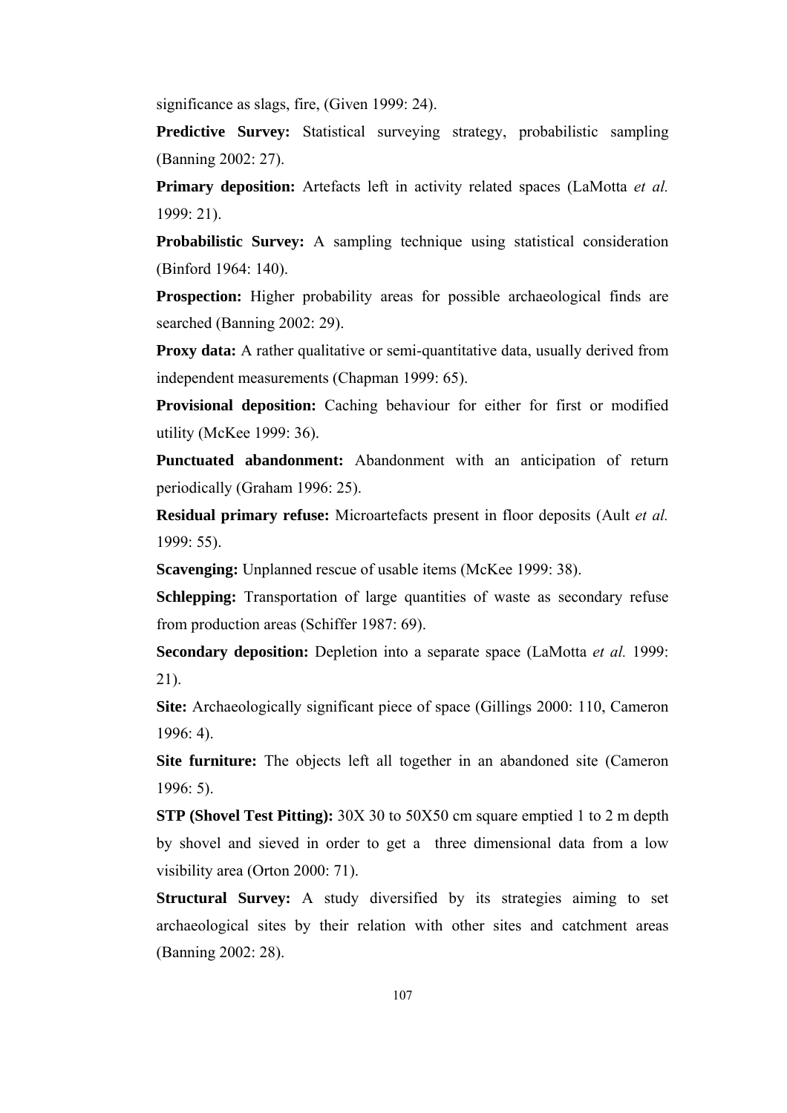significance as slags, fire, (Given 1999: 24).

**Predictive Survey:** Statistical surveying strategy, probabilistic sampling (Banning 2002: 27).

**Primary deposition:** Artefacts left in activity related spaces (LaMotta *et al.* 1999: 21).

**Probabilistic Survey:** A sampling technique using statistical consideration (Binford 1964: 140).

**Prospection:** Higher probability areas for possible archaeological finds are searched (Banning 2002: 29).

**Proxy data:** A rather qualitative or semi-quantitative data, usually derived from independent measurements (Chapman 1999: 65).

**Provisional deposition:** Caching behaviour for either for first or modified utility (McKee 1999: 36).

**Punctuated abandonment:** Abandonment with an anticipation of return periodically (Graham 1996: 25).

**Residual primary refuse:** Microartefacts present in floor deposits (Ault *et al.* 1999: 55).

**Scavenging:** Unplanned rescue of usable items (McKee 1999: 38).

**Schlepping:** Transportation of large quantities of waste as secondary refuse from production areas (Schiffer 1987: 69).

**Secondary deposition:** Depletion into a separate space (LaMotta *et al.* 1999: 21).

**Site:** Archaeologically significant piece of space (Gillings 2000: 110, Cameron 1996: 4).

**Site furniture:** The objects left all together in an abandoned site (Cameron 1996: 5).

**STP (Shovel Test Pitting):** 30X 30 to 50X50 cm square emptied 1 to 2 m depth by shovel and sieved in order to get a three dimensional data from a low visibility area (Orton 2000: 71).

**Structural Survey:** A study diversified by its strategies aiming to set archaeological sites by their relation with other sites and catchment areas (Banning 2002: 28).